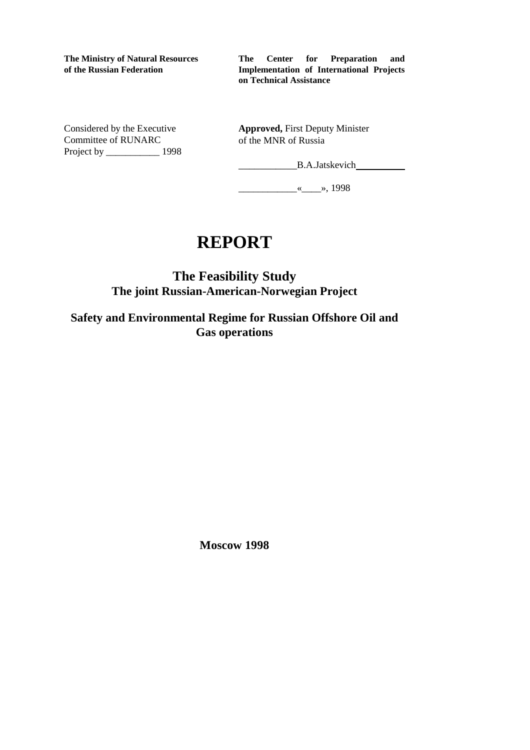**The Ministry of Natural Resources of the Russian Federation**

**The Center for Preparation and Implementation of International Projects on Technical Assistance**

Considered by the Executive Committee of RUNARC Project by \_\_\_\_\_\_\_\_\_\_\_ 1998 **Approved,** First Deputy Minister of the MNR of Russia

\_\_\_\_\_\_\_\_\_\_\_B.A.Jatskevich

\_\_\_\_\_\_\_\_\_\_\_\_«\_\_\_\_», 1998

# **REPORT**

**The Feasibility Study The joint Russian-American-Norwegian Project**

**Safety and Environmental Regime for Russian Offshore Oil and Gas operations**

**Moscow 1998**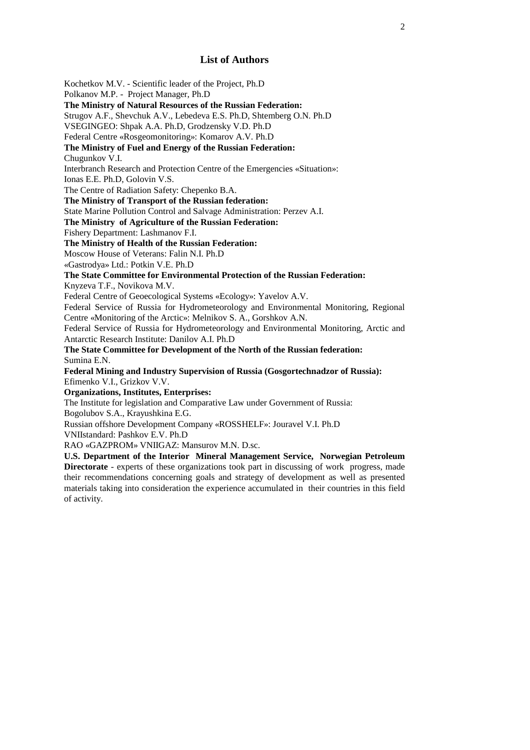## **List of Authors**

Kochetkov M.V. - Scientific leader of the Project, Ph.D Polkanov M.P. - Project Manager, Ph.D **The Ministry of Natural Resources of the Russian Federation:** Strugov A.F., Shevchuk A.V., Lebedeva E.S. Ph.D, Shtemberg O.N. Ph.D VSEGINGEO: Shpak A.A. Ph.D, Grodzensky V.D. Ph.D Federal Centre «Rosgeomonitoring»: Komarov A.V. Ph.D **The Ministry of Fuel and Energy of the Russian Federation:** Chugunkov V.I. Interbranch Research and Protection Centre of the Emergencies «Situation»: Ionas E.E. Ph.D, Golovin V.S. The Centre of Radiation Safety: Chepenko B.A. **The Ministry of Transport of the Russian federation:** State Marine Pollution Control and Salvage Administration: Perzev A.I. **The Ministry of Agriculture of the Russian Federation:** Fishery Department: Lashmanov F.I. **The Ministry of Health of the Russian Federation:** Moscow House of Veterans: Falin N.I. Ph.D «Gastrodya» Ltd.: Potkin V.E. Ph.D **The State Committee for Environmental Protection of the Russian Federation:** Knyzeva T.F., Novikova M.V. Federal Centre of Geoecological Systems «Ecology»: Yavelov A.V. Federal Service of Russia for Hydrometeorology and Environmental Monitoring, Regional Centre «Monitoring of the Arctic»: Melnikov S. A., Gorshkov A.N. Federal Service of Russia for Hydrometeorology and Environmental Monitoring, Arctic and Antarctic Research Institute: Danilov A.I. Ph.D **The State Committee for Development of the North of the Russian federation:** Sumina E.N. **Federal Mining and Industry Supervision of Russia (Gosgortechnadzor of Russia):** Efimenko V.I., Grizkov V.V. **Organizations, Institutes, Enterprises:** The Institute for legislation and Comparative Law under Government of Russia: Bogolubov S.A., Krayushkina E.G. Russian offshore Development Company «ROSSHELF»: Jouravel V.I. Ph.D VNIIstandard: Pashkov E.V. Ph.D

RAO «GAZPROM» VNIIGAZ: Mansurov M.N. D.sc.

**U.S. Department of the Interior Mineral Management Service, Norwegian Petroleum Directorate** - experts of these organizations took part in discussing of work progress, made their recommendations concerning goals and strategy of development as well as presented materials taking into consideration the experience accumulated in their countries in this field of activity.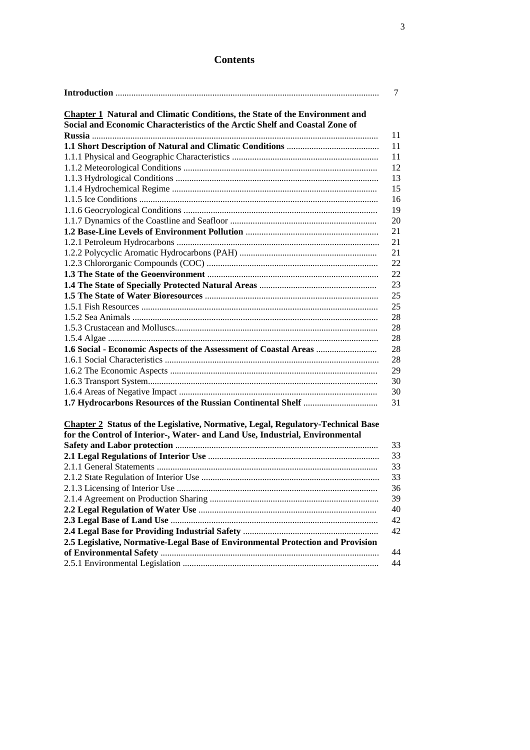## **Contents**

|                                                                                         | 7  |
|-----------------------------------------------------------------------------------------|----|
| <b>Chapter 1</b> Natural and Climatic Conditions, the State of the Environment and      |    |
| Social and Economic Characteristics of the Arctic Shelf and Coastal Zone of             |    |
|                                                                                         | 11 |
|                                                                                         | 11 |
|                                                                                         | 11 |
|                                                                                         | 12 |
|                                                                                         | 13 |
|                                                                                         | 15 |
|                                                                                         | 16 |
|                                                                                         | 19 |
|                                                                                         | 20 |
|                                                                                         | 21 |
|                                                                                         | 21 |
|                                                                                         | 21 |
|                                                                                         | 22 |
|                                                                                         | 22 |
|                                                                                         | 23 |
|                                                                                         | 25 |
|                                                                                         | 25 |
|                                                                                         | 28 |
|                                                                                         | 28 |
|                                                                                         | 28 |
| 1.6 Social - Economic Aspects of the Assessment of Coastal Areas                        | 28 |
|                                                                                         | 28 |
|                                                                                         | 29 |
|                                                                                         | 30 |
|                                                                                         | 30 |
|                                                                                         | 31 |
|                                                                                         |    |
| <b>Chapter 2 Status of the Legislative, Normative, Legal, Regulatory-Technical Base</b> |    |
| for the Control of Interior-, Water- and Land Use, Industrial, Environmental            |    |
|                                                                                         | 33 |
|                                                                                         | 33 |
|                                                                                         | 33 |
|                                                                                         | 33 |
|                                                                                         | 36 |
|                                                                                         | 39 |
|                                                                                         | 40 |
|                                                                                         | 42 |
|                                                                                         | 42 |
| 2.5 Legislative, Normative-Legal Base of Environmental Protection and Provision         |    |
|                                                                                         | 44 |
|                                                                                         | 44 |
|                                                                                         |    |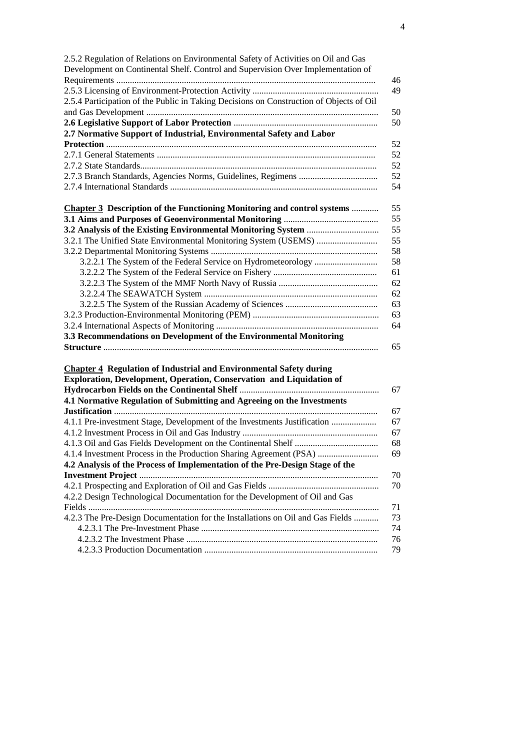| 2.5.2 Regulation of Relations on Environmental Safety of Activities on Oil and Gas      |    |
|-----------------------------------------------------------------------------------------|----|
| Development on Continental Shelf. Control and Supervision Over Implementation of        |    |
|                                                                                         | 46 |
|                                                                                         | 49 |
| 2.5.4 Participation of the Public in Taking Decisions on Construction of Objects of Oil |    |
|                                                                                         | 50 |
|                                                                                         | 50 |
| 2.7 Normative Support of Industrial, Environmental Safety and Labor                     |    |
|                                                                                         | 52 |
|                                                                                         | 52 |
|                                                                                         | 52 |
|                                                                                         | 52 |
|                                                                                         | 54 |
| <b>Chapter 3</b> Description of the Functioning Monitoring and control systems          | 55 |
|                                                                                         | 55 |
|                                                                                         | 55 |
|                                                                                         | 55 |
|                                                                                         | 58 |
|                                                                                         | 58 |
|                                                                                         | 61 |
|                                                                                         | 62 |
|                                                                                         | 62 |
|                                                                                         | 63 |
|                                                                                         | 63 |
|                                                                                         | 64 |
| 3.3 Recommendations on Development of the Environmental Monitoring                      |    |
|                                                                                         | 65 |
|                                                                                         |    |
| <b>Chapter 4 Regulation of Industrial and Environmental Safety during</b>               |    |
| Exploration, Development, Operation, Conservation and Liquidation of                    |    |
|                                                                                         | 67 |
| 4.1 Normative Regulation of Submitting and Agreeing on the Investments                  |    |
|                                                                                         | 67 |
| 4.1.1 Pre-investment Stage, Development of the Investments Justification                | 67 |
|                                                                                         | 67 |
|                                                                                         | 68 |
| 4.1.4 Investment Process in the Production Sharing Agreement (PSA)                      | 69 |
| 4.2 Analysis of the Process of Implementation of the Pre-Design Stage of the            |    |
|                                                                                         | 70 |
|                                                                                         | 70 |
| 4.2.2 Design Technological Documentation for the Development of Oil and Gas             |    |
|                                                                                         | 71 |
| 4.2.3 The Pre-Design Documentation for the Installations on Oil and Gas Fields          | 73 |
|                                                                                         | 74 |
|                                                                                         | 76 |
|                                                                                         | 79 |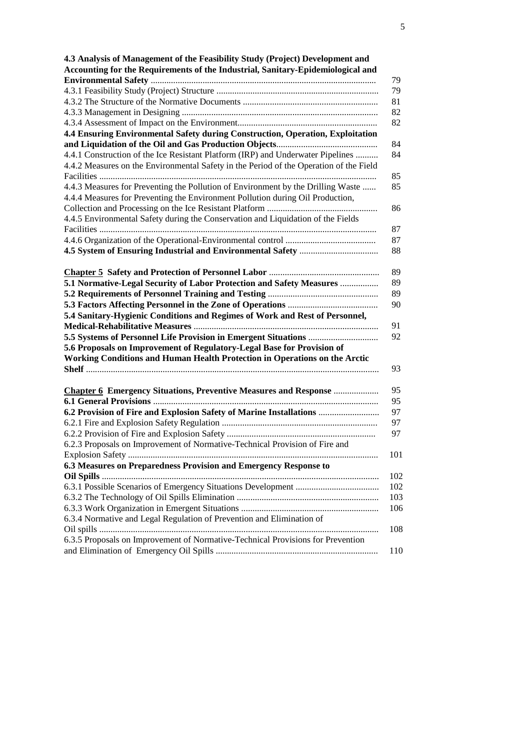| 4.3 Analysis of Management of the Feasibility Study (Project) Development and          |     |
|----------------------------------------------------------------------------------------|-----|
| Accounting for the Requirements of the Industrial, Sanitary-Epidemiological and        |     |
|                                                                                        | 79  |
|                                                                                        | 79  |
|                                                                                        | 81  |
|                                                                                        | 82  |
|                                                                                        | 82  |
| 4.4 Ensuring Environmental Safety during Construction, Operation, Exploitation         |     |
|                                                                                        | 84  |
| 4.4.1 Construction of the Ice Resistant Platform (IRP) and Underwater Pipelines        | 84  |
| 4.4.2 Measures on the Environmental Safety in the Period of the Operation of the Field |     |
|                                                                                        | 85  |
| 4.4.3 Measures for Preventing the Pollution of Environment by the Drilling Waste       | 85  |
| 4.4.4 Measures for Preventing the Environment Pollution during Oil Production,         |     |
|                                                                                        | 86  |
| 4.4.5 Environmental Safety during the Conservation and Liquidation of the Fields       |     |
|                                                                                        | 87  |
|                                                                                        | 87  |
|                                                                                        | 88  |
|                                                                                        |     |
|                                                                                        | 89  |
| 5.1 Normative-Legal Security of Labor Protection and Safety Measures                   | 89  |
|                                                                                        | 89  |
|                                                                                        | 90  |
| 5.4 Sanitary-Hygienic Conditions and Regimes of Work and Rest of Personnel,            |     |
|                                                                                        | 91  |
|                                                                                        | 92  |
| 5.6 Proposals on Improvement of Regulatory-Legal Base for Provision of                 |     |
| Working Conditions and Human Health Protection in Operations on the Arctic             |     |
|                                                                                        | 93  |
|                                                                                        |     |
| <b>Chapter 6 Emergency Situations, Preventive Measures and Response </b>               | 95  |
|                                                                                        | 95  |
| 6.2 Provision of Fire and Explosion Safety of Marine Installations                     | 97  |
|                                                                                        | 97  |
|                                                                                        | 97  |
| 6.2.3 Proposals on Improvement of Normative-Technical Provision of Fire and            |     |
|                                                                                        | 101 |
| 6.3 Measures on Preparedness Provision and Emergency Response to                       |     |
|                                                                                        | 102 |
|                                                                                        | 102 |
|                                                                                        | 103 |
|                                                                                        | 106 |
| 6.3.4 Normative and Legal Regulation of Prevention and Elimination of                  |     |
|                                                                                        |     |
|                                                                                        | 108 |
| 6.3.5 Proposals on Improvement of Normative-Technical Provisions for Prevention        | 110 |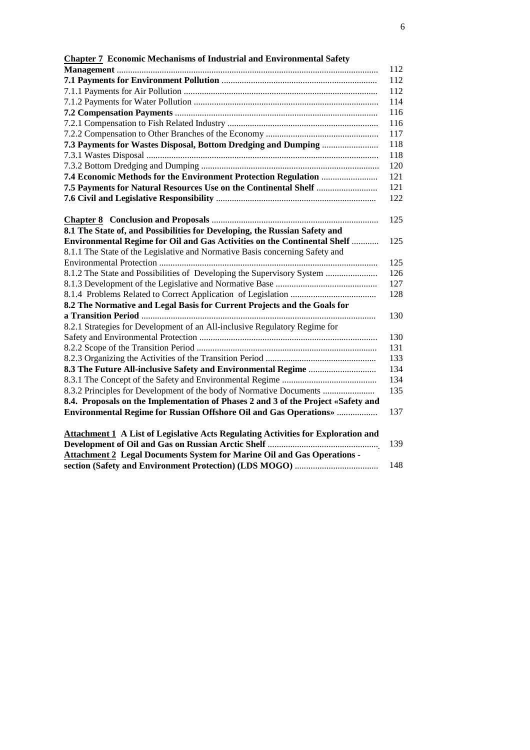| <b>Chapter 7</b> Economic Mechanisms of Industrial and Environmental Safety              |
|------------------------------------------------------------------------------------------|
| 112                                                                                      |
| 112                                                                                      |
| 112                                                                                      |
| 114                                                                                      |
| 116                                                                                      |
| 116                                                                                      |
| 117                                                                                      |
| 7.3 Payments for Wastes Disposal, Bottom Dredging and Dumping<br>118                     |
| 118                                                                                      |
| 120                                                                                      |
| 121                                                                                      |
| 121                                                                                      |
| 122                                                                                      |
|                                                                                          |
| 125                                                                                      |
| 8.1 The State of, and Possibilities for Developing, the Russian Safety and               |
| <b>Environmental Regime for Oil and Gas Activities on the Continental Shelf </b><br>125  |
| 8.1.1 The State of the Legislative and Normative Basis concerning Safety and             |
| 125                                                                                      |
| 8.1.2 The State and Possibilities of Developing the Supervisory System<br>126            |
| 127                                                                                      |
| 128                                                                                      |
| 8.2 The Normative and Legal Basis for Current Projects and the Goals for                 |
| 130                                                                                      |
| 8.2.1 Strategies for Development of an All-inclusive Regulatory Regime for               |
| 130                                                                                      |
| 131                                                                                      |
| 133                                                                                      |
| 134                                                                                      |
| 134                                                                                      |
| 8.3.2 Principles for Development of the body of Normative Documents<br>135               |
| 8.4. Proposals on the Implementation of Phases 2 and 3 of the Project «Safety and        |
| <b>Environmental Regime for Russian Offshore Oil and Gas Operations»</b><br>137          |
|                                                                                          |
| <b>Attachment 1 A List of Legislative Acts Regulating Activities for Exploration and</b> |
| 139                                                                                      |
| <b>Attachment 2 Legal Documents System for Marine Oil and Gas Operations -</b>           |

**section (Safety and Environment Protection) (LDS MOGO)** ..................................... 148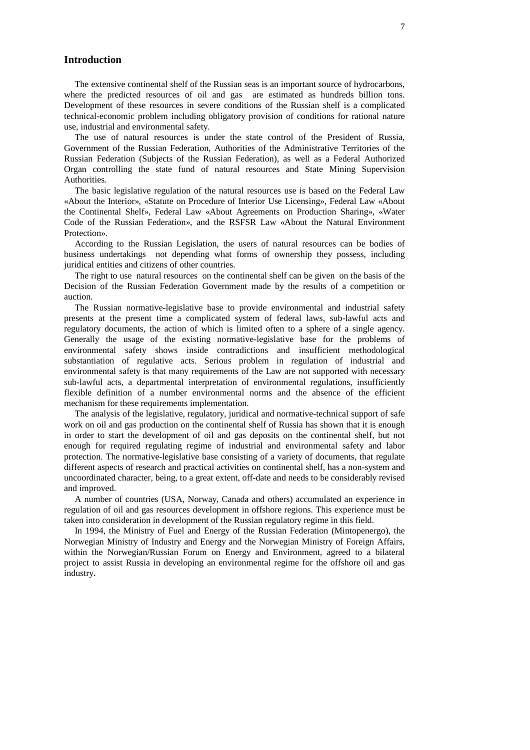## **Introduction**

The extensive continental shelf of the Russian seas is an important source of hydrocarbons, where the predicted resources of oil and gas are estimated as hundreds billion tons. Development of these resources in severe conditions of the Russian shelf is a complicated technical-economic problem including obligatory provision of conditions for rational nature use, industrial and environmental safety.

The use of natural resources is under the state control of the President of Russia, Government of the Russian Federation, Authorities of the Administrative Territories of the Russian Federation (Subjects of the Russian Federation), as well as a Federal Authorized Organ controlling the state fund of natural resources and State Mining Supervision Authorities.

The basic legislative regulation of the natural resources use is based on the Federal Law «About the Interior», «Statute on Procedure of Interior Use Licensing», Federal Law «About the Continental Shelf», Federal Law «About Agreements on Production Sharing», «Water Code of the Russian Federation», and the RSFSR Law «About the Natural Environment Protection».

According to the Russian Legislation, the users of natural resources can be bodies of business undertakings not depending what forms of ownership they possess, including juridical entities and citizens of other countries.

The right to use natural resources on the continental shelf can be given on the basis of the Decision of the Russian Federation Government made by the results of a competition or auction.

The Russian normative-legislative base to provide environmental and industrial safety presents at the present time a complicated system of federal laws, sub-lawful acts and regulatory documents, the action of which is limited often to a sphere of a single agency. Generally the usage of the existing normative-legislative base for the problems of environmental safety shows inside contradictions and insufficient methodological substantiation of regulative acts. Serious problem in regulation of industrial and environmental safety is that many requirements of the Law are not supported with necessary sub-lawful acts, a departmental interpretation of environmental regulations, insufficiently flexible definition of a number environmental norms and the absence of the efficient mechanism for these requirements implementation.

The analysis of the legislative, regulatory, juridical and normative-technical support of safe work on oil and gas production on the continental shelf of Russia has shown that it is enough in order to start the development of oil and gas deposits on the continental shelf, but not enough for required regulating regime of industrial and environmental safety and labor protection. The normative-legislative base consisting of a variety of documents, that regulate different aspects of research and practical activities on continental shelf, has a non-system and uncoordinated character, being, to a great extent, off-date and needs to be considerably revised and improved.

A number of countries (USA, Norway, Canada and others) accumulated an experience in regulation of oil and gas resources development in offshore regions. This experience must be taken into consideration in development of the Russian regulatory regime in this field.

In 1994, the Ministry of Fuel and Energy of the Russian Federation (Mintopenergo), the Norwegian Ministry of Industry and Energy and the Norwegian Ministry of Foreign Affairs, within the Norwegian/Russian Forum on Energy and Environment, agreed to a bilateral project to assist Russia in developing an environmental regime for the offshore oil and gas industry.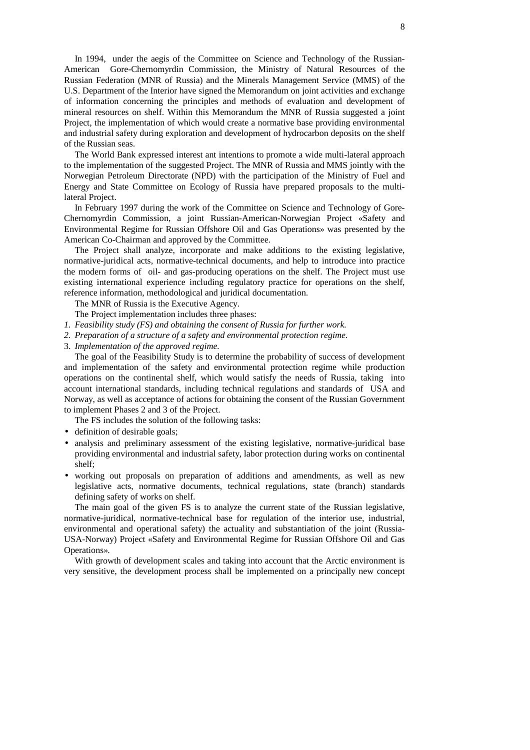In 1994, under the aegis of the Committee on Science and Technology of the Russian-American Gore-Chernomyrdin Commission, the Ministry of Natural Resources of the Russian Federation (MNR of Russia) and the Minerals Management Service (MMS) of the U.S. Department of the Interior have signed the Memorandum on joint activities and exchange of information concerning the principles and methods of evaluation and development of mineral resources on shelf. Within this Memorandum the MNR of Russia suggested a joint Project, the implementation of which would create a normative base providing environmental and industrial safety during exploration and development of hydrocarbon deposits on the shelf of the Russian seas.

The World Bank expressed interest ant intentions to promote a wide multi-lateral approach to the implementation of the suggested Project. The MNR of Russia and MMS jointly with the Norwegian Petroleum Directorate (NPD) with the participation of the Ministry of Fuel and Energy and State Committee on Ecology of Russia have prepared proposals to the multilateral Project.

In February 1997 during the work of the Committee on Science and Technology of Gore-Chernomyrdin Commission, a joint Russian-American-Norwegian Project «Safety and Environmental Regime for Russian Offshore Oil and Gas Operations» was presented by the American Co-Chairman and approved by the Committee.

The Project shall analyze, incorporate and make additions to the existing legislative, normative-juridical acts, normative-technical documents, and help to introduce into practice the modern forms of oil- and gas-producing operations on the shelf. The Project must use existing international experience including regulatory practice for operations on the shelf, reference information, methodological and juridical documentation.

The MNR of Russia is the Executive Agency.

The Project implementation includes three phases:

- *1. Feasibility study (FS) and obtaining the consent of Russia for further work.*
- *2. Preparation of a structure of a safety and environmental protection regime.*
- 3. *Implementation of the approved regime.*

The goal of the Feasibility Study is to determine the probability of success of development and implementation of the safety and environmental protection regime while production operations on the continental shelf, which would satisfy the needs of Russia, taking into account international standards, including technical regulations and standards of USA and Norway, as well as acceptance of actions for obtaining the consent of the Russian Government to implement Phases 2 and 3 of the Project.

The FS includes the solution of the following tasks:

- definition of desirable goals;
- analysis and preliminary assessment of the existing legislative, normative-juridical base providing environmental and industrial safety, labor protection during works on continental shelf;
- working out proposals on preparation of additions and amendments, as well as new legislative acts, normative documents, technical regulations, state (branch) standards defining safety of works on shelf.

The main goal of the given FS is to analyze the current state of the Russian legislative, normative-juridical, normative-technical base for regulation of the interior use, industrial, environmental and operational safety) the actuality and substantiation of the joint (Russia-USA-Norway) Project «Safety and Environmental Regime for Russian Offshore Oil and Gas Operations».

With growth of development scales and taking into account that the Arctic environment is very sensitive, the development process shall be implemented on a principally new concept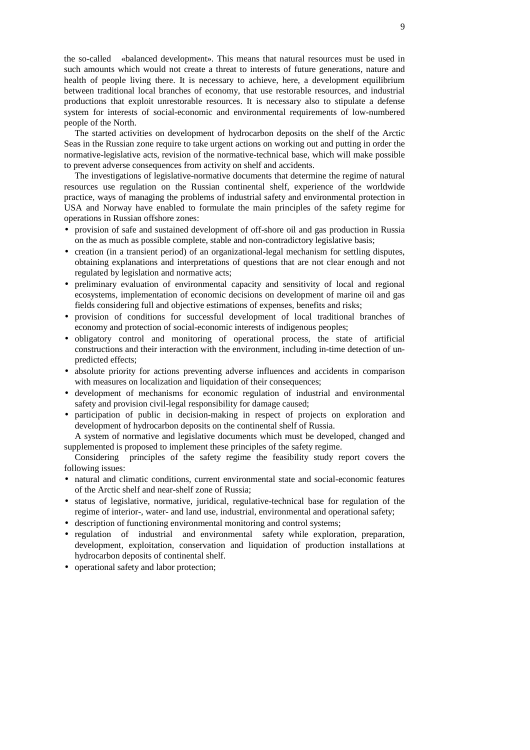the so-called «balanced development». This means that natural resources must be used in such amounts which would not create a threat to interests of future generations, nature and health of people living there. It is necessary to achieve, here, a development equilibrium between traditional local branches of economy, that use restorable resources, and industrial productions that exploit unrestorable resources. It is necessary also to stipulate a defense system for interests of social-economic and environmental requirements of low-numbered people of the North.

The started activities on development of hydrocarbon deposits on the shelf of the Arctic Seas in the Russian zone require to take urgent actions on working out and putting in order the normative-legislative acts, revision of the normative-technical base, which will make possible to prevent adverse consequences from activity on shelf and accidents.

The investigations of legislative-normative documents that determine the regime of natural resources use regulation on the Russian continental shelf, experience of the worldwide practice, ways of managing the problems of industrial safety and environmental protection in USA and Norway have enabled to formulate the main principles of the safety regime for operations in Russian offshore zones:

- provision of safe and sustained development of off-shore oil and gas production in Russia on the as much as possible complete, stable and non-contradictory legislative basis;
- creation (in a transient period) of an organizational-legal mechanism for settling disputes, obtaining explanations and interpretations of questions that are not clear enough and not regulated by legislation and normative acts;
- preliminary evaluation of environmental capacity and sensitivity of local and regional ecosystems, implementation of economic decisions on development of marine oil and gas fields considering full and objective estimations of expenses, benefits and risks;
- provision of conditions for successful development of local traditional branches of economy and protection of social-economic interests of indigenous peoples;
- obligatory control and monitoring of operational process, the state of artificial constructions and their interaction with the environment, including in-time detection of unpredicted effects;
- absolute priority for actions preventing adverse influences and accidents in comparison with measures on localization and liquidation of their consequences;
- development of mechanisms for economic regulation of industrial and environmental safety and provision civil-legal responsibility for damage caused;
- participation of public in decision-making in respect of projects on exploration and development of hydrocarbon deposits on the continental shelf of Russia.

A system of normative and legislative documents which must be developed, changed and supplemented is proposed to implement these principles of the safety regime.

Considering principles of the safety regime the feasibility study report covers the following issues:

- natural and climatic conditions, current environmental state and social-economic features of the Arctic shelf and near-shelf zone of Russia;
- status of legislative, normative, juridical, regulative-technical base for regulation of the regime of interior-, water- and land use, industrial, environmental and operational safety;
- description of functioning environmental monitoring and control systems;
- regulation of industrial and environmental safety while exploration, preparation, development, exploitation, conservation and liquidation of production installations at hydrocarbon deposits of continental shelf.
- operational safety and labor protection;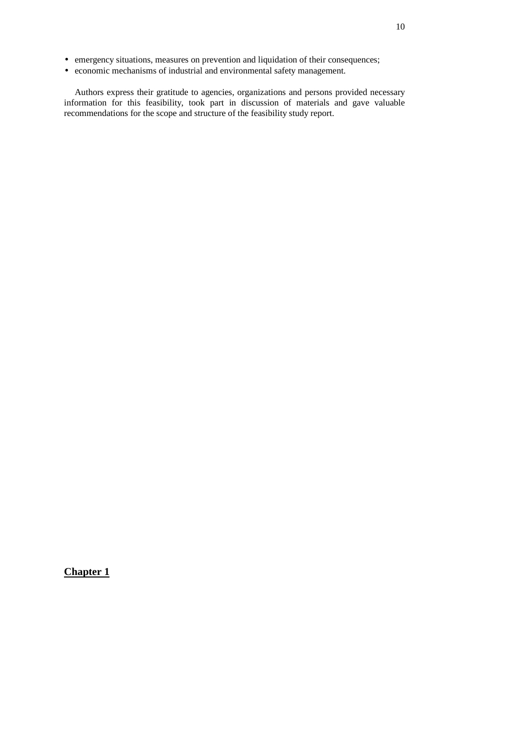- emergency situations, measures on prevention and liquidation of their consequences;
- economic mechanisms of industrial and environmental safety management.

Authors express their gratitude to agencies, organizations and persons provided necessary information for this feasibility, took part in discussion of materials and gave valuable recommendations for the scope and structure of the feasibility study report.

**Chapter 1**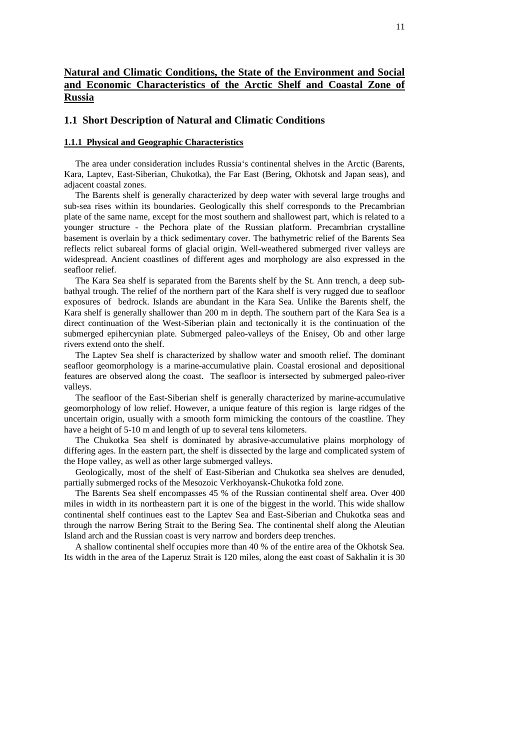## **Natural and Climatic Conditions, the State of the Environment and Social and Economic Characteristics of the Arctic Shelf and Coastal Zone of Russia**

#### **1.1 Short Description of Natural and Climatic Conditions**

## **1.1.1 Physical and Geographic Characteristics**

The area under consideration includes Russia's continental shelves in the Arctic (Barents, Kara, Laptev, East-Siberian, Chukotka), the Far East (Bering, Okhotsk and Japan seas), and adjacent coastal zones.

The Barents shelf is generally characterized by deep water with several large troughs and sub-sea rises within its boundaries. Geologically this shelf corresponds to the Precambrian plate of the same name, except for the most southern and shallowest part, which is related to a younger structure - the Pechora plate of the Russian platform. Precambrian crystalline basement is overlain by a thick sedimentary cover. The bathymetric relief of the Barents Sea reflects relict subareal forms of glacial origin. Well-weathered submerged river valleys are widespread. Ancient coastlines of different ages and morphology are also expressed in the seafloor relief.

The Kara Sea shelf is separated from the Barents shelf by the St. Ann trench, a deep subbathyal trough. The relief of the northern part of the Kara shelf is very rugged due to seafloor exposures of bedrock. Islands are abundant in the Kara Sea. Unlike the Barents shelf, the Kara shelf is generally shallower than 200 m in depth. The southern part of the Kara Sea is a direct continuation of the West-Siberian plain and tectonically it is the continuation of the submerged epihercynian plate. Submerged paleo-valleys of the Enisey, Ob and other large rivers extend onto the shelf.

The Laptev Sea shelf is characterized by shallow water and smooth relief. The dominant seafloor geomorphology is a marine-accumulative plain. Coastal erosional and depositional features are observed along the coast. The seafloor is intersected by submerged paleo-river valleys.

The seafloor of the East-Siberian shelf is generally characterized by marine-accumulative geomorphology of low relief. However, a unique feature of this region is large ridges of the uncertain origin, usually with a smooth form mimicking the contours of the coastline. They have a height of 5-10 m and length of up to several tens kilometers.

The Chukotka Sea shelf is dominated by abrasive-accumulative plains morphology of differing ages. In the eastern part, the shelf is dissected by the large and complicated system of the Hope valley, as well as other large submerged valleys.

Geologically, most of the shelf of East-Siberian and Chukotka sea shelves are denuded, partially submerged rocks of the Mesozoic Verkhoyansk-Chukotka fold zone.

The Barents Sea shelf encompasses 45 % of the Russian continental shelf area. Over 400 miles in width in its northeastern part it is one of the biggest in the world. This wide shallow continental shelf continues east to the Laptev Sea and East-Siberian and Chukotka seas and through the narrow Bering Strait to the Bering Sea. The continental shelf along the Aleutian Island arch and the Russian coast is very narrow and borders deep trenches.

A shallow continental shelf occupies more than 40 % of the entire area of the Okhotsk Sea. Its width in the area of the Laperuz Strait is 120 miles, along the east coast of Sakhalin it is 30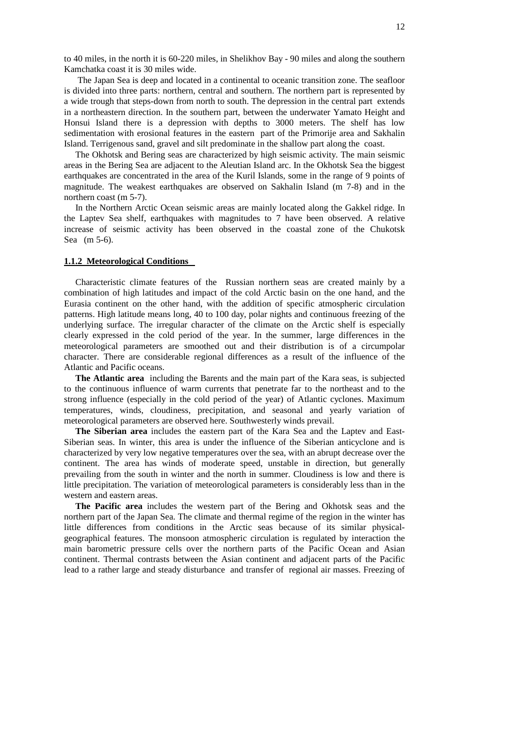to 40 miles, in the north it is 60-220 miles, in Shelikhov Bay - 90 miles and along the southern Kamchatka coast it is 30 miles wide.

The Japan Sea is deep and located in a continental to oceanic transition zone. The seafloor is divided into three parts: northern, central and southern. The northern part is represented by a wide trough that steps-down from north to south. The depression in the central part extends in a northeastern direction. In the southern part, between the underwater Yamato Height and Honsui Island there is a depression with depths to 3000 meters. The shelf has low sedimentation with erosional features in the eastern part of the Primorije area and Sakhalin Island. Terrigenous sand, gravel and silt predominate in the shallow part along the coast.

The Okhotsk and Bering seas are characterized by high seismic activity. The main seismic areas in the Bering Sea are adjacent to the Aleutian Island arc. In the Okhotsk Sea the biggest earthquakes are concentrated in the area of the Kuril Islands, some in the range of 9 points of magnitude. The weakest earthquakes are observed on Sakhalin Island (m 7-8) and in the northern coast (m 5-7).

In the Northern Arctic Ocean seismic areas are mainly located along the Gakkel ridge. In the Laptev Sea shelf, earthquakes with magnitudes to 7 have been observed. A relative increase of seismic activity has been observed in the coastal zone of the Chukotsk Sea (m 5-6).

## **1.1.2 Meteorological Conditions**

Characteristic climate features of the Russian northern seas are created mainly by a combination of high latitudes and impact of the cold Arctic basin on the one hand, and the Eurasia continent on the other hand, with the addition of specific atmospheric circulation patterns. High latitude means long, 40 to 100 day, polar nights and continuous freezing of the underlying surface. The irregular character of the climate on the Arctic shelf is especially clearly expressed in the cold period of the year. In the summer, large differences in the meteorological parameters are smoothed out and their distribution is of a circumpolar character. There are considerable regional differences as a result of the influence of the Atlantic and Pacific oceans.

**The Atlantic area** including the Barents and the main part of the Kara seas, is subjected to the continuous influence of warm currents that penetrate far to the northeast and to the strong influence (especially in the cold period of the year) of Atlantic cyclones. Maximum temperatures, winds, cloudiness, precipitation, and seasonal and yearly variation of meteorological parameters are observed here. Southwesterly winds prevail.

**The Siberian area** includes the eastern part of the Kara Sea and the Laptev and East-Siberian seas. In winter, this area is under the influence of the Siberian anticyclone and is characterized by very low negative temperatures over the sea, with an abrupt decrease over the continent. The area has winds of moderate speed, unstable in direction, but generally prevailing from the south in winter and the north in summer. Cloudiness is low and there is little precipitation. The variation of meteorological parameters is considerably less than in the western and eastern areas.

**The Pacific area** includes the western part of the Bering and Okhotsk seas and the northern part of the Japan Sea. The climate and thermal regime of the region in the winter has little differences from conditions in the Arctic seas because of its similar physicalgeographical features. The monsoon atmospheric circulation is regulated by interaction the main barometric pressure cells over the northern parts of the Pacific Ocean and Asian continent. Thermal contrasts between the Asian continent and adjacent parts of the Pacific lead to a rather large and steady disturbance and transfer of regional air masses. Freezing of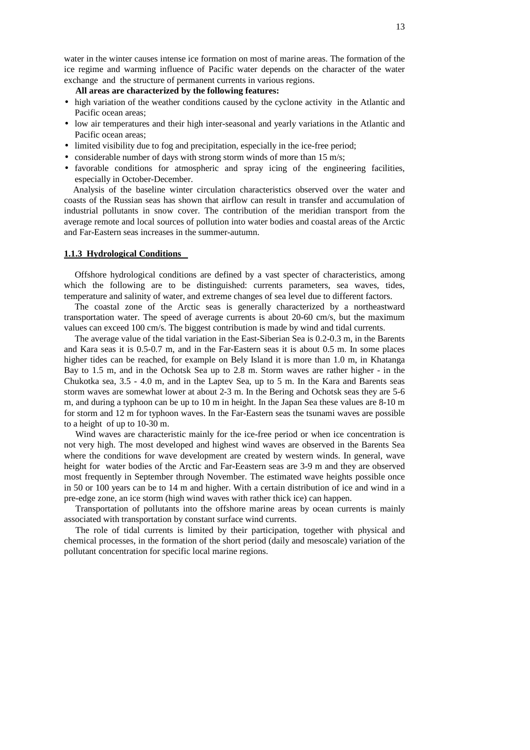water in the winter causes intense ice formation on most of marine areas. The formation of the ice regime and warming influence of Pacific water depends on the character of the water exchange and the structure of permanent currents in various regions.

#### **All areas are characterized by the following features:**

- high variation of the weather conditions caused by the cyclone activity in the Atlantic and Pacific ocean areas;
- low air temperatures and their high inter-seasonal and yearly variations in the Atlantic and Pacific ocean areas;
- limited visibility due to fog and precipitation, especially in the ice-free period;
- considerable number of days with strong storm winds of more than 15 m/s;
- favorable conditions for atmospheric and spray icing of the engineering facilities, especially in October-December.

Analysis of the baseline winter circulation characteristics observed over the water and coasts of the Russian seas has shown that airflow can result in transfer and accumulation of industrial pollutants in snow cover. The contribution of the meridian transport from the average remote and local sources of pollution into water bodies and coastal areas of the Arctic and Far-Eastern seas increases in the summer-autumn.

## **1.1.3 Hydrological Conditions**

Offshore hydrological conditions are defined by a vast specter of characteristics, among which the following are to be distinguished: currents parameters, sea waves, tides, temperature and salinity of water, and extreme changes of sea level due to different factors.

The coastal zone of the Arctic seas is generally characterized by a northeastward transportation water. The speed of average currents is about 20-60 cm/s, but the maximum values can exceed 100 cm/s. The biggest contribution is made by wind and tidal currents.

The average value of the tidal variation in the East-Siberian Sea is 0.2-0.3 m, in the Barents and Kara seas it is 0.5-0.7 m, and in the Far-Eastern seas it is about 0.5 m. In some places higher tides can be reached, for example on Bely Island it is more than 1.0 m, in Khatanga Bay to 1.5 m, and in the Ochotsk Sea up to 2.8 m. Storm waves are rather higher - in the Chukotka sea, 3.5 - 4.0 m, and in the Laptev Sea, up to 5 m. In the Kara and Barents seas storm waves are somewhat lower at about 2-3 m. In the Bering and Ochotsk seas they are 5-6 m, and during a typhoon can be up to 10 m in height. In the Japan Sea these values are 8-10 m for storm and 12 m for typhoon waves. In the Far-Eastern seas the tsunami waves are possible to a height of up to 10-30 m.

Wind waves are characteristic mainly for the ice-free period or when ice concentration is not very high. The most developed and highest wind waves are observed in the Barents Sea where the conditions for wave development are created by western winds. In general, wave height for water bodies of the Arctic and Far-Eeastern seas are 3-9 m and they are observed most frequently in September through November. The estimated wave heights possible once in 50 or 100 years can be to 14 m and higher. With a certain distribution of ice and wind in a pre-edge zone, an ice storm (high wind waves with rather thick ice) can happen.

Transportation of pollutants into the offshore marine areas by ocean currents is mainly associated with transportation by constant surface wind currents.

The role of tidal currents is limited by their participation, together with physical and chemical processes, in the formation of the short period (daily and mesoscale) variation of the pollutant concentration for specific local marine regions.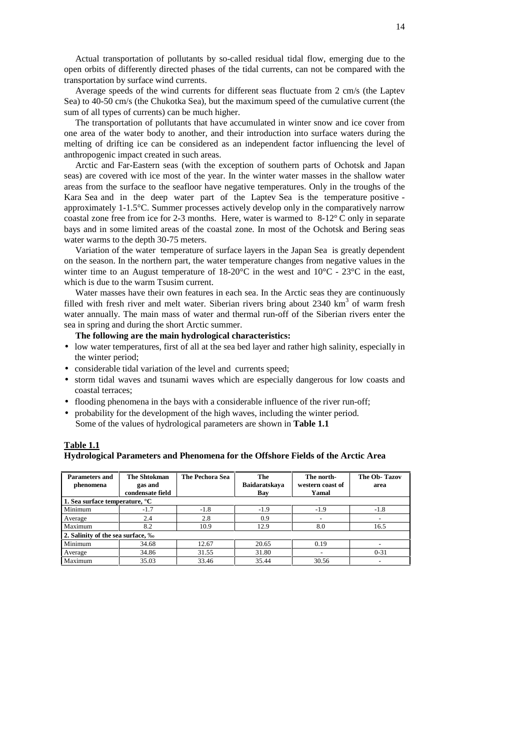Actual transportation of pollutants by so-called residual tidal flow, emerging due to the open orbits of differently directed phases of the tidal currents, can not be compared with the transportation by surface wind currents.

Average speeds of the wind currents for different seas fluctuate from 2 cm/s (the Laptev Sea) to 40-50 cm/s (the Chukotka Sea), but the maximum speed of the cumulative current (the sum of all types of currents) can be much higher.

The transportation of pollutants that have accumulated in winter snow and ice cover from one area of the water body to another, and their introduction into surface waters during the melting of drifting ice can be considered as an independent factor influencing the level of anthropogenic impact created in such areas.

Arctic and Far-Eastern seas (with the exception of southern parts of Ochotsk and Japan seas) are covered with ice most of the year. In the winter water masses in the shallow water areas from the surface to the seafloor have negative temperatures. Only in the troughs of the Kara Sea and in the deep water part of the Laptev Sea is the temperature positive approximately 1-1.5°C. Summer processes actively develop only in the comparatively narrow coastal zone free from ice for 2-3 months. Here, water is warmed to 8-12° C only in separate bays and in some limited areas of the coastal zone. In most of the Ochotsk and Bering seas water warms to the depth 30-75 meters.

Variation of the water temperature of surface layers in the Japan Sea is greatly dependent on the season. In the northern part, the water temperature changes from negative values in the winter time to an August temperature of  $18{\text -}20^{\circ}\text{C}$  in the west and  $10^{\circ}\text{C}$  -  $23^{\circ}\text{C}$  in the east, which is due to the warm Tsusim current.

Water masses have their own features in each sea. In the Arctic seas they are continuously filled with fresh river and melt water. Siberian rivers bring about 2340 km<sup>3</sup> of warm fresh water annually. The main mass of water and thermal run-off of the Siberian rivers enter the sea in spring and during the short Arctic summer.

## **The following are the main hydrological characteristics:**

- low water temperatures, first of all at the sea bed layer and rather high salinity, especially in the winter period;
- considerable tidal variation of the level and currents speed;
- storm tidal waves and tsunami waves which are especially dangerous for low coasts and coastal terraces;
- flooding phenomena in the bays with a considerable influence of the river run-off;
- probability for the development of the high waves, including the winter period. Some of the values of hydrological parameters are shown in **Table 1.1**

| Table 1.1                                                                        |  |
|----------------------------------------------------------------------------------|--|
| Hydrological Parameters and Phenomena for the Offshore Fields of the Arctic Area |  |

| Parameters and<br>phenomena                | The Shtokman<br>gas and<br>condensate field | <b>The Pechora Sea</b> | The<br><b>Baidaratskava</b><br>Bay | The north-<br>western coast of<br>Yamal | The Ob-Tazov<br>area |
|--------------------------------------------|---------------------------------------------|------------------------|------------------------------------|-----------------------------------------|----------------------|
| 1. Sea surface temperature, <sup>o</sup> C |                                             |                        |                                    |                                         |                      |
| Minimum                                    | $-1.7$                                      | $-1.8$                 | $-1.9$                             | $-1.9$                                  | $-1.8$               |
| Average                                    | 2.4                                         | 2.8                    | 0.9                                |                                         |                      |
| Maximum                                    | 8.2                                         | 10.9                   | 12.9                               | 8.0                                     | 16.5                 |
| 2. Salinity of the sea surface, ‰          |                                             |                        |                                    |                                         |                      |
| Minimum                                    | 34.68                                       | 12.67                  | 20.65                              | 0.19                                    |                      |
| Average                                    | 34.86                                       | 31.55                  | 31.80                              |                                         | $0 - 31$             |
| Maximum                                    | 35.03                                       | 33.46                  | 35.44                              | 30.56                                   |                      |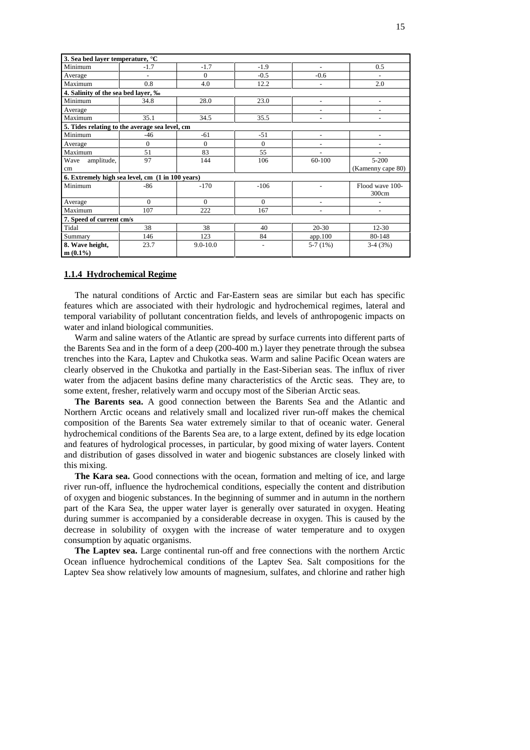| 3. Sea bed layer temperature, °C    |                                                  |              |                |                          |                   |
|-------------------------------------|--------------------------------------------------|--------------|----------------|--------------------------|-------------------|
| Minimum                             | $-1.7$                                           | $-1.7$       | $-1.9$         | $\sim$                   | 0.5               |
| Average                             |                                                  | $\Omega$     | $-0.5$         | $-0.6$                   |                   |
| Maximum                             | 0.8                                              | 4.0          | 12.2           |                          | 2.0               |
| 4. Salinity of the sea bed layer, ‰ |                                                  |              |                |                          |                   |
| Minimum                             | 34.8                                             | 28.0         | 23.0           | $\overline{\phantom{a}}$ | $\blacksquare$    |
| Average                             |                                                  |              |                |                          | $\blacksquare$    |
| Maximum                             | 35.1                                             | 34.5         | 35.5           |                          |                   |
|                                     | 5. Tides relating to the average sea level, cm   |              |                |                          |                   |
| Minimum                             | $-46$                                            | $-61$        | $-51$          |                          |                   |
| Average                             | $\theta$                                         | $\Omega$     | $\Omega$       |                          |                   |
| Maximum                             | 51                                               | 83           | 55             |                          |                   |
| amplitude,<br>Wave                  | 97                                               | 144          | 106            | 60-100                   | $5 - 200$         |
| cm                                  |                                                  |              |                |                          | (Kamenny cape 80) |
|                                     | 6. Extremely high sea level, cm (1 in 100 years) |              |                |                          |                   |
| Minimum                             | $-86$                                            | $-170$       | $-106$         |                          | Flood wave 100-   |
|                                     |                                                  |              |                |                          | 300cm             |
| Average                             | $\Omega$                                         | $\Omega$     | $\Omega$       | $\sim$                   |                   |
| Maximum                             | 107                                              | 222          | 167            |                          |                   |
| 7. Speed of current cm/s            |                                                  |              |                |                          |                   |
| Tidal                               | 38                                               | 38           | 40             | $20 - 30$                | $12 - 30$         |
| Summary                             | 146                                              | 123          | 84             | app.100                  | 80-148            |
| 8. Wave height,                     | 23.7                                             | $9.0 - 10.0$ | $\blacksquare$ | $5-7(1%)$                | $3-4(3%)$         |
| $m(0.1\%)$                          |                                                  |              |                |                          |                   |

#### **1.1.4 Hydrochemical Regime**

The natural conditions of Arctic and Far-Eastern seas are similar but each has specific features which are associated with their hydrologic and hydrochemical regimes, lateral and temporal variability of pollutant concentration fields, and levels of anthropogenic impacts on water and inland biological communities.

Warm and saline waters of the Atlantic are spread by surface currents into different parts of the Barents Sea and in the form of a deep (200-400 m.) layer they penetrate through the subsea trenches into the Kara, Laptev and Chukotka seas. Warm and saline Pacific Ocean waters are clearly observed in the Chukotka and partially in the East-Siberian seas. The influx of river water from the adjacent basins define many characteristics of the Arctic seas. They are, to some extent, fresher, relatively warm and occupy most of the Siberian Arctic seas.

**The Barents sea.** A good connection between the Barents Sea and the Atlantic and Northern Arctic oceans and relatively small and localized river run-off makes the chemical composition of the Barents Sea water extremely similar to that of oceanic water. General hydrochemical conditions of the Barents Sea are, to a large extent, defined by its edge location and features of hydrological processes, in particular, by good mixing of water layers. Content and distribution of gases dissolved in water and biogenic substances are closely linked with this mixing.

**The Kara sea.** Good connections with the ocean, formation and melting of ice, and large river run-off, influence the hydrochemical conditions, especially the content and distribution of oxygen and biogenic substances. In the beginning of summer and in autumn in the northern part of the Kara Sea, the upper water layer is generally over saturated in oxygen. Heating during summer is accompanied by a considerable decrease in oxygen. This is caused by the decrease in solubility of oxygen with the increase of water temperature and to oxygen consumption by aquatic organisms.

**The Laptev sea.** Large continental run-off and free connections with the northern Arctic Ocean influence hydrochemical conditions of the Laptev Sea. Salt compositions for the Laptev Sea show relatively low amounts of magnesium, sulfates, and chlorine and rather high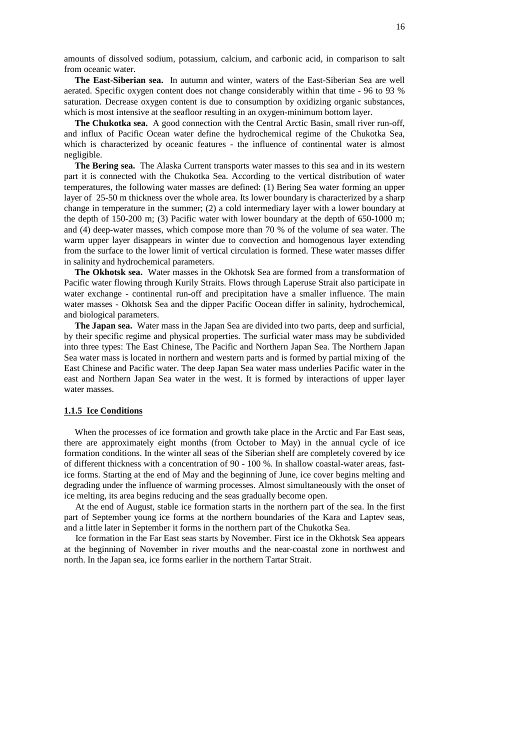amounts of dissolved sodium, potassium, calcium, and carbonic acid, in comparison to salt from oceanic water.

**The East-Siberian sea.** In autumn and winter, waters of the East-Siberian Sea are well aerated. Specific oxygen content does not change considerably within that time - 96 to 93 % saturation. Decrease oxygen content is due to consumption by oxidizing organic substances, which is most intensive at the seafloor resulting in an oxygen-minimum bottom layer.

**The Chukotka sea.** A good connection with the Central Arctic Basin, small river run-off, and influx of Pacific Ocean water define the hydrochemical regime of the Chukotka Sea, which is characterized by oceanic features - the influence of continental water is almost negligible.

**The Bering sea.** The Alaska Current transports water masses to this sea and in its western part it is connected with the Chukotka Sea. According to the vertical distribution of water temperatures, the following water masses are defined: (1) Bering Sea water forming an upper layer of 25-50 m thickness over the whole area. Its lower boundary is characterized by a sharp change in temperature in the summer; (2) a cold intermediary layer with a lower boundary at the depth of 150-200 m; (3) Pacific water with lower boundary at the depth of 650-1000 m; and (4) deep-water masses, which compose more than 70 % of the volume of sea water. The warm upper layer disappears in winter due to convection and homogenous layer extending from the surface to the lower limit of vertical circulation is formed. These water masses differ in salinity and hydrochemical parameters.

**The Okhotsk sea.** Water masses in the Okhotsk Sea are formed from a transformation of Pacific water flowing through Kurily Straits. Flows through Laperuse Strait also participate in water exchange - continental run-off and precipitation have a smaller influence. The main water masses - Okhotsk Sea and the dipper Pacific Oocean differ in salinity, hydrochemical, and biological parameters.

**The Japan sea.** Water mass in the Japan Sea are divided into two parts, deep and surficial, by their specific regime and physical properties. The surficial water mass may be subdivided into three types: The East Chinese, The Pacific and Northern Japan Sea. The Northern Japan Sea water mass is located in northern and western parts and is formed by partial mixing of the East Chinese and Pacific water. The deep Japan Sea water mass underlies Pacific water in the east and Northern Japan Sea water in the west. It is formed by interactions of upper layer water masses.

#### **1.1.5 Ice Conditions**

When the processes of ice formation and growth take place in the Arctic and Far East seas, there are approximately eight months (from October to May) in the annual cycle of ice formation conditions. In the winter all seas of the Siberian shelf are completely covered by ice of different thickness with a concentration of 90 - 100 %. In shallow coastal-water areas, fastice forms. Starting at the end of May and the beginning of June, ice cover begins melting and degrading under the influence of warming processes. Almost simultaneously with the onset of ice melting, its area begins reducing and the seas gradually become open.

At the end of August, stable ice formation starts in the northern part of the sea. In the first part of September young ice forms at the northern boundaries of the Kara and Laptev seas, and a little later in September it forms in the northern part of the Chukotka Sea.

Ice formation in the Far East seas starts by November. First ice in the Okhotsk Sea appears at the beginning of November in river mouths and the near-coastal zone in northwest and north. In the Japan sea, ice forms earlier in the northern Tartar Strait.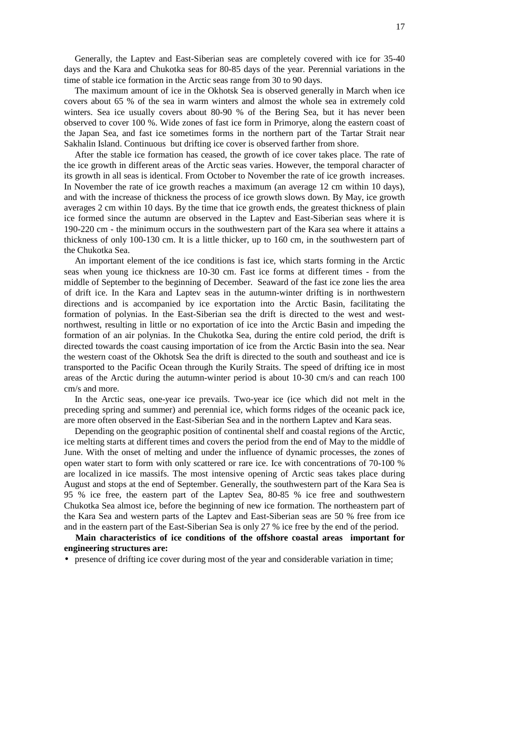Generally, the Laptev and East-Siberian seas are completely covered with ice for 35-40 days and the Kara and Chukotka seas for 80-85 days of the year. Perennial variations in the time of stable ice formation in the Arctic seas range from 30 to 90 days.

The maximum amount of ice in the Okhotsk Sea is observed generally in March when ice covers about 65 % of the sea in warm winters and almost the whole sea in extremely cold winters. Sea ice usually covers about 80-90 % of the Bering Sea, but it has never been observed to cover 100 %. Wide zones of fast ice form in Primorye, along the eastern coast of the Japan Sea, and fast ice sometimes forms in the northern part of the Tartar Strait near Sakhalin Island. Continuous but drifting ice cover is observed farther from shore.

After the stable ice formation has ceased, the growth of ice cover takes place. The rate of the ice growth in different areas of the Arctic seas varies. However, the temporal character of its growth in all seas is identical. From October to November the rate of ice growth increases. In November the rate of ice growth reaches a maximum (an average 12 cm within 10 days), and with the increase of thickness the process of ice growth slows down. By May, ice growth averages 2 cm within 10 days. By the time that ice growth ends, the greatest thickness of plain ice formed since the autumn are observed in the Laptev and East-Siberian seas where it is 190-220 cm - the minimum occurs in the southwestern part of the Kara sea where it attains a thickness of only 100-130 cm. It is a little thicker, up to 160 cm, in the southwestern part of the Chukotka Sea.

An important element of the ice conditions is fast ice, which starts forming in the Arctic seas when young ice thickness are 10-30 cm. Fast ice forms at different times - from the middle of September to the beginning of December. Seaward of the fast ice zone lies the area of drift ice. In the Kara and Laptev seas in the autumn-winter drifting is in northwestern directions and is accompanied by ice exportation into the Arctic Basin, facilitating the formation of polynias. In the East-Siberian sea the drift is directed to the west and westnorthwest, resulting in little or no exportation of ice into the Arctic Basin and impeding the formation of an air polynias. In the Chukotka Sea, during the entire cold period, the drift is directed towards the coast causing importation of ice from the Arctic Basin into the sea. Near the western coast of the Okhotsk Sea the drift is directed to the south and southeast and ice is transported to the Pacific Ocean through the Kurily Straits. The speed of drifting ice in most areas of the Arctic during the autumn-winter period is about 10-30 cm/s and can reach 100 cm/s and more.

In the Arctic seas, one-year ice prevails. Two-year ice (ice which did not melt in the preceding spring and summer) and perennial ice, which forms ridges of the oceanic pack ice, are more often observed in the East-Siberian Sea and in the northern Laptev and Kara seas.

Depending on the geographic position of continental shelf and coastal regions of the Arctic, ice melting starts at different times and covers the period from the end of May to the middle of June. With the onset of melting and under the influence of dynamic processes, the zones of open water start to form with only scattered or rare ice. Ice with concentrations of 70-100 % are localized in ice massifs. The most intensive opening of Arctic seas takes place during August and stops at the end of September. Generally, the southwestern part of the Kara Sea is 95 % ice free, the eastern part of the Laptev Sea, 80-85 % ice free and southwestern Chukotka Sea almost ice, before the beginning of new ice formation. The northeastern part of the Kara Sea and western parts of the Laptev and East-Siberian seas are 50 % free from ice and in the eastern part of the East-Siberian Sea is only 27 % ice free by the end of the period.

**Main characteristics of ice conditions of the offshore coastal areas important for engineering structures are:**

• presence of drifting ice cover during most of the year and considerable variation in time;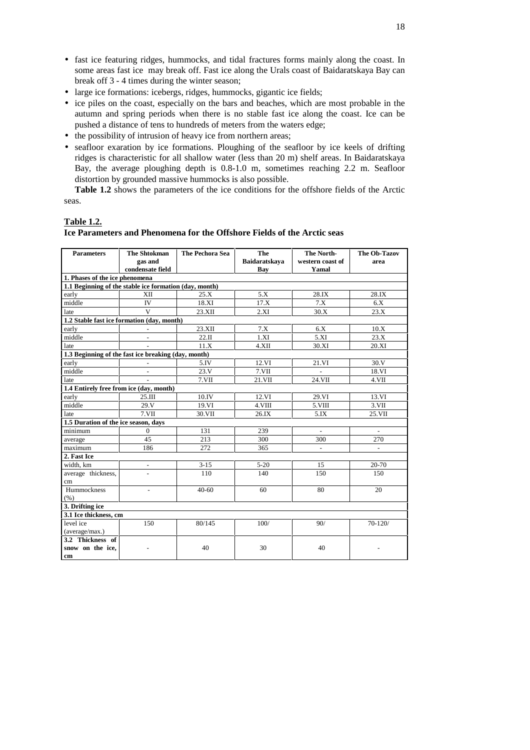- fast ice featuring ridges, hummocks, and tidal fractures forms mainly along the coast. In some areas fast ice may break off. Fast ice along the Urals coast of Baidaratskaya Bay can break off 3 - 4 times during the winter season;
- large ice formations: icebergs, ridges, hummocks, gigantic ice fields;
- ice piles on the coast, especially on the bars and beaches, which are most probable in the autumn and spring periods when there is no stable fast ice along the coast. Ice can be pushed a distance of tens to hundreds of meters from the waters edge;
- the possibility of intrusion of heavy ice from northern areas;
- seafloor exaration by ice formations. Ploughing of the seafloor by ice keels of drifting ridges is characteristic for all shallow water (less than 20 m) shelf areas. In Baidaratskaya Bay, the average ploughing depth is 0.8-1.0 m, sometimes reaching 2.2 m. Seafloor distortion by grounded massive hummocks is also possible.

**Table 1.2** shows the parameters of the ice conditions for the offshore fields of the Arctic seas.

## **Table 1.2.**

#### **Ice Parameters and Phenomena for the Offshore Fields of the Arctic seas**

| <b>Parameters</b>                       | <b>The Shtokman</b><br>gas and                         | <b>The Pechora Sea</b> | The<br>Baidaratskava | The North-<br>western coast of | <b>The Ob-Tazov</b><br>area |
|-----------------------------------------|--------------------------------------------------------|------------------------|----------------------|--------------------------------|-----------------------------|
|                                         | condensate field                                       |                        | <b>Bay</b>           | Yamal                          |                             |
| 1. Phases of the ice phenomena          |                                                        |                        |                      |                                |                             |
|                                         | 1.1 Beginning of the stable ice formation (day, month) | 25.X                   | 5.X                  | 28.IX                          | 28.IX                       |
| early                                   | XII                                                    |                        |                      |                                |                             |
| middle                                  | IV                                                     | 18.XI                  | 17.X                 | 7.X                            | 6.X                         |
| late                                    | $\mathbf{V}$                                           | 23.XII                 | 2.XI                 | 30.X                           | 23.X                        |
|                                         | 1.2 Stable fast ice formation (day, month)             |                        |                      |                                |                             |
| early                                   |                                                        | 23.XII                 | 7.X                  | 6.X                            | 10.X                        |
| middle                                  |                                                        | 22.II                  | 1.XI                 | 5.XI                           | 23.X                        |
| late                                    |                                                        | 11.X                   | 4.XII                | 30.XI                          | 20.XI                       |
|                                         | 1.3 Beginning of the fast ice breaking (day, month)    |                        |                      |                                |                             |
| early                                   | ÷.                                                     | 5.IV                   | 12.VI                | 21.VI                          | 30.V                        |
| middle                                  | $\overline{a}$                                         | 23.Y                   | $7. \sqrt{11}$       |                                | 18.VI                       |
| late                                    |                                                        | $7. \sqrt{11}$         | 21.VII               | 24.VII                         | $4. \sqrt{11}$              |
| 1.4 Entirely free from ice (day, month) |                                                        |                        |                      |                                |                             |
| early                                   | 25.III                                                 | 10.IV                  | 12.VI                | 29.VI                          | 13.VI                       |
| middle                                  | 29.Y                                                   | 19.VI                  | $4. \sqrt{III}$      | $5. VIII$                      | $3. \sqrt{11}$              |
| late                                    | $7. VII$                                               | 30.VII                 | 26.IX                | 5.IX                           | 25.VII                      |
| 1.5 Duration of the ice season, days    |                                                        |                        |                      |                                |                             |
| minimum                                 | $\overline{0}$                                         | 131                    | 239                  | $\Box$                         | $\overline{\phantom{a}}$    |
| average                                 | 45                                                     | 213                    | 300                  | 300                            | 270                         |
| maximum                                 | 186                                                    | 272                    | 365                  |                                | $\frac{1}{2}$               |
| 2. Fast Ice                             |                                                        |                        |                      |                                |                             |
| width, km                               | $\overline{\phantom{a}}$                               | $3 - 15$               | $5 - 20$             | 15                             | 20-70                       |
| average thickness,                      | $\overline{a}$                                         | 110                    | 140                  | 150                            | 150                         |
| cm                                      |                                                        |                        |                      |                                |                             |
| Hummockness                             | $\overline{\phantom{a}}$                               | $40 - 60$              | 60                   | 80                             | 20                          |
| (% )                                    |                                                        |                        |                      |                                |                             |
| 3. Drifting ice                         |                                                        |                        |                      |                                |                             |
| 3.1 Ice thickness, cm                   |                                                        |                        |                      |                                |                             |
| level ice                               | 150                                                    | 80/145                 | 100/                 | 90/                            | $70 - 120/$                 |
| (average/max.)                          |                                                        |                        |                      |                                |                             |
| 3.2 Thickness of                        |                                                        |                        |                      |                                |                             |
| snow on the ice,                        |                                                        | 40                     | 30                   | 40                             |                             |
| cm                                      |                                                        |                        |                      |                                |                             |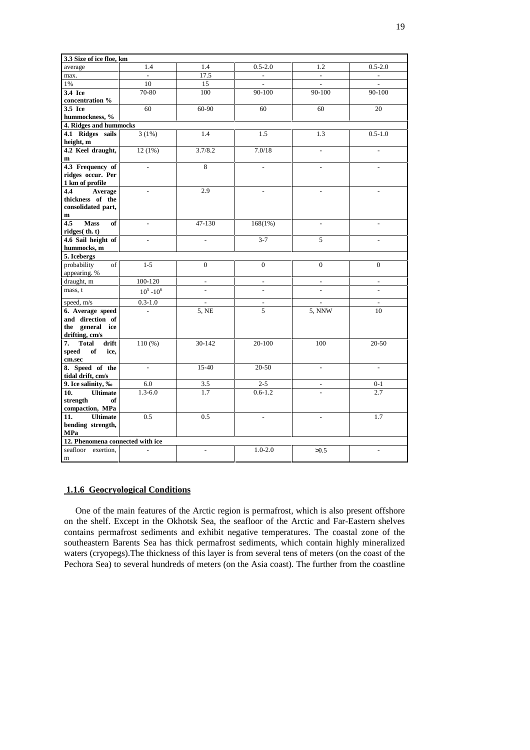| 3.3 Size of ice floe, km         |                |                          |                          |                          |                          |
|----------------------------------|----------------|--------------------------|--------------------------|--------------------------|--------------------------|
| average                          | 1.4            | 1.4                      | $0.5 - 2.0$              | 1.2                      | $0.5 - 2.0$              |
| max.                             |                | 17.5                     |                          |                          |                          |
| $1\%$                            | 10             | 15                       | $\frac{1}{2}$            |                          | $\bar{\phantom{a}}$      |
| 3.4 Ice                          | 70-80          | 100                      | 90-100                   | 90-100                   | 90-100                   |
| concentration %                  |                |                          |                          |                          |                          |
| 3.5 Ice                          | 60             | 60-90                    | 60                       | 60                       | 20                       |
| hummockness, %                   |                |                          |                          |                          |                          |
| 4. Ridges and hummocks           |                |                          |                          |                          |                          |
| 4.1 Ridges sails<br>height, m    | 3(1%)          | 1.4                      | 1.5                      | 1.3                      | $0.5 - 1.0$              |
| 4.2 Keel draught,                | 12(1%)         | 3.7/8.2                  | 7.0/18                   | $\overline{a}$           | $\overline{a}$           |
| $\mathbf{m}$                     |                |                          |                          |                          |                          |
| 4.3 Frequency of                 | $\overline{a}$ | $\overline{8}$           | $\overline{a}$           | $\overline{a}$           | $\overline{a}$           |
| ridges occur. Per                |                |                          |                          |                          |                          |
| 1 km of profile                  |                |                          |                          |                          |                          |
| Average<br>4.4                   |                | 2.9                      | $\overline{a}$           |                          |                          |
| thickness of the                 |                |                          |                          |                          |                          |
| consolidated part,               |                |                          |                          |                          |                          |
| $\mathbf{m}$                     |                |                          |                          |                          |                          |
| <b>Mass</b><br>4.5<br>of         |                | 47-130                   | 168(1%)                  |                          |                          |
| ridges $(\text{th. t})$          |                |                          |                          |                          |                          |
| 4.6 Sail height of               |                |                          | $3 - 7$                  | 5                        |                          |
| hummocks, m                      |                |                          |                          |                          |                          |
| 5. Icebergs<br>probability<br>of | $1 - 5$        | $\overline{0}$           | $\overline{0}$           | $\overline{0}$           | $\overline{0}$           |
| appearing. %                     |                |                          |                          |                          |                          |
| draught, m                       | 100-120        | $\overline{\phantom{a}}$ | $\overline{\phantom{a}}$ | $\overline{\phantom{a}}$ | $\overline{\phantom{a}}$ |
| mass, t                          | $10^5 - 10^6$  |                          | $\overline{a}$           |                          |                          |
| speed, m/s                       | $0.3 - 1.0$    |                          | $\overline{\phantom{a}}$ |                          | $\overline{\phantom{a}}$ |
| 6. Average speed                 |                | 5, NE                    | 5                        | 5, NNW                   | 10                       |
| and direction of                 |                |                          |                          |                          |                          |
| the general ice                  |                |                          |                          |                          |                          |
| drifting, cm/s                   |                |                          |                          |                          |                          |
| 7.<br><b>Total</b><br>drift      | 110(%)         | 30-142                   | 20-100                   | 100                      | $20 - 50$                |
| speed<br>of<br>ice,              |                |                          |                          |                          |                          |
| cm.sec                           |                |                          |                          |                          |                          |
| 8. Speed of the                  | $\overline{a}$ | $15-40$                  | $20 - 50$                | $\frac{1}{2}$            | $\overline{a}$           |
| tidal drift, cm/s                |                |                          |                          |                          |                          |
| 9. Ice salinity, ‰               | 6.0            | 3.5                      | $2 - 5$                  | $\overline{\phantom{a}}$ | $0 - 1$                  |
| 10.<br><b>Ultimate</b>           | $1.3 - 6.0$    | 1.7                      | $0.6 - 1.2$              |                          | 2.7                      |
| strength<br>of                   |                |                          |                          |                          |                          |
| compaction, MPa                  |                |                          |                          |                          |                          |
| 11.<br><b>Ultimate</b>           | 0.5            | 0.5                      | $\overline{a}$           |                          | 1.7                      |
| bending strength,<br>MPa         |                |                          |                          |                          |                          |
| 12. Phenomena connected with ice |                |                          |                          |                          |                          |
| seafloor exertion,               |                | $\overline{a}$           | $1.0 - 2.0$              | >0.5                     |                          |
| m                                |                |                          |                          |                          |                          |
|                                  |                |                          |                          |                          |                          |

## **1.1.6 Geocryological Conditions**

One of the main features of the Arctic region is permafrost, which is also present offshore on the shelf. Except in the Okhotsk Sea, the seafloor of the Arctic and Far-Eastern shelves contains permafrost sediments and exhibit negative temperatures. The coastal zone of the southeastern Barents Sea has thick permafrost sediments, which contain highly mineralized waters (cryopegs).The thickness of this layer is from several tens of meters (on the coast of the Pechora Sea) to several hundreds of meters (on the Asia coast). The further from the coastline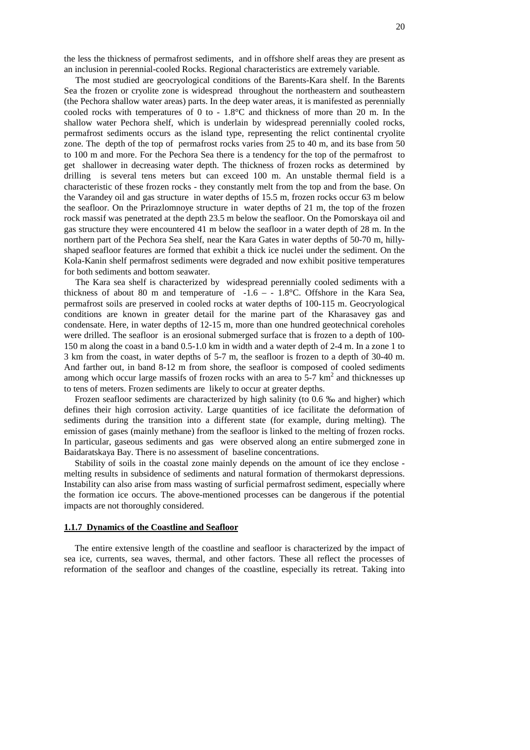the less the thickness of permafrost sediments, and in offshore shelf areas they are present as an inclusion in perennial-cooled Rocks. Regional characteristics are extremely variable.

The most studied are geocryological conditions of the Barents-Kara shelf. In the Barents Sea the frozen or cryolite zone is widespread throughout the northeastern and southeastern (the Pechora shallow water areas) parts. In the deep water areas, it is manifested as perennially cooled rocks with temperatures of 0 to - 1.8°C and thickness of more than 20 m. In the shallow water Pechora shelf, which is underlain by widespread perennially cooled rocks, permafrost sediments occurs as the island type, representing the relict continental cryolite zone. The depth of the top of permafrost rocks varies from 25 to 40 m, and its base from 50 to 100 m and more. For the Pechora Sea there is a tendency for the top of the permafrost to get shallower in decreasing water depth. The thickness of frozen rocks as determined by drilling is several tens meters but can exceed 100 m. An unstable thermal field is a characteristic of these frozen rocks - they constantly melt from the top and from the base. On the Varandey oil and gas structure in water depths of 15.5 m, frozen rocks occur 63 m below the seafloor. On the Prirazlomnoye structure in water depths of 21 m, the top of the frozen rock massif was penetrated at the depth 23.5 m below the seafloor. On the Pomorskaya oil and gas structure they were encountered 41 m below the seafloor in a water depth of 28 m. In the northern part of the Pechora Sea shelf, near the Kara Gates in water depths of 50-70 m, hillyshaped seafloor features are formed that exhibit a thick ice nuclei under the sediment. On the Kola-Kanin shelf permafrost sediments were degraded and now exhibit positive temperatures for both sediments and bottom seawater.

The Kara sea shelf is characterized by widespread perennially cooled sediments with a thickness of about 80 m and temperature of  $-1.6 - -1.8$ °C. Offshore in the Kara Sea, permafrost soils are preserved in cooled rocks at water depths of 100-115 m. Geocryological conditions are known in greater detail for the marine part of the Kharasavey gas and condensate. Here, in water depths of 12-15 m, more than one hundred geotechnical coreholes were drilled. The seafloor is an erosional submerged surface that is frozen to a depth of 100- 150 m along the coast in a band 0.5-1.0 km in width and a water depth of 2-4 m. In a zone 1 to 3 km from the coast, in water depths of 5-7 m, the seafloor is frozen to a depth of 30-40 m. And farther out, in band 8-12 m from shore, the seafloor is composed of cooled sediments among which occur large massifs of frozen rocks with an area to  $5\text{-}7 \text{ km}^2$  and thicknesses up to tens of meters. Frozen sediments are likely to occur at greater depths.

Frozen seafloor sediments are characterized by high salinity (to 0.6 ‰ and higher) which defines their high corrosion activity. Large quantities of ice facilitate the deformation of sediments during the transition into a different state (for example, during melting). The emission of gases (mainly methane) from the seafloor is linked to the melting of frozen rocks. In particular, gaseous sediments and gas were observed along an entire submerged zone in Baidaratskaya Bay. There is no assessment of baseline concentrations.

Stability of soils in the coastal zone mainly depends on the amount of ice they enclose melting results in subsidence of sediments and natural formation of thermokarst depressions. Instability can also arise from mass wasting of surficial permafrost sediment, especially where the formation ice occurs. The above-mentioned processes can be dangerous if the potential impacts are not thoroughly considered.

#### **1.1.7 Dynamics of the Coastline and Seafloor**

The entire extensive length of the coastline and seafloor is characterized by the impact of sea ice, currents, sea waves, thermal, and other factors. These all reflect the processes of reformation of the seafloor and changes of the coastline, especially its retreat. Taking into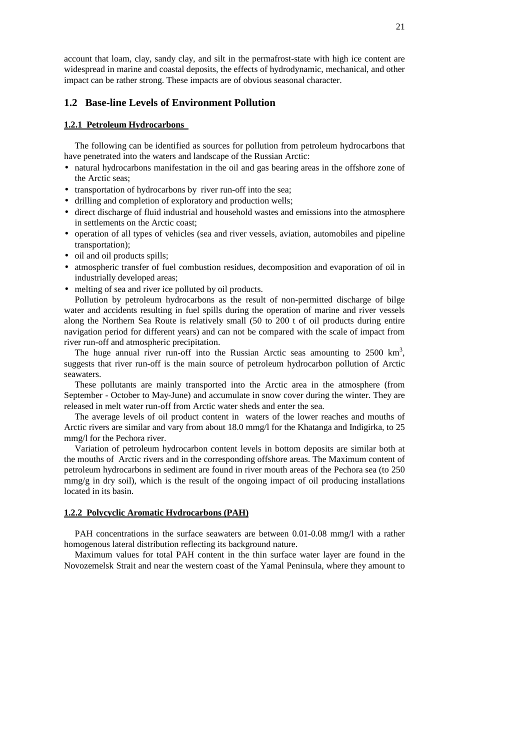account that loam, clay, sandy clay, and silt in the permafrost-state with high ice content are widespread in marine and coastal deposits, the effects of hydrodynamic, mechanical, and other impact can be rather strong. These impacts are of obvious seasonal character.

## **1.2 Base-line Levels of Environment Pollution**

#### **1.2.1 Petroleum Hydrocarbons**

The following can be identified as sources for pollution from petroleum hydrocarbons that have penetrated into the waters and landscape of the Russian Arctic:

- natural hydrocarbons manifestation in the oil and gas bearing areas in the offshore zone of the Arctic seas;
- transportation of hydrocarbons by river run-off into the sea;
- drilling and completion of exploratory and production wells;
- direct discharge of fluid industrial and household wastes and emissions into the atmosphere in settlements on the Arctic coast;
- operation of all types of vehicles (sea and river vessels, aviation, automobiles and pipeline transportation);
- oil and oil products spills;
- atmospheric transfer of fuel combustion residues, decomposition and evaporation of oil in industrially developed areas;
- melting of sea and river ice polluted by oil products.

Pollution by petroleum hydrocarbons as the result of non-permitted discharge of bilge water and accidents resulting in fuel spills during the operation of marine and river vessels along the Northern Sea Route is relatively small (50 to 200 t of oil products during entire navigation period for different years) and can not be compared with the scale of impact from river run-off and atmospheric precipitation.

The huge annual river run-off into the Russian Arctic seas amounting to  $2500 \text{ km}^3$ , suggests that river run-off is the main source of petroleum hydrocarbon pollution of Arctic seawaters.

These pollutants are mainly transported into the Arctic area in the atmosphere (from September - October to May-June) and accumulate in snow cover during the winter. They are released in melt water run-off from Arctic water sheds and enter the sea.

The average levels of oil product content in waters of the lower reaches and mouths of Arctic rivers are similar and vary from about 18.0 mmg/l for the Khatanga and Indigirka, to 25 mmg/l for the Pechora river.

Variation of petroleum hydrocarbon content levels in bottom deposits are similar both at the mouths of Arctic rivers and in the corresponding offshore areas. The Maximum content of petroleum hydrocarbons in sediment are found in river mouth areas of the Pechora sea (to 250  $\text{mmg/g}$  in dry soil), which is the result of the ongoing impact of oil producing installations located in its basin.

## **1.2.2 Polycyclic Aromatic Hydrocarbons (PAH)**

PAH concentrations in the surface seawaters are between 0.01-0.08 mmg/l with a rather homogenous lateral distribution reflecting its background nature.

Maximum values for total PAH content in the thin surface water layer are found in the Novozemelsk Strait and near the western coast of the Yamal Peninsula, where they amount to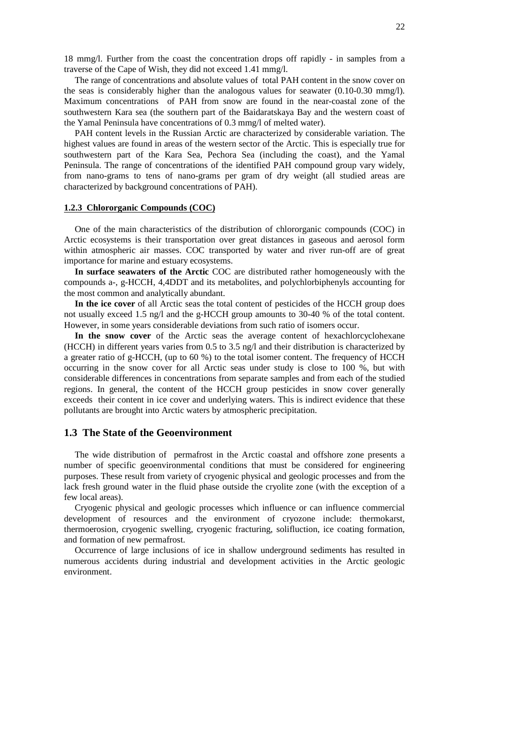18 mmg/l. Further from the coast the concentration drops off rapidly - in samples from a traverse of the Cape of Wish, they did not exceed 1.41 mmg/l.

The range of concentrations and absolute values of total PAH content in the snow cover on the seas is considerably higher than the analogous values for seawater (0.10-0.30 mmg/l). Maximum concentrations of PAH from snow are found in the near-coastal zone of the southwestern Kara sea (the southern part of the Baidaratskaya Bay and the western coast of the Yamal Peninsula have concentrations of 0.3 mmg/l of melted water).

PAH content levels in the Russian Arctic are characterized by considerable variation. The highest values are found in areas of the western sector of the Arctic. This is especially true for southwestern part of the Kara Sea, Pechora Sea (including the coast), and the Yamal Peninsula. The range of concentrations of the identified PAH compound group vary widely, from nano-grams to tens of nano-grams per gram of dry weight (all studied areas are characterized by background concentrations of PAH).

#### **1.2.3 Chlororganic Compounds (COC)**

One of the main characteristics of the distribution of chlororganic compounds (COC) in Arctic ecosystems is their transportation over great distances in gaseous and aerosol form within atmospheric air masses. COC transported by water and river run-off are of great importance for marine and estuary ecosystems.

**In surface seawaters of the Arctic** COC are distributed rather homogeneously with the compounds a-, g-HCCH, 4,4DDT and its metabolites, and polychlorbiphenyls accounting for the most common and analytically abundant.

**In the ice cover** of all Arctic seas the total content of pesticides of the HCCH group does not usually exceed 1.5 ng/l and the g-HCCH group amounts to 30-40 % of the total content. However, in some years considerable deviations from such ratio of isomers occur.

**In the snow cover** of the Arctic seas the average content of hexachlorcyclohexane (HCCH) in different years varies from 0.5 to 3.5 ng/l and their distribution is characterized by a greater ratio of g-HCCH, (up to 60 %) to the total isomer content. The frequency of HCCH occurring in the snow cover for all Arctic seas under study is close to 100 %, but with considerable differences in concentrations from separate samples and from each of the studied regions. In general, the content of the HCCH group pesticides in snow cover generally exceeds their content in ice cover and underlying waters. This is indirect evidence that these pollutants are brought into Arctic waters by atmospheric precipitation.

## **1.3 The State of the Geoenvironment**

The wide distribution of permafrost in the Arctic coastal and offshore zone presents a number of specific geoenvironmental conditions that must be considered for engineering purposes. These result from variety of cryogenic physical and geologic processes and from the lack fresh ground water in the fluid phase outside the cryolite zone (with the exception of a few local areas).

Cryogenic physical and geologic processes which influence or can influence commercial development of resources and the environment of cryozone include: thermokarst, thermoerosion, cryogenic swelling, cryogenic fracturing, solifluction, ice coating formation, and formation of new permafrost.

Occurrence of large inclusions of ice in shallow underground sediments has resulted in numerous accidents during industrial and development activities in the Arctic geologic environment.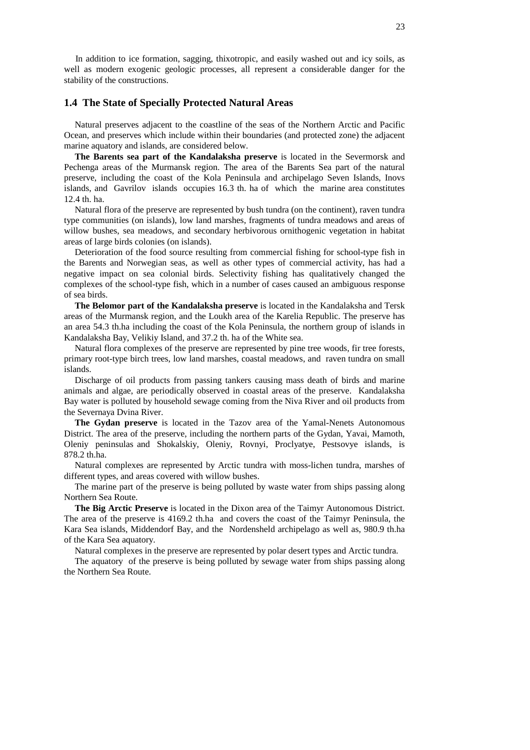In addition to ice formation, sagging, thixotropic, and easily washed out and icy soils, as well as modern exogenic geologic processes, all represent a considerable danger for the stability of the constructions.

## **1.4 The State of Specially Protected Natural Areas**

Natural preserves adjacent to the coastline of the seas of the Northern Arctic and Pacific Ocean, and preserves which include within their boundaries (and protected zone) the adjacent marine aquatory and islands, are considered below.

**The Barents sea part of the Kandalaksha preserve** is located in the Severmorsk and Pechenga areas of the Murmansk region. The area of the Barents Sea part of the natural preserve, including the coast of the Kola Peninsula and archipelago Seven Islands, Inovs islands, and Gavrilov islands occupies 16.3 th. ha of which the marine area constitutes 12.4 th. ha.

Natural flora of the preserve are represented by bush tundra (on the continent), raven tundra type communities (on islands), low land marshes, fragments of tundra meadows and areas of willow bushes, sea meadows, and secondary herbivorous ornithogenic vegetation in habitat areas of large birds colonies (on islands).

Deterioration of the food source resulting from commercial fishing for school-type fish in the Barents and Norwegian seas, as well as other types of commercial activity, has had a negative impact on sea colonial birds. Selectivity fishing has qualitatively changed the complexes of the school-type fish, which in a number of cases caused an ambiguous response of sea birds.

**The Belomor part of the Kandalaksha preserve** is located in the Kandalaksha and Tersk areas of the Murmansk region, and the Loukh area of the Karelia Republic. The preserve has an area 54.3 th.ha including the coast of the Kola Peninsula, the northern group of islands in Kandalaksha Bay, Velikiy Island, and 37.2 th. ha of the White sea.

Natural flora complexes of the preserve are represented by pine tree woods, fir tree forests, primary root-type birch trees, low land marshes, coastal meadows, and raven tundra on small islands.

Discharge of oil products from passing tankers causing mass death of birds and marine animals and algae, are periodically observed in coastal areas of the preserve. Kandalaksha Bay water is polluted by household sewage coming from the Niva River and oil products from the Severnaya Dvina River.

**The Gydan preserve** is located in the Tazov area of the Yamal-Nenets Autonomous District. The area of the preserve, including the northern parts of the Gydan, Yavai, Mamoth, Oleniy peninsulas and Shokalskiy, Oleniy, Rovnyi, Proclyatye, Pestsovye islands, is 878.2 th.ha.

Natural complexes are represented by Arctic tundra with moss-lichen tundra, marshes of different types, and areas covered with willow bushes.

The marine part of the preserve is being polluted by waste water from ships passing along Northern Sea Route.

**The Big Arctic Preserve** is located in the Dixon area of the Taimyr Autonomous District. The area of the preserve is 4169.2 th.ha and covers the coast of the Taimyr Peninsula, the Kara Sea islands, Middendorf Bay, and the Nordensheld archipelago as well as, 980.9 th.ha of the Kara Sea aquatory.

Natural complexes in the preserve are represented by polar desert types and Arctic tundra.

The aquatory of the preserve is being polluted by sewage water from ships passing along the Northern Sea Route.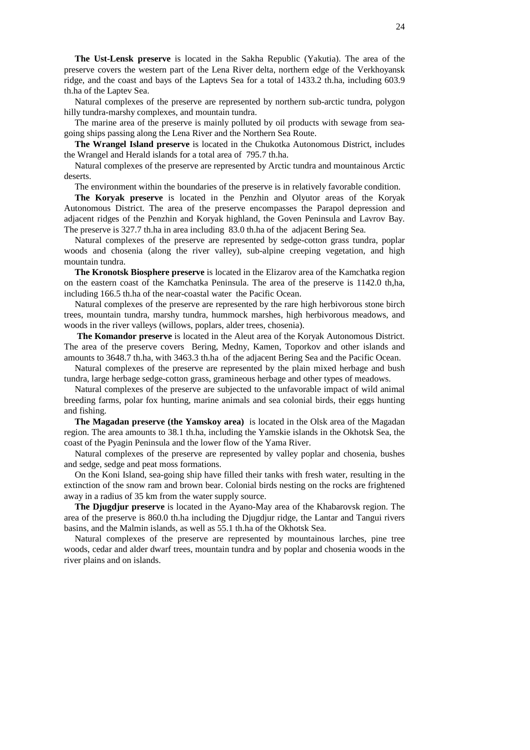**The Ust-Lensk preserve** is located in the Sakha Republic (Yakutia). The area of the preserve covers the western part of the Lena River delta, northern edge of the Verkhoyansk ridge, and the coast and bays of the Laptevs Sea for a total of 1433.2 th.ha, including 603.9 th.ha of the Laptev Sea.

Natural complexes of the preserve are represented by northern sub-arctic tundra, polygon hilly tundra-marshy complexes, and mountain tundra.

The marine area of the preserve is mainly polluted by oil products with sewage from seagoing ships passing along the Lena River and the Northern Sea Route.

**The Wrangel Island preserve** is located in the Chukotka Autonomous District, includes the Wrangel and Herald islands for a total area of 795.7 th.ha.

Natural complexes of the preserve are represented by Arctic tundra and mountainous Arctic deserts.

The environment within the boundaries of the preserve is in relatively favorable condition.

**The Koryak preserve** is located in the Penzhin and Olyutor areas of the Koryak Autonomous District. The area of the preserve encompasses the Parapol depression and adjacent ridges of the Penzhin and Koryak highland, the Goven Peninsula and Lavrov Bay. The preserve is 327.7 th.ha in area including 83.0 th.ha of the adjacent Bering Sea.

Natural complexes of the preserve are represented by sedge-cotton grass tundra, poplar woods and chosenia (along the river valley), sub-alpine creeping vegetation, and high mountain tundra.

**The Kronotsk Biosphere preserve** is located in the Elizarov area of the Kamchatka region on the eastern coast of the Kamchatka Peninsula. The area of the preserve is 1142.0 th,ha, including 166.5 th.ha of the near-coastal water the Pacific Ocean.

Natural complexes of the preserve are represented by the rare high herbivorous stone birch trees, mountain tundra, marshy tundra, hummock marshes, high herbivorous meadows, and woods in the river valleys (willows, poplars, alder trees, chosenia).

**The Komandor preserve** is located in the Aleut area of the Koryak Autonomous District. The area of the preserve covers Bering, Medny, Kamen, Toporkov and other islands and amounts to 3648.7 th.ha, with 3463.3 th.ha of the adjacent Bering Sea and the Pacific Ocean.

Natural complexes of the preserve are represented by the plain mixed herbage and bush tundra, large herbage sedge-cotton grass, gramineous herbage and other types of meadows.

Natural complexes of the preserve are subjected to the unfavorable impact of wild animal breeding farms, polar fox hunting, marine animals and sea colonial birds, their eggs hunting and fishing.

**The Magadan preserve (the Yamskoy area)** is located in the Olsk area of the Magadan region. The area amounts to 38.1 th.ha, including the Yamskie islands in the Okhotsk Sea, the coast of the Pyagin Peninsula and the lower flow of the Yama River.

Natural complexes of the preserve are represented by valley poplar and chosenia, bushes and sedge, sedge and peat moss formations.

On the Koni Island, sea-going ship have filled their tanks with fresh water, resulting in the extinction of the snow ram and brown bear. Colonial birds nesting on the rocks are frightened away in a radius of 35 km from the water supply source.

**The Djugdjur preserve** is located in the Ayano-May area of the Khabarovsk region. The area of the preserve is 860.0 th.ha including the Djugdjur ridge, the Lantar and Tangui rivers basins, and the Malmin islands, as well as 55.1 th.ha of the Okhotsk Sea.

Natural complexes of the preserve are represented by mountainous larches, pine tree woods, cedar and alder dwarf trees, mountain tundra and by poplar and chosenia woods in the river plains and on islands.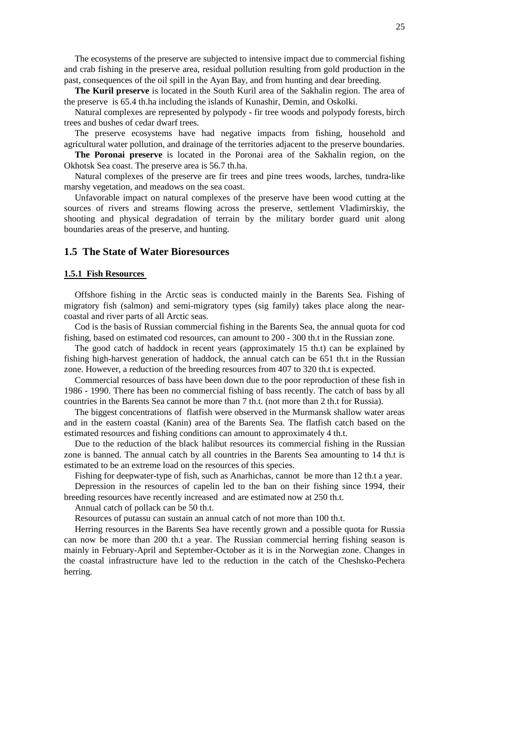The ecosystems of the preserve are subjected to intensive impact due to commercial fishing and crab fishing in the preserve area, residual pollution resulting from gold production in the past, consequences of the oil spill in the Ayan Bay, and from hunting and dear breeding.

**The Kuril preserve** is located in the South Kuril area of the Sakhalin region. The area of the preserve is 65.4 th.ha including the islands of Kunashir, Demin, and Oskolki.

Natural complexes are represented by polypody - fir tree woods and polypody forests, birch trees and bushes of cedar dwarf trees.

The preserve ecosystems have had negative impacts from fishing, household and agricultural water pollution, and drainage of the territories adjacent to the preserve boundaries.

**The Poronai preserve** is located in the Poronai area of the Sakhalin region, on the Okhotsk Sea coast. The preserve area is 56.7 th.ha.

Natural complexes of the preserve are fir trees and pine trees woods, larches, tundra-like marshy vegetation, and meadows on the sea coast.

Unfavorable impact on natural complexes of the preserve have been wood cutting at the sources of rivers and streams flowing across the preserve, settlement Vladimirskiy, the shooting and physical degradation of terrain by the military border guard unit along boundaries areas of the preserve, and hunting.

## **1.5 The State of Water Bioresources**

#### **1.5.1 Fish Resources**

Offshore fishing in the Arctic seas is conducted mainly in the Barents Sea. Fishing of migratory fish (salmon) and semi-migratory types (sig family) takes place along the nearcoastal and river parts of all Arctic seas.

Cod is the basis of Russian commercial fishing in the Barents Sea, the annual quota for cod fishing, based on estimated cod resources, can amount to 200 - 300 th.t in the Russian zone.

The good catch of haddock in recent years (approximately 15 th.t) can be explained by fishing high-harvest generation of haddock, the annual catch can be 651 th.t in the Russian zone. However, a reduction of the breeding resources from 407 to 320 th.t is expected.

Commercial resources of bass have been down due to the poor reproduction of these fish in 1986 - 1990. There has been no commercial fishing of bass recently. The catch of bass by all countries in the Barents Sea cannot be more than 7 th.t. (not more than 2 th.t for Russia).

The biggest concentrations of flatfish were observed in the Murmansk shallow water areas and in the eastern coastal (Kanin) area of the Barents Sea. The flatfish catch based on the estimated resources and fishing conditions can amount to approximately 4 th.t.

Due to the reduction of the black halibut resources its commercial fishing in the Russian zone is banned. The annual catch by all countries in the Barents Sea amounting to 14 th.t is estimated to be an extreme load on the resources of this species.

Fishing for deepwater-type of fish, such as Anarhichas, cannot be more than 12 th.t a year.

Depression in the resources of capelin led to the ban on their fishing since 1994, their breeding resources have recently increased and are estimated now at 250 th.t.

Annual catch of pollack can be 50 th.t.

Resources of putassu can sustain an annual catch of not more than 100 th.t.

Herring resources in the Barents Sea have recently grown and a possible quota for Russia can now be more than 200 th.t a year. The Russian commercial herring fishing season is mainly in February-April and September-October as it is in the Norwegian zone. Changes in the coastal infrastructure have led to the reduction in the catch of the Cheshsko-Pechera herring.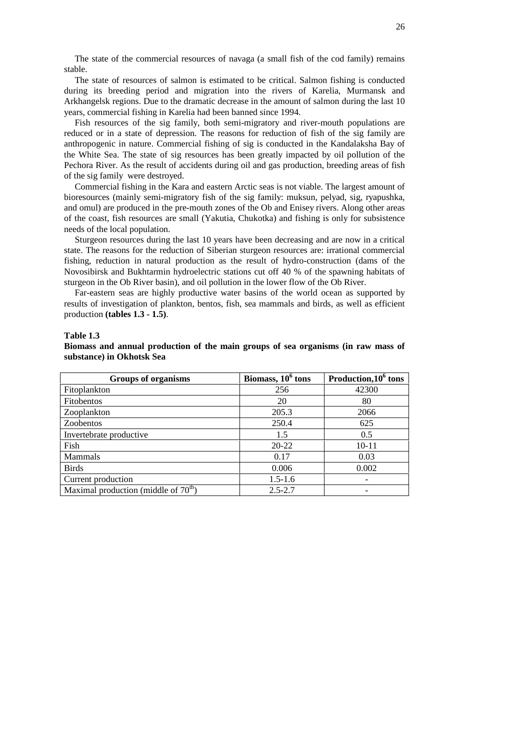The state of the commercial resources of navaga (a small fish of the cod family) remains stable.

The state of resources of salmon is estimated to be critical. Salmon fishing is conducted during its breeding period and migration into the rivers of Karelia, Murmansk and Arkhangelsk regions. Due to the dramatic decrease in the amount of salmon during the last 10 years, commercial fishing in Karelia had been banned since 1994.

Fish resources of the sig family, both semi-migratory and river-mouth populations are reduced or in a state of depression. The reasons for reduction of fish of the sig family are anthropogenic in nature. Commercial fishing of sig is conducted in the Kandalaksha Bay of the White Sea. The state of sig resources has been greatly impacted by oil pollution of the Pechora River. As the result of accidents during oil and gas production, breeding areas of fish of the sig family were destroyed.

Commercial fishing in the Kara and eastern Arctic seas is not viable. The largest amount of bioresources (mainly semi-migratory fish of the sig family: muksun, pelyad, sig, ryapushka, and omul) are produced in the pre-mouth zones of the Ob and Enisey rivers. Along other areas of the coast, fish resources are small (Yakutia, Chukotka) and fishing is only for subsistence needs of the local population.

Sturgeon resources during the last 10 years have been decreasing and are now in a critical state. The reasons for the reduction of Siberian sturgeon resources are: irrational commercial fishing, reduction in natural production as the result of hydro-construction (dams of the Novosibirsk and Bukhtarmin hydroelectric stations cut off 40 % of the spawning habitats of sturgeon in the Ob River basin), and oil pollution in the lower flow of the Ob River.

Far-eastern seas are highly productive water basins of the world ocean as supported by results of investigation of plankton, bentos, fish, sea mammals and birds, as well as efficient production **(tables 1.3 - 1.5)**.

## **Table 1.3**

## **Biomass and annual production of the main groups of sea organisms (in raw mass of substance) in Okhotsk Sea**

| <b>Groups of organisms</b>             | Biomass, $10^6$ tons | Production, 10 <sup>6</sup> tons |
|----------------------------------------|----------------------|----------------------------------|
| Fitoplankton                           | 256                  | 42300                            |
| <b>Fitobentos</b>                      | 20                   | 80                               |
| Zooplankton                            | 205.3                | 2066                             |
| <b>Zoobentos</b>                       | 250.4                | 625                              |
| Invertebrate productive                | 1.5                  | 0.5                              |
| Fish                                   | $20 - 22$            | $10 - 11$                        |
| Mammals                                | 0.17                 | 0.03                             |
| <b>Birds</b>                           | 0.006                | 0.002                            |
| Current production                     | $1.5 - 1.6$          |                                  |
| Maximal production (middle of $70th$ ) | $2.5 - 2.7$          |                                  |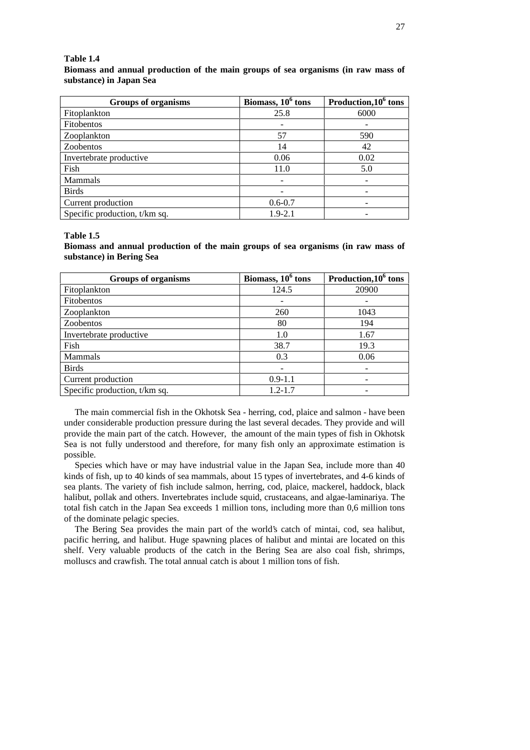#### **Table 1.4**

**Biomass and annual production of the main groups of sea organisms (in raw mass of substance) in Japan Sea**

| <b>Groups of organisms</b>    | Biomass, $10^6$ tons | Production, 10 <sup>6</sup> tons |
|-------------------------------|----------------------|----------------------------------|
| Fitoplankton                  | 25.8                 | 6000                             |
| <b>Fitobentos</b>             |                      |                                  |
| Zooplankton                   | 57                   | 590                              |
| Zoobentos                     | 14                   | 42                               |
| Invertebrate productive       | 0.06                 | 0.02                             |
| Fish                          | 11.0                 | 5.0                              |
| Mammals                       |                      |                                  |
| <b>Birds</b>                  |                      |                                  |
| Current production            | $0.6 - 0.7$          |                                  |
| Specific production, t/km sq. | $1.9 - 2.1$          |                                  |

#### **Table 1.5**

**Biomass and annual production of the main groups of sea organisms (in raw mass of substance) in Bering Sea**

| <b>Groups of organisms</b>    | Biomass, $106$ tons | Production, 10 <sup>6</sup> tons |
|-------------------------------|---------------------|----------------------------------|
| Fitoplankton                  | 124.5               | 20900                            |
| <b>Fitobentos</b>             |                     |                                  |
| Zooplankton                   | 260                 | 1043                             |
| Zoobentos                     | 80                  | 194                              |
| Invertebrate productive       | 1.0                 | 1.67                             |
| Fish                          | 38.7                | 19.3                             |
| <b>Mammals</b>                | 0.3                 | 0.06                             |
| <b>Birds</b>                  |                     | ۰                                |
| Current production            | $0.9 - 1.1$         |                                  |
| Specific production, t/km sq. | $1.2 - 1.7$         |                                  |

The main commercial fish in the Okhotsk Sea - herring, cod, plaice and salmon - have been under considerable production pressure during the last several decades. They provide and will provide the main part of the catch. However, the amount of the main types of fish in Okhotsk Sea is not fully understood and therefore, for many fish only an approximate estimation is possible.

Species which have or may have industrial value in the Japan Sea, include more than 40 kinds of fish, up to 40 kinds of sea mammals, about 15 types of invertebrates, and 4-6 kinds of sea plants. The variety of fish include salmon, herring, cod, plaice, mackerel, haddock, black halibut, pollak and others. Invertebrates include squid, crustaceans, and algae-laminariya. The total fish catch in the Japan Sea exceeds 1 million tons, including more than 0,6 million tons of the dominate pelagic species.

The Bering Sea provides the main part of the world's catch of mintai, cod, sea halibut, pacific herring, and halibut. Huge spawning places of halibut and mintai are located on this shelf. Very valuable products of the catch in the Bering Sea are also coal fish, shrimps, molluscs and crawfish. The total annual catch is about 1 million tons of fish.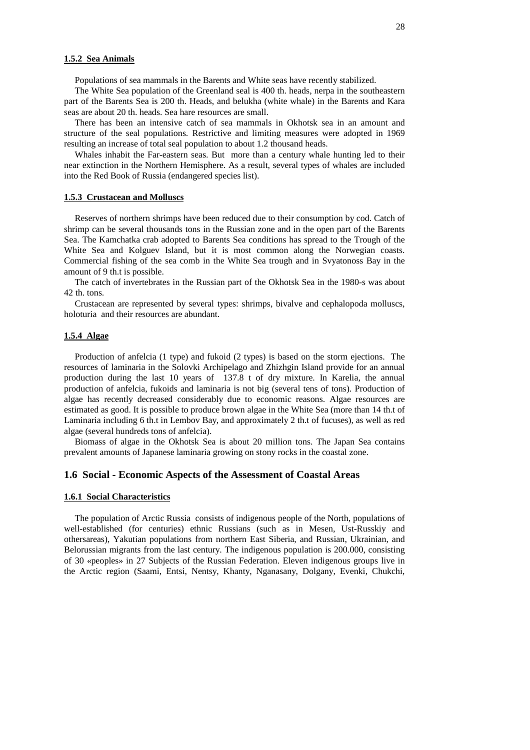#### **1.5.2 Sea Animals**

Populations of sea mammals in the Barents and White seas have recently stabilized.

The White Sea population of the Greenland seal is 400 th. heads, nerpa in the southeastern part of the Barents Sea is 200 th. Heads, and belukha (white whale) in the Barents and Kara seas are about 20 th. heads. Sea hare resources are small.

There has been an intensive catch of sea mammals in Okhotsk sea in an amount and structure of the seal populations. Restrictive and limiting measures were adopted in 1969 resulting an increase of total seal population to about 1.2 thousand heads.

Whales inhabit the Far-eastern seas. But more than a century whale hunting led to their near extinction in the Northern Hemisphere. As a result, several types of whales are included into the Red Book of Russia (endangered species list).

#### **1.5.3 Crustacean and Molluscs**

Reserves of northern shrimps have been reduced due to their consumption by cod. Catch of shrimp can be several thousands tons in the Russian zone and in the open part of the Barents Sea. The Kamchatka crab adopted to Barents Sea conditions has spread to the Trough of the White Sea and Kolguev Island, but it is most common along the Norwegian coasts. Commercial fishing of the sea comb in the White Sea trough and in Svyatonoss Bay in the amount of 9 th.t is possible.

The catch of invertebrates in the Russian part of the Okhotsk Sea in the 1980-s was about 42 th. tons.

Crustacean are represented by several types: shrimps, bivalve and cephalopoda molluscs, holoturia and their resources are abundant.

## **1.5.4 Algae**

Production of anfelcia (1 type) and fukoid (2 types) is based on the storm ejections. The resources of laminaria in the Solovki Archipelago and Zhizhgin Island provide for an annual production during the last 10 years of 137.8 t of dry mixture. In Karelia, the annual production of anfelcia, fukoids and laminaria is not big (several tens of tons). Production of algae has recently decreased considerably due to economic reasons. Algae resources are estimated as good. It is possible to produce brown algae in the White Sea (more than 14 th.t of Laminaria including 6 th.t in Lembov Bay, and approximately 2 th.t of fucuses), as well as red algae (several hundreds tons of anfelcia).

Biomass of algae in the Okhotsk Sea is about 20 million tons. The Japan Sea contains prevalent amounts of Japanese laminaria growing on stony rocks in the coastal zone.

## **1.6 Social - Economic Aspects of the Assessment of Coastal Areas**

#### **1.6.1 Social Characteristics**

The population of Arctic Russia consists of indigenous people of the North, populations of well-established (for centuries) ethnic Russians (such as in Mesen, Ust-Russkiy and othersareas), Yakutian populations from northern East Siberia, and Russian, Ukrainian, and Belorussian migrants from the last century. The indigenous population is 200.000, consisting of 30 «peoples» in 27 Subjects of the Russian Federation. Eleven indigenous groups live in the Arctic region (Saami, Entsi, Nentsy, Khanty, Nganasany, Dolgany, Evenki, Chukchi,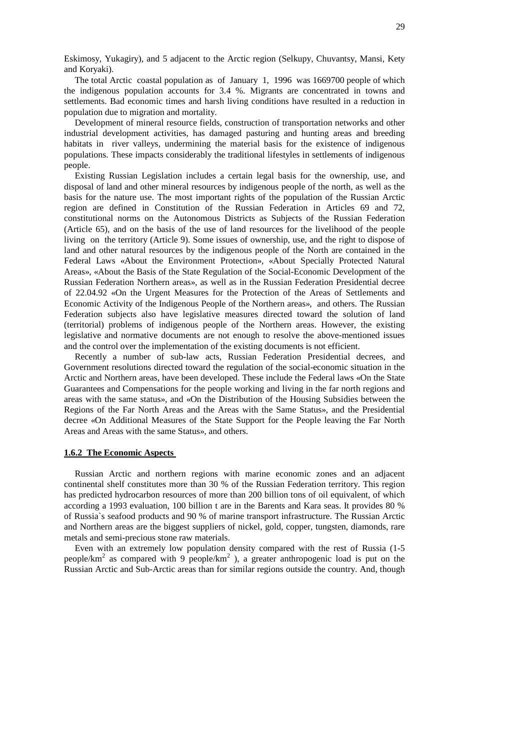Eskimosy, Yukagiry), and 5 adjacent to the Arctic region (Selkupy, Chuvantsy, Mansi, Kety and Koryaki).

The total Arctic coastal population as of January 1, 1996 was 1669700 people of which the indigenous population accounts for 3.4 %. Migrants are concentrated in towns and settlements. Bad economic times and harsh living conditions have resulted in a reduction in population due to migration and mortality.

Development of mineral resource fields, construction of transportation networks and other industrial development activities, has damaged pasturing and hunting areas and breeding habitats in river valleys, undermining the material basis for the existence of indigenous populations. These impacts considerably the traditional lifestyles in settlements of indigenous people.

Existing Russian Legislation includes a certain legal basis for the ownership, use, and disposal of land and other mineral resources by indigenous people of the north, as well as the basis for the nature use. The most important rights of the population of the Russian Arctic region are defined in Constitution of the Russian Federation in Articles 69 and 72, constitutional norms on the Autonomous Districts as Subjects of the Russian Federation (Article 65), and on the basis of the use of land resources for the livelihood of the people living on the territory (Article 9). Some issues of ownership, use, and the right to dispose of land and other natural resources by the indigenous people of the North are contained in the Federal Laws «About the Environment Protection», «About Specially Protected Natural Areas», «About the Basis of the State Regulation of the Social-Economic Development of the Russian Federation Northern areas», as well as in the Russian Federation Presidential decree of 22.04.92 «On the Urgent Measures for the Protection of the Areas of Settlements and Economic Activity of the Indigenous People of the Northern areas», and others. The Russian Federation subjects also have legislative measures directed toward the solution of land (territorial) problems of indigenous people of the Northern areas. However, the existing legislative and normative documents are not enough to resolve the above-mentioned issues and the control over the implementation of the existing documents is not efficient.

Recently a number of sub-law acts, Russian Federation Presidential decrees, and Government resolutions directed toward the regulation of the social-economic situation in the Arctic and Northern areas, have been developed. These include the Federal laws «On the State Guarantees and Compensations for the people working and living in the far north regions and areas with the same status», and «On the Distribution of the Housing Subsidies between the Regions of the Far North Areas and the Areas with the Same Status», and the Presidential decree «On Additional Measures of the State Support for the People leaving the Far North Areas and Areas with the same Status», and others.

## **1.6.2 The Economic Aspects**

Russian Arctic and northern regions with marine economic zones and an adjacent continental shelf constitutes more than 30 % of the Russian Federation territory. This region has predicted hydrocarbon resources of more than 200 billion tons of oil equivalent, of which according a 1993 evaluation, 100 billion t are in the Barents and Kara seas. It provides 80 % of Russia`s seafood products and 90 % of marine transport infrastructure. The Russian Arctic and Northern areas are the biggest suppliers of nickel, gold, copper, tungsten, diamonds, rare metals and semi-precious stone raw materials.

Even with an extremely low population density compared with the rest of Russia (1-5 people/km<sup>2</sup> as compared with 9 people/km<sup>2</sup>), a greater anthropogenic load is put on the Russian Arctic and Sub-Arctic areas than for similar regions outside the country. And, though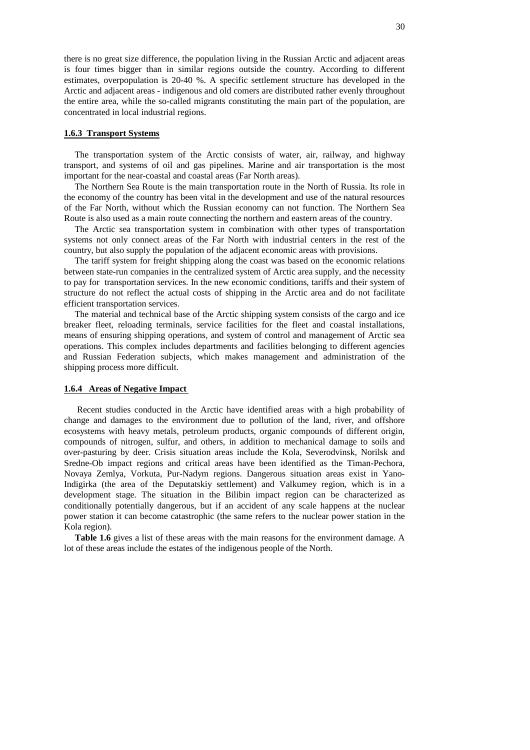there is no great size difference, the population living in the Russian Arctic and adjacent areas is four times bigger than in similar regions outside the country. According to different estimates, overpopulation is 20-40 %. A specific settlement structure has developed in the Arctic and adjacent areas - indigenous and old comers are distributed rather evenly throughout the entire area, while the so-called migrants constituting the main part of the population, are concentrated in local industrial regions.

## **1.6.3 Transport Systems**

The transportation system of the Arctic consists of water, air, railway, and highway transport, and systems of oil and gas pipelines. Marine and air transportation is the most important for the near-coastal and coastal areas (Far North areas).

The Northern Sea Route is the main transportation route in the North of Russia. Its role in the economy of the country has been vital in the development and use of the natural resources of the Far North, without which the Russian economy can not function. The Northern Sea Route is also used as a main route connecting the northern and eastern areas of the country.

The Arctic sea transportation system in combination with other types of transportation systems not only connect areas of the Far North with industrial centers in the rest of the country, but also supply the population of the adjacent economic areas with provisions.

The tariff system for freight shipping along the coast was based on the economic relations between state-run companies in the centralized system of Arctic area supply, and the necessity to pay for transportation services. In the new economic conditions, tariffs and their system of structure do not reflect the actual costs of shipping in the Arctic area and do not facilitate efficient transportation services.

The material and technical base of the Arctic shipping system consists of the cargo and ice breaker fleet, reloading terminals, service facilities for the fleet and coastal installations, means of ensuring shipping operations, and system of control and management of Arctic sea operations. This complex includes departments and facilities belonging to different agencies and Russian Federation subjects, which makes management and administration of the shipping process more difficult.

#### **1.6.4 Areas of Negative Impact**

Recent studies conducted in the Arctic have identified areas with a high probability of change and damages to the environment due to pollution of the land, river, and offshore ecosystems with heavy metals, petroleum products, organic compounds of different origin, compounds of nitrogen, sulfur, and others, in addition to mechanical damage to soils and over-pasturing by deer. Crisis situation areas include the Kola, Severodvinsk, Norilsk and Sredne-Ob impact regions and critical areas have been identified as the Timan-Pechora, Novaya Zemlya, Vorkuta, Pur-Nadym regions. Dangerous situation areas exist in Yano-Indigirka (the area of the Deputatskiy settlement) and Valkumey region, which is in a development stage. The situation in the Bilibin impact region can be characterized as conditionally potentially dangerous, but if an accident of any scale happens at the nuclear power station it can become catastrophic (the same refers to the nuclear power station in the Kola region).

**Table 1.6** gives a list of these areas with the main reasons for the environment damage. A lot of these areas include the estates of the indigenous people of the North.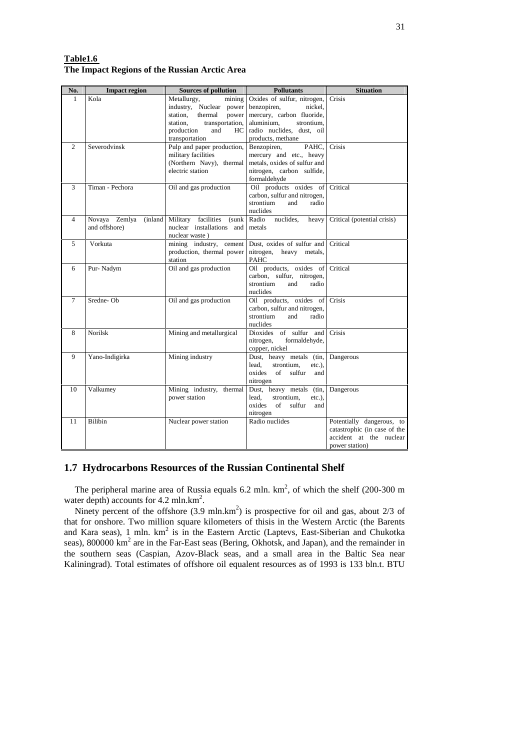| Table1.6                                      |  |  |
|-----------------------------------------------|--|--|
| The Impact Regions of the Russian Arctic Area |  |  |

| No.            | <b>Impact region</b>  | <b>Sources of pollution</b>                                 | <b>Pollutants</b>                                         | <b>Situation</b>             |
|----------------|-----------------------|-------------------------------------------------------------|-----------------------------------------------------------|------------------------------|
| 1              | Kola                  | Metallurgy,<br>mining                                       | Oxides of sulfur, nitrogen,                               | Crisis                       |
|                |                       | industry, Nuclear power                                     | benzopiren,<br>nickel.                                    |                              |
|                |                       | station,<br>thermal<br>power<br>station,<br>transportation, | mercury, carbon fluoride,<br>aluminium,<br>strontium,     |                              |
|                |                       | production<br>and<br>HC                                     | radio nuclides, dust, oil                                 |                              |
|                |                       | transportation                                              | products, methane                                         |                              |
| $\mathfrak{2}$ | Severodvinsk          | Pulp and paper production,                                  | Benzopiren,<br>PAHC.                                      | Crisis                       |
|                |                       | military facilities                                         | mercury and etc., heavy                                   |                              |
|                |                       | (Northern Navy), thermal                                    | metals, oxides of sulfur and                              |                              |
|                |                       | electric station                                            | nitrogen, carbon sulfide,                                 |                              |
|                |                       |                                                             | formaldehyde                                              |                              |
| 3              | Timan - Pechora       | Oil and gas production                                      | Oil products oxides of                                    | Critical                     |
|                |                       |                                                             | carbon, sulfur and nitrogen,<br>strontium<br>and<br>radio |                              |
|                |                       |                                                             | nuclides                                                  |                              |
| 4              | Novaya Zemlya (inland | Military facilities (sunk                                   | nuclides,<br>Radio<br>heavy                               | Critical (potential crisis)  |
|                | and offshore)         | nuclear installations and                                   | metals                                                    |                              |
|                |                       | nuclear waste)                                              |                                                           |                              |
| 5              | Vorkuta               | mining industry, cement                                     | Dust, oxides of sulfur and                                | Critical                     |
|                |                       | production, thermal power                                   | nitrogen, heavy metals,                                   |                              |
|                |                       | station                                                     | <b>PAHC</b>                                               |                              |
| 6              | Pur-Nadym             | Oil and gas production                                      | Oil products, oxides of<br>carbon, sulfur, nitrogen,      | Critical                     |
|                |                       |                                                             | strontium<br>and<br>radio                                 |                              |
|                |                       |                                                             | nuclides                                                  |                              |
| 7              | Sredne-Ob             | Oil and gas production                                      | Oil products, oxides of                                   | Crisis                       |
|                |                       |                                                             | carbon, sulfur and nitrogen,                              |                              |
|                |                       |                                                             | strontium<br>radio<br>and                                 |                              |
|                | Norilsk               |                                                             | nuclides<br>Dioxides of sulfur and                        | Crisis                       |
| 8              |                       | Mining and metallurgical                                    | nitrogen,<br>formaldehyde,                                |                              |
|                |                       |                                                             | copper, nickel                                            |                              |
| 9              | Yano-Indigirka        | Mining industry                                             | Dust, heavy metals (tin, Dangerous                        |                              |
|                |                       |                                                             | lead.<br>strontium,<br>$etc.$ ).                          |                              |
|                |                       |                                                             | $\sigma$ f<br>oxides<br>sulfur<br>and                     |                              |
|                |                       |                                                             | nitrogen                                                  |                              |
| 10             | Valkumey              | Mining industry, thermal                                    | Dust, heavy metals (tin,                                  | Dangerous                    |
|                |                       | power station                                               | lead.<br>strontium,<br>$etc.$ ).<br>oxides of<br>sulfur   |                              |
|                |                       |                                                             | and<br>nitrogen                                           |                              |
| 11             | Bilibin               | Nuclear power station                                       | Radio nuclides                                            | Potentially dangerous, to    |
|                |                       |                                                             |                                                           | catastrophic (in case of the |
|                |                       |                                                             |                                                           | accident at the nuclear      |
|                |                       |                                                             |                                                           | power station)               |

## **1.7 Hydrocarbons Resources of the Russian Continental Shelf**

The peripheral marine area of Russia equals 6.2 mln.  $km^2$ , of which the shelf (200-300 m water depth) accounts for 4.2 mln.km<sup>2</sup>.

Ninety percent of the offshore  $(3.9 \text{ mln}.\text{km}^2)$  is prospective for oil and gas, about  $2/3$  of that for onshore. Two million square kilometers of thisis in the Western Arctic (the Barents and Kara seas), 1 mln. km 2 is in the Eastern Arctic (Laptevs, East-Siberian and Chukotka seas), 800000 km<sup>2</sup> are in the Far-East seas (Bering, Okhotsk, and Japan), and the remainder in the southern seas (Caspian, Azov-Black seas, and a small area in the Baltic Sea near Kaliningrad). Total estimates of offshore oil equalent resources as of 1993 is 133 bln.t. BTU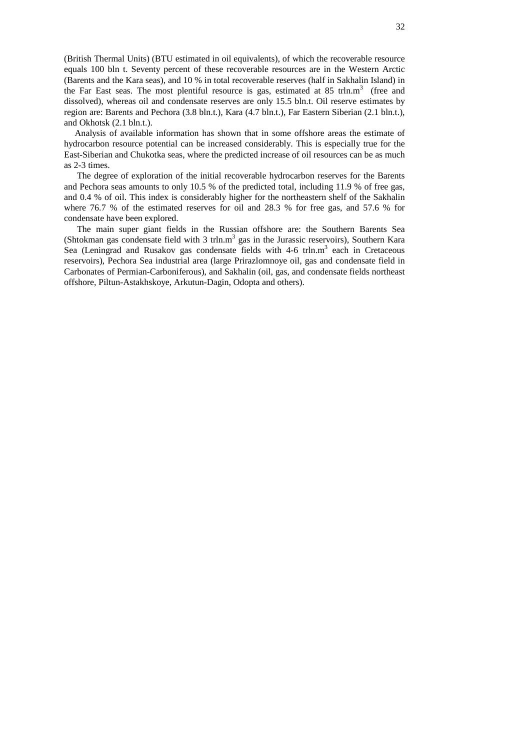(British Thermal Units) (BTU estimated in oil equivalents), of which the recoverable resource equals 100 bln t. Seventy percent of these recoverable resources are in the Western Arctic (Barents and the Kara seas), and 10 % in total recoverable reserves (half in Sakhalin Island) in the Far East seas. The most plentiful resource is gas, estimated at 85 trln.m<sup>3</sup> (free and dissolved), whereas oil and condensate reserves are only 15.5 bln.t. Oil reserve estimates by region are: Barents and Pechora (3.8 bln.t.), Kara (4.7 bln.t.), Far Eastern Siberian (2.1 bln.t.), and Okhotsk (2.1 bln.t.).

Analysis of available information has shown that in some offshore areas the estimate of hydrocarbon resource potential can be increased considerably. This is especially true for the East-Siberian and Chukotka seas, where the predicted increase of oil resources can be as much as 2-3 times.

The degree of exploration of the initial recoverable hydrocarbon reserves for the Barents and Pechora seas amounts to only 10.5 % of the predicted total, including 11.9 % of free gas, and 0.4 % of oil. This index is considerably higher for the northeastern shelf of the Sakhalin where 76.7 % of the estimated reserves for oil and 28.3 % for free gas, and 57.6 % for condensate have been explored.

The main super giant fields in the Russian offshore are: the Southern Barents Sea (Shtokman gas condensate field with 3 trln.m<sup>3</sup> gas in the Jurassic reservoirs), Southern Kara Sea (Leningrad and Rusakov gas condensate fields with 4-6 trln.m<sup>3</sup> each in Cretaceous reservoirs), Pechora Sea industrial area (large Prirazlomnoye oil, gas and condensate field in Carbonates of Permian-Carboniferous), and Sakhalin (oil, gas, and condensate fields northeast offshore, Piltun-Astakhskoye, Arkutun-Dagin, Odopta and others).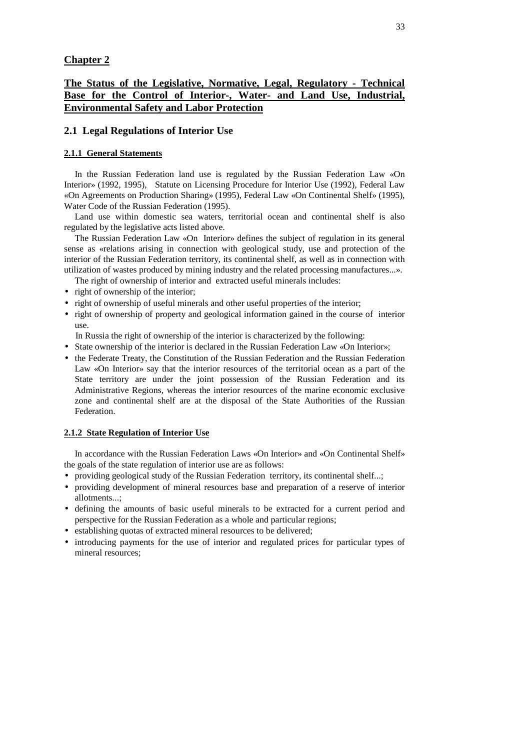## **Chapter 2**

## **The Status of the Legislative, Normative, Legal, Regulatory - Technical Base for the Control of Interior-, Water- and Land Use, Industrial, Environmental Safety and Labor Protection**

## **2.1 Legal Regulations of Interior Use**

## **2.1.1 General Statements**

In the Russian Federation land use is regulated by the Russian Federation Law «On Interior» (1992, 1995), Statute on Licensing Procedure for Interior Use (1992), Federal Law «On Agreements on Production Sharing» (1995), Federal Law «On Continental Shelf» (1995), Water Code of the Russian Federation (1995).

Land use within domestic sea waters, territorial ocean and continental shelf is also regulated by the legislative acts listed above.

The Russian Federation Law «On Interior» defines the subject of regulation in its general sense as «relations arising in connection with geological study, use and protection of the interior of the Russian Federation territory, its continental shelf, as well as in connection with utilization of wastes produced by mining industry and the related processing manufactures...».

The right of ownership of interior and extracted useful minerals includes:

- right of ownership of the interior;
- right of ownership of useful minerals and other useful properties of the interior;
- right of ownership of property and geological information gained in the course of interior use.

In Russia the right of ownership of the interior is characterized by the following:

- State ownership of the interior is declared in the Russian Federation Law «On Interior»;
- the Federate Treaty, the Constitution of the Russian Federation and the Russian Federation Law «On Interior» say that the interior resources of the territorial ocean as a part of the State territory are under the joint possession of the Russian Federation and its Administrative Regions, whereas the interior resources of the marine economic exclusive zone and continental shelf are at the disposal of the State Authorities of the Russian Federation.

## **2.1.2 State Regulation of Interior Use**

In accordance with the Russian Federation Laws «On Interior» and «On Continental Shelf» the goals of the state regulation of interior use are as follows:

- providing geological study of the Russian Federation territory, its continental shelf...;
- providing development of mineral resources base and preparation of a reserve of interior allotments...;
- defining the amounts of basic useful minerals to be extracted for a current period and perspective for the Russian Federation as a whole and particular regions;
- establishing quotas of extracted mineral resources to be delivered;
- introducing payments for the use of interior and regulated prices for particular types of mineral resources;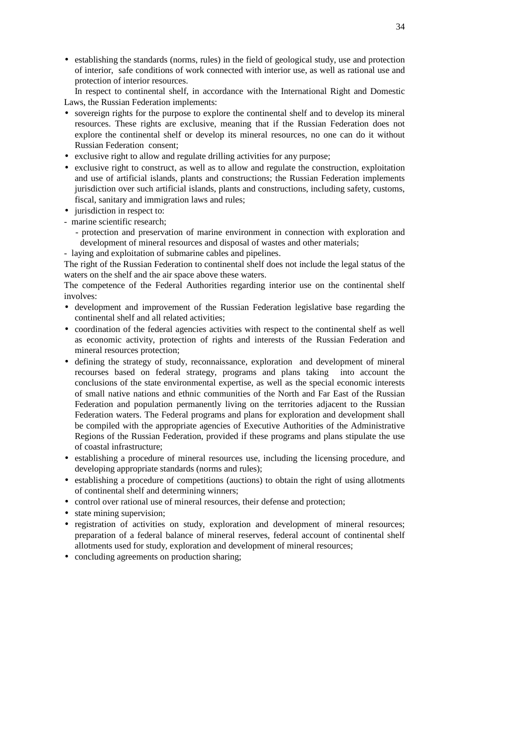• establishing the standards (norms, rules) in the field of geological study, use and protection of interior, safe conditions of work connected with interior use, as well as rational use and protection of interior resources.

In respect to continental shelf, in accordance with the International Right and Domestic Laws, the Russian Federation implements:

- sovereign rights for the purpose to explore the continental shelf and to develop its mineral resources. These rights are exclusive, meaning that if the Russian Federation does not explore the continental shelf or develop its mineral resources, no one can do it without Russian Federation consent;
- exclusive right to allow and regulate drilling activities for any purpose;
- exclusive right to construct, as well as to allow and regulate the construction, exploitation and use of artificial islands, plants and constructions; the Russian Federation implements jurisdiction over such artificial islands, plants and constructions, including safety, customs, fiscal, sanitary and immigration laws and rules;
- jurisdiction in respect to:
- marine scientific research;
	- protection and preservation of marine environment in connection with exploration and development of mineral resources and disposal of wastes and other materials;
- laying and exploitation of submarine cables and pipelines.

The right of the Russian Federation to continental shelf does not include the legal status of the waters on the shelf and the air space above these waters.

The competence of the Federal Authorities regarding interior use on the continental shelf involves:

- development and improvement of the Russian Federation legislative base regarding the continental shelf and all related activities;
- coordination of the federal agencies activities with respect to the continental shelf as well as economic activity, protection of rights and interests of the Russian Federation and mineral resources protection;
- defining the strategy of study, reconnaissance, exploration and development of mineral recourses based on federal strategy, programs and plans taking into account the conclusions of the state environmental expertise, as well as the special economic interests of small native nations and ethnic communities of the North and Far East of the Russian Federation and population permanently living on the territories adjacent to the Russian Federation waters. The Federal programs and plans for exploration and development shall be compiled with the appropriate agencies of Executive Authorities of the Administrative Regions of the Russian Federation, provided if these programs and plans stipulate the use of coastal infrastructure;
- establishing a procedure of mineral resources use, including the licensing procedure, and developing appropriate standards (norms and rules);
- establishing a procedure of competitions (auctions) to obtain the right of using allotments of continental shelf and determining winners;
- control over rational use of mineral resources, their defense and protection;
- state mining supervision;
- registration of activities on study, exploration and development of mineral resources; preparation of a federal balance of mineral reserves, federal account of continental shelf allotments used for study, exploration and development of mineral resources;
- concluding agreements on production sharing;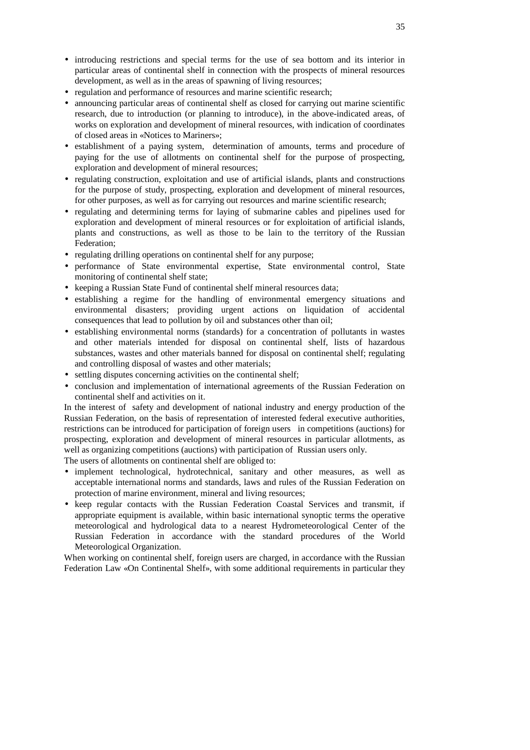- introducing restrictions and special terms for the use of sea bottom and its interior in particular areas of continental shelf in connection with the prospects of mineral resources development, as well as in the areas of spawning of living resources;
- regulation and performance of resources and marine scientific research;
- announcing particular areas of continental shelf as closed for carrying out marine scientific research, due to introduction (or planning to introduce), in the above-indicated areas, of works on exploration and development of mineral resources, with indication of coordinates of closed areas in «Notices to Mariners»;
- establishment of a paying system, determination of amounts, terms and procedure of paying for the use of allotments on continental shelf for the purpose of prospecting, exploration and development of mineral resources;
- regulating construction, exploitation and use of artificial islands, plants and constructions for the purpose of study, prospecting, exploration and development of mineral resources, for other purposes, as well as for carrying out resources and marine scientific research;
- regulating and determining terms for laying of submarine cables and pipelines used for exploration and development of mineral resources or for exploitation of artificial islands, plants and constructions, as well as those to be lain to the territory of the Russian Federation;
- regulating drilling operations on continental shelf for any purpose;
- performance of State environmental expertise, State environmental control, State monitoring of continental shelf state;
- keeping a Russian State Fund of continental shelf mineral resources data;
- establishing a regime for the handling of environmental emergency situations and environmental disasters; providing urgent actions on liquidation of accidental consequences that lead to pollution by oil and substances other than oil;
- establishing environmental norms (standards) for a concentration of pollutants in wastes and other materials intended for disposal on continental shelf, lists of hazardous substances, wastes and other materials banned for disposal on continental shelf; regulating and controlling disposal of wastes and other materials;
- settling disputes concerning activities on the continental shelf;
- conclusion and implementation of international agreements of the Russian Federation on continental shelf and activities on it.

In the interest of safety and development of national industry and energy production of the Russian Federation, on the basis of representation of interested federal executive authorities, restrictions can be introduced for participation of foreign users in competitions (auctions) for prospecting, exploration and development of mineral resources in particular allotments, as well as organizing competitions (auctions) with participation of Russian users only.

The users of allotments on continental shelf are obliged to:

- implement technological, hydrotechnical, sanitary and other measures, as well as acceptable international norms and standards, laws and rules of the Russian Federation on protection of marine environment, mineral and living resources;
- keep regular contacts with the Russian Federation Coastal Services and transmit, if appropriate equipment is available, within basic international synoptic terms the operative meteorological and hydrological data to a nearest Hydrometeorological Center of the Russian Federation in accordance with the standard procedures of the World Meteorological Organization.

When working on continental shelf, foreign users are charged, in accordance with the Russian Federation Law «On Continental Shelf», with some additional requirements in particular they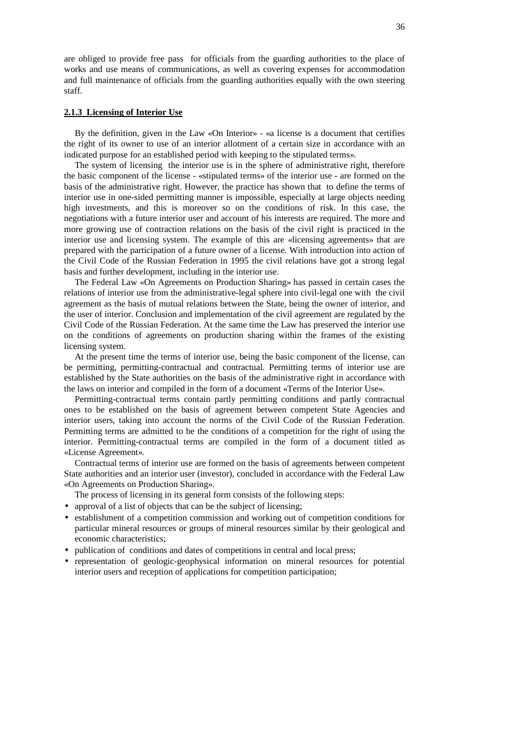are obliged to provide free pass for officials from the guarding authorities to the place of works and use means of communications, as well as covering expenses for accommodation and full maintenance of officials from the guarding authorities equally with the own steering staff.

## **2.1.3 Licensing of Interior Use**

By the definition, given in the Law «On Interior» - «a license is a document that certifies the right of its owner to use of an interior allotment of a certain size in accordance with an indicated purpose for an established period with keeping to the stipulated terms».

The system of licensing the interior use is in the sphere of administrative right, therefore the basic component of the license - «stipulated terms» of the interior use - are formed on the basis of the administrative right. However, the practice has shown that to define the terms of interior use in one-sided permitting manner is impossible, especially at large objects needing high investments, and this is moreover so on the conditions of risk. In this case, the negotiations with a future interior user and account of his interests are required. The more and more growing use of contraction relations on the basis of the civil right is practiced in the interior use and licensing system. The example of this are «licensing agreements» that are prepared with the participation of a future owner of a license. With introduction into action of the Civil Code of the Russian Federation in 1995 the civil relations have got a strong legal basis and further development, including in the interior use.

The Federal Law «On Agreements on Production Sharing» has passed in certain cases the relations of interior use from the administrative-legal sphere into civil-legal one with the civil agreement as the basis of mutual relations between the State, being the owner of interior, and the user of interior. Conclusion and implementation of the civil agreement are regulated by the Civil Code of the Russian Federation. At the same time the Law has preserved the interior use on the conditions of agreements on production sharing within the frames of the existing licensing system.

At the present time the terms of interior use, being the basic component of the license, can be permitting, permitting-contractual and contractual. Permitting terms of interior use are established by the State authorities on the basis of the administrative right in accordance with the laws on interior and compiled in the form of a document «Terms of the Interior Use».

Permitting-contractual terms contain partly permitting conditions and partly contractual ones to be established on the basis of agreement between competent State Agencies and interior users, taking into account the norms of the Civil Code of the Russian Federation. Permitting terms are admitted to be the conditions of a competition for the right of using the interior. Permitting-contractual terms are compiled in the form of a document titled as «License Agreement».

Contractual terms of interior use are formed on the basis of agreements between competent State authorities and an interior user (investor), concluded in accordance with the Federal Law «On Agreements on Production Sharing».

The process of licensing in its general form consists of the following steps:

- approval of a list of objects that can be the subject of licensing;
- establishment of a competition commission and working out of competition conditions for particular mineral resources or groups of mineral resources similar by their geological and economic characteristics;
- publication of conditions and dates of competitions in central and local press;
- representation of geologic-geophysical information on mineral resources for potential interior users and reception of applications for competition participation;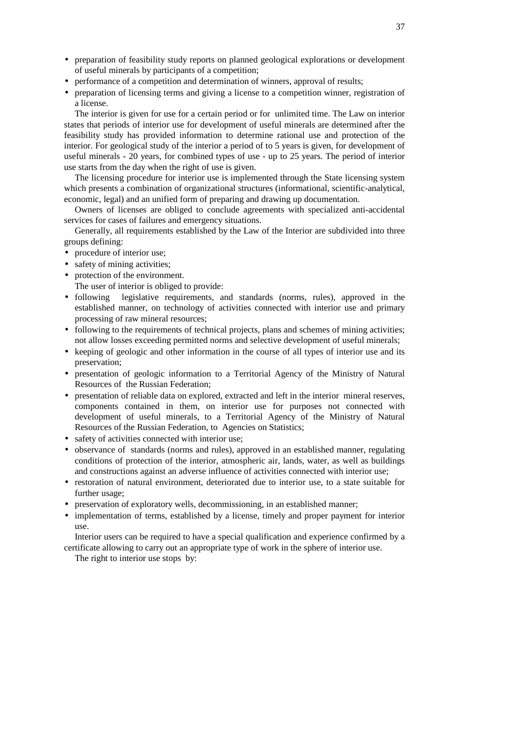- preparation of feasibility study reports on planned geological explorations or development of useful minerals by participants of a competition;
- performance of a competition and determination of winners, approval of results;
- preparation of licensing terms and giving a license to a competition winner, registration of a license.

The interior is given for use for a certain period or for unlimited time. The Law on interior states that periods of interior use for development of useful minerals are determined after the feasibility study has provided information to determine rational use and protection of the interior. For geological study of the interior a period of to 5 years is given, for development of useful minerals - 20 years, for combined types of use - up to 25 years. The period of interior use starts from the day when the right of use is given.

The licensing procedure for interior use is implemented through the State licensing system which presents a combination of organizational structures (informational, scientific-analytical, economic, legal) and an unified form of preparing and drawing up documentation.

Owners of licenses are obliged to conclude agreements with specialized anti-accidental services for cases of failures and emergency situations.

Generally, all requirements established by the Law of the Interior are subdivided into three groups defining:

- procedure of interior use;
- safety of mining activities;
- protection of the environment.
	- The user of interior is obliged to provide:
- following legislative requirements, and standards (norms, rules), approved in the established manner, on technology of activities connected with interior use and primary processing of raw mineral resources;
- following to the requirements of technical projects, plans and schemes of mining activities; not allow losses exceeding permitted norms and selective development of useful minerals;
- keeping of geologic and other information in the course of all types of interior use and its preservation;
- presentation of geologic information to a Territorial Agency of the Ministry of Natural Resources of the Russian Federation;
- presentation of reliable data on explored, extracted and left in the interior mineral reserves, components contained in them, on interior use for purposes not connected with development of useful minerals, to a Territorial Agency of the Ministry of Natural Resources of the Russian Federation, to Agencies on Statistics;
- safety of activities connected with interior use;
- observance of standards (norms and rules), approved in an established manner, regulating conditions of protection of the interior, atmospheric air, lands, water, as well as buildings and constructions against an adverse influence of activities connected with interior use;
- restoration of natural environment, deteriorated due to interior use, to a state suitable for further usage;
- preservation of exploratory wells, decommissioning, in an established manner;
- implementation of terms, established by a license, timely and proper payment for interior use.

Interior users can be required to have a special qualification and experience confirmed by a certificate allowing to carry out an appropriate type of work in the sphere of interior use.

The right to interior use stops by: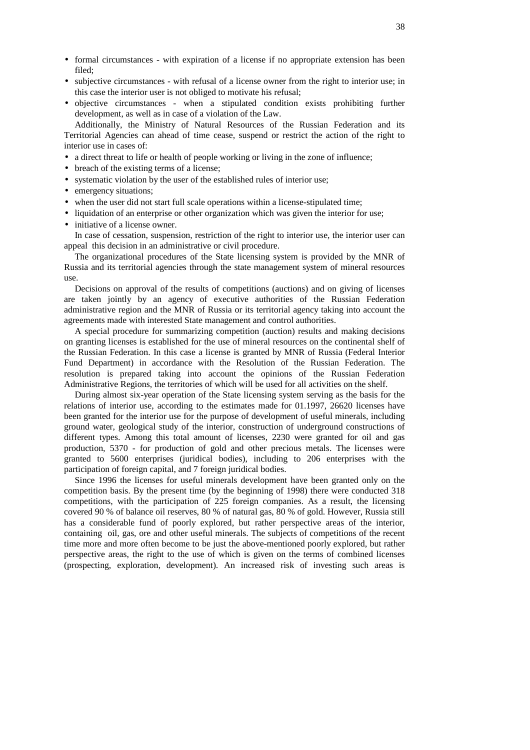- formal circumstances with expiration of a license if no appropriate extension has been filed;
- subjective circumstances with refusal of a license owner from the right to interior use; in this case the interior user is not obliged to motivate his refusal;
- objective circumstances when a stipulated condition exists prohibiting further development, as well as in case of a violation of the Law.

Additionally, the Ministry of Natural Resources of the Russian Federation and its Territorial Agencies can ahead of time cease, suspend or restrict the action of the right to interior use in cases of:

- a direct threat to life or health of people working or living in the zone of influence;
- breach of the existing terms of a license;
- systematic violation by the user of the established rules of interior use;
- emergency situations:
- when the user did not start full scale operations within a license-stipulated time:
- liquidation of an enterprise or other organization which was given the interior for use;
- initiative of a license owner.

In case of cessation, suspension, restriction of the right to interior use, the interior user can appeal this decision in an administrative or civil procedure.

The organizational procedures of the State licensing system is provided by the MNR of Russia and its territorial agencies through the state management system of mineral resources use.

Decisions on approval of the results of competitions (auctions) and on giving of licenses are taken jointly by an agency of executive authorities of the Russian Federation administrative region and the MNR of Russia or its territorial agency taking into account the agreements made with interested State management and control authorities.

A special procedure for summarizing competition (auction) results and making decisions on granting licenses is established for the use of mineral resources on the continental shelf of the Russian Federation. In this case a license is granted by MNR of Russia (Federal Interior Fund Department) in accordance with the Resolution of the Russian Federation. The resolution is prepared taking into account the opinions of the Russian Federation Administrative Regions, the territories of which will be used for all activities on the shelf.

During almost six-year operation of the State licensing system serving as the basis for the relations of interior use, according to the estimates made for 01.1997, 26620 licenses have been granted for the interior use for the purpose of development of useful minerals, including ground water, geological study of the interior, construction of underground constructions of different types. Among this total amount of licenses, 2230 were granted for oil and gas production, 5370 - for production of gold and other precious metals. The licenses were granted to 5600 enterprises (juridical bodies), including to 206 enterprises with the participation of foreign capital, and 7 foreign juridical bodies.

Since 1996 the licenses for useful minerals development have been granted only on the competition basis. By the present time (by the beginning of 1998) there were conducted 318 competitions, with the participation of 225 foreign companies. As a result, the licensing covered 90 % of balance oil reserves, 80 % of natural gas, 80 % of gold. However, Russia still has a considerable fund of poorly explored, but rather perspective areas of the interior, containing oil, gas, ore and other useful minerals. The subjects of competitions of the recent time more and more often become to be just the above-mentioned poorly explored, but rather perspective areas, the right to the use of which is given on the terms of combined licenses (prospecting, exploration, development). An increased risk of investing such areas is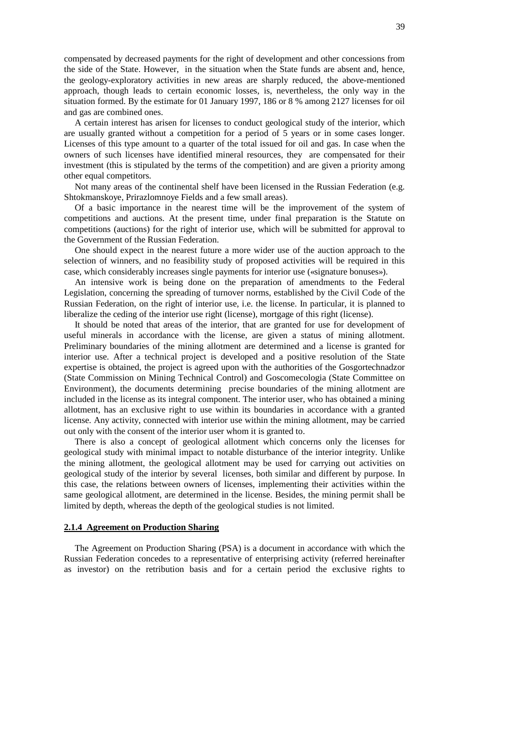compensated by decreased payments for the right of development and other concessions from the side of the State. However, in the situation when the State funds are absent and, hence, the geology-exploratory activities in new areas are sharply reduced, the above-mentioned approach, though leads to certain economic losses, is, nevertheless, the only way in the situation formed. By the estimate for 01 January 1997, 186 or 8 % among 2127 licenses for oil and gas are combined ones.

A certain interest has arisen for licenses to conduct geological study of the interior, which are usually granted without a competition for a period of 5 years or in some cases longer. Licenses of this type amount to a quarter of the total issued for oil and gas. In case when the owners of such licenses have identified mineral resources, they are compensated for their investment (this is stipulated by the terms of the competition) and are given a priority among other equal competitors.

Not many areas of the continental shelf have been licensed in the Russian Federation (e.g. Shtokmanskoye, Prirazlomnoye Fields and a few small areas).

Of a basic importance in the nearest time will be the improvement of the system of competitions and auctions. At the present time, under final preparation is the Statute on competitions (auctions) for the right of interior use, which will be submitted for approval to the Government of the Russian Federation.

One should expect in the nearest future a more wider use of the auction approach to the selection of winners, and no feasibility study of proposed activities will be required in this case, which considerably increases single payments for interior use («signature bonuses»).

An intensive work is being done on the preparation of amendments to the Federal Legislation, concerning the spreading of turnover norms, established by the Civil Code of the Russian Federation, on the right of interior use, i.e. the license. In particular, it is planned to liberalize the ceding of the interior use right (license), mortgage of this right (license).

It should be noted that areas of the interior, that are granted for use for development of useful minerals in accordance with the license, are given a status of mining allotment. Preliminary boundaries of the mining allotment are determined and a license is granted for interior use. After a technical project is developed and a positive resolution of the State expertise is obtained, the project is agreed upon with the authorities of the Gosgortechnadzor (State Commission on Mining Technical Control) and Goscomecologia (State Committee on Environment), the documents determining precise boundaries of the mining allotment are included in the license as its integral component. The interior user, who has obtained a mining allotment, has an exclusive right to use within its boundaries in accordance with a granted license. Any activity, connected with interior use within the mining allotment, may be carried out only with the consent of the interior user whom it is granted to.

There is also a concept of geological allotment which concerns only the licenses for geological study with minimal impact to notable disturbance of the interior integrity. Unlike the mining allotment, the geological allotment may be used for carrying out activities on geological study of the interior by several licenses, both similar and different by purpose. In this case, the relations between owners of licenses, implementing their activities within the same geological allotment, are determined in the license. Besides, the mining permit shall be limited by depth, whereas the depth of the geological studies is not limited.

#### **2.1.4 Agreement on Production Sharing**

The Agreement on Production Sharing (PSA) is a document in accordance with which the Russian Federation concedes to a representative of enterprising activity (referred hereinafter as investor) on the retribution basis and for a certain period the exclusive rights to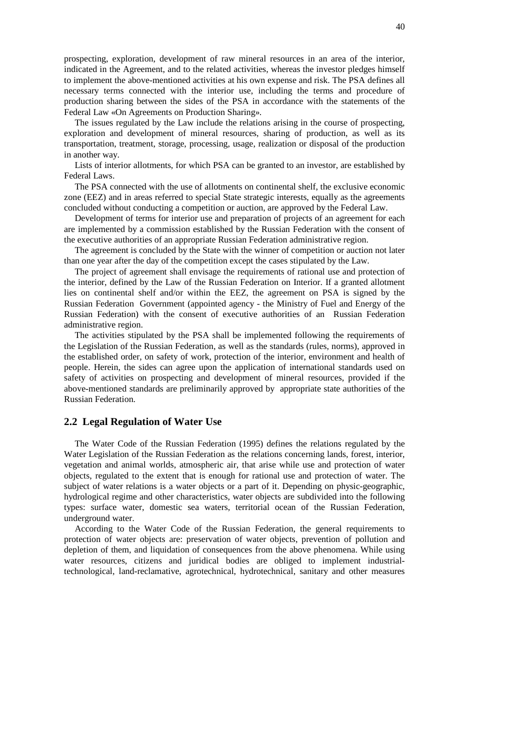prospecting, exploration, development of raw mineral resources in an area of the interior, indicated in the Agreement, and to the related activities, whereas the investor pledges himself to implement the above-mentioned activities at his own expense and risk. The PSA defines all necessary terms connected with the interior use, including the terms and procedure of production sharing between the sides of the PSA in accordance with the statements of the Federal Law «On Agreements on Production Sharing».

The issues regulated by the Law include the relations arising in the course of prospecting, exploration and development of mineral resources, sharing of production, as well as its transportation, treatment, storage, processing, usage, realization or disposal of the production in another way.

Lists of interior allotments, for which PSA can be granted to an investor, are established by Federal Laws.

The PSA connected with the use of allotments on continental shelf, the exclusive economic zone (EEZ) and in areas referred to special State strategic interests, equally as the agreements concluded without conducting a competition or auction, are approved by the Federal Law.

Development of terms for interior use and preparation of projects of an agreement for each are implemented by a commission established by the Russian Federation with the consent of the executive authorities of an appropriate Russian Federation administrative region.

The agreement is concluded by the State with the winner of competition or auction not later than one year after the day of the competition except the cases stipulated by the Law.

The project of agreement shall envisage the requirements of rational use and protection of the interior, defined by the Law of the Russian Federation on Interior. If a granted allotment lies on continental shelf and/or within the EEZ, the agreement on PSA is signed by the Russian Federation Government (appointed agency - the Ministry of Fuel and Energy of the Russian Federation) with the consent of executive authorities of an Russian Federation administrative region.

The activities stipulated by the PSA shall be implemented following the requirements of the Legislation of the Russian Federation, as well as the standards (rules, norms), approved in the established order, on safety of work, protection of the interior, environment and health of people. Herein, the sides can agree upon the application of international standards used on safety of activities on prospecting and development of mineral resources, provided if the above-mentioned standards are preliminarily approved by appropriate state authorities of the Russian Federation.

# **2.2 Legal Regulation of Water Use**

The Water Code of the Russian Federation (1995) defines the relations regulated by the Water Legislation of the Russian Federation as the relations concerning lands, forest, interior, vegetation and animal worlds, atmospheric air, that arise while use and protection of water objects, regulated to the extent that is enough for rational use and protection of water. The subject of water relations is a water objects or a part of it. Depending on physic-geographic, hydrological regime and other characteristics, water objects are subdivided into the following types: surface water, domestic sea waters, territorial ocean of the Russian Federation, underground water.

According to the Water Code of the Russian Federation, the general requirements to protection of water objects are: preservation of water objects, prevention of pollution and depletion of them, and liquidation of consequences from the above phenomena. While using water resources, citizens and juridical bodies are obliged to implement industrialtechnological, land-reclamative, agrotechnical, hydrotechnical, sanitary and other measures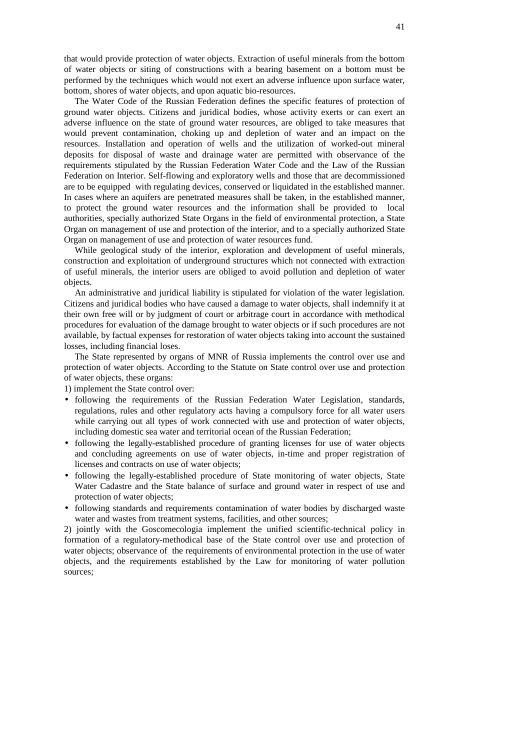that would provide protection of water objects. Extraction of useful minerals from the bottom of water objects or siting of constructions with a bearing basement on a bottom must be performed by the techniques which would not exert an adverse influence upon surface water, bottom, shores of water objects, and upon aquatic bio-resources.

The Water Code of the Russian Federation defines the specific features of protection of ground water objects. Citizens and juridical bodies, whose activity exerts or can exert an adverse influence on the state of ground water resources, are obliged to take measures that would prevent contamination, choking up and depletion of water and an impact on the resources. Installation and operation of wells and the utilization of worked-out mineral deposits for disposal of waste and drainage water are permitted with observance of the requirements stipulated by the Russian Federation Water Code and the Law of the Russian Federation on Interior. Self-flowing and exploratory wells and those that are decommissioned are to be equipped with regulating devices, conserved or liquidated in the established manner. In cases where an aquifers are penetrated measures shall be taken, in the established manner, to protect the ground water resources and the information shall be provided to local authorities, specially authorized State Organs in the field of environmental protection, a State Organ on management of use and protection of the interior, and to a specially authorized State Organ on management of use and protection of water resources fund.

While geological study of the interior, exploration and development of useful minerals, construction and exploitation of underground structures which not connected with extraction of useful minerals, the interior users are obliged to avoid pollution and depletion of water objects.

An administrative and juridical liability is stipulated for violation of the water legislation. Citizens and juridical bodies who have caused a damage to water objects, shall indemnify it at their own free will or by judgment of court or arbitrage court in accordance with methodical procedures for evaluation of the damage brought to water objects or if such procedures are not available, by factual expenses for restoration of water objects taking into account the sustained losses, including financial loses.

The State represented by organs of MNR of Russia implements the control over use and protection of water objects. According to the Statute on State control over use and protection of water objects, these organs:

1) implement the State control over:

- following the requirements of the Russian Federation Water Legislation, standards, regulations, rules and other regulatory acts having a compulsory force for all water users while carrying out all types of work connected with use and protection of water objects, including domestic sea water and territorial ocean of the Russian Federation;
- following the legally-established procedure of granting licenses for use of water objects and concluding agreements on use of water objects, in-time and proper registration of licenses and contracts on use of water objects;
- following the legally-established procedure of State monitoring of water objects, State Water Cadastre and the State balance of surface and ground water in respect of use and protection of water objects;
- following standards and requirements contamination of water bodies by discharged waste water and wastes from treatment systems, facilities, and other sources;

2) jointly with the Goscomecologia implement the unified scientific-technical policy in formation of a regulatory-methodical base of the State control over use and protection of water objects; observance of the requirements of environmental protection in the use of water objects, and the requirements established by the Law for monitoring of water pollution sources;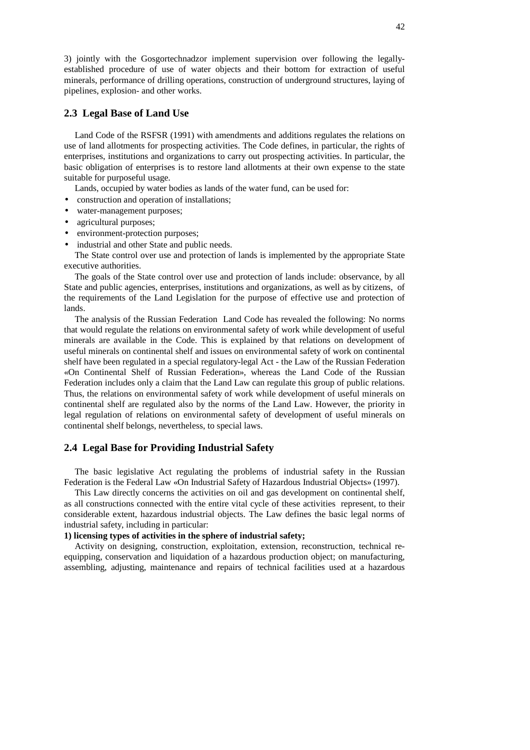3) jointly with the Gosgortechnadzor implement supervision over following the legallyestablished procedure of use of water objects and their bottom for extraction of useful minerals, performance of drilling operations, construction of underground structures, laying of pipelines, explosion- and other works.

# **2.3 Legal Base of Land Use**

Land Code of the RSFSR (1991) with amendments and additions regulates the relations on use of land allotments for prospecting activities. The Code defines, in particular, the rights of enterprises, institutions and organizations to carry out prospecting activities. In particular, the basic obligation of enterprises is to restore land allotments at their own expense to the state suitable for purposeful usage.

Lands, occupied by water bodies as lands of the water fund, can be used for:

- construction and operation of installations;
- water-management purposes;
- agricultural purposes;
- environment-protection purposes;
- industrial and other State and public needs.

The State control over use and protection of lands is implemented by the appropriate State executive authorities.

The goals of the State control over use and protection of lands include: observance, by all State and public agencies, enterprises, institutions and organizations, as well as by citizens, of the requirements of the Land Legislation for the purpose of effective use and protection of lands.

The analysis of the Russian Federation Land Code has revealed the following: No norms that would regulate the relations on environmental safety of work while development of useful minerals are available in the Code. This is explained by that relations on development of useful minerals on continental shelf and issues on environmental safety of work on continental shelf have been regulated in a special regulatory-legal Act - the Law of the Russian Federation «On Continental Shelf of Russian Federation», whereas the Land Code of the Russian Federation includes only a claim that the Land Law can regulate this group of public relations. Thus, the relations on environmental safety of work while development of useful minerals on continental shelf are regulated also by the norms of the Land Law. However, the priority in legal regulation of relations on environmental safety of development of useful minerals on continental shelf belongs, nevertheless, to special laws.

# **2.4 Legal Base for Providing Industrial Safety**

The basic legislative Act regulating the problems of industrial safety in the Russian Federation is the Federal Law «On Industrial Safety of Hazardous Industrial Objects» (1997).

This Law directly concerns the activities on oil and gas development on continental shelf, as all constructions connected with the entire vital cycle of these activities represent, to their considerable extent, hazardous industrial objects. The Law defines the basic legal norms of industrial safety, including in particular:

### **1) licensing types of activities in the sphere of industrial safety;**

Activity on designing, construction, exploitation, extension, reconstruction, technical reequipping, conservation and liquidation of a hazardous production object; on manufacturing, assembling, adjusting, maintenance and repairs of technical facilities used at a hazardous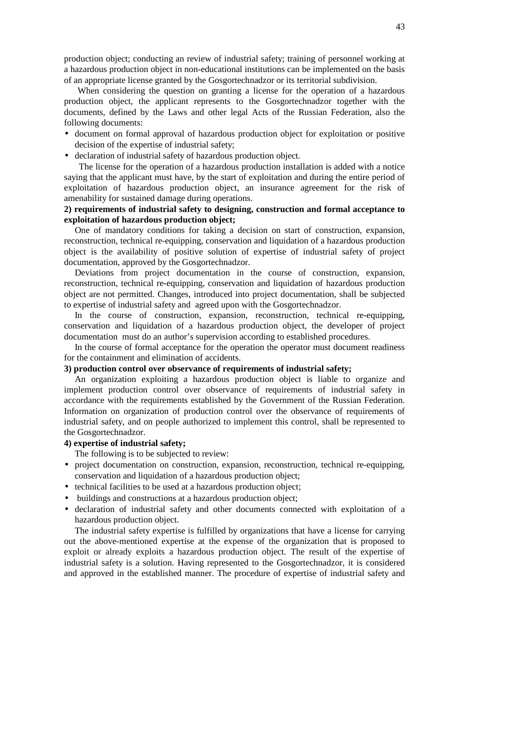production object; conducting an review of industrial safety; training of personnel working at a hazardous production object in non-educational institutions can be implemented on the basis of an appropriate license granted by the Gosgortechnadzor or its territorial subdivision.

When considering the question on granting a license for the operation of a hazardous production object, the applicant represents to the Gosgortechnadzor together with the documents, defined by the Laws and other legal Acts of the Russian Federation, also the following documents:

- document on formal approval of hazardous production object for exploitation or positive decision of the expertise of industrial safety;
- declaration of industrial safety of hazardous production object.

The license for the operation of a hazardous production installation is added with a notice saying that the applicant must have, by the start of exploitation and during the entire period of exploitation of hazardous production object, an insurance agreement for the risk of amenability for sustained damage during operations.

# **2) requirements of industrial safety to designing, construction and formal acceptance to exploitation of hazardous production object;**

One of mandatory conditions for taking a decision on start of construction, expansion, reconstruction, technical re-equipping, conservation and liquidation of a hazardous production object is the availability of positive solution of expertise of industrial safety of project documentation, approved by the Gosgortechnadzor.

Deviations from project documentation in the course of construction, expansion, reconstruction, technical re-equipping, conservation and liquidation of hazardous production object are not permitted. Changes, introduced into project documentation, shall be subjected to expertise of industrial safety and agreed upon with the Gosgortechnadzor.

In the course of construction, expansion, reconstruction, technical re-equipping, conservation and liquidation of a hazardous production object, the developer of project documentation must do an author's supervision according to established procedures.

In the course of formal acceptance for the operation the operator must document readiness for the containment and elimination of accidents.

## **3) production control over observance of requirements of industrial safety;**

An organization exploiting a hazardous production object is liable to organize and implement production control over observance of requirements of industrial safety in accordance with the requirements established by the Government of the Russian Federation. Information on organization of production control over the observance of requirements of industrial safety, and on people authorized to implement this control, shall be represented to the Gosgortechnadzor.

## **4) expertise of industrial safety;**

The following is to be subjected to review:

- project documentation on construction, expansion, reconstruction, technical re-equipping, conservation and liquidation of a hazardous production object;
- technical facilities to be used at a hazardous production object;
- buildings and constructions at a hazardous production object;
- declaration of industrial safety and other documents connected with exploitation of a hazardous production object.

The industrial safety expertise is fulfilled by organizations that have a license for carrying out the above-mentioned expertise at the expense of the organization that is proposed to exploit or already exploits a hazardous production object. The result of the expertise of industrial safety is a solution. Having represented to the Gosgortechnadzor, it is considered and approved in the established manner. The procedure of expertise of industrial safety and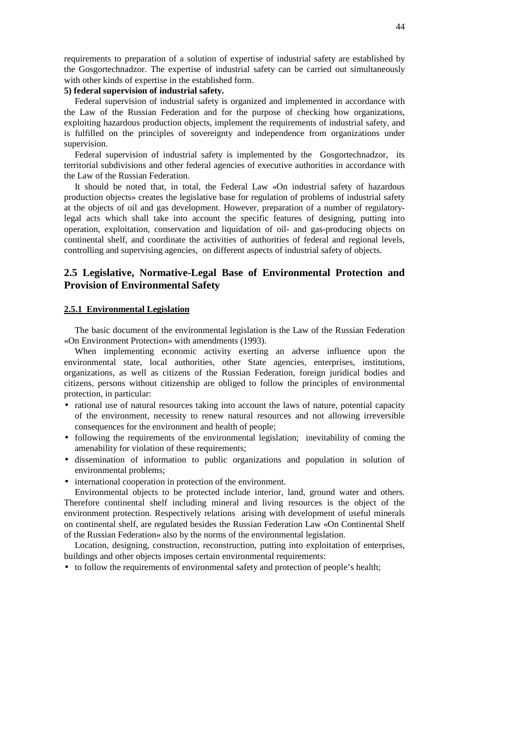requirements to preparation of a solution of expertise of industrial safety are established by the Gosgortechnadzor. The expertise of industrial safety can be carried out simultaneously with other kinds of expertise in the established form.

# **5) federal supervision of industrial safety.**

Federal supervision of industrial safety is organized and implemented in accordance with the Law of the Russian Federation and for the purpose of checking how organizations, exploiting hazardous production objects, implement the requirements of industrial safety, and is fulfilled on the principles of sovereignty and independence from organizations under supervision.

Federal supervision of industrial safety is implemented by the Gosgortechnadzor, its territorial subdivisions and other federal agencies of executive authorities in accordance with the Law of the Russian Federation.

It should be noted that, in total, the Federal Law «On industrial safety of hazardous production objects» creates the legislative base for regulation of problems of industrial safety at the objects of oil and gas development. However, preparation of a number of regulatorylegal acts which shall take into account the specific features of designing, putting into operation, exploitation, conservation and liquidation of oil- and gas-producing objects on continental shelf, and coordinate the activities of authorities of federal and regional levels, controlling and supervising agencies, on different aspects of industrial safety of objects.

# **2.5 Legislative, Normative-Legal Base of Environmental Protection and Provision of Environmental Safety**

#### **2.5.1 Environmental Legislation**

The basic document of the environmental legislation is the Law of the Russian Federation «On Environment Protection» with amendments (1993).

When implementing economic activity exerting an adverse influence upon the environmental state, local authorities, other State agencies, enterprises, institutions, organizations, as well as citizens of the Russian Federation, foreign juridical bodies and citizens, persons without citizenship are obliged to follow the principles of environmental protection, in particular:

- rational use of natural resources taking into account the laws of nature, potential capacity of the environment, necessity to renew natural resources and not allowing irreversible consequences for the environment and health of people;
- following the requirements of the environmental legislation; inevitability of coming the amenability for violation of these requirements;
- dissemination of information to public organizations and population in solution of environmental problems;
- international cooperation in protection of the environment.

Environmental objects to be protected include interior, land, ground water and others. Therefore continental shelf including mineral and living resources is the object of the environment protection. Respectively relations arising with development of useful minerals on continental shelf, are regulated besides the Russian Federation Law «On Continental Shelf of the Russian Federation» also by the norms of the environmental legislation.

Location, designing, construction, reconstruction, putting into exploitation of enterprises, buildings and other objects imposes certain environmental requirements:

• to follow the requirements of environmental safety and protection of people's health;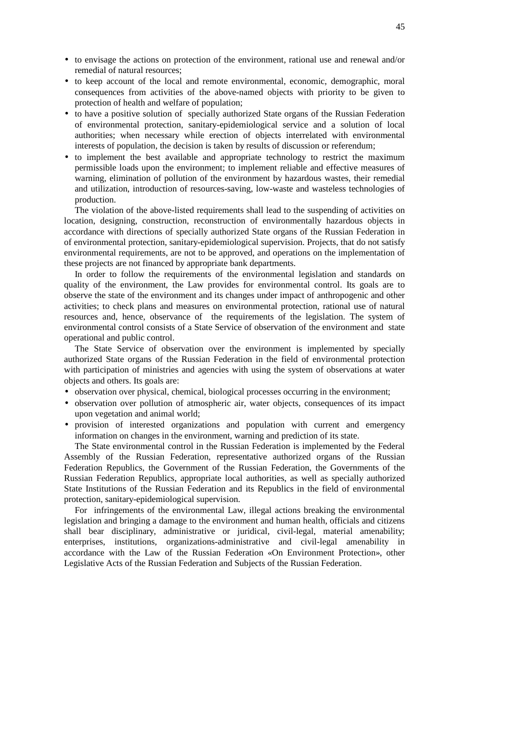- to envisage the actions on protection of the environment, rational use and renewal and/or remedial of natural resources;
- to keep account of the local and remote environmental, economic, demographic, moral consequences from activities of the above-named objects with priority to be given to protection of health and welfare of population;
- to have a positive solution of specially authorized State organs of the Russian Federation of environmental protection, sanitary-epidemiological service and a solution of local authorities; when necessary while erection of objects interrelated with environmental interests of population, the decision is taken by results of discussion or referendum;
- to implement the best available and appropriate technology to restrict the maximum permissible loads upon the environment; to implement reliable and effective measures of warning, elimination of pollution of the environment by hazardous wastes, their remedial and utilization, introduction of resources-saving, low-waste and wasteless technologies of production.

The violation of the above-listed requirements shall lead to the suspending of activities on location, designing, construction, reconstruction of environmentally hazardous objects in accordance with directions of specially authorized State organs of the Russian Federation in of environmental protection, sanitary-epidemiological supervision. Projects, that do not satisfy environmental requirements, are not to be approved, and operations on the implementation of these projects are not financed by appropriate bank departments.

In order to follow the requirements of the environmental legislation and standards on quality of the environment, the Law provides for environmental control. Its goals are to observe the state of the environment and its changes under impact of anthropogenic and other activities; to check plans and measures on environmental protection, rational use of natural resources and, hence, observance of the requirements of the legislation. The system of environmental control consists of a State Service of observation of the environment and state operational and public control.

The State Service of observation over the environment is implemented by specially authorized State organs of the Russian Federation in the field of environmental protection with participation of ministries and agencies with using the system of observations at water objects and others. Its goals are:

- observation over physical, chemical, biological processes occurring in the environment;
- observation over pollution of atmospheric air, water objects, consequences of its impact upon vegetation and animal world;
- provision of interested organizations and population with current and emergency information on changes in the environment, warning and prediction of its state.

The State environmental control in the Russian Federation is implemented by the Federal Assembly of the Russian Federation, representative authorized organs of the Russian Federation Republics, the Government of the Russian Federation, the Governments of the Russian Federation Republics, appropriate local authorities, as well as specially authorized State Institutions of the Russian Federation and its Republics in the field of environmental protection, sanitary-epidemiological supervision.

For infringements of the environmental Law, illegal actions breaking the environmental legislation and bringing a damage to the environment and human health, officials and citizens shall bear disciplinary, administrative or juridical, civil-legal, material amenability; enterprises, institutions, organizations-administrative and civil-legal amenability in accordance with the Law of the Russian Federation «On Environment Protection», other Legislative Acts of the Russian Federation and Subjects of the Russian Federation.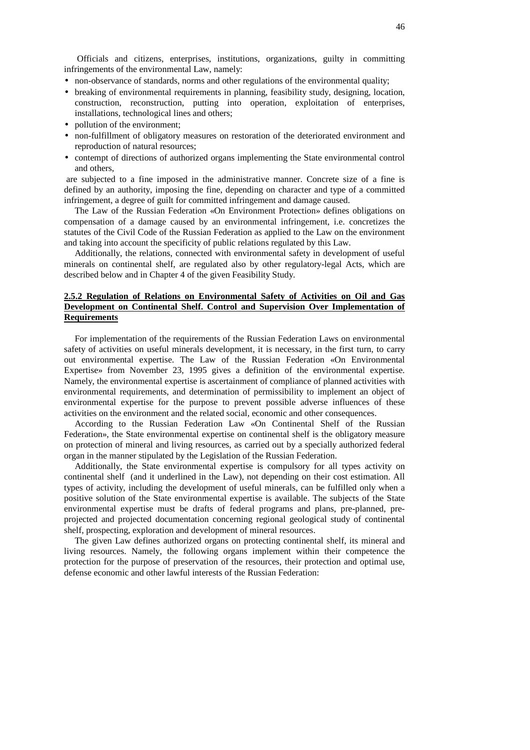Officials and citizens, enterprises, institutions, organizations, guilty in committing infringements of the environmental Law, namely:

- non-observance of standards, norms and other regulations of the environmental quality;
- breaking of environmental requirements in planning, feasibility study, designing, location, construction, reconstruction, putting into operation, exploitation of enterprises, installations, technological lines and others;
- pollution of the environment;
- non-fulfillment of obligatory measures on restoration of the deteriorated environment and reproduction of natural resources;
- contempt of directions of authorized organs implementing the State environmental control and others,

are subjected to a fine imposed in the administrative manner. Concrete size of a fine is defined by an authority, imposing the fine, depending on character and type of a committed infringement, a degree of guilt for committed infringement and damage caused.

The Law of the Russian Federation «On Environment Protection» defines obligations on compensation of a damage caused by an environmental infringement, i.e. concretizes the statutes of the Civil Code of the Russian Federation as applied to the Law on the environment and taking into account the specificity of public relations regulated by this Law.

Additionally, the relations, connected with environmental safety in development of useful minerals on continental shelf, are regulated also by other regulatory-legal Acts, which are described below and in Chapter 4 of the given Feasibility Study.

# **2.5.2 Regulation of Relations on Environmental Safety of Activities on Oil and Gas Development on Continental Shelf. Control and Supervision Over Implementation of Requirements**

For implementation of the requirements of the Russian Federation Laws on environmental safety of activities on useful minerals development, it is necessary, in the first turn, to carry out environmental expertise. The Law of the Russian Federation «On Environmental Expertise» from November 23, 1995 gives a definition of the environmental expertise. Namely, the environmental expertise is ascertainment of compliance of planned activities with environmental requirements, and determination of permissibility to implement an object of environmental expertise for the purpose to prevent possible adverse influences of these activities on the environment and the related social, economic and other consequences.

According to the Russian Federation Law «On Continental Shelf of the Russian Federation», the State environmental expertise on continental shelf is the obligatory measure on protection of mineral and living resources, as carried out by a specially authorized federal organ in the manner stipulated by the Legislation of the Russian Federation.

Additionally, the State environmental expertise is compulsory for all types activity on continental shelf (and it underlined in the Law), not depending on their cost estimation. All types of activity, including the development of useful minerals, can be fulfilled only when a positive solution of the State environmental expertise is available. The subjects of the State environmental expertise must be drafts of federal programs and plans, pre-planned, preprojected and projected documentation concerning regional geological study of continental shelf, prospecting, exploration and development of mineral resources.

The given Law defines authorized organs on protecting continental shelf, its mineral and living resources. Namely, the following organs implement within their competence the protection for the purpose of preservation of the resources, their protection and optimal use, defense economic and other lawful interests of the Russian Federation: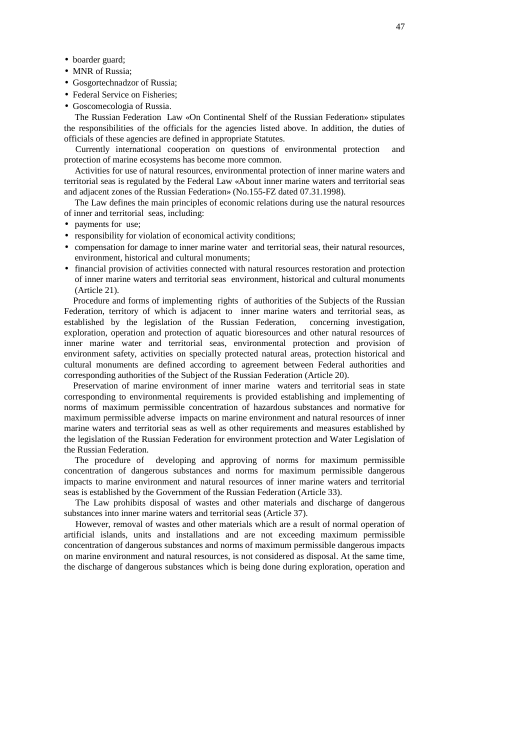- boarder guard;
- MNR of Russia;
- Gosgortechnadzor of Russia;
- Federal Service on Fisheries:
- Goscomecologia of Russia.

The Russian Federation Law «On Continental Shelf of the Russian Federation» stipulates the responsibilities of the officials for the agencies listed above. In addition, the duties of officials of these agencies are defined in appropriate Statutes.

Currently international cooperation on questions of environmental protection and protection of marine ecosystems has become more common.

Activities for use of natural resources, environmental protection of inner marine waters and territorial seas is regulated by the Federal Law «About inner marine waters and territorial seas and adjacent zones of the Russian Federation» (No.155-FZ dated 07.31.1998).

The Law defines the main principles of economic relations during use the natural resources of inner and territorial seas, including:

- payments for use;
- responsibility for violation of economical activity conditions;
- compensation for damage to inner marine water and territorial seas, their natural resources, environment, historical and cultural monuments;
- financial provision of activities connected with natural resources restoration and protection of inner marine waters and territorial seas environment, historical and cultural monuments (Article 21).

Procedure and forms of implementing rights of authorities of the Subjects of the Russian Federation, territory of which is adjacent to inner marine waters and territorial seas, as established by the legislation of the Russian Federation, concerning investigation, exploration, operation and protection of aquatic bioresources and other natural resources of inner marine water and territorial seas, environmental protection and provision of environment safety, activities on specially protected natural areas, protection historical and cultural monuments are defined according to agreement between Federal authorities and corresponding authorities of the Subject of the Russian Federation (Article 20).

Preservation of marine environment of inner marine waters and territorial seas in state corresponding to environmental requirements is provided establishing and implementing of norms of maximum permissible concentration of hazardous substances and normative for maximum permissible adverse impacts on marine environment and natural resources of inner marine waters and territorial seas as well as other requirements and measures established by the legislation of the Russian Federation for environment protection and Water Legislation of the Russian Federation.

The procedure of developing and approving of norms for maximum permissible concentration of dangerous substances and norms for maximum permissible dangerous impacts to marine environment and natural resources of inner marine waters and territorial seas is established by the Government of the Russian Federation (Article 33).

The Law prohibits disposal of wastes and other materials and discharge of dangerous substances into inner marine waters and territorial seas (Article 37).

However, removal of wastes and other materials which are a result of normal operation of artificial islands, units and installations and are not exceeding maximum permissible concentration of dangerous substances and norms of maximum permissible dangerous impacts on marine environment and natural resources, is not considered as disposal. At the same time, the discharge of dangerous substances which is being done during exploration, operation and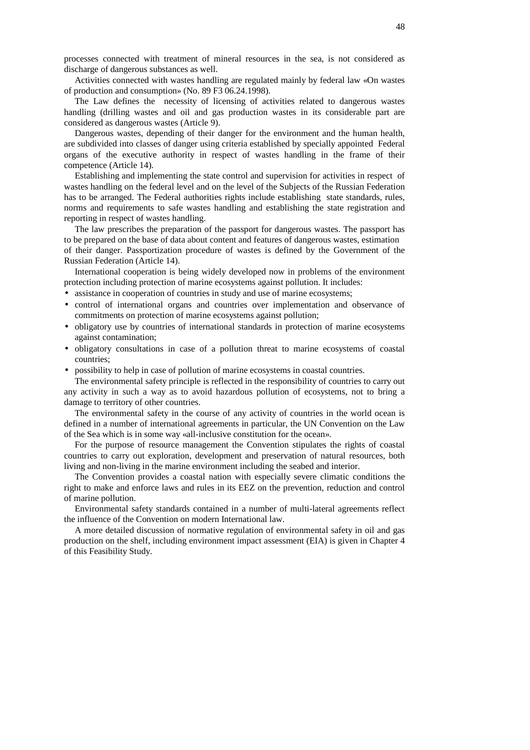processes connected with treatment of mineral resources in the sea, is not considered as discharge of dangerous substances as well.

Activities connected with wastes handling are regulated mainly by federal law «On wastes of production and consumption» (No. 89 F3 06.24.1998).

The Law defines the necessity of licensing of activities related to dangerous wastes handling (drilling wastes and oil and gas production wastes in its considerable part are considered as dangerous wastes (Article 9).

Dangerous wastes, depending of their danger for the environment and the human health, are subdivided into classes of danger using criteria established by specially appointed Federal organs of the executive authority in respect of wastes handling in the frame of their competence (Article 14).

Establishing and implementing the state control and supervision for activities in respect of wastes handling on the federal level and on the level of the Subjects of the Russian Federation has to be arranged. The Federal authorities rights include establishing state standards, rules, norms and requirements to safe wastes handling and establishing the state registration and reporting in respect of wastes handling.

The law prescribes the preparation of the passport for dangerous wastes. The passport has to be prepared on the base of data about content and features of dangerous wastes, estimation of their danger. Passportization procedure of wastes is defined by the Government of the Russian Federation (Article 14).

International cooperation is being widely developed now in problems of the environment protection including protection of marine ecosystems against pollution. It includes:

- assistance in cooperation of countries in study and use of marine ecosystems;
- control of international organs and countries over implementation and observance of commitments on protection of marine ecosystems against pollution;
- obligatory use by countries of international standards in protection of marine ecosystems against contamination;
- obligatory consultations in case of a pollution threat to marine ecosystems of coastal countries;
- possibility to help in case of pollution of marine ecosystems in coastal countries.

The environmental safety principle is reflected in the responsibility of countries to carry out any activity in such a way as to avoid hazardous pollution of ecosystems, not to bring a damage to territory of other countries.

The environmental safety in the course of any activity of countries in the world ocean is defined in a number of international agreements in particular, the UN Convention on the Law of the Sea which is in some way «all-inclusive constitution for the ocean».

For the purpose of resource management the Convention stipulates the rights of coastal countries to carry out exploration, development and preservation of natural resources, both living and non-living in the marine environment including the seabed and interior.

The Convention provides a coastal nation with especially severe climatic conditions the right to make and enforce laws and rules in its EEZ on the prevention, reduction and control of marine pollution.

Environmental safety standards contained in a number of multi-lateral agreements reflect the influence of the Convention on modern International law.

A more detailed discussion of normative regulation of environmental safety in oil and gas production on the shelf, including environment impact assessment (EIA) is given in Chapter 4 of this Feasibility Study.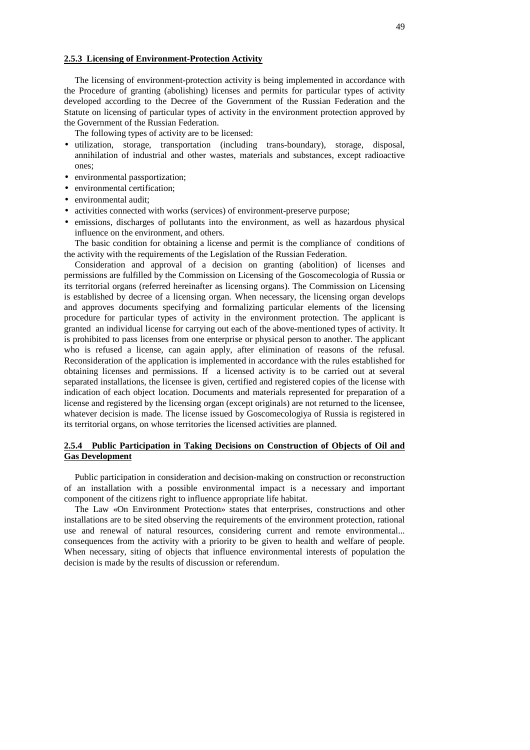#### **2.5.3 Licensing of Environment-Protection Activity**

The licensing of environment-protection activity is being implemented in accordance with the Procedure of granting (abolishing) licenses and permits for particular types of activity developed according to the Decree of the Government of the Russian Federation and the Statute on licensing of particular types of activity in the environment protection approved by the Government of the Russian Federation.

The following types of activity are to be licensed:

- utilization, storage, transportation (including trans-boundary), storage, disposal, annihilation of industrial and other wastes, materials and substances, except radioactive ones;
- environmental passportization;
- environmental certification;
- environmental audit:
- activities connected with works (services) of environment-preserve purpose;
- emissions, discharges of pollutants into the environment, as well as hazardous physical influence on the environment, and others.

The basic condition for obtaining a license and permit is the compliance of conditions of the activity with the requirements of the Legislation of the Russian Federation.

Consideration and approval of a decision on granting (abolition) of licenses and permissions are fulfilled by the Commission on Licensing of the Goscomecologia of Russia or its territorial organs (referred hereinafter as licensing organs). The Commission on Licensing is established by decree of a licensing organ. When necessary, the licensing organ develops and approves documents specifying and formalizing particular elements of the licensing procedure for particular types of activity in the environment protection. The applicant is granted an individual license for carrying out each of the above-mentioned types of activity. It is prohibited to pass licenses from one enterprise or physical person to another. The applicant who is refused a license, can again apply, after elimination of reasons of the refusal. Reconsideration of the application is implemented in accordance with the rules established for obtaining licenses and permissions. If a licensed activity is to be carried out at several separated installations, the licensee is given, certified and registered copies of the license with indication of each object location. Documents and materials represented for preparation of a license and registered by the licensing organ (except originals) are not returned to the licensee, whatever decision is made. The license issued by Goscomecologiya of Russia is registered in its territorial organs, on whose territories the licensed activities are planned.

# **2.5.4 Public Participation in Taking Decisions on Construction of Objects of Oil and Gas Development**

Public participation in consideration and decision-making on construction or reconstruction of an installation with a possible environmental impact is a necessary and important component of the citizens right to influence appropriate life habitat.

The Law «On Environment Protection» states that enterprises, constructions and other installations are to be sited observing the requirements of the environment protection, rational use and renewal of natural resources, considering current and remote environmental... consequences from the activity with a priority to be given to health and welfare of people. When necessary, siting of objects that influence environmental interests of population the decision is made by the results of discussion or referendum.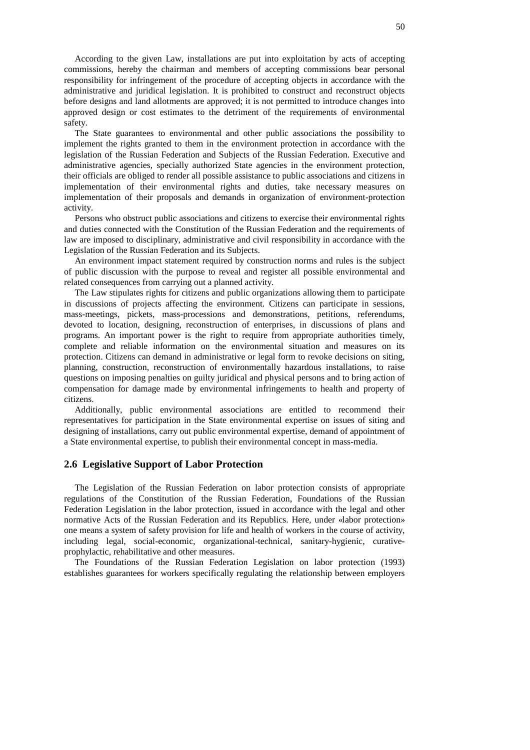According to the given Law, installations are put into exploitation by acts of accepting commissions, hereby the chairman and members of accepting commissions bear personal responsibility for infringement of the procedure of accepting objects in accordance with the administrative and juridical legislation. It is prohibited to construct and reconstruct objects before designs and land allotments are approved; it is not permitted to introduce changes into approved design or cost estimates to the detriment of the requirements of environmental safety.

The State guarantees to environmental and other public associations the possibility to implement the rights granted to them in the environment protection in accordance with the legislation of the Russian Federation and Subjects of the Russian Federation. Executive and administrative agencies, specially authorized State agencies in the environment protection, their officials are obliged to render all possible assistance to public associations and citizens in implementation of their environmental rights and duties, take necessary measures on implementation of their proposals and demands in organization of environment-protection activity.

Persons who obstruct public associations and citizens to exercise their environmental rights and duties connected with the Constitution of the Russian Federation and the requirements of law are imposed to disciplinary, administrative and civil responsibility in accordance with the Legislation of the Russian Federation and its Subjects.

An environment impact statement required by construction norms and rules is the subject of public discussion with the purpose to reveal and register all possible environmental and related consequences from carrying out a planned activity.

The Law stipulates rights for citizens and public organizations allowing them to participate in discussions of projects affecting the environment. Citizens can participate in sessions, mass-meetings, pickets, mass-processions and demonstrations, petitions, referendums, devoted to location, designing, reconstruction of enterprises, in discussions of plans and programs. An important power is the right to require from appropriate authorities timely, complete and reliable information on the environmental situation and measures on its protection. Citizens can demand in administrative or legal form to revoke decisions on siting, planning, construction, reconstruction of environmentally hazardous installations, to raise questions on imposing penalties on guilty juridical and physical persons and to bring action of compensation for damage made by environmental infringements to health and property of citizens.

Additionally, public environmental associations are entitled to recommend their representatives for participation in the State environmental expertise on issues of siting and designing of installations, carry out public environmental expertise, demand of appointment of a State environmental expertise, to publish their environmental concept in mass-media.

## **2.6 Legislative Support of Labor Protection**

The Legislation of the Russian Federation on labor protection consists of appropriate regulations of the Constitution of the Russian Federation, Foundations of the Russian Federation Legislation in the labor protection, issued in accordance with the legal and other normative Acts of the Russian Federation and its Republics. Here, under «labor protection» one means a system of safety provision for life and health of workers in the course of activity, including legal, social-economic, organizational-technical, sanitary-hygienic, curativeprophylactic, rehabilitative and other measures.

The Foundations of the Russian Federation Legislation on labor protection (1993) establishes guarantees for workers specifically regulating the relationship between employers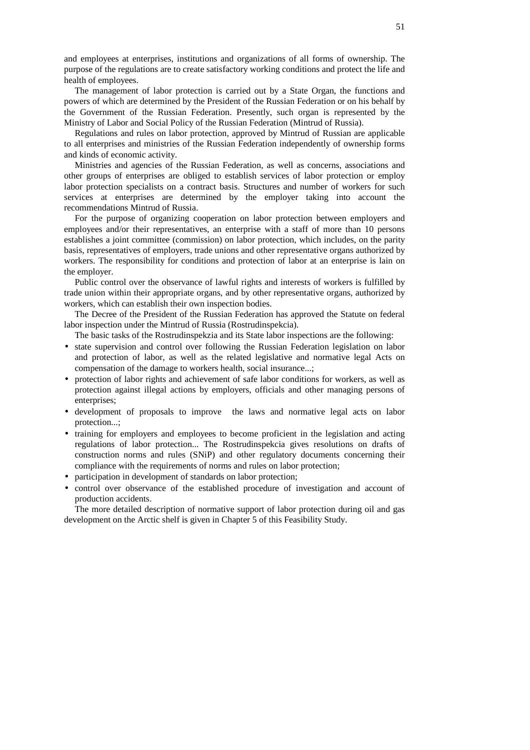and employees at enterprises, institutions and organizations of all forms of ownership. The purpose of the regulations are to create satisfactory working conditions and protect the life and health of employees.

The management of labor protection is carried out by a State Organ, the functions and powers of which are determined by the President of the Russian Federation or on his behalf by the Government of the Russian Federation. Presently, such organ is represented by the Ministry of Labor and Social Policy of the Russian Federation (Mintrud of Russia).

Regulations and rules on labor protection, approved by Mintrud of Russian are applicable to all enterprises and ministries of the Russian Federation independently of ownership forms and kinds of economic activity.

Ministries and agencies of the Russian Federation, as well as concerns, associations and other groups of enterprises are obliged to establish services of labor protection or employ labor protection specialists on a contract basis. Structures and number of workers for such services at enterprises are determined by the employer taking into account the recommendations Mintrud of Russia.

For the purpose of organizing cooperation on labor protection between employers and employees and/or their representatives, an enterprise with a staff of more than 10 persons establishes a joint committee (commission) on labor protection, which includes, on the parity basis, representatives of employers, trade unions and other representative organs authorized by workers. The responsibility for conditions and protection of labor at an enterprise is lain on the employer.

Public control over the observance of lawful rights and interests of workers is fulfilled by trade union within their appropriate organs, and by other representative organs, authorized by workers, which can establish their own inspection bodies.

The Decree of the President of the Russian Federation has approved the Statute on federal labor inspection under the Mintrud of Russia (Rostrudinspekcia).

The basic tasks of the Rostrudinspekzia and its State labor inspections are the following:

- state supervision and control over following the Russian Federation legislation on labor and protection of labor, as well as the related legislative and normative legal Acts on compensation of the damage to workers health, social insurance...;
- protection of labor rights and achievement of safe labor conditions for workers, as well as protection against illegal actions by employers, officials and other managing persons of enterprises;
- development of proposals to improve the laws and normative legal acts on labor protection...;
- training for employers and employees to become proficient in the legislation and acting regulations of labor protection... The Rostrudinspekcia gives resolutions on drafts of construction norms and rules (SNiP) and other regulatory documents concerning their compliance with the requirements of norms and rules on labor protection;
- participation in development of standards on labor protection;
- control over observance of the established procedure of investigation and account of production accidents.

The more detailed description of normative support of labor protection during oil and gas development on the Arctic shelf is given in Chapter 5 of this Feasibility Study.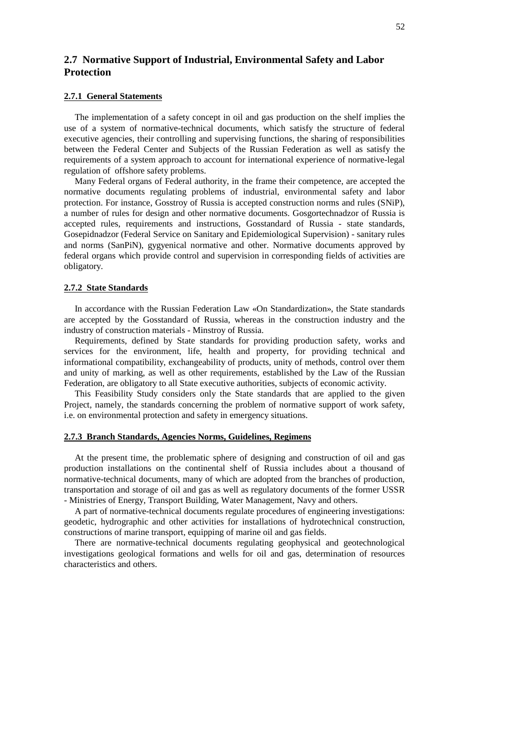# **2.7 Normative Support of Industrial, Environmental Safety and Labor Protection**

## **2.7.1 General Statements**

The implementation of a safety concept in oil and gas production on the shelf implies the use of a system of normative-technical documents, which satisfy the structure of federal executive agencies, their controlling and supervising functions, the sharing of responsibilities between the Federal Center and Subjects of the Russian Federation as well as satisfy the requirements of a system approach to account for international experience of normative-legal regulation of offshore safety problems.

Many Federal organs of Federal authority, in the frame their competence, are accepted the normative documents regulating problems of industrial, environmental safety and labor protection. For instance, Gosstroy of Russia is accepted construction norms and rules (SNiP), a number of rules for design and other normative documents. Gosgortechnadzor of Russia is accepted rules, requirements and instructions, Gosstandard of Russia - state standards, Gosepidnadzor (Federal Service on Sanitary and Epidemiological Supervision) - sanitary rules and norms (SanPiN), gygyenical normative and other. Normative documents approved by federal organs which provide control and supervision in corresponding fields of activities are obligatory.

### **2.7.2 State Standards**

In accordance with the Russian Federation Law «On Standardization», the State standards are accepted by the Gosstandard of Russia, whereas in the construction industry and the industry of construction materials - Minstroy of Russia.

Requirements, defined by State standards for providing production safety, works and services for the environment, life, health and property, for providing technical and informational compatibility, exchangeability of products, unity of methods, control over them and unity of marking, as well as other requirements, established by the Law of the Russian Federation, are obligatory to all State executive authorities, subjects of economic activity.

This Feasibility Study considers only the State standards that are applied to the given Project, namely, the standards concerning the problem of normative support of work safety, i.e. on environmental protection and safety in emergency situations.

#### **2.7.3 Branch Standards, Agencies Norms, Guidelines, Regimens**

At the present time, the problematic sphere of designing and construction of oil and gas production installations on the continental shelf of Russia includes about a thousand of normative-technical documents, many of which are adopted from the branches of production, transportation and storage of oil and gas as well as regulatory documents of the former USSR - Ministries of Energy, Transport Building, Water Management, Navy and others.

A part of normative-technical documents regulate procedures of engineering investigations: geodetic, hydrographic and other activities for installations of hydrotechnical construction, constructions of marine transport, equipping of marine oil and gas fields.

There are normative-technical documents regulating geophysical and geotechnological investigations geological formations and wells for oil and gas, determination of resources characteristics and others.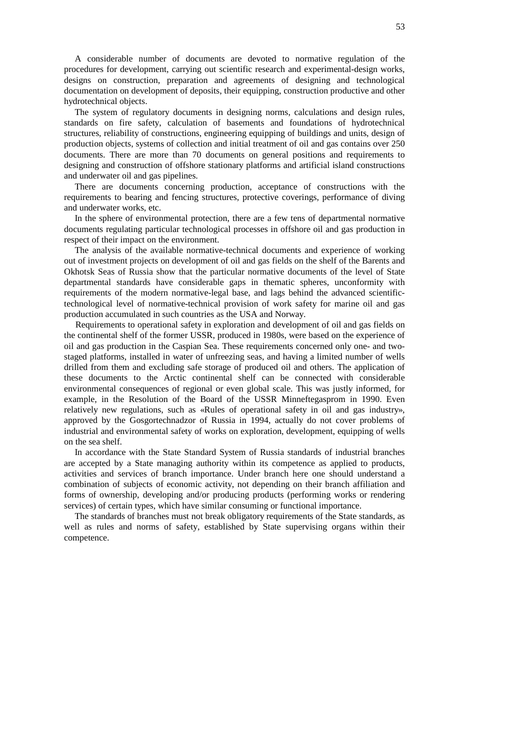A considerable number of documents are devoted to normative regulation of the procedures for development, carrying out scientific research and experimental-design works, designs on construction, preparation and agreements of designing and technological documentation on development of deposits, their equipping, construction productive and other hydrotechnical objects.

The system of regulatory documents in designing norms, calculations and design rules, standards on fire safety, calculation of basements and foundations of hydrotechnical structures, reliability of constructions, engineering equipping of buildings and units, design of production objects, systems of collection and initial treatment of oil and gas contains over 250 documents. There are more than 70 documents on general positions and requirements to designing and construction of offshore stationary platforms and artificial island constructions and underwater oil and gas pipelines.

There are documents concerning production, acceptance of constructions with the requirements to bearing and fencing structures, protective coverings, performance of diving and underwater works, etc.

In the sphere of environmental protection, there are a few tens of departmental normative documents regulating particular technological processes in offshore oil and gas production in respect of their impact on the environment.

The analysis of the available normative-technical documents and experience of working out of investment projects on development of oil and gas fields on the shelf of the Barents and Okhotsk Seas of Russia show that the particular normative documents of the level of State departmental standards have considerable gaps in thematic spheres, unconformity with requirements of the modern normative-legal base, and lags behind the advanced scientifictechnological level of normative-technical provision of work safety for marine oil and gas production accumulated in such countries as the USA and Norway.

Requirements to operational safety in exploration and development of oil and gas fields on the continental shelf of the former USSR, produced in 1980s, were based on the experience of oil and gas production in the Caspian Sea. These requirements concerned only one- and twostaged platforms, installed in water of unfreezing seas, and having a limited number of wells drilled from them and excluding safe storage of produced oil and others. The application of these documents to the Arctic continental shelf can be connected with considerable environmental consequences of regional or even global scale. This was justly informed, for example, in the Resolution of the Board of the USSR Minneftegasprom in 1990. Even relatively new regulations, such as «Rules of operational safety in oil and gas industry», approved by the Gosgortechnadzor of Russia in 1994, actually do not cover problems of industrial and environmental safety of works on exploration, development, equipping of wells on the sea shelf.

In accordance with the State Standard System of Russia standards of industrial branches are accepted by a State managing authority within its competence as applied to products, activities and services of branch importance. Under branch here one should understand a combination of subjects of economic activity, not depending on their branch affiliation and forms of ownership, developing and/or producing products (performing works or rendering services) of certain types, which have similar consuming or functional importance.

The standards of branches must not break obligatory requirements of the State standards, as well as rules and norms of safety, established by State supervising organs within their competence.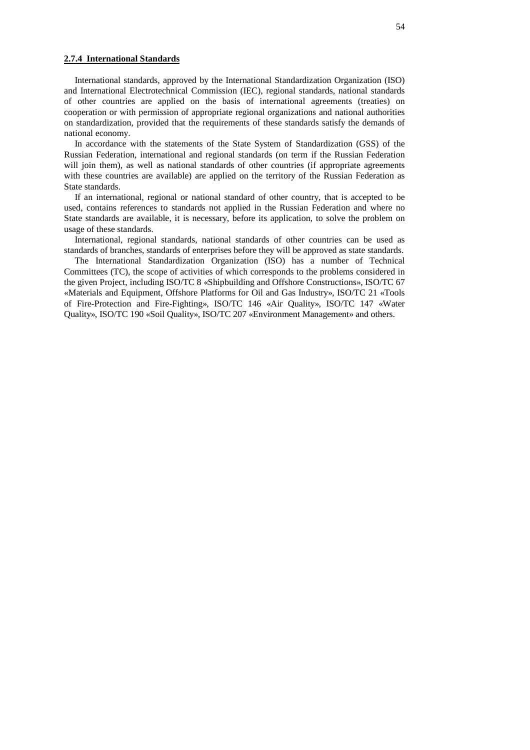#### **2.7.4 International Standards**

International standards, approved by the International Standardization Organization (ISO) and International Electrotechnical Commission (IEC), regional standards, national standards of other countries are applied on the basis of international agreements (treaties) on cooperation or with permission of appropriate regional organizations and national authorities on standardization, provided that the requirements of these standards satisfy the demands of national economy.

In accordance with the statements of the State System of Standardization (GSS) of the Russian Federation, international and regional standards (on term if the Russian Federation will join them), as well as national standards of other countries (if appropriate agreements with these countries are available) are applied on the territory of the Russian Federation as State standards.

If an international, regional or national standard of other country, that is accepted to be used, contains references to standards not applied in the Russian Federation and where no State standards are available, it is necessary, before its application, to solve the problem on usage of these standards.

International, regional standards, national standards of other countries can be used as standards of branches, standards of enterprises before they will be approved as state standards.

The International Standardization Organization (ISO) has a number of Technical Committees (TC), the scope of activities of which corresponds to the problems considered in the given Project, including ISO/TC 8 «Shipbuilding and Offshore Constructions», ISO/TC 67 «Materials and Equipment, Offshore Platforms for Oil and Gas Industry», ISO/TC 21 «Tools of Fire-Protection and Fire-Fighting», ISO/TC 146 «Air Quality», ISO/TC 147 «Water Quality», ISO/TC 190 «Soil Quality», ISO/TC 207 «Environment Management» and others.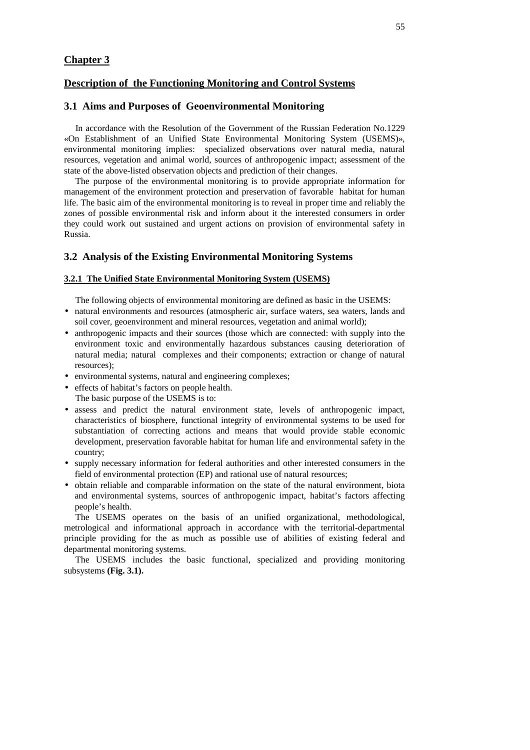# **Chapter 3**

# **Description of the Functioning Monitoring and Control Systems**

# **3.1 Aims and Purposes of Geoenvironmental Monitoring**

In accordance with the Resolution of the Government of the Russian Federation No.1229 «On Establishment of an Unified State Environmental Monitoring System (USEMS)», environmental monitoring implies: specialized observations over natural media, natural resources, vegetation and animal world, sources of anthropogenic impact; assessment of the state of the above-listed observation objects and prediction of their changes.

The purpose of the environmental monitoring is to provide appropriate information for management of the environment protection and preservation of favorable habitat for human life. The basic aim of the environmental monitoring is to reveal in proper time and reliably the zones of possible environmental risk and inform about it the interested consumers in order they could work out sustained and urgent actions on provision of environmental safety in Russia.

## **3.2 Analysis of the Existing Environmental Monitoring Systems**

## **3.2.1 The Unified State Environmental Monitoring System (USEMS)**

The following objects of environmental monitoring are defined as basic in the USEMS:

- natural environments and resources (atmospheric air, surface waters, sea waters, lands and soil cover, geoenvironment and mineral resources, vegetation and animal world);
- anthropogenic impacts and their sources (those which are connected: with supply into the environment toxic and environmentally hazardous substances causing deterioration of natural media; natural complexes and their components; extraction or change of natural resources);
- environmental systems, natural and engineering complexes;
- effects of habitat's factors on people health. The basic purpose of the USEMS is to:
- assess and predict the natural environment state, levels of anthropogenic impact, characteristics of biosphere, functional integrity of environmental systems to be used for substantiation of correcting actions and means that would provide stable economic development, preservation favorable habitat for human life and environmental safety in the country;
- supply necessary information for federal authorities and other interested consumers in the field of environmental protection (EP) and rational use of natural resources;
- obtain reliable and comparable information on the state of the natural environment, biota and environmental systems, sources of anthropogenic impact, habitat's factors affecting people's health.

The USEMS operates on the basis of an unified organizational, methodological, metrological and informational approach in accordance with the territorial-departmental principle providing for the as much as possible use of abilities of existing federal and departmental monitoring systems.

The USEMS includes the basic functional, specialized and providing monitoring subsystems **(Fig. 3.1).**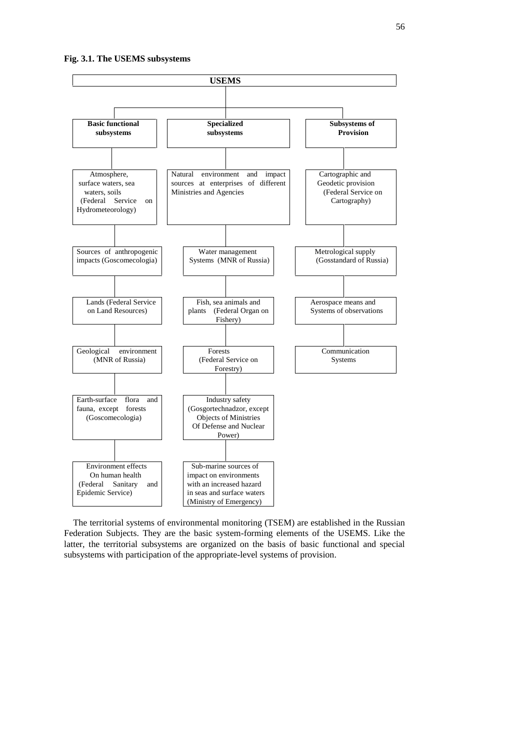

The territorial systems of environmental monitoring (TSEM) are established in the Russian Federation Subjects. They are the basic system-forming elements of the USEMS. Like the latter, the territorial subsystems are organized on the basis of basic functional and special subsystems with participation of the appropriate-level systems of provision.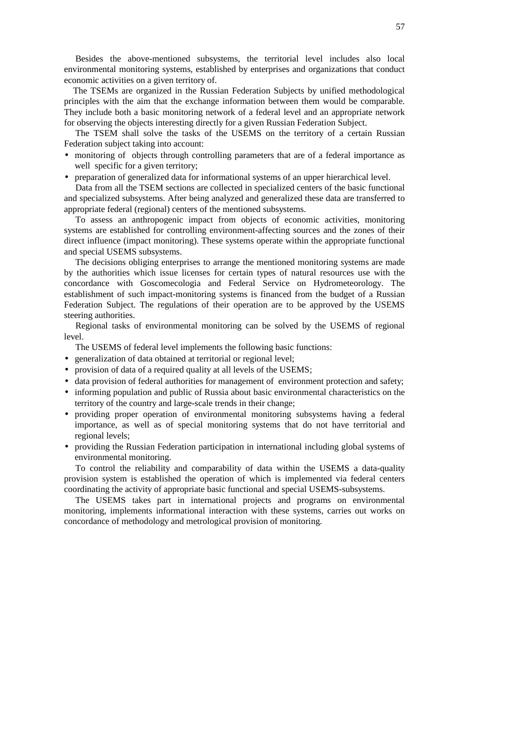Besides the above-mentioned subsystems, the territorial level includes also local environmental monitoring systems, established by enterprises and organizations that conduct economic activities on a given territory of.

The TSEMs are organized in the Russian Federation Subjects by unified methodological principles with the aim that the exchange information between them would be comparable. They include both a basic monitoring network of a federal level and an appropriate network for observing the objects interesting directly for a given Russian Federation Subject.

The TSEM shall solve the tasks of the USEMS on the territory of a certain Russian Federation subject taking into account:

- monitoring of objects through controlling parameters that are of a federal importance as well specific for a given territory;
- preparation of generalized data for informational systems of an upper hierarchical level.

Data from all the TSEM sections are collected in specialized centers of the basic functional and specialized subsystems. After being analyzed and generalized these data are transferred to appropriate federal (regional) centers of the mentioned subsystems.

To assess an anthropogenic impact from objects of economic activities, monitoring systems are established for controlling environment-affecting sources and the zones of their direct influence (impact monitoring). These systems operate within the appropriate functional and special USEMS subsystems.

The decisions obliging enterprises to arrange the mentioned monitoring systems are made by the authorities which issue licenses for certain types of natural resources use with the concordance with Goscomecologia and Federal Service on Hydrometeorology. The establishment of such impact-monitoring systems is financed from the budget of a Russian Federation Subject. The regulations of their operation are to be approved by the USEMS steering authorities.

Regional tasks of environmental monitoring can be solved by the USEMS of regional level.

The USEMS of federal level implements the following basic functions:

- generalization of data obtained at territorial or regional level;
- provision of data of a required quality at all levels of the USEMS;
- data provision of federal authorities for management of environment protection and safety;
- informing population and public of Russia about basic environmental characteristics on the territory of the country and large-scale trends in their change;
- providing proper operation of environmental monitoring subsystems having a federal importance, as well as of special monitoring systems that do not have territorial and regional levels;
- providing the Russian Federation participation in international including global systems of environmental monitoring.

To control the reliability and comparability of data within the USEMS a data-quality provision system is established the operation of which is implemented via federal centers coordinating the activity of appropriate basic functional and special USEMS-subsystems.

The USEMS takes part in international projects and programs on environmental monitoring, implements informational interaction with these systems, carries out works on concordance of methodology and metrological provision of monitoring.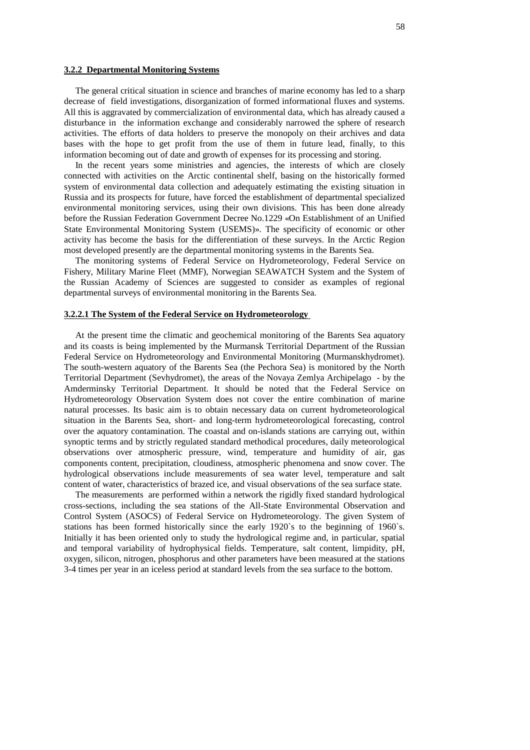#### **3.2.2 Departmental Monitoring Systems**

The general critical situation in science and branches of marine economy has led to a sharp decrease of field investigations, disorganization of formed informational fluxes and systems. All this is aggravated by commercialization of environmental data, which has already caused a disturbance in the information exchange and considerably narrowed the sphere of research activities. The efforts of data holders to preserve the monopoly on their archives and data bases with the hope to get profit from the use of them in future lead, finally, to this information becoming out of date and growth of expenses for its processing and storing.

In the recent years some ministries and agencies, the interests of which are closely connected with activities on the Arctic continental shelf, basing on the historically formed system of environmental data collection and adequately estimating the existing situation in Russia and its prospects for future, have forced the establishment of departmental specialized environmental monitoring services, using their own divisions. This has been done already before the Russian Federation Government Decree No.1229 «On Establishment of an Unified State Environmental Monitoring System (USEMS)». The specificity of economic or other activity has become the basis for the differentiation of these surveys. In the Arctic Region most developed presently are the departmental monitoring systems in the Barents Sea.

The monitoring systems of Federal Service on Hydrometeorology, Federal Service on Fishery, Military Marine Fleet (MMF), Norwegian SEAWATCH System and the System of the Russian Academy of Sciences are suggested to consider as examples of regional departmental surveys of environmental monitoring in the Barents Sea.

#### **3.2.2.1 The System of the Federal Service on Hydrometeorology**

At the present time the climatic and geochemical monitoring of the Barents Sea aquatory and its coasts is being implemented by the Murmansk Territorial Department of the Russian Federal Service on Hydrometeorology and Environmental Monitoring (Murmanskhydromet). The south-western aquatory of the Barents Sea (the Pechora Sea) is monitored by the North Territorial Department (Sevhydromet), the areas of the Novaya Zemlya Archipelago - by the Amderminsky Territorial Department. It should be noted that the Federal Service on Hydrometeorology Observation System does not cover the entire combination of marine natural processes. Its basic aim is to obtain necessary data on current hydrometeorological situation in the Barents Sea, short- and long-term hydrometeorological forecasting, control over the aquatory contamination. The coastal and on-islands stations are carrying out, within synoptic terms and by strictly regulated standard methodical procedures, daily meteorological observations over atmospheric pressure, wind, temperature and humidity of air, gas components content, precipitation, cloudiness, atmospheric phenomena and snow cover. The hydrological observations include measurements of sea water level, temperature and salt content of water, characteristics of brazed ice, and visual observations of the sea surface state.

The measurements are performed within a network the rigidly fixed standard hydrological cross-sections, including the sea stations of the All-State Environmental Observation and Control System (ASOCS) of Federal Service on Hydrometeorology. The given System of stations has been formed historically since the early 1920`s to the beginning of 1960`s. Initially it has been oriented only to study the hydrological regime and, in particular, spatial and temporal variability of hydrophysical fields. Temperature, salt content, limpidity, pH, oxygen, silicon, nitrogen, phosphorus and other parameters have been measured at the stations 3-4 times per year in an iceless period at standard levels from the sea surface to the bottom.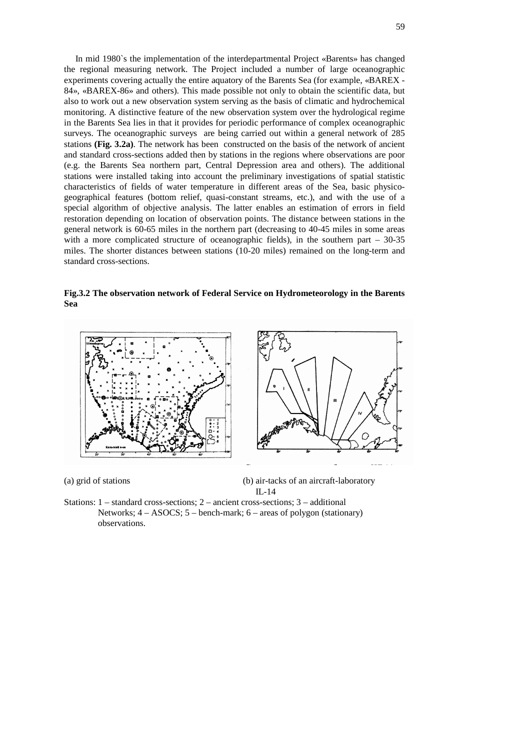In mid 1980`s the implementation of the interdepartmental Project «Barents» has changed the regional measuring network. The Project included a number of large oceanographic experiments covering actually the entire aquatory of the Barents Sea (for example, «BAREX - 84», «BAREX-86» and others). This made possible not only to obtain the scientific data, but also to work out a new observation system serving as the basis of climatic and hydrochemical monitoring. A distinctive feature of the new observation system over the hydrological regime in the Barents Sea lies in that it provides for periodic performance of complex oceanographic surveys. The oceanographic surveys are being carried out within a general network of 285 stations **(Fig. 3.2a)**. The network has been constructed on the basis of the network of ancient and standard cross-sections added then by stations in the regions where observations are poor (e.g. the Barents Sea northern part, Central Depression area and others). The additional stations were installed taking into account the preliminary investigations of spatial statistic characteristics of fields of water temperature in different areas of the Sea, basic physicogeographical features (bottom relief, quasi-constant streams, etc.), and with the use of a special algorithm of objective analysis. The latter enables an estimation of errors in field restoration depending on location of observation points. The distance between stations in the general network is 60-65 miles in the northern part (decreasing to 40-45 miles in some areas with a more complicated structure of oceanographic fields), in the southern part – 30-35 miles. The shorter distances between stations (10-20 miles) remained on the long-term and standard cross-sections.

**Fig.3.2 The observation network of Federal Service on Hydrometeorology in the Barents Sea**



(a) grid of stations (b) air-tacks of an aircraft-laboratory IL-14

Stations: 1 – standard cross-sections; 2 – ancient cross-sections; 3 – additional Networks; 4 – ASOCS; 5 – bench-mark; 6 – areas of polygon (stationary) observations.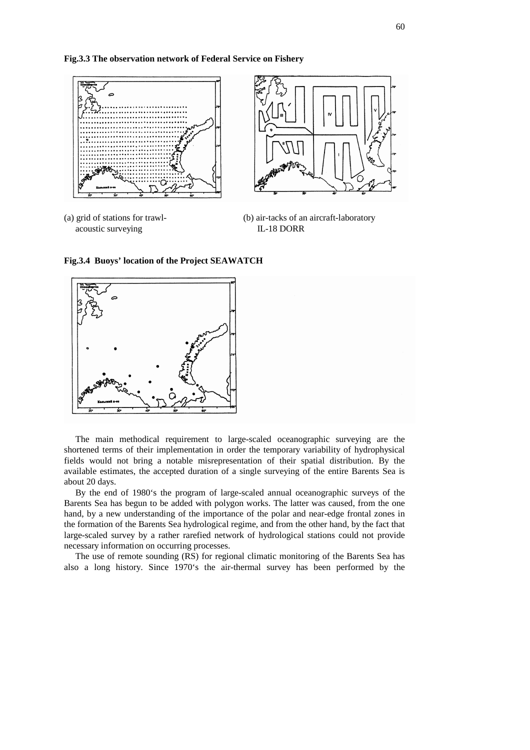**Fig.3.3 The observation network of Federal Service on Fishery**



acoustic surveying IL-18 DORR

(a) grid of stations for trawl- (b) air-tacks of an aircraft-laboratory

**Fig.3.4 Buoys' location of the Project SEAWATCH**



The main methodical requirement to large-scaled oceanographic surveying are the shortened terms of their implementation in order the temporary variability of hydrophysical fields would not bring a notable misrepresentation of their spatial distribution. By the available estimates, the accepted duration of a single surveying of the entire Barents Sea is about 20 days.

By the end of 1980's the program of large-scaled annual oceanographic surveys of the Barents Sea has begun to be added with polygon works. The latter was caused, from the one hand, by a new understanding of the importance of the polar and near-edge frontal zones in the formation of the Barents Sea hydrological regime, and from the other hand, by the fact that large-scaled survey by a rather rarefied network of hydrological stations could not provide necessary information on occurring processes.

The use of remote sounding (RS) for regional climatic monitoring of the Barents Sea has also a long history. Since 1970's the air-thermal survey has been performed by the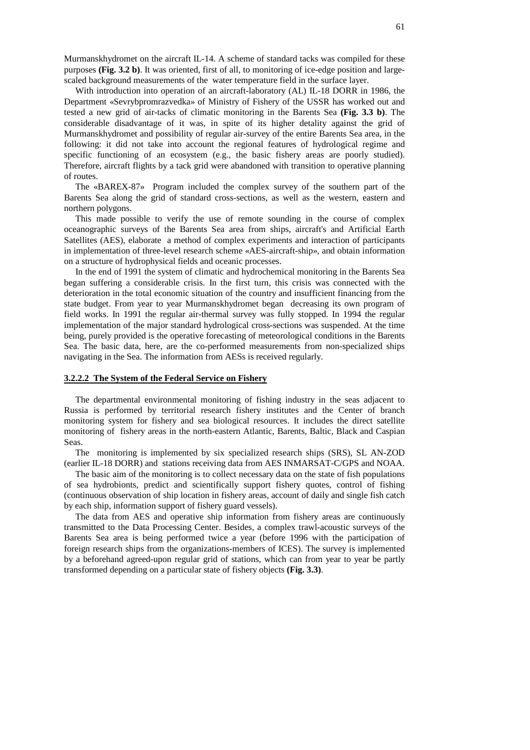Murmanskhydromet on the aircraft IL-14. A scheme of standard tacks was compiled for these purposes **(Fig. 3.2 b)**. It was oriented, first of all, to monitoring of ice-edge position and largescaled background measurements of the water temperature field in the surface layer.

With introduction into operation of an aircraft-laboratory (AL) IL-18 DORR in 1986, the Department «Sevrybpromrazvedka» of Ministry of Fishery of the USSR has worked out and tested a new grid of air-tacks of climatic monitoring in the Barents Sea **(Fig. 3.3 b)**. The considerable disadvantage of it was, in spite of its higher detality against the grid of Murmanskhydromet and possibility of regular air-survey of the entire Barents Sea area, in the following: it did not take into account the regional features of hydrological regime and specific functioning of an ecosystem (e.g., the basic fishery areas are poorly studied). Therefore, aircraft flights by a tack grid were abandoned with transition to operative planning of routes.

The «BAREX-87» Program included the complex survey of the southern part of the Barents Sea along the grid of standard cross-sections, as well as the western, eastern and northern polygons.

This made possible to verify the use of remote sounding in the course of complex oceanographic surveys of the Barents Sea area from ships, aircraft's and Artificial Earth Satellites (AES), elaborate a method of complex experiments and interaction of participants in implementation of three-level research scheme «AES-aircraft-ship», and obtain information on a structure of hydrophysical fields and oceanic processes.

In the end of 1991 the system of climatic and hydrochemical monitoring in the Barents Sea began suffering a considerable crisis. In the first turn, this crisis was connected with the deterioration in the total economic situation of the country and insufficient financing from the state budget. From year to year Murmanskhydromet began decreasing its own program of field works. In 1991 the regular air-thermal survey was fully stopped. In 1994 the regular implementation of the major standard hydrological cross-sections was suspended. At the time being, purely provided is the operative forecasting of meteorological conditions in the Barents Sea. The basic data, here, are the co-performed measurements from non-specialized ships navigating in the Sea. The information from AESs is received regularly.

### **3.2.2.2 The System of the Federal Service on Fishery**

The departmental environmental monitoring of fishing industry in the seas adjacent to Russia is performed by territorial research fishery institutes and the Center of branch monitoring system for fishery and sea biological resources. It includes the direct satellite monitoring of fishery areas in the north-eastern Atlantic, Barents, Baltic, Black and Caspian Seas.

The monitoring is implemented by six specialized research ships (SRS), SL AN-ZOD (earlier IL-18 DORR) and stations receiving data from AES INMARSAT-C/GPS and NOAA.

The basic aim of the monitoring is to collect necessary data on the state of fish populations of sea hydrobionts, predict and scientifically support fishery quotes, control of fishing (continuous observation of ship location in fishery areas, account of daily and single fish catch by each ship, information support of fishery guard vessels).

The data from AES and operative ship information from fishery areas are continuously transmitted to the Data Processing Center. Besides, a complex trawl-acoustic surveys of the Barents Sea area is being performed twice a year (before 1996 with the participation of foreign research ships from the organizations-members of ICES). The survey is implemented by a beforehand agreed-upon regular grid of stations, which can from year to year be partly transformed depending on a particular state of fishery objects **(Fig. 3.3)**.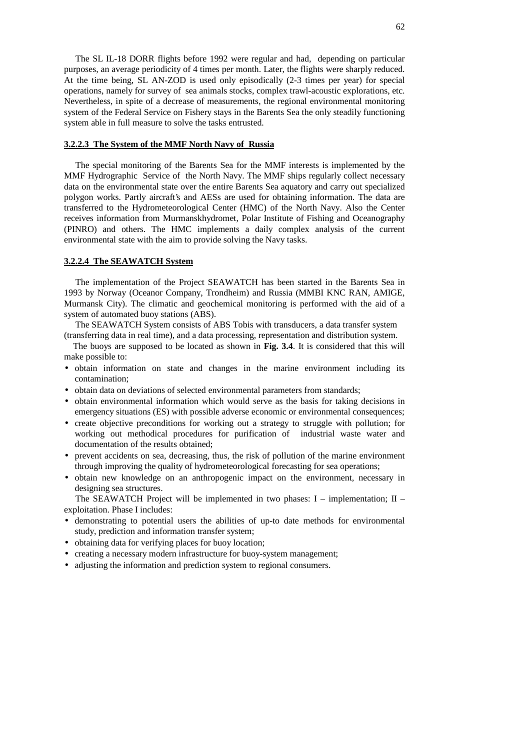The SL IL-18 DORR flights before 1992 were regular and had, depending on particular purposes, an average periodicity of 4 times per month. Later, the flights were sharply reduced. At the time being, SL AN-ZOD is used only episodically (2-3 times per year) for special operations, namely for survey of sea animals stocks, complex trawl-acoustic explorations, etc. Nevertheless, in spite of a decrease of measurements, the regional environmental monitoring system of the Federal Service on Fishery stays in the Barents Sea the only steadily functioning system able in full measure to solve the tasks entrusted.

#### **3.2.2.3 The System of the MMF North Navy of Russia**

The special monitoring of the Barents Sea for the MMF interests is implemented by the MMF Hydrographic Service of the North Navy. The MMF ships regularly collect necessary data on the environmental state over the entire Barents Sea aquatory and carry out specialized polygon works. Partly aircraft's and AESs are used for obtaining information. The data are transferred to the Hydrometeorological Center (HMC) of the North Navy. Also the Center receives information from Murmanskhydromet, Polar Institute of Fishing and Oceanography (PINRO) and others. The HMC implements a daily complex analysis of the current environmental state with the aim to provide solving the Navy tasks.

# **3.2.2.4 The SEAWATCH System**

The implementation of the Project SEAWATCH has been started in the Barents Sea in 1993 by Norway (Oceanor Company, Trondheim) and Russia (MMBI KNC RAN, AMIGE, Murmansk City). The climatic and geochemical monitoring is performed with the aid of a system of automated buoy stations (ABS).

The SEAWATCH System consists of ABS Tobis with transducers, a data transfer system (transferring data in real time), and a data processing, representation and distribution system.

The buoys are supposed to be located as shown in **Fig. 3.4**. It is considered that this will make possible to:

- obtain information on state and changes in the marine environment including its contamination;
- obtain data on deviations of selected environmental parameters from standards;
- obtain environmental information which would serve as the basis for taking decisions in emergency situations (ES) with possible adverse economic or environmental consequences;
- create objective preconditions for working out a strategy to struggle with pollution; for working out methodical procedures for purification of industrial waste water and documentation of the results obtained;
- prevent accidents on sea, decreasing, thus, the risk of pollution of the marine environment through improving the quality of hydrometeorological forecasting for sea operations;
- obtain new knowledge on an anthropogenic impact on the environment, necessary in designing sea structures.

The SEAWATCH Project will be implemented in two phases:  $I$  – implementation;  $II$  – exploitation. Phase I includes:

- demonstrating to potential users the abilities of up-to date methods for environmental study, prediction and information transfer system;
- obtaining data for verifying places for buoy location;
- creating a necessary modern infrastructure for buoy-system management;
- adjusting the information and prediction system to regional consumers.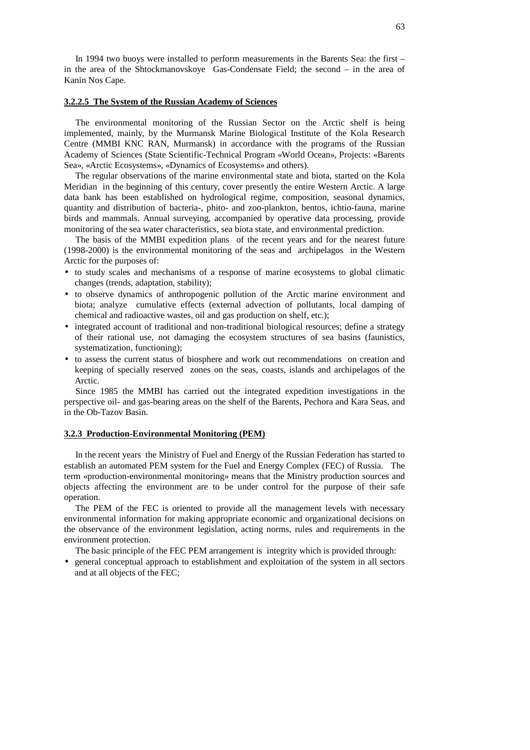In 1994 two buoys were installed to perform measurements in the Barents Sea: the first – in the area of the Shtockmanovskoye Gas-Condensate Field; the second – in the area of Kanin Nos Cape.

### **3.2.2.5 The System of the Russian Academy of Sciences**

The environmental monitoring of the Russian Sector on the Arctic shelf is being implemented, mainly, by the Murmansk Marine Biological Institute of the Kola Research Centre (MMBI KNC RAN, Murmansk) in accordance with the programs of the Russian Academy of Sciences (State Scientific-Technical Program «World Ocean», Projects: «Barents Sea», «Arctic Ecosystems», «Dynamics of Ecosystems» and others).

The regular observations of the marine environmental state and biota, started on the Kola Meridian in the beginning of this century, cover presently the entire Western Arctic. A large data bank has been established on hydrological regime, composition, seasonal dynamics, quantity and distribution of bacteria-, phito- and zoo-plankton, bentos, ichtio-fauna, marine birds and mammals. Annual surveying, accompanied by operative data processing, provide monitoring of the sea water characteristics, sea biota state, and environmental prediction.

The basis of the MMBI expedition plans of the recent years and for the nearest future (1998-2000) is the environmental monitoring of the seas and archipelagos in the Western Arctic for the purposes of:

- to study scales and mechanisms of a response of marine ecosystems to global climatic changes (trends, adaptation, stability);
- to observe dynamics of anthropogenic pollution of the Arctic marine environment and biota; analyze cumulative effects (external advection of pollutants, local damping of chemical and radioactive wastes, oil and gas production on shelf, etc.);
- integrated account of traditional and non-traditional biological resources; define a strategy of their rational use, not damaging the ecosystem structures of sea basins (faunistics, systematization, functioning);
- to assess the current status of biosphere and work out recommendations on creation and keeping of specially reserved zones on the seas, coasts, islands and archipelagos of the Arctic.

Since 1985 the MMBI has carried out the integrated expedition investigations in the perspective oil- and gas-bearing areas on the shelf of the Barents, Pechora and Kara Seas, and in the Ob-Tazov Basin.

### **3.2.3 Production-Environmental Monitoring (PEM)**

In the recent years the Ministry of Fuel and Energy of the Russian Federation has started to establish an automated PEM system for the Fuel and Energy Complex (FEC) of Russia. The term «production-environmental monitoring» means that the Ministry production sources and objects affecting the environment are to be under control for the purpose of their safe operation.

The PEM of the FEC is oriented to provide all the management levels with necessary environmental information for making appropriate economic and organizational decisions on the observance of the environment legislation, acting norms, rules and requirements in the environment protection.

The basic principle of the FEC PEM arrangement is integrity which is provided through:

• general conceptual approach to establishment and exploitation of the system in all sectors and at all objects of the FEC;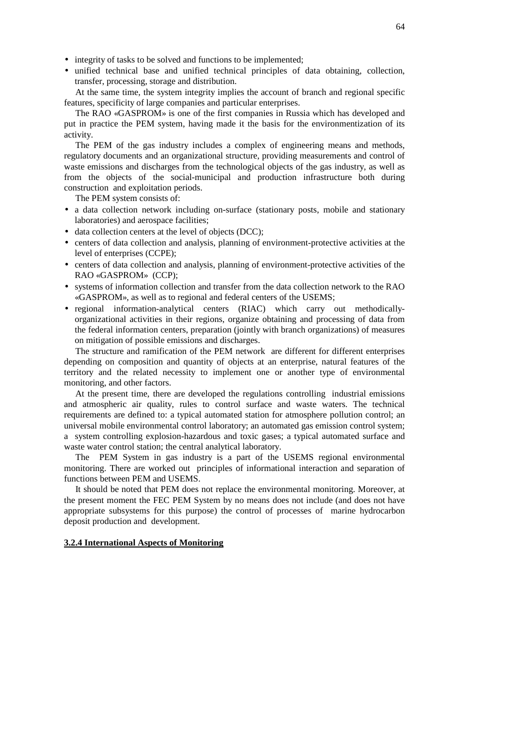- integrity of tasks to be solved and functions to be implemented;
- unified technical base and unified technical principles of data obtaining, collection, transfer, processing, storage and distribution.

At the same time, the system integrity implies the account of branch and regional specific features, specificity of large companies and particular enterprises.

The RAO «GASPROM» is one of the first companies in Russia which has developed and put in practice the PEM system, having made it the basis for the environmentization of its activity.

The PEM of the gas industry includes a complex of engineering means and methods, regulatory documents and an organizational structure, providing measurements and control of waste emissions and discharges from the technological objects of the gas industry, as well as from the objects of the social-municipal and production infrastructure both during construction and exploitation periods.

The PEM system consists of:

- a data collection network including on-surface (stationary posts, mobile and stationary laboratories) and aerospace facilities;
- data collection centers at the level of objects (DCC):
- centers of data collection and analysis, planning of environment-protective activities at the level of enterprises (CCPE);
- centers of data collection and analysis, planning of environment-protective activities of the RAO «GASPROM» (CCP);
- systems of information collection and transfer from the data collection network to the RAO «GASPROM», as well as to regional and federal centers of the USEMS;
- regional information-analytical centers (RIAC) which carry out methodicallyorganizational activities in their regions, organize obtaining and processing of data from the federal information centers, preparation (jointly with branch organizations) of measures on mitigation of possible emissions and discharges.

The structure and ramification of the PEM network are different for different enterprises depending on composition and quantity of objects at an enterprise, natural features of the territory and the related necessity to implement one or another type of environmental monitoring, and other factors.

At the present time, there are developed the regulations controlling industrial emissions and atmospheric air quality, rules to control surface and waste waters. The technical requirements are defined to: a typical automated station for atmosphere pollution control; an universal mobile environmental control laboratory; an automated gas emission control system; a system controlling explosion-hazardous and toxic gases; a typical automated surface and waste water control station; the central analytical laboratory.

The PEM System in gas industry is a part of the USEMS regional environmental monitoring. There are worked out principles of informational interaction and separation of functions between PEM and USEMS.

It should be noted that PEM does not replace the environmental monitoring. Moreover, at the present moment the FEC PEM System by no means does not include (and does not have appropriate subsystems for this purpose) the control of processes of marine hydrocarbon deposit production and development.

# **3.2.4 International Aspects of Monitoring**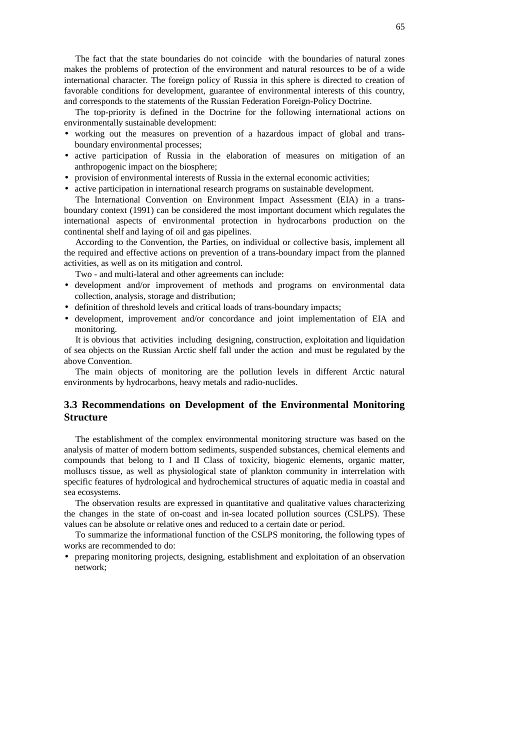The fact that the state boundaries do not coincide with the boundaries of natural zones makes the problems of protection of the environment and natural resources to be of a wide international character. The foreign policy of Russia in this sphere is directed to creation of favorable conditions for development, guarantee of environmental interests of this country, and corresponds to the statements of the Russian Federation Foreign-Policy Doctrine.

The top-priority is defined in the Doctrine for the following international actions on environmentally sustainable development:

- working out the measures on prevention of a hazardous impact of global and transboundary environmental processes;
- active participation of Russia in the elaboration of measures on mitigation of an anthropogenic impact on the biosphere;
- provision of environmental interests of Russia in the external economic activities;
- active participation in international research programs on sustainable development.

The International Convention on Environment Impact Assessment (EIA) in a transboundary context (1991) can be considered the most important document which regulates the international aspects of environmental protection in hydrocarbons production on the continental shelf and laying of oil and gas pipelines.

According to the Convention, the Parties, on individual or collective basis, implement all the required and effective actions on prevention of a trans-boundary impact from the planned activities, as well as on its mitigation and control.

Two - and multi-lateral and other agreements can include:

- development and/or improvement of methods and programs on environmental data collection, analysis, storage and distribution;
- definition of threshold levels and critical loads of trans-boundary impacts;
- development, improvement and/or concordance and joint implementation of EIA and monitoring.

It is obvious that activities including designing, construction, exploitation and liquidation of sea objects on the Russian Arctic shelf fall under the action and must be regulated by the above Convention.

The main objects of monitoring are the pollution levels in different Arctic natural environments by hydrocarbons, heavy metals and radio-nuclides.

# **3.3 Recommendations on Development of the Environmental Monitoring Structure**

The establishment of the complex environmental monitoring structure was based on the analysis of matter of modern bottom sediments, suspended substances, chemical elements and compounds that belong to I and II Class of toxicity, biogenic elements, organic matter, molluscs tissue, as well as physiological state of plankton community in interrelation with specific features of hydrological and hydrochemical structures of aquatic media in coastal and sea ecosystems.

The observation results are expressed in quantitative and qualitative values characterizing the changes in the state of on-coast and in-sea located pollution sources (CSLPS). These values can be absolute or relative ones and reduced to a certain date or period.

To summarize the informational function of the CSLPS monitoring, the following types of works are recommended to do:

• preparing monitoring projects, designing, establishment and exploitation of an observation network;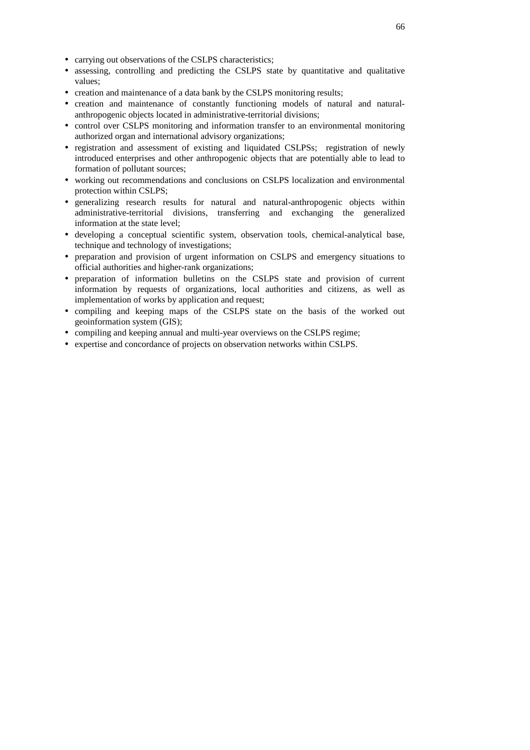- carrying out observations of the CSLPS characteristics;
- assessing, controlling and predicting the CSLPS state by quantitative and qualitative values;
- creation and maintenance of a data bank by the CSLPS monitoring results;
- creation and maintenance of constantly functioning models of natural and naturalanthropogenic objects located in administrative-territorial divisions;
- control over CSLPS monitoring and information transfer to an environmental monitoring authorized organ and international advisory organizations;
- registration and assessment of existing and liquidated CSLPSs; registration of newly introduced enterprises and other anthropogenic objects that are potentially able to lead to formation of pollutant sources;
- working out recommendations and conclusions on CSLPS localization and environmental protection within CSLPS;
- generalizing research results for natural and natural-anthropogenic objects within administrative-territorial divisions, transferring and exchanging the generalized information at the state level;
- developing a conceptual scientific system, observation tools, chemical-analytical base, technique and technology of investigations;
- preparation and provision of urgent information on CSLPS and emergency situations to official authorities and higher-rank organizations;
- preparation of information bulletins on the CSLPS state and provision of current information by requests of organizations, local authorities and citizens, as well as implementation of works by application and request;
- compiling and keeping maps of the CSLPS state on the basis of the worked out geoinformation system (GIS);
- compiling and keeping annual and multi-year overviews on the CSLPS regime;
- expertise and concordance of projects on observation networks within CSLPS.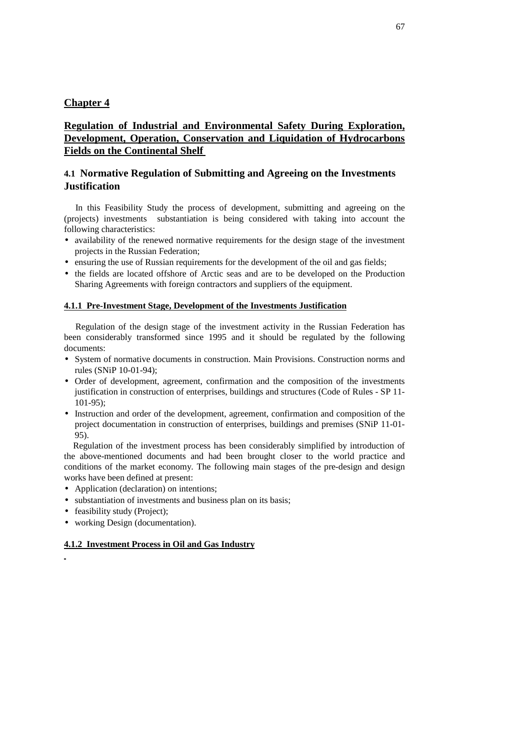# **Chapter 4**

# **Regulation of Industrial and Environmental Safety During Exploration, Development, Operation, Conservation and Liquidation of Hydrocarbons Fields on the Continental Shelf**

# **4.1 Normative Regulation of Submitting and Agreeing on the Investments Justification**

In this Feasibility Study the process of development, submitting and agreeing on the (projects) investments substantiation is being considered with taking into account the following characteristics:

- availability of the renewed normative requirements for the design stage of the investment projects in the Russian Federation;
- ensuring the use of Russian requirements for the development of the oil and gas fields;
- the fields are located offshore of Arctic seas and are to be developed on the Production Sharing Agreements with foreign contractors and suppliers of the equipment.

### **4.1.1 Pre-Investment Stage, Development of the Investments Justification**

Regulation of the design stage of the investment activity in the Russian Federation has been considerably transformed since 1995 and it should be regulated by the following documents:

- System of normative documents in construction. Main Provisions. Construction norms and rules (SNiP 10-01-94);
- Order of development, agreement, confirmation and the composition of the investments justification in construction of enterprises, buildings and structures (Code of Rules - SP 11- 101-95);
- Instruction and order of the development, agreement, confirmation and composition of the project documentation in construction of enterprises, buildings and premises (SNiP 11-01- 95).

Regulation of the investment process has been considerably simplified by introduction of the above-mentioned documents and had been brought closer to the world practice and conditions of the market economy. The following main stages of the pre-design and design works have been defined at present:

- Application (declaration) on intentions;
- substantiation of investments and business plan on its basis;
- feasibility study (Project);
- working Design (documentation).

### **4.1.2 Investment Process in Oil and Gas Industry**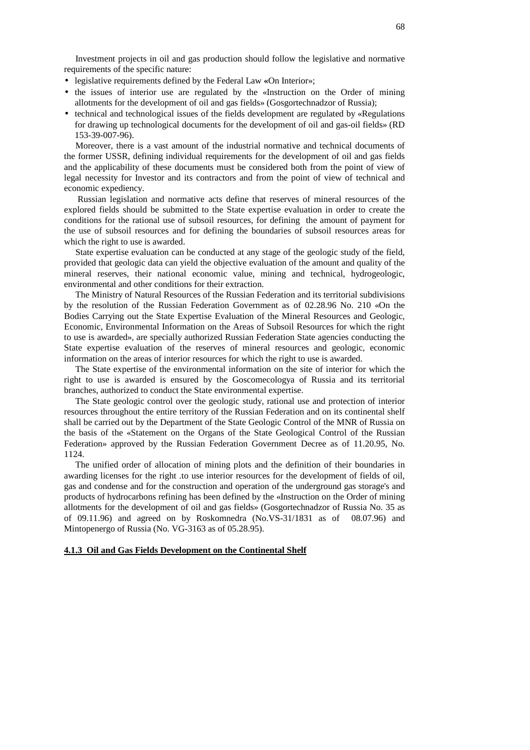Investment projects in oil and gas production should follow the legislative and normative requirements of the specific nature:

- legislative requirements defined by the Federal Law **«**On Interior»;
- the issues of interior use are regulated by the «Instruction on the Order of mining allotments for the development of oil and gas fields» (Gosgortechnadzor of Russia);
- technical and technological issues of the fields development are regulated by «Regulations for drawing up technological documents for the development of oil and gas-oil fields» (RD 153-39-007-96).

Moreover, there is a vast amount of the industrial normative and technical documents of the former USSR, defining individual requirements for the development of oil and gas fields and the applicability of these documents must be considered both from the point of view of legal necessity for Investor and its contractors and from the point of view of technical and economic expediency.

Russian legislation and normative acts define that reserves of mineral resources of the explored fields should be submitted to the State expertise evaluation in order to create the conditions for the rational use of subsoil resources, for defining the amount of payment for the use of subsoil resources and for defining the boundaries of subsoil resources areas for which the right to use is awarded.

State expertise evaluation can be conducted at any stage of the geologic study of the field, provided that geologic data can yield the objective evaluation of the amount and quality of the mineral reserves, their national economic value, mining and technical, hydrogeologic, environmental and other conditions for their extraction.

The Ministry of Natural Resources of the Russian Federation and its territorial subdivisions by the resolution of the Russian Federation Government as of 02.28.96 No. 210 «On the Bodies Carrying out the State Expertise Evaluation of the Mineral Resources and Geologic, Economic, Environmental Information on the Areas of Subsoil Resources for which the right to use is awarded», are specially authorized Russian Federation State agencies conducting the State expertise evaluation of the reserves of mineral resources and geologic, economic information on the areas of interior resources for which the right to use is awarded.

The State expertise of the environmental information on the site of interior for which the right to use is awarded is ensured by the Goscomecologya of Russia and its territorial branches, authorized to conduct the State environmental expertise.

The State geologic control over the geologic study, rational use and protection of interior resources throughout the entire territory of the Russian Federation and on its continental shelf shall be carried out by the Department of the State Geologic Control of the MNR of Russia on the basis of the «Statement on the Organs of the State Geological Control of the Russian Federation» approved by the Russian Federation Government Decree as of 11.20.95, No. 1124.

The unified order of allocation of mining plots and the definition of their boundaries in awarding licenses for the right .to use interior resources for the development of fields of oil, gas and condense and for the construction and operation of the underground gas storage's and products of hydrocarbons refining has been defined by the «Instruction on the Order of mining allotments for the development of oil and gas fields» (Gosgortechnadzor of Russia No. 35 as of 09.11.96) and agreed on by Roskomnedra (No.VS-31/1831 as of 08.07.96) and Mintopenergo of Russia (No. VG-3163 as of 05.28.95).

### **4.1.3 Oil and Gas Fields Development on the Continental Shelf**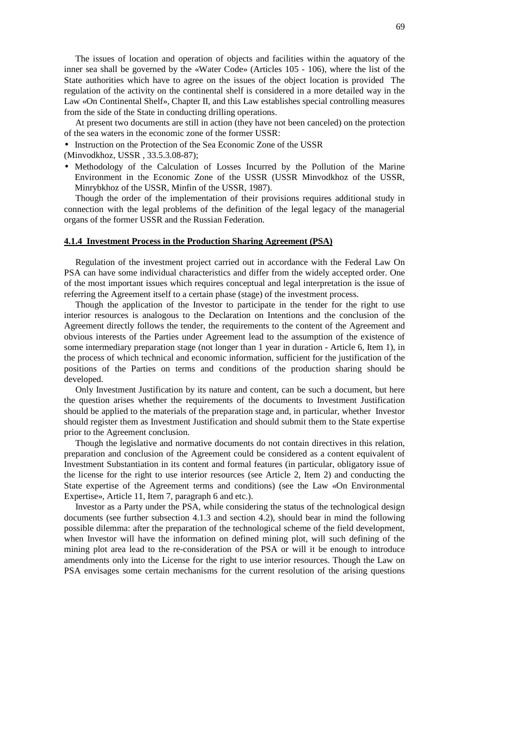The issues of location and operation of objects and facilities within the aquatory of the inner sea shall be governed by the «Water Code» (Articles 105 - 106), where the list of the State authorities which have to agree on the issues of the object location is provided The regulation of the activity on the continental shelf is considered in a more detailed way in the Law «On Continental Shelf», Chapter II, and this Law establishes special controlling measures from the side of the State in conducting drilling operations.

At present two documents are still in action (they have not been canceled) on the protection of the sea waters in the economic zone of the former USSR:

• Instruction on the Protection of the Sea Economic Zone of the USSR

- (Minvodkhoz, USSR , 33.5.3.08-87);
- Methodology of the Calculation of Losses Incurred by the Pollution of the Marine Environment in the Economic Zone of the USSR (USSR Minvodkhoz of the USSR, Minrybkhoz of the USSR, Minfin of the USSR, 1987).

Though the order of the implementation of their provisions requires additional study in connection with the legal problems of the definition of the legal legacy of the managerial organs of the former USSR and the Russian Federation.

#### **4.1.4 Investment Process in the Production Sharing Agreement (PSA)**

Regulation of the investment project carried out in accordance with the Federal Law On PSA can have some individual characteristics and differ from the widely accepted order. One of the most important issues which requires conceptual and legal interpretation is the issue of referring the Agreement itself to a certain phase (stage) of the investment process.

Though the application of the Investor to participate in the tender for the right to use interior resources is analogous to the Declaration on Intentions and the conclusion of the Agreement directly follows the tender, the requirements to the content of the Agreement and obvious interests of the Parties under Agreement lead to the assumption of the existence of some intermediary preparation stage (not longer than 1 year in duration - Article 6, Item 1), in the process of which technical and economic information, sufficient for the justification of the positions of the Parties on terms and conditions of the production sharing should be developed.

Only Investment Justification by its nature and content, can be such a document, but here the question arises whether the requirements of the documents to Investment Justification should be applied to the materials of the preparation stage and, in particular, whether Investor should register them as Investment Justification and should submit them to the State expertise prior to the Agreement conclusion.

Though the legislative and normative documents do not contain directives in this relation, preparation and conclusion of the Agreement could be considered as a content equivalent of Investment Substantiation in its content and formal features (in particular, obligatory issue of the license for the right to use interior resources (see Article 2, Item 2) and conducting the State expertise of the Agreement terms and conditions) (see the Law «On Environmental Expertise», Article 11, Item 7, paragraph 6 and etc.).

Investor as a Party under the PSA, while considering the status of the technological design documents (see further subsection 4.1.3 and section 4.2), should bear in mind the following possible dilemma: after the preparation of the technological scheme of the field development, when Investor will have the information on defined mining plot, will such defining of the mining plot area lead to the re-consideration of the PSA or will it be enough to introduce amendments only into the License for the right to use interior resources. Though the Law on PSA envisages some certain mechanisms for the current resolution of the arising questions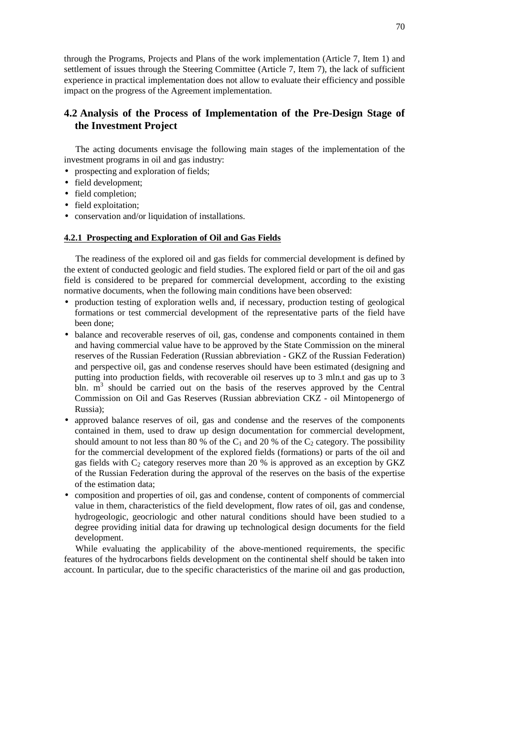through the Programs, Projects and Plans of the work implementation (Article 7, Item 1) and settlement of issues through the Steering Committee (Article 7, Item 7), the lack of sufficient experience in practical implementation does not allow to evaluate their efficiency and possible impact on the progress of the Agreement implementation.

# **4.2 Analysis of the Process of Implementation of the Pre-Design Stage of the Investment Project**

The acting documents envisage the following main stages of the implementation of the investment programs in oil and gas industry:

- prospecting and exploration of fields;
- field development;
- field completion;
- field exploitation;
- conservation and/or liquidation of installations.

# **4.2.1 Prospecting and Exploration of Oil and Gas Fields**

The readiness of the explored oil and gas fields for commercial development is defined by the extent of conducted geologic and field studies. The explored field or part of the oil and gas field is considered to be prepared for commercial development, according to the existing normative documents, when the following main conditions have been observed:

- production testing of exploration wells and, if necessary, production testing of geological formations or test commercial development of the representative parts of the field have been done;
- balance and recoverable reserves of oil, gas, condense and components contained in them and having commercial value have to be approved by the State Commission on the mineral reserves of the Russian Federation (Russian abbreviation - GKZ of the Russian Federation) and perspective oil, gas and condense reserves should have been estimated (designing and putting into production fields, with recoverable oil reserves up to 3 mln.t and gas up to 3 bln. m<sup>3</sup> should be carried out on the basis of the reserves approved by the Central Commission on Oil and Gas Reserves (Russian abbreviation CKZ - oil Mintopenergo of Russia);
- approved balance reserves of oil, gas and condense and the reserves of the components contained in them, used to draw up design documentation for commercial development, should amount to not less than 80 % of the  $C_1$  and 20 % of the  $C_2$  category. The possibility for the commercial development of the explored fields (formations) or parts of the oil and gas fields with  $C_2$  category reserves more than 20 % is approved as an exception by GKZ of the Russian Federation during the approval of the reserves on the basis of the expertise of the estimation data;
- composition and properties of oil, gas and condense, content of components of commercial value in them, characteristics of the field development, flow rates of oil, gas and condense, hydrogeologic, geocriologic and other natural conditions should have been studied to a degree providing initial data for drawing up technological design documents for the field development.

While evaluating the applicability of the above-mentioned requirements, the specific features of the hydrocarbons fields development on the continental shelf should be taken into account. In particular, due to the specific characteristics of the marine oil and gas production,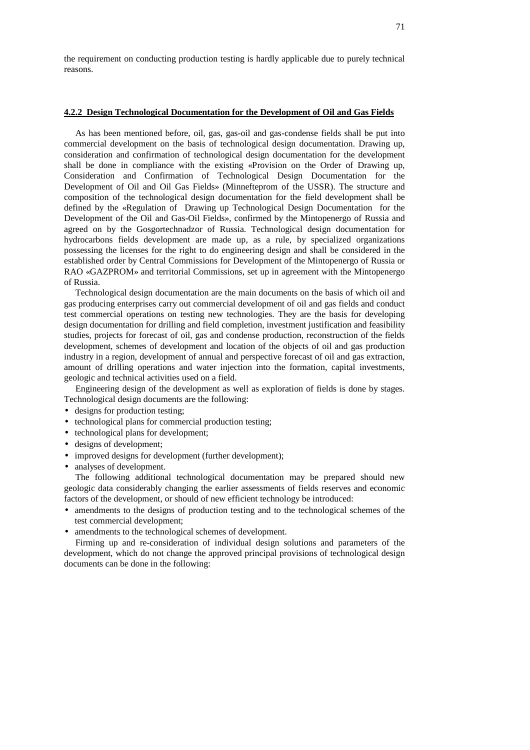the requirement on conducting production testing is hardly applicable due to purely technical reasons.

### **4.2.2 Design Technological Documentation for the Development of Oil and Gas Fields**

As has been mentioned before, oil, gas, gas-oil and gas-condense fields shall be put into commercial development on the basis of technological design documentation. Drawing up, consideration and confirmation of technological design documentation for the development shall be done in compliance with the existing «Provision on the Order of Drawing up, Consideration and Confirmation of Technological Design Documentation for the Development of Oil and Oil Gas Fields» (Minnefteprom of the USSR). The structure and composition of the technological design documentation for the field development shall be defined by the «Regulation of Drawing up Technological Design Documentation for the Development of the Oil and Gas-Oil Fields», confirmed by the Mintopenergo of Russia and agreed on by the Gosgortechnadzor of Russia. Technological design documentation for hydrocarbons fields development are made up, as a rule, by specialized organizations possessing the licenses for the right to do engineering design and shall be considered in the established order by Central Commissions for Development of the Mintopenergo of Russia or RAO «GAZPROM» and territorial Commissions, set up in agreement with the Mintopenergo of Russia.

Technological design documentation are the main documents on the basis of which oil and gas producing enterprises carry out commercial development of oil and gas fields and conduct test commercial operations on testing new technologies. They are the basis for developing design documentation for drilling and field completion, investment justification and feasibility studies, projects for forecast of oil, gas and condense production, reconstruction of the fields development, schemes of development and location of the objects of oil and gas production industry in a region, development of annual and perspective forecast of oil and gas extraction, amount of drilling operations and water injection into the formation, capital investments, geologic and technical activities used on a field.

Engineering design of the development as well as exploration of fields is done by stages. Technological design documents are the following:

- designs for production testing;
- technological plans for commercial production testing;
- technological plans for development;
- designs of development;
- improved designs for development (further development);
- analyses of development.

The following additional technological documentation may be prepared should new geologic data considerably changing the earlier assessments of fields reserves and economic factors of the development, or should of new efficient technology be introduced:

- amendments to the designs of production testing and to the technological schemes of the test commercial development;
- amendments to the technological schemes of development.

Firming up and re-consideration of individual design solutions and parameters of the development, which do not change the approved principal provisions of technological design documents can be done in the following: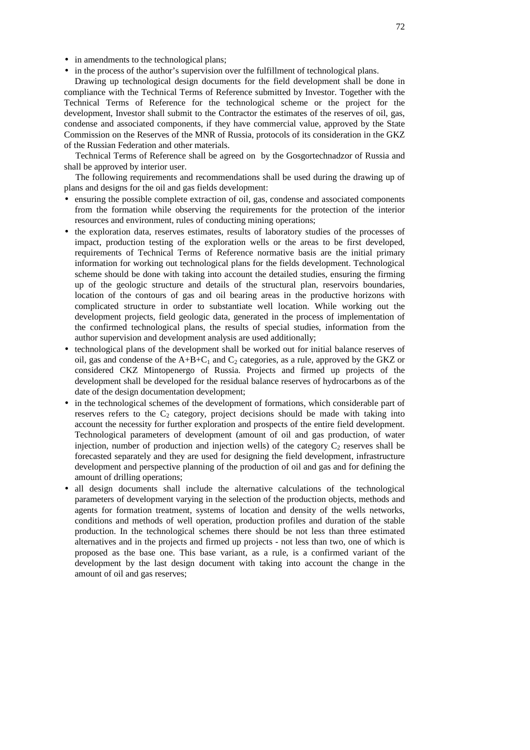- in amendments to the technological plans;
- in the process of the author's supervision over the fulfillment of technological plans.

Drawing up technological design documents for the field development shall be done in compliance with the Technical Terms of Reference submitted by Investor. Together with the Technical Terms of Reference for the technological scheme or the project for the development, Investor shall submit to the Contractor the estimates of the reserves of oil, gas, condense and associated components, if they have commercial value, approved by the State Commission on the Reserves of the MNR of Russia, protocols of its consideration in the GKZ of the Russian Federation and other materials.

Technical Terms of Reference shall be agreed on by the Gosgortechnadzor of Russia and shall be approved by interior user.

The following requirements and recommendations shall be used during the drawing up of plans and designs for the oil and gas fields development:

- ensuring the possible complete extraction of oil, gas, condense and associated components from the formation while observing the requirements for the protection of the interior resources and environment, rules of conducting mining operations;
- the exploration data, reserves estimates, results of laboratory studies of the processes of impact, production testing of the exploration wells or the areas to be first developed, requirements of Technical Terms of Reference normative basis are the initial primary information for working out technological plans for the fields development. Technological scheme should be done with taking into account the detailed studies, ensuring the firming up of the geologic structure and details of the structural plan, reservoirs boundaries, location of the contours of gas and oil bearing areas in the productive horizons with complicated structure in order to substantiate well location. While working out the development projects, field geologic data, generated in the process of implementation of the confirmed technological plans, the results of special studies, information from the author supervision and development analysis are used additionally;
- technological plans of the development shall be worked out for initial balance reserves of oil, gas and condense of the  $A+B+C_1$  and  $C_2$  categories, as a rule, approved by the GKZ or considered CKZ Mintopenergo of Russia. Projects and firmed up projects of the development shall be developed for the residual balance reserves of hydrocarbons as of the date of the design documentation development;
- in the technological schemes of the development of formations, which considerable part of reserves refers to the  $C_2$  category, project decisions should be made with taking into account the necessity for further exploration and prospects of the entire field development. Technological parameters of development (amount of oil and gas production, of water injection, number of production and injection wells) of the category  $C_2$  reserves shall be forecasted separately and they are used for designing the field development, infrastructure development and perspective planning of the production of oil and gas and for defining the amount of drilling operations;
- all design documents shall include the alternative calculations of the technological parameters of development varying in the selection of the production objects, methods and agents for formation treatment, systems of location and density of the wells networks, conditions and methods of well operation, production profiles and duration of the stable production. In the technological schemes there should be not less than three estimated alternatives and in the projects and firmed up projects - not less than two, one of which is proposed as the base one. This base variant, as a rule, is a confirmed variant of the development by the last design document with taking into account the change in the amount of oil and gas reserves;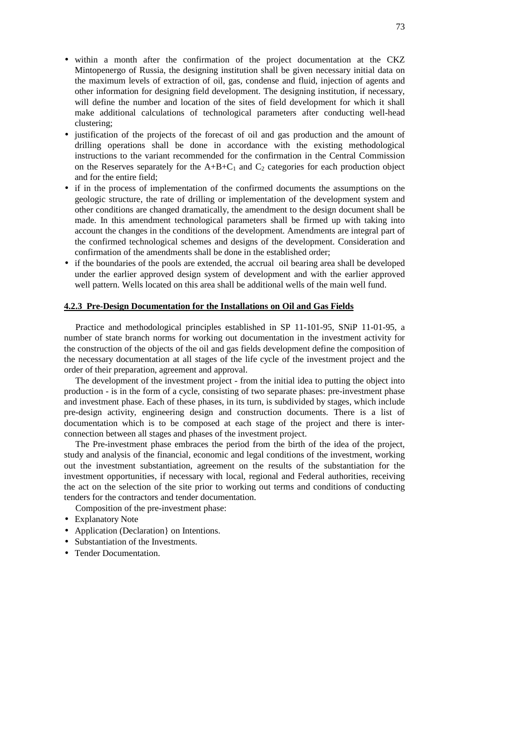- within a month after the confirmation of the project documentation at the CKZ Mintopenergo of Russia, the designing institution shall be given necessary initial data on the maximum levels of extraction of oil, gas, condense and fluid, injection of agents and other information for designing field development. The designing institution, if necessary, will define the number and location of the sites of field development for which it shall make additional calculations of technological parameters after conducting well-head clustering;
- justification of the projects of the forecast of oil and gas production and the amount of drilling operations shall be done in accordance with the existing methodological instructions to the variant recommended for the confirmation in the Central Commission on the Reserves separately for the  $A+B+C_1$  and  $C_2$  categories for each production object and for the entire field;
- if in the process of implementation of the confirmed documents the assumptions on the geologic structure, the rate of drilling or implementation of the development system and other conditions are changed dramatically, the amendment to the design document shall be made. In this amendment technological parameters shall be firmed up with taking into account the changes in the conditions of the development. Amendments are integral part of the confirmed technological schemes and designs of the development. Consideration and confirmation of the amendments shall be done in the established order;
- if the boundaries of the pools are extended, the accrual oil bearing area shall be developed under the earlier approved design system of development and with the earlier approved well pattern. Wells located on this area shall be additional wells of the main well fund.

#### **4.2.3 Pre-Design Documentation for the Installations on Oil and Gas Fields**

Practice and methodological principles established in SP 11-101-95, SNiP 11-01-95, a number of state branch norms for working out documentation in the investment activity for the construction of the objects of the oil and gas fields development define the composition of the necessary documentation at all stages of the life cycle of the investment project and the order of their preparation, agreement and approval.

The development of the investment project - from the initial idea to putting the object into production - is in the form of a cycle, consisting of two separate phases: pre-investment phase and investment phase. Each of these phases, in its turn, is subdivided by stages, which include pre-design activity, engineering design and construction documents. There is a list of documentation which is to be composed at each stage of the project and there is interconnection between all stages and phases of the investment project.

The Pre-investment phase embraces the period from the birth of the idea of the project, study and analysis of the financial, economic and legal conditions of the investment, working out the investment substantiation, agreement on the results of the substantiation for the investment opportunities, if necessary with local, regional and Federal authorities, receiving the act on the selection of the site prior to working out terms and conditions of conducting tenders for the contractors and tender documentation.

Composition of the pre-investment phase:

- Explanatory Note
- Application (Declaration) on Intentions.
- Substantiation of the Investments.
- Tender Documentation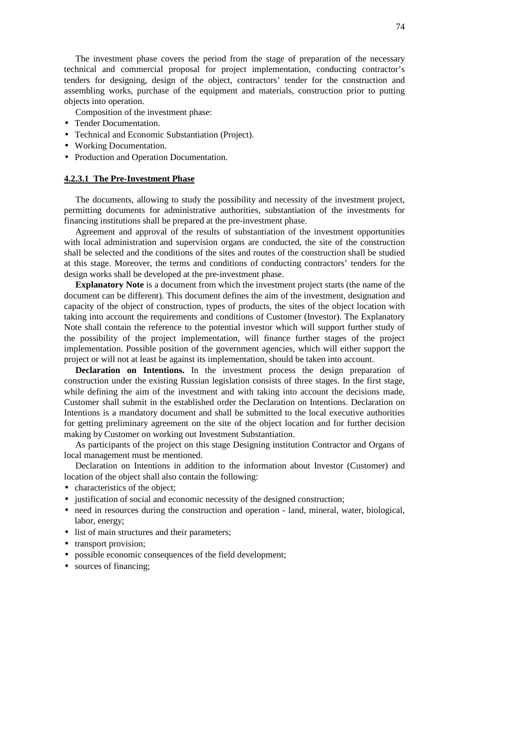The investment phase covers the period from the stage of preparation of the necessary technical and commercial proposal for project implementation, conducting contractor's tenders for designing, design of the object, contractors' tender for the construction and assembling works, purchase of the equipment and materials, construction prior to putting objects into operation.

Composition of the investment phase:

- Tender Documentation.
- Technical and Economic Substantiation (Project).
- Working Documentation.
- Production and Operation Documentation.

#### **4.2.3.1 The Pre-Investment Phase**

The documents, allowing to study the possibility and necessity of the investment project, permitting documents for administrative authorities, substantiation of the investments for financing institutions shall be prepared at the pre-investment phase.

Agreement and approval of the results of substantiation of the investment opportunities with local administration and supervision organs are conducted, the site of the construction shall be selected and the conditions of the sites and routes of the construction shall be studied at this stage. Moreover, the terms and conditions of conducting contractors' tenders for the design works shall be developed at the pre-investment phase.

**Explanatory Note** is a document from which the investment project starts (the name of the document can be different). This document defines the aim of the investment, designation and capacity of the object of construction, types of products, the sites of the object location with taking into account the requirements and conditions of Customer (Investor). The Explanatory Note shall contain the reference to the potential investor which will support further study of the possibility of the project implementation, will finance further stages of the project implementation. Possible position of the government agencies, which will either support the project or will not at least be against its implementation, should be taken into account.

**Declaration on Intentions.** In the investment process the design preparation of construction under the existing Russian legislation consists of three stages. In the first stage, while defining the aim of the investment and with taking into account the decisions made, Customer shall submit in the established order the Declaration on Intentions. Declaration on Intentions is a mandatory document and shall be submitted to the local executive authorities for getting preliminary agreement on the site of the object location and for further decision making by Customer on working out Investment Substantiation.

As participants of the project on this stage Designing institution Contractor and Organs of local management must be mentioned.

Declaration on Intentions in addition to the information about Investor (Customer) and location of the object shall also contain the following:

- characteristics of the object;
- justification of social and economic necessity of the designed construction;
- need in resources during the construction and operation land, mineral, water, biological, labor, energy;
- list of main structures and their parameters;
- transport provision;
- possible economic consequences of the field development;
- sources of financing;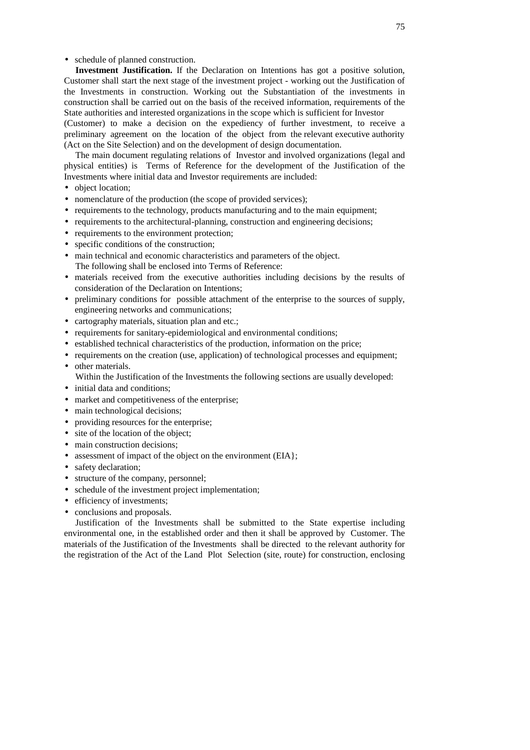schedule of planned construction.

**Investment Justification.** If the Declaration on Intentions has got a positive solution, Customer shall start the next stage of the investment project - working out the Justification of the Investments in construction. Working out the Substantiation of the investments in construction shall be carried out on the basis of the received information, requirements of the State authorities and interested organizations in the scope which is sufficient for Investor

(Customer) to make a decision on the expediency of further investment, to receive a preliminary agreement on the location of the object from the relevant executive authority (Act on the Site Selection) and on the development of design documentation.

The main document regulating relations of Investor and involved organizations (legal and physical entities) is Terms of Reference for the development of the Justification of the Investments where initial data and Investor requirements are included:

- object location;
- nomenclature of the production (the scope of provided services);
- requirements to the technology, products manufacturing and to the main equipment;
- requirements to the architectural-planning, construction and engineering decisions;
- requirements to the environment protection:
- specific conditions of the construction;
- main technical and economic characteristics and parameters of the object. The following shall be enclosed into Terms of Reference:
- materials received from the executive authorities including decisions by the results of consideration of the Declaration on Intentions;
- preliminary conditions for possible attachment of the enterprise to the sources of supply, engineering networks and communications;
- cartography materials, situation plan and etc.;
- requirements for sanitary-epidemiological and environmental conditions;
- established technical characteristics of the production, information on the price;
- requirements on the creation (use, application) of technological processes and equipment;
- other materials.
- Within the Justification of the Investments the following sections are usually developed:
- initial data and conditions;
- market and competitiveness of the enterprise;
- main technological decisions;
- providing resources for the enterprise;
- site of the location of the object;
- main construction decisions;
- assessment of impact of the object on the environment (EIA};
- safety declaration;
- structure of the company, personnel;
- schedule of the investment project implementation;
- efficiency of investments;
- conclusions and proposals.

Justification of the Investments shall be submitted to the State expertise including environmental one, in the established order and then it shall be approved by Customer. The materials of the Justification of the Investments shall be directed to the relevant authority for the registration of the Act of the Land Plot Selection (site, route) for construction, enclosing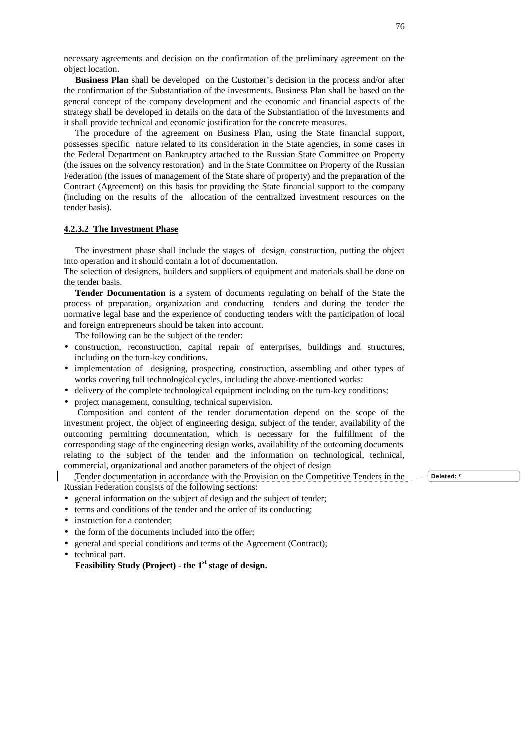necessary agreements and decision on the confirmation of the preliminary agreement on the object location.

**Business Plan** shall be developed on the Customer's decision in the process and/or after the confirmation of the Substantiation of the investments. Business Plan shall be based on the general concept of the company development and the economic and financial aspects of the strategy shall be developed in details on the data of the Substantiation of the Investments and it shall provide technical and economic justification for the concrete measures.

The procedure of the agreement on Business Plan, using the State financial support, possesses specific nature related to its consideration in the State agencies, in some cases in the Federal Department on Bankruptcy attached to the Russian State Committee on Property (the issues on the solvency restoration) and in the State Committee on Property of the Russian Federation (the issues of management of the State share of property) and the preparation of the Contract (Agreement) on this basis for providing the State financial support to the company (including on the results of the allocation of the centralized investment resources on the tender basis).

#### **4.2.3.2 The Investment Phase**

The investment phase shall include the stages of design, construction, putting the object into operation and it should contain a lot of documentation.

The selection of designers, builders and suppliers of equipment and materials shall be done on the tender basis.

**Tender Documentation** is a system of documents regulating on behalf of the State the process of preparation, organization and conducting tenders and during the tender the normative legal base and the experience of conducting tenders with the participation of local and foreign entrepreneurs should be taken into account.

The following can be the subject of the tender:

- construction, reconstruction, capital repair of enterprises, buildings and structures, including on the turn-key conditions.
- implementation of designing, prospecting, construction, assembling and other types of works covering full technological cycles, including the above-mentioned works:
- delivery of the complete technological equipment including on the turn-key conditions;
- project management, consulting, technical supervision.

Composition and content of the tender documentation depend on the scope of the investment project, the object of engineering design, subject of the tender, availability of the outcoming permitting documentation, which is necessary for the fulfillment of the corresponding stage of the engineering design works, availability of the outcoming documents relating to the subject of the tender and the information on technological, technical, commercial, organizational and another parameters of the object of design

Tender documentation in accordance with the Provision on the Competitive Tenders in the Russian Federation consists of the following sections:

- general information on the subject of design and the subject of tender;
- terms and conditions of the tender and the order of its conducting;
- instruction for a contender:
- the form of the documents included into the offer:
- general and special conditions and terms of the Agreement (Contract);
- technical part.

**Feasibility Study (Project) - the 1 st stage of design.**

**Deleted:** ¶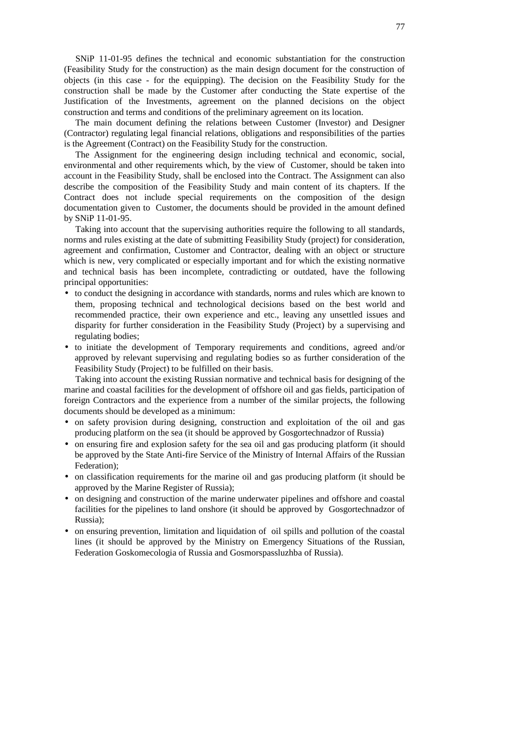SNiP 11-01-95 defines the technical and economic substantiation for the construction (Feasibility Study for the construction) as the main design document for the construction of objects (in this case - for the equipping). The decision on the Feasibility Study for the construction shall be made by the Customer after conducting the State expertise of the Justification of the Investments, agreement on the planned decisions on the object construction and terms and conditions of the preliminary agreement on its location.

The main document defining the relations between Customer (Investor) and Designer (Contractor) regulating legal financial relations, obligations and responsibilities of the parties is the Agreement (Contract) on the Feasibility Study for the construction.

The Assignment for the engineering design including technical and economic, social, environmental and other requirements which, by the view of Customer, should be taken into account in the Feasibility Study, shall be enclosed into the Contract. The Assignment can also describe the composition of the Feasibility Study and main content of its chapters. If the Contract does not include special requirements on the composition of the design documentation given to Customer, the documents should be provided in the amount defined by SNiP 11-01-95.

Taking into account that the supervising authorities require the following to all standards, norms and rules existing at the date of submitting Feasibility Study (project) for consideration, agreement and confirmation, Customer and Contractor, dealing with an object or structure which is new, very complicated or especially important and for which the existing normative and technical basis has been incomplete, contradicting or outdated, have the following principal opportunities:

- to conduct the designing in accordance with standards, norms and rules which are known to them, proposing technical and technological decisions based on the best world and recommended practice, their own experience and etc., leaving any unsettled issues and disparity for further consideration in the Feasibility Study (Project) by a supervising and regulating bodies;
- to initiate the development of Temporary requirements and conditions, agreed and/or approved by relevant supervising and regulating bodies so as further consideration of the Feasibility Study (Project) to be fulfilled on their basis.

Taking into account the existing Russian normative and technical basis for designing of the marine and coastal facilities for the development of offshore oil and gas fields, participation of foreign Contractors and the experience from a number of the similar projects, the following documents should be developed as a minimum:

- on safety provision during designing, construction and exploitation of the oil and gas producing platform on the sea (it should be approved by Gosgortechnadzor of Russia)
- on ensuring fire and explosion safety for the sea oil and gas producing platform (it should be approved by the State Anti-fire Service of the Ministry of Internal Affairs of the Russian Federation);
- on classification requirements for the marine oil and gas producing platform (it should be approved by the Marine Register of Russia);
- on designing and construction of the marine underwater pipelines and offshore and coastal facilities for the pipelines to land onshore (it should be approved by Gosgortechnadzor of Russia);
- on ensuring prevention, limitation and liquidation of oil spills and pollution of the coastal lines (it should be approved by the Ministry on Emergency Situations of the Russian, Federation Goskomecologia of Russia and Gosmorspassluzhba of Russia).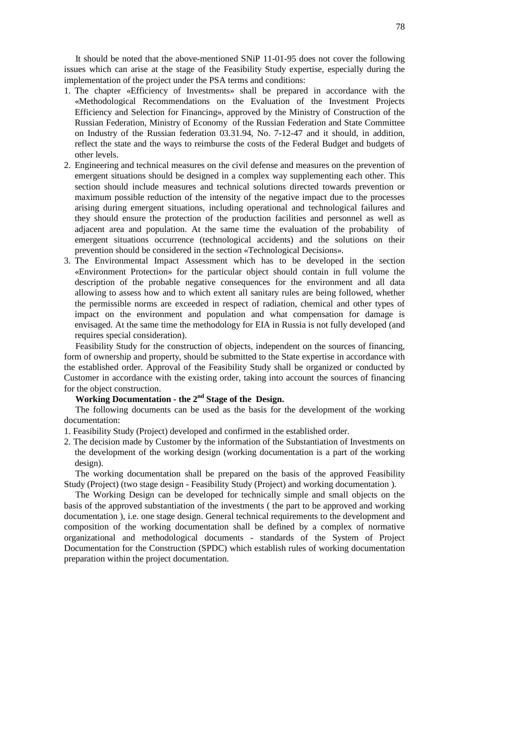It should be noted that the above-mentioned SNiP 11-01-95 does not cover the following issues which can arise at the stage of the Feasibility Study expertise, especially during the implementation of the project under the PSA terms and conditions:

- 1. The chapter «Efficiency of Investments» shall be prepared in accordance with the «Methodological Recommendations on the Evaluation of the Investment Projects Efficiency and Selection for Financing», approved by the Ministry of Construction of the Russian Federation, Ministry of Economy of the Russian Federation and State Committee on Industry of the Russian federation 03.31.94, No. 7-12-47 and it should, in addition, reflect the state and the ways to reimburse the costs of the Federal Budget and budgets of other levels.
- 2. Engineering and technical measures on the civil defense and measures on the prevention of emergent situations should be designed in a complex way supplementing each other. This section should include measures and technical solutions directed towards prevention or maximum possible reduction of the intensity of the negative impact due to the processes arising during emergent situations, including operational and technological failures and they should ensure the protection of the production facilities and personnel as well as adjacent area and population. At the same time the evaluation of the probability of emergent situations occurrence (technological accidents) and the solutions on their prevention should be considered in the section «Technological Decisions».
- 3. The Environmental Impact Assessment which has to be developed in the section «Environment Protection» for the particular object should contain in full volume the description of the probable negative consequences for the environment and all data allowing to assess how and to which extent all sanitary rules are being followed, whether the permissible norms are exceeded in respect of radiation, chemical and other types of impact on the environment and population and what compensation for damage is envisaged. At the same time the methodology for EIA in Russia is not fully developed (and requires special consideration).

Feasibility Study for the construction of objects, independent on the sources of financing, form of ownership and property, should be submitted to the State expertise in accordance with the established order. Approval of the Feasibility Study shall be organized or conducted by Customer in accordance with the existing order, taking into account the sources of financing for the object construction.

# **Working Documentation - the 2 nd Stage of the Design.**

The following documents can be used as the basis for the development of the working documentation:

- 1. Feasibility Study (Project) developed and confirmed in the established order.
- 2. The decision made by Customer by the information of the Substantiation of Investments on the development of the working design (working documentation is a part of the working design).

The working documentation shall be prepared on the basis of the approved Feasibility Study (Project) (two stage design - Feasibility Study (Project) and working documentation ).

The Working Design can be developed for technically simple and small objects on the basis of the approved substantiation of the investments ( the part to be approved and working documentation ), i.e. one stage design. General technical requirements to the development and composition of the working documentation shall be defined by a complex of normative organizational and methodological documents - standards of the System of Project Documentation for the Construction (SPDC) which establish rules of working documentation preparation within the project documentation.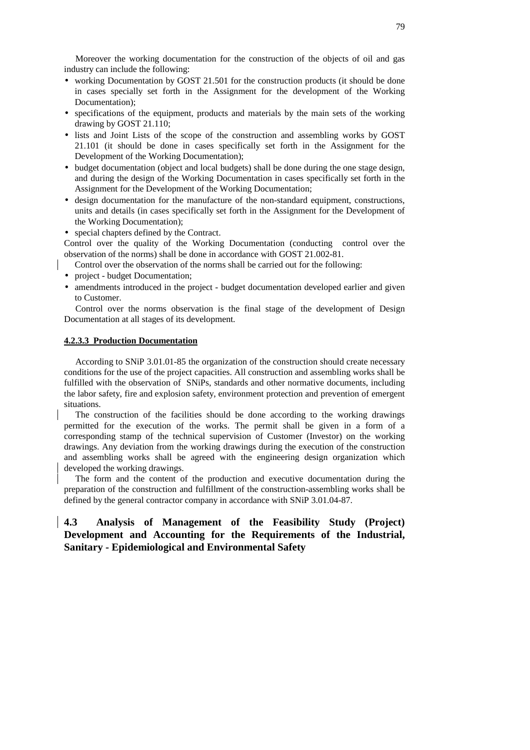Moreover the working documentation for the construction of the objects of oil and gas industry can include the following:

- working Documentation by GOST 21.501 for the construction products (it should be done in cases specially set forth in the Assignment for the development of the Working Documentation);
- specifications of the equipment, products and materials by the main sets of the working drawing by GOST 21.110;
- lists and Joint Lists of the scope of the construction and assembling works by GOST 21.101 (it should be done in cases specifically set forth in the Assignment for the Development of the Working Documentation);
- budget documentation (object and local budgets) shall be done during the one stage design, and during the design of the Working Documentation in cases specifically set forth in the Assignment for the Development of the Working Documentation;
- design documentation for the manufacture of the non-standard equipment, constructions, units and details (in cases specifically set forth in the Assignment for the Development of the Working Documentation);

• special chapters defined by the Contract.

Control over the quality of the Working Documentation (conducting control over the observation of the norms) shall be done in accordance with GOST 21.002-81.

- Control over the observation of the norms shall be carried out for the following:
- project budget Documentation;
- amendments introduced in the project budget documentation developed earlier and given to Customer.

Control over the norms observation is the final stage of the development of Design Documentation at all stages of its development.

### **4.2.3.3 Production Documentation**

According to SNiP 3.01.01-85 the organization of the construction should create necessary conditions for the use of the project capacities. All construction and assembling works shall be fulfilled with the observation of SNiPs, standards and other normative documents, including the labor safety, fire and explosion safety, environment protection and prevention of emergent situations.

The construction of the facilities should be done according to the working drawings permitted for the execution of the works. The permit shall be given in a form of a corresponding stamp of the technical supervision of Customer (Investor) on the working drawings. Any deviation from the working drawings during the execution of the construction and assembling works shall be agreed with the engineering design organization which developed the working drawings.

The form and the content of the production and executive documentation during the preparation of the construction and fulfillment of the construction-assembling works shall be defined by the general contractor company in accordance with SNiP 3.01.04-87.

# **4.3 Analysis of Management of the Feasibility Study (Project) Development and Accounting for the Requirements of the Industrial, Sanitary - Epidemiological and Environmental Safety**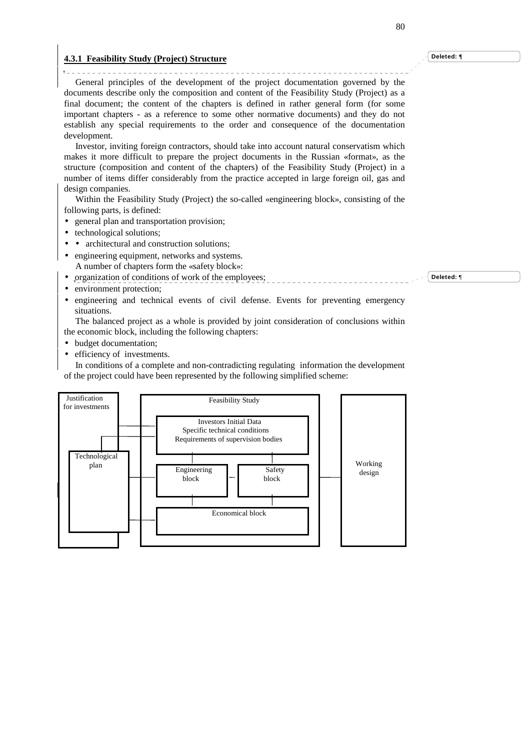#### **4.3.1 Feasibility Study (Project) Structure**

General principles of the development of the project documentation governed by the documents describe only the composition and content of the Feasibility Study (Project) as a final document; the content of the chapters is defined in rather general form (for some important chapters - as a reference to some other normative documents) and they do not establish any special requirements to the order and consequence of the documentation development.

Investor, inviting foreign contractors, should take into account natural conservatism which makes it more difficult to prepare the project documents in the Russian «format», as the structure (composition and content of the chapters) of the Feasibility Study (Project) in a number of items differ considerably from the practice accepted in large foreign oil, gas and design companies.

Within the Feasibility Study (Project) the so-called «engineering block», consisting of the following parts, is defined:

- general plan and transportation provision;
- technological solutions;

 $\mathbf{v}$ 

- architectural and construction solutions;
- engineering equipment, networks and systems. A number of chapters form the «safety block»:
- organization of conditions of work of the employees;
- environment protection;
- engineering and technical events of civil defense. Events for preventing emergency situations.

The balanced project as a whole is provided by joint consideration of conclusions within the economic block, including the following chapters:

- budget documentation;
- efficiency of investments.

In conditions of a complete and non-contradicting regulating information the development of the project could have been represented by the following simplified scheme:



**Deleted:** ¶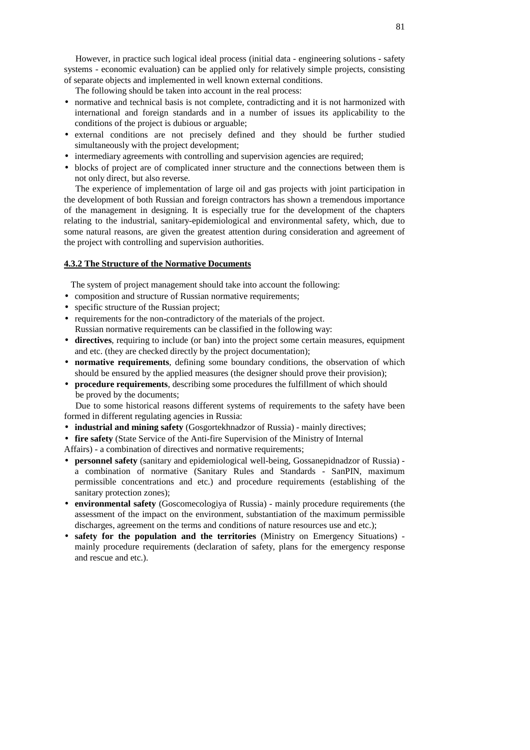However, in practice such logical ideal process (initial data - engineering solutions - safety systems - economic evaluation) can be applied only for relatively simple projects, consisting of separate objects and implemented in well known external conditions.

The following should be taken into account in the real process:

- normative and technical basis is not complete, contradicting and it is not harmonized with international and foreign standards and in a number of issues its applicability to the conditions of the project is dubious or arguable;
- external conditions are not precisely defined and they should be further studied simultaneously with the project development;
- intermediary agreements with controlling and supervision agencies are required;
- blocks of project are of complicated inner structure and the connections between them is not only direct, but also reverse.

The experience of implementation of large oil and gas projects with joint participation in the development of both Russian and foreign contractors has shown a tremendous importance of the management in designing. It is especially true for the development of the chapters relating to the industrial, sanitary-epidemiological and environmental safety, which, due to some natural reasons, are given the greatest attention during consideration and agreement of the project with controlling and supervision authorities.

### **4.3.2 The Structure of the Normative Documents**

The system of project management should take into account the following:

- composition and structure of Russian normative requirements;
- specific structure of the Russian project;
- requirements for the non-contradictory of the materials of the project. Russian normative requirements can be classified in the following way:
- **directives**, requiring to include (or ban) into the project some certain measures, equipment and etc. (they are checked directly by the project documentation);
- **normative requirements**, defining some boundary conditions, the observation of which should be ensured by the applied measures (the designer should prove their provision);
- **procedure requirements**, describing some procedures the fulfillment of which should be proved by the documents;

Due to some historical reasons different systems of requirements to the safety have been formed in different regulating agencies in Russia:

- **industrial and mining safety** (Gosgortekhnadzor of Russia) mainly directives;
- **fire safety** (State Service of the Anti-fire Supervision of the Ministry of Internal
- Affairs) a combination of directives and normative requirements;
- **personnel safety** (sanitary and epidemiological well-being, Gossanepidnadzor of Russia) a combination of normative (Sanitary Rules and Standards - SanPIN, maximum permissible concentrations and etc.) and procedure requirements (establishing of the sanitary protection zones);
- **environmental safety** (Goscomecologiya of Russia) mainly procedure requirements (the assessment of the impact on the environment, substantiation of the maximum permissible discharges, agreement on the terms and conditions of nature resources use and etc.);
- **safety for the population and the territories** (Ministry on Emergency Situations) mainly procedure requirements (declaration of safety, plans for the emergency response and rescue and etc.).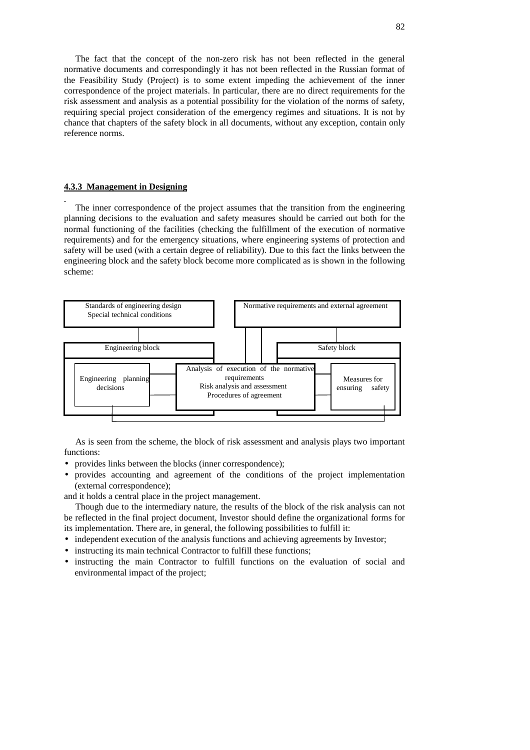The fact that the concept of the non-zero risk has not been reflected in the general normative documents and correspondingly it has not been reflected in the Russian format of the Feasibility Study (Project) is to some extent impeding the achievement of the inner correspondence of the project materials. In particular, there are no direct requirements for the risk assessment and analysis as a potential possibility for the violation of the norms of safety, requiring special project consideration of the emergency regimes and situations. It is not by chance that chapters of the safety block in all documents, without any exception, contain only reference norms.

#### **4.3.3 Management in Designing**

The inner correspondence of the project assumes that the transition from the engineering planning decisions to the evaluation and safety measures should be carried out both for the normal functioning of the facilities (checking the fulfillment of the execution of normative requirements) and for the emergency situations, where engineering systems of protection and safety will be used (with a certain degree of reliability). Due to this fact the links between the engineering block and the safety block become more complicated as is shown in the following scheme:



As is seen from the scheme, the block of risk assessment and analysis plays two important functions:

- provides links between the blocks (inner correspondence);
- provides accounting and agreement of the conditions of the project implementation (external correspondence);

and it holds a central place in the project management.

Though due to the intermediary nature, the results of the block of the risk analysis can not be reflected in the final project document, Investor should define the organizational forms for its implementation. There are, in general, the following possibilities to fulfill it:

- independent execution of the analysis functions and achieving agreements by Investor;
- instructing its main technical Contractor to fulfill these functions;
- instructing the main Contractor to fulfill functions on the evaluation of social and environmental impact of the project;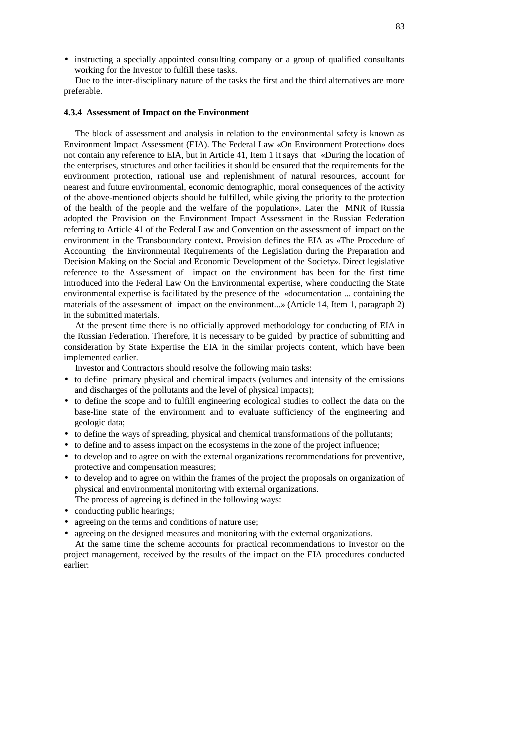• instructing a specially appointed consulting company or a group of qualified consultants working for the Investor to fulfill these tasks.

Due to the inter-disciplinary nature of the tasks the first and the third alternatives are more preferable.

# **4.3.4 Assessment of Impact on the Environment**

The block of assessment and analysis in relation to the environmental safety is known as Environment Impact Assessment (EIA). The Federal Law «On Environment Protection» does not contain any reference to EIA, but in Article 41, Item 1 it says that «During the location of the enterprises, structures and other facilities it should be ensured that the requirements for the environment protection, rational use and replenishment of natural resources, account for nearest and future environmental, economic demographic, moral consequences of the activity of the above-mentioned objects should be fulfilled, while giving the priority to the protection of the health of the people and the welfare of the population». Later the MNR of Russia adopted the Provision on the Environment Impact Assessment in the Russian Federation referring to Article 41 of the Federal Law and Convention on the assessment of **i**mpact on the environment in the Transboundary context**.** Provision defines the EIA as «The Procedure of Accounting the Environmental Requirements of the Legislation during the Preparation and Decision Making on the Social and Economic Development of the Society». Direct legislative reference to the Assessment of impact on the environment has been for the first time introduced into the Federal Law On the Environmental expertise, where conducting the State environmental expertise is facilitated by the presence of the «documentation ... containing the materials of the assessment of impact on the environment...» (Article 14, Item 1, paragraph 2) in the submitted materials.

At the present time there is no officially approved methodology for conducting of EIA in the Russian Federation. Therefore, it is necessary to be guided by practice of submitting and consideration by State Expertise the EIA in the similar projects content, which have been implemented earlier.

Investor and Contractors should resolve the following main tasks:

- to define primary physical and chemical impacts (volumes and intensity of the emissions and discharges of the pollutants and the level of physical impacts);
- to define the scope and to fulfill engineering ecological studies to collect the data on the base-line state of the environment and to evaluate sufficiency of the engineering and geologic data;
- to define the ways of spreading, physical and chemical transformations of the pollutants;
- to define and to assess impact on the ecosystems in the zone of the project influence;
- to develop and to agree on with the external organizations recommendations for preventive, protective and compensation measures;
- to develop and to agree on within the frames of the project the proposals on organization of physical and environmental monitoring with external organizations. The process of agreeing is defined in the following ways:
- conducting public hearings;
- agreeing on the terms and conditions of nature use:
- agreeing on the designed measures and monitoring with the external organizations.

At the same time the scheme accounts for practical recommendations to Investor on the project management, received by the results of the impact on the EIA procedures conducted earlier: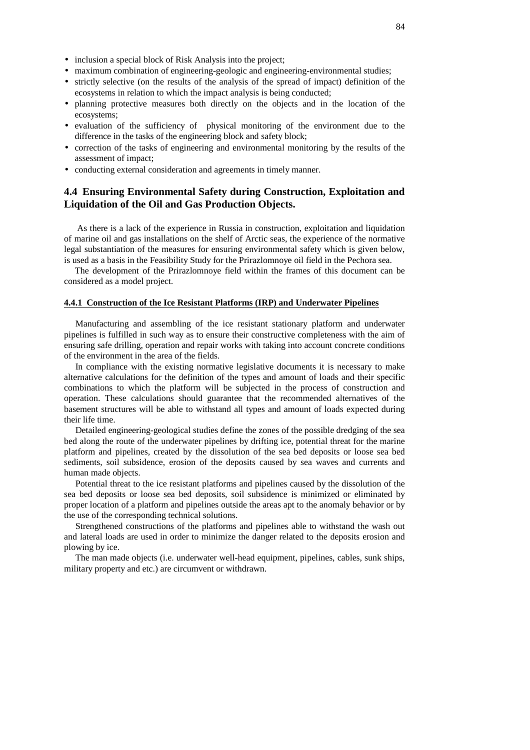- inclusion a special block of Risk Analysis into the project;
- maximum combination of engineering-geologic and engineering-environmental studies;
- strictly selective (on the results of the analysis of the spread of impact) definition of the ecosystems in relation to which the impact analysis is being conducted;
- planning protective measures both directly on the objects and in the location of the ecosystems;
- evaluation of the sufficiency of physical monitoring of the environment due to the difference in the tasks of the engineering block and safety block;
- correction of the tasks of engineering and environmental monitoring by the results of the assessment of impact;
- conducting external consideration and agreements in timely manner.

# **4.4 Ensuring Environmental Safety during Construction, Exploitation and Liquidation of the Oil and Gas Production Objects.**

As there is a lack of the experience in Russia in construction, exploitation and liquidation of marine oil and gas installations on the shelf of Arctic seas, the experience of the normative legal substantiation of the measures for ensuring environmental safety which is given below, is used as a basis in the Feasibility Study for the Prirazlomnoye oil field in the Pechora sea.

The development of the Prirazlomnoye field within the frames of this document can be considered as a model project.

# **4.4.1 Construction of the Ice Resistant Platforms (IRP) and Underwater Pipelines**

Manufacturing and assembling of the ice resistant stationary platform and underwater pipelines is fulfilled in such way as to ensure their constructive completeness with the aim of ensuring safe drilling, operation and repair works with taking into account concrete conditions of the environment in the area of the fields.

In compliance with the existing normative legislative documents it is necessary to make alternative calculations for the definition of the types and amount of loads and their specific combinations to which the platform will be subjected in the process of construction and operation. These calculations should guarantee that the recommended alternatives of the basement structures will be able to withstand all types and amount of loads expected during their life time.

Detailed engineering-geological studies define the zones of the possible dredging of the sea bed along the route of the underwater pipelines by drifting ice, potential threat for the marine platform and pipelines, created by the dissolution of the sea bed deposits or loose sea bed sediments, soil subsidence, erosion of the deposits caused by sea waves and currents and human made objects.

Potential threat to the ice resistant platforms and pipelines caused by the dissolution of the sea bed deposits or loose sea bed deposits, soil subsidence is minimized or eliminated by proper location of a platform and pipelines outside the areas apt to the anomaly behavior or by the use of the corresponding technical solutions.

Strengthened constructions of the platforms and pipelines able to withstand the wash out and lateral loads are used in order to minimize the danger related to the deposits erosion and plowing by ice.

The man made objects (i.e. underwater well-head equipment, pipelines, cables, sunk ships, military property and etc.) are circumvent or withdrawn.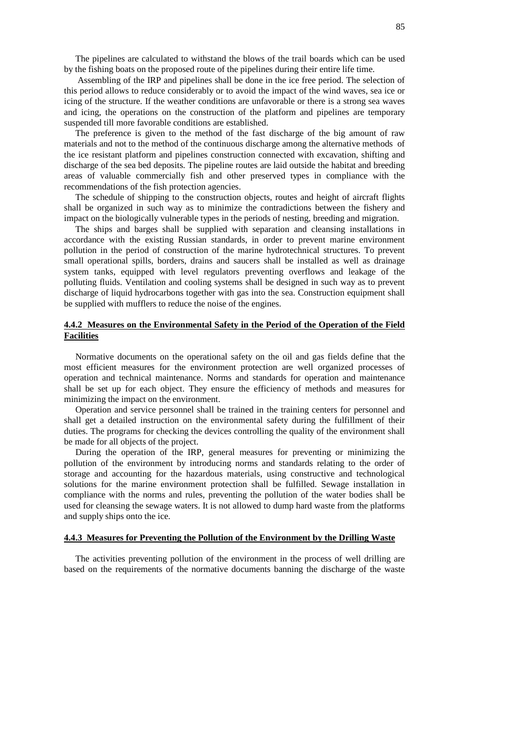The pipelines are calculated to withstand the blows of the trail boards which can be used by the fishing boats on the proposed route of the pipelines during their entire life time.

Assembling of the IRP and pipelines shall be done in the ice free period. The selection of this period allows to reduce considerably or to avoid the impact of the wind waves, sea ice or icing of the structure. If the weather conditions are unfavorable or there is a strong sea waves and icing, the operations on the construction of the platform and pipelines are temporary suspended till more favorable conditions are established.

The preference is given to the method of the fast discharge of the big amount of raw materials and not to the method of the continuous discharge among the alternative methods of the ice resistant platform and pipelines construction connected with excavation, shifting and discharge of the sea bed deposits. The pipeline routes are laid outside the habitat and breeding areas of valuable commercially fish and other preserved types in compliance with the recommendations of the fish protection agencies.

The schedule of shipping to the construction objects, routes and height of aircraft flights shall be organized in such way as to minimize the contradictions between the fishery and impact on the biologically vulnerable types in the periods of nesting, breeding and migration.

The ships and barges shall be supplied with separation and cleansing installations in accordance with the existing Russian standards, in order to prevent marine environment pollution in the period of construction of the marine hydrotechnical structures. To prevent small operational spills, borders, drains and saucers shall be installed as well as drainage system tanks, equipped with level regulators preventing overflows and leakage of the polluting fluids. Ventilation and cooling systems shall be designed in such way as to prevent discharge of liquid hydrocarbons together with gas into the sea. Construction equipment shall be supplied with mufflers to reduce the noise of the engines.

#### **4.4.2 Measures on the Environmental Safety in the Period of the Operation of the Field Facilities**

Normative documents on the operational safety on the oil and gas fields define that the most efficient measures for the environment protection are well organized processes of operation and technical maintenance. Norms and standards for operation and maintenance shall be set up for each object. They ensure the efficiency of methods and measures for minimizing the impact on the environment.

Operation and service personnel shall be trained in the training centers for personnel and shall get a detailed instruction on the environmental safety during the fulfillment of their duties. The programs for checking the devices controlling the quality of the environment shall be made for all objects of the project.

During the operation of the IRP, general measures for preventing or minimizing the pollution of the environment by introducing norms and standards relating to the order of storage and accounting for the hazardous materials, using constructive and technological solutions for the marine environment protection shall be fulfilled. Sewage installation in compliance with the norms and rules, preventing the pollution of the water bodies shall be used for cleansing the sewage waters. It is not allowed to dump hard waste from the platforms and supply ships onto the ice.

#### **4.4.3 Measures for Preventing the Pollution of the Environment by the Drilling Waste**

The activities preventing pollution of the environment in the process of well drilling are based on the requirements of the normative documents banning the discharge of the waste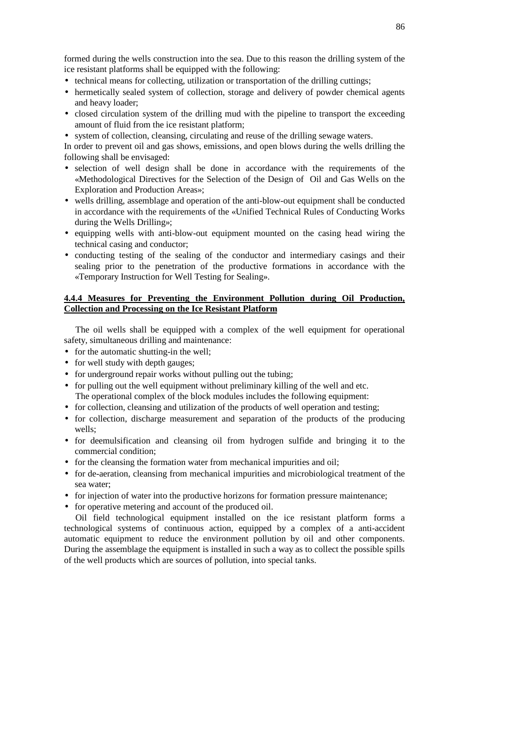formed during the wells construction into the sea. Due to this reason the drilling system of the ice resistant platforms shall be equipped with the following:

- technical means for collecting, utilization or transportation of the drilling cuttings;
- hermetically sealed system of collection, storage and delivery of powder chemical agents and heavy loader;
- closed circulation system of the drilling mud with the pipeline to transport the exceeding amount of fluid from the ice resistant platform;
- system of collection, cleansing, circulating and reuse of the drilling sewage waters.

In order to prevent oil and gas shows, emissions, and open blows during the wells drilling the following shall be envisaged:

- selection of well design shall be done in accordance with the requirements of the «Methodological Directives for the Selection of the Design of Oil and Gas Wells on the Exploration and Production Areas»;
- wells drilling, assemblage and operation of the anti-blow-out equipment shall be conducted in accordance with the requirements of the «Unified Technical Rules of Conducting Works during the Wells Drilling»;
- equipping wells with anti-blow-out equipment mounted on the casing head wiring the technical casing and conductor;
- conducting testing of the sealing of the conductor and intermediary casings and their sealing prior to the penetration of the productive formations in accordance with the «Temporary Instruction for Well Testing for Sealing».

### **4.4.4 Measures for Preventing the Environment Pollution during Oil Production, Collection and Processing on the Ice Resistant Platform**

The oil wells shall be equipped with a complex of the well equipment for operational safety, simultaneous drilling and maintenance:

- for the automatic shutting-in the well;
- for well study with depth gauges;
- for underground repair works without pulling out the tubing;
- for pulling out the well equipment without preliminary killing of the well and etc. The operational complex of the block modules includes the following equipment:
- for collection, cleansing and utilization of the products of well operation and testing;
- for collection, discharge measurement and separation of the products of the producing wells;
- for deemulsification and cleansing oil from hydrogen sulfide and bringing it to the commercial condition;
- for the cleansing the formation water from mechanical impurities and oil;
- for de-aeration, cleansing from mechanical impurities and microbiological treatment of the sea water;
- for injection of water into the productive horizons for formation pressure maintenance;
- for operative metering and account of the produced oil.

Oil field technological equipment installed on the ice resistant platform forms a technological systems of continuous action, equipped by a complex of a anti-accident automatic equipment to reduce the environment pollution by oil and other components. During the assemblage the equipment is installed in such a way as to collect the possible spills of the well products which are sources of pollution, into special tanks.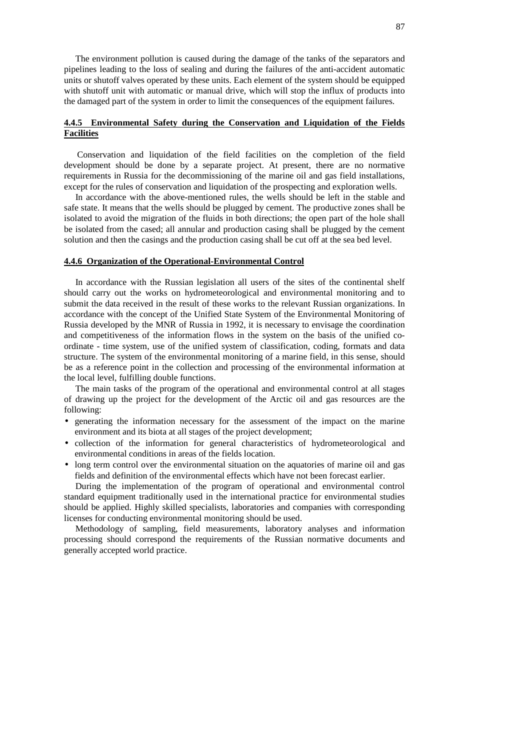The environment pollution is caused during the damage of the tanks of the separators and pipelines leading to the loss of sealing and during the failures of the anti-accident automatic units or shutoff valves operated by these units. Each element of the system should be equipped with shutoff unit with automatic or manual drive, which will stop the influx of products into the damaged part of the system in order to limit the consequences of the equipment failures.

# **4.4.5 Environmental Safety during the Conservation and Liquidation of the Fields Facilities**

Conservation and liquidation of the field facilities on the completion of the field development should be done by a separate project. At present, there are no normative requirements in Russia for the decommissioning of the marine oil and gas field installations, except for the rules of conservation and liquidation of the prospecting and exploration wells.

In accordance with the above-mentioned rules, the wells should be left in the stable and safe state. It means that the wells should be plugged by cement. The productive zones shall be isolated to avoid the migration of the fluids in both directions; the open part of the hole shall be isolated from the cased; all annular and production casing shall be plugged by the cement solution and then the casings and the production casing shall be cut off at the sea bed level.

#### **4.4.6 Organization of the Operational-Environmental Control**

In accordance with the Russian legislation all users of the sites of the continental shelf should carry out the works on hydrometeorological and environmental monitoring and to submit the data received in the result of these works to the relevant Russian organizations. In accordance with the concept of the Unified State System of the Environmental Monitoring of Russia developed by the MNR of Russia in 1992, it is necessary to envisage the coordination and competitiveness of the information flows in the system on the basis of the unified coordinate - time system, use of the unified system of classification, coding, formats and data structure. The system of the environmental monitoring of a marine field, in this sense, should be as a reference point in the collection and processing of the environmental information at the local level, fulfilling double functions.

The main tasks of the program of the operational and environmental control at all stages of drawing up the project for the development of the Arctic oil and gas resources are the following:

- generating the information necessary for the assessment of the impact on the marine environment and its biota at all stages of the project development;
- collection of the information for general characteristics of hydrometeorological and environmental conditions in areas of the fields location.
- long term control over the environmental situation on the aquatories of marine oil and gas fields and definition of the environmental effects which have not been forecast earlier.

During the implementation of the program of operational and environmental control standard equipment traditionally used in the international practice for environmental studies should be applied. Highly skilled specialists, laboratories and companies with corresponding licenses for conducting environmental monitoring should be used.

Methodology of sampling, field measurements, laboratory analyses and information processing should correspond the requirements of the Russian normative documents and generally accepted world practice.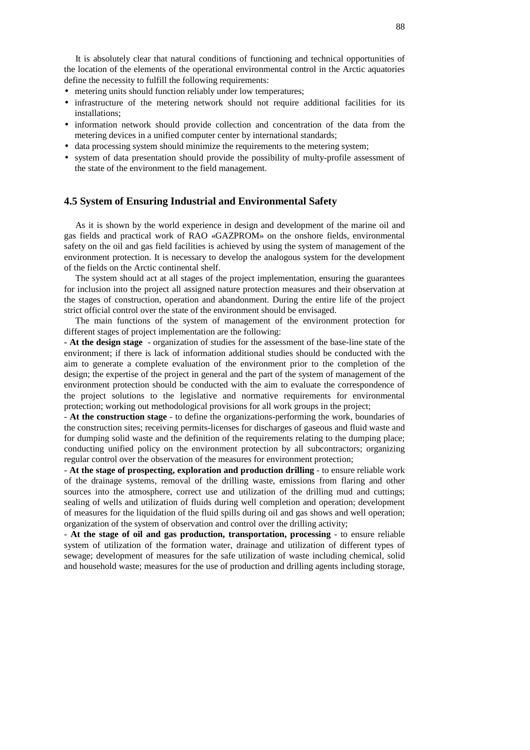It is absolutely clear that natural conditions of functioning and technical opportunities of the location of the elements of the operational environmental control in the Arctic aquatories define the necessity to fulfill the following requirements:

- metering units should function reliably under low temperatures;
- infrastructure of the metering network should not require additional facilities for its installations;
- information network should provide collection and concentration of the data from the metering devices in a unified computer center by international standards;
- data processing system should minimize the requirements to the metering system;
- system of data presentation should provide the possibility of multy-profile assessment of the state of the environment to the field management.

# **4.5 System of Ensuring Industrial and Environmental Safety**

As it is shown by the world experience in design and development of the marine oil and gas fields and practical work of RAO «GAZPROM» on the onshore fields, environmental safety on the oil and gas field facilities is achieved by using the system of management of the environment protection. It is necessary to develop the analogous system for the development of the fields on the Arctic continental shelf.

The system should act at all stages of the project implementation, ensuring the guarantees for inclusion into the project all assigned nature protection measures and their observation at the stages of construction, operation and abandonment. During the entire life of the project strict official control over the state of the environment should be envisaged.

The main functions of the system of management of the environment protection for different stages of project implementation are the following:

**- At the design stage** - organization of studies for the assessment of the base-line state of the environment; if there is lack of information additional studies should be conducted with the aim to generate a complete evaluation of the environment prior to the completion of the design; the expertise of the project in general and the part of the system of management of the environment protection should be conducted with the aim to evaluate the correspondence of the project solutions to the legislative and normative requirements for environmental protection; working out methodological provisions for all work groups in the project;

- **At the construction stage** - to define the organizations-performing the work, boundaries of the construction sites; receiving permits-licenses for discharges of gaseous and fluid waste and for dumping solid waste and the definition of the requirements relating to the dumping place; conducting unified policy on the environment protection by all subcontractors; organizing regular control over the observation of the measures for environment protection;

- **At the stage of prospecting, exploration and production drilling** - to ensure reliable work of the drainage systems, removal of the drilling waste, emissions from flaring and other sources into the atmosphere, correct use and utilization of the drilling mud and cuttings; sealing of wells and utilization of fluids during well completion and operation; development of measures for the liquidation of the fluid spills during oil and gas shows and well operation; organization of the system of observation and control over the drilling activity;

- **At the stage of oil and gas production, transportation, processing** - to ensure reliable system of utilization of the formation water, drainage and utilization of different types of sewage; development of measures for the safe utilization of waste including chemical, solid and household waste; measures for the use of production and drilling agents including storage,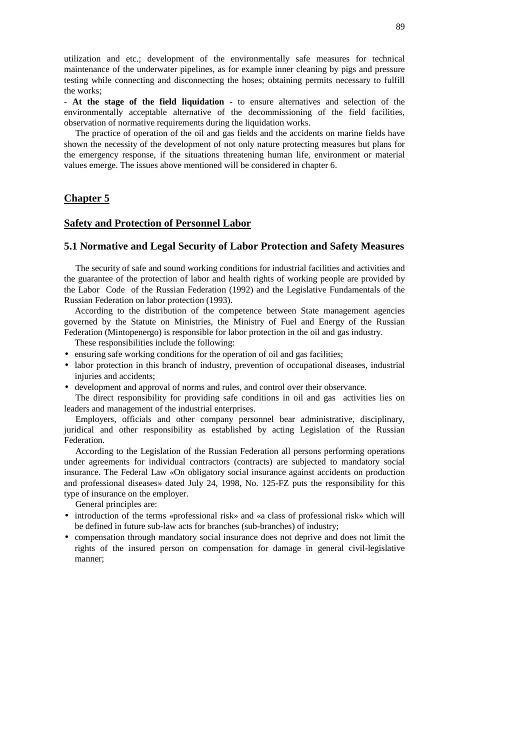utilization and etc.; development of the environmentally safe measures for technical maintenance of the underwater pipelines, as for example inner cleaning by pigs and pressure testing while connecting and disconnecting the hoses; obtaining permits necessary to fulfill the works;

- **At the stage of the field liquidation** - to ensure alternatives and selection of the environmentally acceptable alternative of the decommissioning of the field facilities, observation of normative requirements during the liquidation works.

The practice of operation of the oil and gas fields and the accidents on marine fields have shown the necessity of the development of not only nature protecting measures but plans for the emergency response, if the situations threatening human life, environment or material values emerge. The issues above mentioned will be considered in chapter 6.

# **Chapter 5**

### **Safety and Protection of Personnel Labor**

# **5.1 Normative and Legal Security of Labor Protection and Safety Measures**

The security of safe and sound working conditions for industrial facilities and activities and the guarantee of the protection of labor and health rights of working people are provided by the Labor Code of the Russian Federation (1992) and the Legislative Fundamentals of the Russian Federation on labor protection (1993).

According to the distribution of the competence between State management agencies governed by the Statute on Ministries, the Ministry of Fuel and Energy of the Russian Federation (Mintopenergo) is responsible for labor protection in the oil and gas industry.

These responsibilities include the following:

- ensuring safe working conditions for the operation of oil and gas facilities;
- labor protection in this branch of industry, prevention of occupational diseases, industrial injuries and accidents;
- development and approval of norms and rules, and control over their observance.

The direct responsibility for providing safe conditions in oil and gas activities lies on leaders and management of the industrial enterprises.

Employers, officials and other company personnel bear administrative, disciplinary, juridical and other responsibility as established by acting Legislation of the Russian Federation.

According to the Legislation of the Russian Federation all persons performing operations under agreements for individual contractors (contracts) are subjected to mandatory social insurance. The Federal Law «On obligatory social insurance against accidents on production and professional diseases» dated July 24, 1998, No. 125-FZ puts the responsibility for this type of insurance on the employer.

General principles are:

- introduction of the terms «professional risk» and «a class of professional risk» which will be defined in future sub-law acts for branches (sub-branches) of industry;
- compensation through mandatory social insurance does not deprive and does not limit the rights of the insured person on compensation for damage in general civil-legislative manner;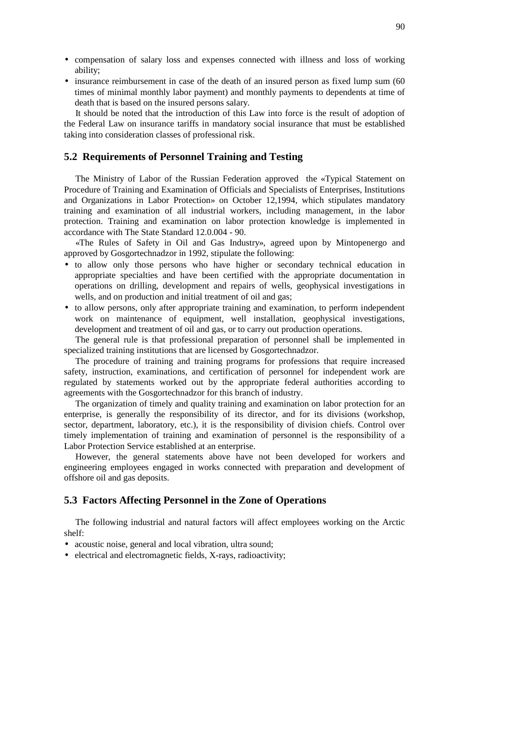- compensation of salary loss and expenses connected with illness and loss of working ability;
- insurance reimbursement in case of the death of an insured person as fixed lump sum (60) times of minimal monthly labor payment) and monthly payments to dependents at time of death that is based on the insured persons salary.

It should be noted that the introduction of this Law into force is the result of adoption of the Federal Law on insurance tariffs in mandatory social insurance that must be established taking into consideration classes of professional risk.

#### **5.2 Requirements of Personnel Training and Testing**

The Ministry of Labor of the Russian Federation approved the «Typical Statement on Procedure of Training and Examination of Officials and Specialists of Enterprises, Institutions and Organizations in Labor Protection» on October 12,1994, which stipulates mandatory training and examination of all industrial workers, including management, in the labor protection. Training and examination on labor protection knowledge is implemented in accordance with The State Standard 12.0.004 - 90.

«The Rules of Safety in Oil and Gas Industry», agreed upon by Mintopenergo and approved by Gosgortechnadzor in 1992, stipulate the following:

- to allow only those persons who have higher or secondary technical education in appropriate specialties and have been certified with the appropriate documentation in operations on drilling, development and repairs of wells, geophysical investigations in wells, and on production and initial treatment of oil and gas;
- to allow persons, only after appropriate training and examination, to perform independent work on maintenance of equipment, well installation, geophysical investigations, development and treatment of oil and gas, or to carry out production operations.

The general rule is that professional preparation of personnel shall be implemented in specialized training institutions that are licensed by Gosgortechnadzor.

The procedure of training and training programs for professions that require increased safety, instruction, examinations, and certification of personnel for independent work are regulated by statements worked out by the appropriate federal authorities according to agreements with the Gosgortechnadzor for this branch of industry.

The organization of timely and quality training and examination on labor protection for an enterprise, is generally the responsibility of its director, and for its divisions (workshop, sector, department, laboratory, etc.), it is the responsibility of division chiefs. Control over timely implementation of training and examination of personnel is the responsibility of a Labor Protection Service established at an enterprise.

However, the general statements above have not been developed for workers and engineering employees engaged in works connected with preparation and development of offshore oil and gas deposits.

### **5.3 Factors Affecting Personnel in the Zone of Operations**

The following industrial and natural factors will affect employees working on the Arctic shelf:

- acoustic noise, general and local vibration, ultra sound;
- electrical and electromagnetic fields, X-rays, radioactivity;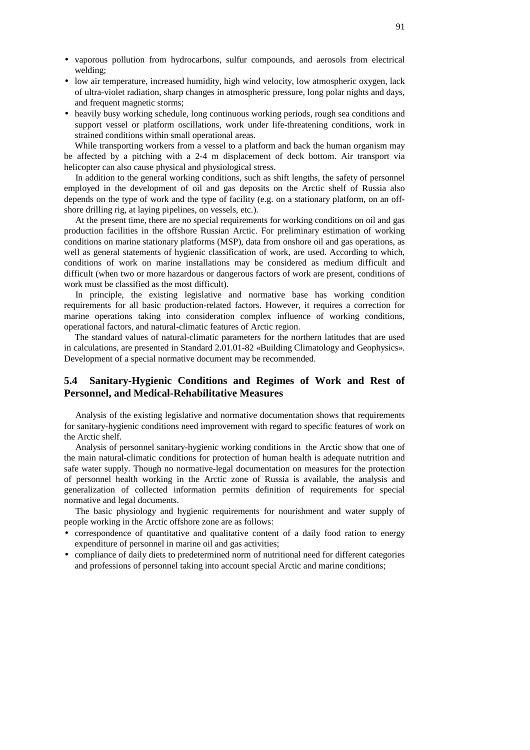- vaporous pollution from hydrocarbons, sulfur compounds, and aerosols from electrical welding;
- low air temperature, increased humidity, high wind velocity, low atmospheric oxygen, lack of ultra-violet radiation, sharp changes in atmospheric pressure, long polar nights and days, and frequent magnetic storms;
- heavily busy working schedule, long continuous working periods, rough sea conditions and support vessel or platform oscillations, work under life-threatening conditions, work in strained conditions within small operational areas.

While transporting workers from a vessel to a platform and back the human organism may be affected by a pitching with a 2-4 m displacement of deck bottom. Air transport via helicopter can also cause physical and physiological stress.

In addition to the general working conditions, such as shift lengths, the safety of personnel employed in the development of oil and gas deposits on the Arctic shelf of Russia also depends on the type of work and the type of facility (e.g. on a stationary platform, on an offshore drilling rig, at laying pipelines, on vessels, etc.).

At the present time, there are no special requirements for working conditions on oil and gas production facilities in the offshore Russian Arctic. For preliminary estimation of working conditions on marine stationary platforms (MSP), data from onshore oil and gas operations, as well as general statements of hygienic classification of work, are used. According to which, conditions of work on marine installations may be considered as medium difficult and difficult (when two or more hazardous or dangerous factors of work are present, conditions of work must be classified as the most difficult).

In principle, the existing legislative and normative base has working condition requirements for all basic production-related factors. However, it requires a correction for marine operations taking into consideration complex influence of working conditions, operational factors, and natural-climatic features of Arctic region.

The standard values of natural-climatic parameters for the northern latitudes that are used in calculations, are presented in Standard 2.01.01-82 «Building Climatology and Geophysics». Development of a special normative document may be recommended.

# **5.4 Sanitary-Hygienic Conditions and Regimes of Work and Rest of Personnel, and Medical-Rehabilitative Measures**

Analysis of the existing legislative and normative documentation shows that requirements for sanitary-hygienic conditions need improvement with regard to specific features of work on the Arctic shelf.

Analysis of personnel sanitary-hygienic working conditions in the Arctic show that one of the main natural-climatic conditions for protection of human health is adequate nutrition and safe water supply. Though no normative-legal documentation on measures for the protection of personnel health working in the Arctic zone of Russia is available, the analysis and generalization of collected information permits definition of requirements for special normative and legal documents.

The basic physiology and hygienic requirements for nourishment and water supply of people working in the Arctic offshore zone are as follows:

- correspondence of quantitative and qualitative content of a daily food ration to energy expenditure of personnel in marine oil and gas activities;
- compliance of daily diets to predetermined norm of nutritional need for different categories and professions of personnel taking into account special Arctic and marine conditions;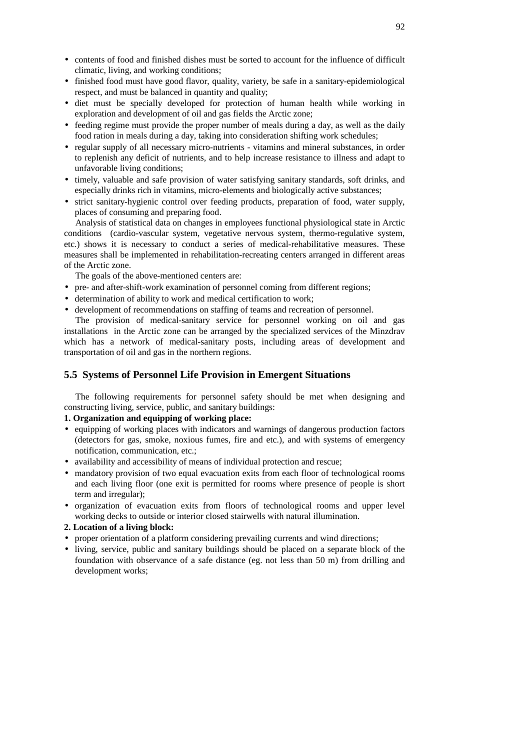- contents of food and finished dishes must be sorted to account for the influence of difficult climatic, living, and working conditions;
- finished food must have good flavor, quality, variety, be safe in a sanitary-epidemiological respect, and must be balanced in quantity and quality;
- diet must be specially developed for protection of human health while working in exploration and development of oil and gas fields the Arctic zone;
- feeding regime must provide the proper number of meals during a day, as well as the daily food ration in meals during a day, taking into consideration shifting work schedules;
- regular supply of all necessary micro-nutrients vitamins and mineral substances, in order to replenish any deficit of nutrients, and to help increase resistance to illness and adapt to unfavorable living conditions;
- timely, valuable and safe provision of water satisfying sanitary standards, soft drinks, and especially drinks rich in vitamins, micro-elements and biologically active substances;
- strict sanitary-hygienic control over feeding products, preparation of food, water supply, places of consuming and preparing food.

Analysis of statistical data on changes in employees functional physiological state in Arctic conditions (cardio-vascular system, vegetative nervous system, thermo-regulative system, etc.) shows it is necessary to conduct a series of medical-rehabilitative measures. These measures shall be implemented in rehabilitation-recreating centers arranged in different areas of the Arctic zone.

The goals of the above-mentioned centers are:

- pre- and after-shift-work examination of personnel coming from different regions;
- determination of ability to work and medical certification to work;
- development of recommendations on staffing of teams and recreation of personnel.

The provision of medical-sanitary service for personnel working on oil and gas installations in the Arctic zone can be arranged by the specialized services of the Minzdrav which has a network of medical-sanitary posts, including areas of development and transportation of oil and gas in the northern regions.

# **5.5 Systems of Personnel Life Provision in Emergent Situations**

The following requirements for personnel safety should be met when designing and constructing living, service, public, and sanitary buildings:

# **1. Organization and equipping of working place:**

- equipping of working places with indicators and warnings of dangerous production factors (detectors for gas, smoke, noxious fumes, fire and etc.), and with systems of emergency notification, communication, etc.;
- availability and accessibility of means of individual protection and rescue;
- mandatory provision of two equal evacuation exits from each floor of technological rooms and each living floor (one exit is permitted for rooms where presence of people is short term and irregular);
- organization of evacuation exits from floors of technological rooms and upper level working decks to outside or interior closed stairwells with natural illumination.

# **2. Location of a living block:**

- proper orientation of a platform considering prevailing currents and wind directions;
- living, service, public and sanitary buildings should be placed on a separate block of the foundation with observance of a safe distance (eg. not less than 50 m) from drilling and development works;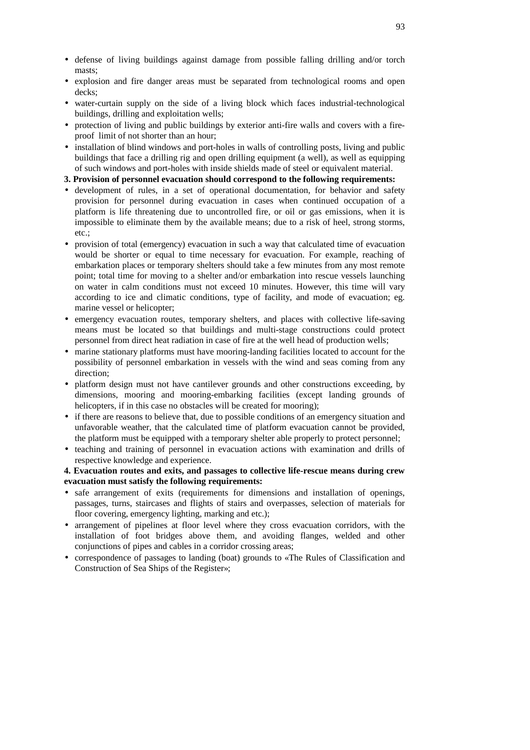- defense of living buildings against damage from possible falling drilling and/or torch masts;
- explosion and fire danger areas must be separated from technological rooms and open decks;
- water-curtain supply on the side of a living block which faces industrial-technological buildings, drilling and exploitation wells;
- protection of living and public buildings by exterior anti-fire walls and covers with a fireproof limit of not shorter than an hour;
- installation of blind windows and port-holes in walls of controlling posts, living and public buildings that face a drilling rig and open drilling equipment (a well), as well as equipping of such windows and port-holes with inside shields made of steel or equivalent material.
- **3. Provision of personnel evacuation should correspond to the following requirements:**
- development of rules, in a set of operational documentation, for behavior and safety provision for personnel during evacuation in cases when continued occupation of a platform is life threatening due to uncontrolled fire, or oil or gas emissions, when it is impossible to eliminate them by the available means; due to a risk of heel, strong storms, etc.  $\cdot$
- provision of total (emergency) evacuation in such a way that calculated time of evacuation would be shorter or equal to time necessary for evacuation. For example, reaching of embarkation places or temporary shelters should take a few minutes from any most remote point; total time for moving to a shelter and/or embarkation into rescue vessels launching on water in calm conditions must not exceed 10 minutes. However, this time will vary according to ice and climatic conditions, type of facility, and mode of evacuation; eg. marine vessel or helicopter;
- emergency evacuation routes, temporary shelters, and places with collective life-saving means must be located so that buildings and multi-stage constructions could protect personnel from direct heat radiation in case of fire at the well head of production wells;
- marine stationary platforms must have mooring-landing facilities located to account for the possibility of personnel embarkation in vessels with the wind and seas coming from any direction;
- platform design must not have cantilever grounds and other constructions exceeding, by dimensions, mooring and mooring-embarking facilities (except landing grounds of helicopters, if in this case no obstacles will be created for mooring);
- if there are reasons to believe that, due to possible conditions of an emergency situation and unfavorable weather, that the calculated time of platform evacuation cannot be provided, the platform must be equipped with a temporary shelter able properly to protect personnel;
- teaching and training of personnel in evacuation actions with examination and drills of respective knowledge and experience.

# **4. Evacuation routes and exits, and passages to collective life-rescue means during crew evacuation must satisfy the following requirements:**

- safe arrangement of exits (requirements for dimensions and installation of openings, passages, turns, staircases and flights of stairs and overpasses, selection of materials for floor covering, emergency lighting, marking and etc.);
- arrangement of pipelines at floor level where they cross evacuation corridors, with the installation of foot bridges above them, and avoiding flanges, welded and other conjunctions of pipes and cables in a corridor crossing areas;
- correspondence of passages to landing (boat) grounds to «The Rules of Classification and Construction of Sea Ships of the Register»;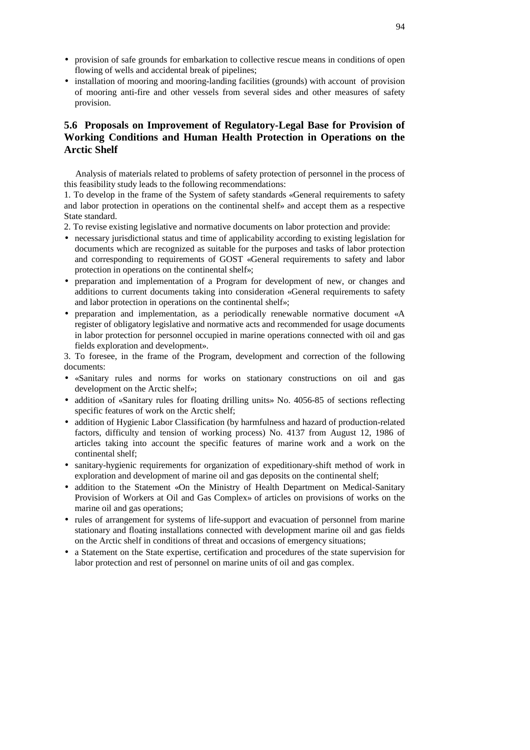- provision of safe grounds for embarkation to collective rescue means in conditions of open flowing of wells and accidental break of pipelines;
- installation of mooring and mooring-landing facilities (grounds) with account of provision of mooring anti-fire and other vessels from several sides and other measures of safety provision.

# **5.6 Proposals on Improvement of Regulatory-Legal Base for Provision of Working Conditions and Human Health Protection in Operations on the Arctic Shelf**

Analysis of materials related to problems of safety protection of personnel in the process of this feasibility study leads to the following recommendations:

1. To develop in the frame of the System of safety standards «General requirements to safety and labor protection in operations on the continental shelf» and accept them as a respective State standard.

- 2. To revise existing legislative and normative documents on labor protection and provide:
- necessary jurisdictional status and time of applicability according to existing legislation for documents which are recognized as suitable for the purposes and tasks of labor protection and corresponding to requirements of GOST «General requirements to safety and labor protection in operations on the continental shelf»;
- preparation and implementation of a Program for development of new, or changes and additions to current documents taking into consideration «General requirements to safety and labor protection in operations on the continental shelf»;
- preparation and implementation, as a periodically renewable normative document «A register of obligatory legislative and normative acts and recommended for usage documents in labor protection for personnel occupied in marine operations connected with oil and gas fields exploration and development».

3. To foresee, in the frame of the Program, development and correction of the following documents:

- «Sanitary rules and norms for works on stationary constructions on oil and gas development on the Arctic shelf»;
- addition of «Sanitary rules for floating drilling units» No. 4056-85 of sections reflecting specific features of work on the Arctic shelf;
- addition of Hygienic Labor Classification (by harmfulness and hazard of production-related factors, difficulty and tension of working process) No. 4137 from August 12, 1986 of articles taking into account the specific features of marine work and a work on the continental shelf;
- sanitary-hygienic requirements for organization of expeditionary-shift method of work in exploration and development of marine oil and gas deposits on the continental shelf;
- addition to the Statement «On the Ministry of Health Department on Medical-Sanitary Provision of Workers at Oil and Gas Complex» of articles on provisions of works on the marine oil and gas operations;
- rules of arrangement for systems of life-support and evacuation of personnel from marine stationary and floating installations connected with development marine oil and gas fields on the Arctic shelf in conditions of threat and occasions of emergency situations;
- a Statement on the State expertise, certification and procedures of the state supervision for labor protection and rest of personnel on marine units of oil and gas complex.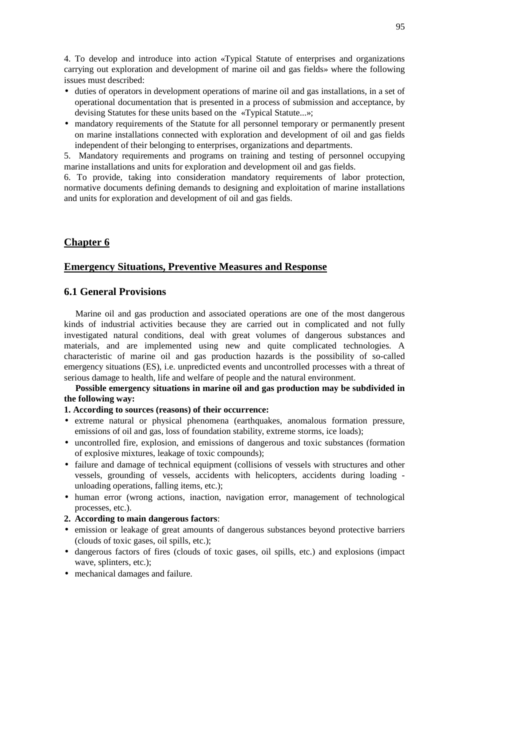4. To develop and introduce into action «Typical Statute of enterprises and organizations carrying out exploration and development of marine oil and gas fields» where the following issues must described:

- duties of operators in development operations of marine oil and gas installations, in a set of operational documentation that is presented in a process of submission and acceptance, by devising Statutes for these units based on the «Typical Statute...»;
- mandatory requirements of the Statute for all personnel temporary or permanently present on marine installations connected with exploration and development of oil and gas fields independent of their belonging to enterprises, organizations and departments.

5. Mandatory requirements and programs on training and testing of personnel occupying marine installations and units for exploration and development oil and gas fields.

6. To provide, taking into consideration mandatory requirements of labor protection, normative documents defining demands to designing and exploitation of marine installations and units for exploration and development of oil and gas fields.

# **Chapter 6**

# **Emergency Situations, Preventive Measures and Response**

# **6.1 General Provisions**

Marine oil and gas production and associated operations are one of the most dangerous kinds of industrial activities because they are carried out in complicated and not fully investigated natural conditions, deal with great volumes of dangerous substances and materials, and are implemented using new and quite complicated technologies. A characteristic of marine oil and gas production hazards is the possibility of so-called emergency situations (ES), i.e. unpredicted events and uncontrolled processes with a threat of serious damage to health, life and welfare of people and the natural environment.

### **Possible emergency situations in marine oil and gas production may be subdivided in the following way:**

#### **1. According to sources (reasons) of their occurrence:**

- extreme natural or physical phenomena (earthquakes, anomalous formation pressure, emissions of oil and gas, loss of foundation stability, extreme storms, ice loads);
- uncontrolled fire, explosion, and emissions of dangerous and toxic substances (formation of explosive mixtures, leakage of toxic compounds);
- failure and damage of technical equipment (collisions of vessels with structures and other vessels, grounding of vessels, accidents with helicopters, accidents during loading unloading operations, falling items, etc.);
- human error (wrong actions, inaction, navigation error, management of technological processes, etc.).
- **2. According to main dangerous factors**:
- emission or leakage of great amounts of dangerous substances beyond protective barriers (clouds of toxic gases, oil spills, etc.);
- dangerous factors of fires (clouds of toxic gases, oil spills, etc.) and explosions (impact wave, splinters, etc.);
- mechanical damages and failure.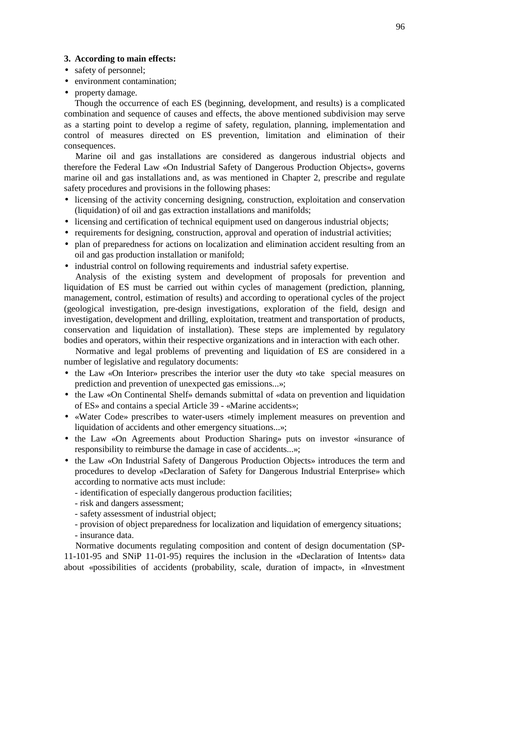#### **3. According to main effects:**

- safety of personnel;
- environment contamination;
- property damage.

Though the occurrence of each ES (beginning, development, and results) is a complicated combination and sequence of causes and effects, the above mentioned subdivision may serve as a starting point to develop a regime of safety, regulation, planning, implementation and control of measures directed on ES prevention, limitation and elimination of their consequences.

Marine oil and gas installations are considered as dangerous industrial objects and therefore the Federal Law «On Industrial Safety of Dangerous Production Objects», governs marine oil and gas installations and, as was mentioned in Chapter 2, prescribe and regulate safety procedures and provisions in the following phases:

- licensing of the activity concerning designing, construction, exploitation and conservation (liquidation) of oil and gas extraction installations and manifolds;
- licensing and certification of technical equipment used on dangerous industrial objects;
- requirements for designing, construction, approval and operation of industrial activities;
- plan of preparedness for actions on localization and elimination accident resulting from an oil and gas production installation or manifold;
- industrial control on following requirements and industrial safety expertise.

Analysis of the existing system and development of proposals for prevention and liquidation of ES must be carried out within cycles of management (prediction, planning, management, control, estimation of results) and according to operational cycles of the project (geological investigation, pre-design investigations, exploration of the field, design and investigation, development and drilling, exploitation, treatment and transportation of products, conservation and liquidation of installation). These steps are implemented by regulatory bodies and operators, within their respective organizations and in interaction with each other.

Normative and legal problems of preventing and liquidation of ES are considered in a number of legislative and regulatory documents:

- the Law «On Interior» prescribes the interior user the duty «to take special measures on prediction and prevention of unexpected gas emissions...»;
- the Law «On Continental Shelf» demands submittal of «data on prevention and liquidation of ES» and contains a special Article 39 - «Marine accidents»;
- «Water Code» prescribes to water-users «timely implement measures on prevention and liquidation of accidents and other emergency situations...»;
- the Law «On Agreements about Production Sharing» puts on investor «insurance of responsibility to reimburse the damage in case of accidents...»;
- the Law «On Industrial Safety of Dangerous Production Objects» introduces the term and procedures to develop «Declaration of Safety for Dangerous Industrial Enterprise» which according to normative acts must include:
	- identification of especially dangerous production facilities;
	- risk and dangers assessment;
	- safety assessment of industrial object;

- provision of object preparedness for localization and liquidation of emergency situations; - insurance data.

Normative documents regulating composition and content of design documentation (SP-11-101-95 and SNiP 11-01-95) requires the inclusion in the «Declaration of Intents» data about «possibilities of accidents (probability, scale, duration of impact», in «Investment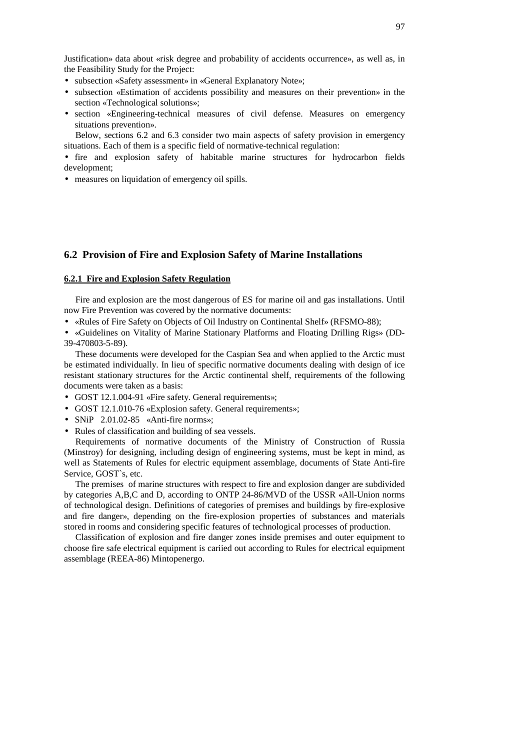Justification» data about «risk degree and probability of accidents occurrence», as well as, in the Feasibility Study for the Project:

- subsection «Safety assessment» in «General Explanatory Note»;
- subsection «Estimation of accidents possibility and measures on their prevention» in the section «Technological solutions»;
- section «Engineering-technical measures of civil defense. Measures on emergency situations prevention».

Below, sections 6.2 and 6.3 consider two main aspects of safety provision in emergency situations. Each of them is a specific field of normative-technical regulation:

• fire and explosion safety of habitable marine structures for hydrocarbon fields development;

• measures on liquidation of emergency oil spills.

# **6.2 Provision of Fire and Explosion Safety of Marine Installations**

# **6.2.1 Fire and Explosion Safety Regulation**

Fire and explosion are the most dangerous of ES for marine oil and gas installations. Until now Fire Prevention was covered by the normative documents:

• «Rules of Fire Safety on Objects of Oil Industry on Continental Shelf» (RFSMO-88);

• «Guidelines on Vitality of Marine Stationary Platforms and Floating Drilling Rigs» (DD-39-470803-5-89).

These documents were developed for the Caspian Sea and when applied to the Arctic must be estimated individually. In lieu of specific normative documents dealing with design of ice resistant stationary structures for the Arctic continental shelf, requirements of the following documents were taken as a basis:

- GOST 12.1.004-91 «Fire safety. General requirements»:
- GOST 12.1.010-76 «Explosion safety. General requirements»;
- SNiP 2.01.02-85 «Anti-fire norms»;
- Rules of classification and building of sea vessels.

Requirements of normative documents of the Ministry of Construction of Russia (Minstroy) for designing, including design of engineering systems, must be kept in mind, as well as Statements of Rules for electric equipment assemblage, documents of State Anti-fire Service, GOST`s, etc.

The premises of marine structures with respect to fire and explosion danger are subdivided by categories A,B,C and D, according to ONTP 24-86/MVD of the USSR «All-Union norms of technological design. Definitions of categories of premises and buildings by fire-explosive and fire danger», depending on the fire-explosion properties of substances and materials stored in rooms and considering specific features of technological processes of production.

Classification of explosion and fire danger zones inside premises and outer equipment to choose fire safe electrical equipment is cariied out according to Rules for electrical equipment assemblage (REEA-86) Mintopenergo.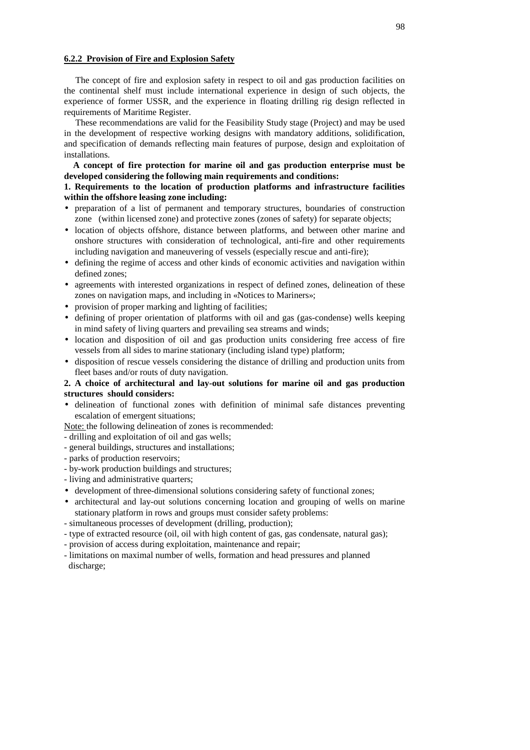#### **6.2.2 Provision of Fire and Explosion Safety**

The concept of fire and explosion safety in respect to oil and gas production facilities on the continental shelf must include international experience in design of such objects, the experience of former USSR, and the experience in floating drilling rig design reflected in requirements of Maritime Register.

These recommendations are valid for the Feasibility Study stage (Project) and may be used in the development of respective working designs with mandatory additions, solidification, and specification of demands reflecting main features of purpose, design and exploitation of installations.

**A concept of fire protection for marine oil and gas production enterprise must be developed considering the following main requirements and conditions:**

### **1. Requirements to the location of production platforms and infrastructure facilities within the offshore leasing zone including:**

- preparation of a list of permanent and temporary structures, boundaries of construction zone (within licensed zone) and protective zones (zones of safety) for separate objects;
- location of objects offshore, distance between platforms, and between other marine and onshore structures with consideration of technological, anti-fire and other requirements including navigation and maneuvering of vessels (especially rescue and anti-fire);
- defining the regime of access and other kinds of economic activities and navigation within defined zones;
- agreements with interested organizations in respect of defined zones, delineation of these zones on navigation maps, and including in «Notices to Mariners»;
- provision of proper marking and lighting of facilities;
- defining of proper orientation of platforms with oil and gas (gas-condense) wells keeping in mind safety of living quarters and prevailing sea streams and winds;
- location and disposition of oil and gas production units considering free access of fire vessels from all sides to marine stationary (including island type) platform;
- disposition of rescue vessels considering the distance of drilling and production units from fleet bases and/or routs of duty navigation.

# **2. A choice of architectural and lay-out solutions for marine oil and gas production structures should considers:**

• delineation of functional zones with definition of minimal safe distances preventing escalation of emergent situations;

Note: the following delineation of zones is recommended:

- drilling and exploitation of oil and gas wells;
- general buildings, structures and installations;
- parks of production reservoirs;
- by-work production buildings and structures;
- living and administrative quarters;
- development of three-dimensional solutions considering safety of functional zones;
- architectural and lay-out solutions concerning location and grouping of wells on marine stationary platform in rows and groups must consider safety problems:
- simultaneous processes of development (drilling, production);
- type of extracted resource (oil, oil with high content of gas, gas condensate, natural gas);
- provision of access during exploitation, maintenance and repair;
- limitations on maximal number of wells, formation and head pressures and planned discharge;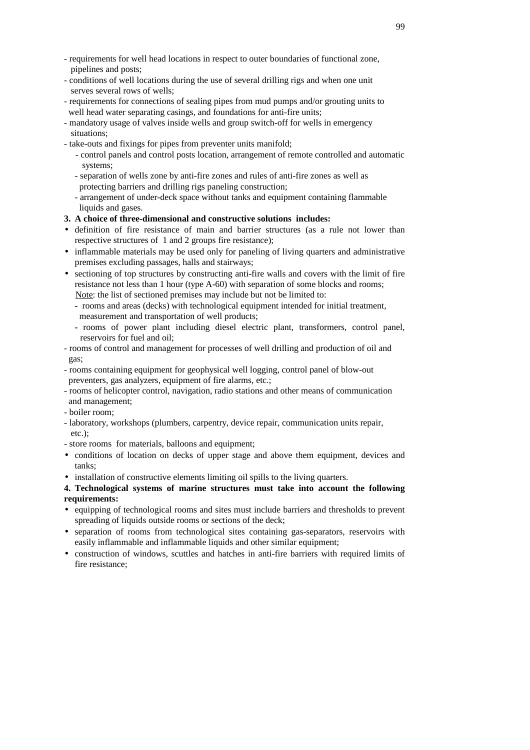- requirements for well head locations in respect to outer boundaries of functional zone, pipelines and posts;
- conditions of well locations during the use of several drilling rigs and when one unit serves several rows of wells;
- requirements for connections of sealing pipes from mud pumps and/or grouting units to well head water separating casings, and foundations for anti-fire units;
- mandatory usage of valves inside wells and group switch-off for wells in emergency situations;
- take-outs and fixings for pipes from preventer units manifold;
	- control panels and control posts location, arrangement of remote controlled and automatic systems;
	- separation of wells zone by anti-fire zones and rules of anti-fire zones as well as protecting barriers and drilling rigs paneling construction;
	- arrangement of under-deck space without tanks and equipment containing flammable liquids and gases.
- **3. A choice of three-dimensional and constructive solutions includes:**
- definition of fire resistance of main and barrier structures (as a rule not lower than respective structures of 1 and 2 groups fire resistance);
- inflammable materials may be used only for paneling of living quarters and administrative premises excluding passages, halls and stairways;
- sectioning of top structures by constructing anti-fire walls and covers with the limit of fire resistance not less than 1 hour (type A-60) with separation of some blocks and rooms; Note: the list of sectioned premises may include but not be limited to:
	- **-** rooms and areas (decks) with technological equipment intended for initial treatment, measurement and transportation of well products;
	- **-** rooms of power plant including diesel electric plant, transformers, control panel, reservoirs for fuel and oil;
- rooms of control and management for processes of well drilling and production of oil and gas;
- rooms containing equipment for geophysical well logging, control panel of blow-out preventers, gas analyzers, equipment of fire alarms, etc.;
- rooms of helicopter control, navigation, radio stations and other means of communication and management;
- boiler room;
- laboratory, workshops (plumbers, carpentry, device repair, communication units repair, etc.);
- store rooms for materials, balloons and equipment;
- conditions of location on decks of upper stage and above them equipment, devices and tanks;
- installation of constructive elements limiting oil spills to the living quarters.

# **4. Technological systems of marine structures must take into account the following requirements:**

- equipping of technological rooms and sites must include barriers and thresholds to prevent spreading of liquids outside rooms or sections of the deck;
- separation of rooms from technological sites containing gas-separators, reservoirs with easily inflammable and inflammable liquids and other similar equipment;
- construction of windows, scuttles and hatches in anti-fire barriers with required limits of fire resistance;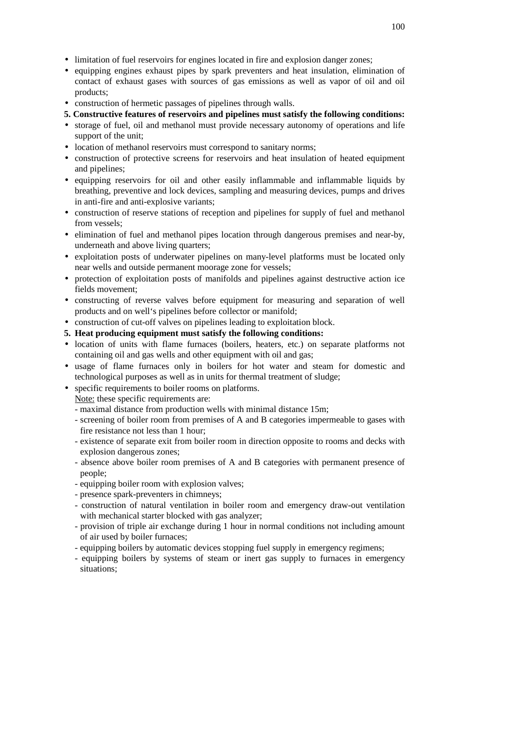- limitation of fuel reservoirs for engines located in fire and explosion danger zones;
- equipping engines exhaust pipes by spark preventers and heat insulation, elimination of contact of exhaust gases with sources of gas emissions as well as vapor of oil and oil products;
- construction of hermetic passages of pipelines through walls.
- **5. Constructive features of reservoirs and pipelines must satisfy the following conditions:**
- storage of fuel, oil and methanol must provide necessary autonomy of operations and life support of the unit;
- location of methanol reservoirs must correspond to sanitary norms;
- construction of protective screens for reservoirs and heat insulation of heated equipment and pipelines;
- equipping reservoirs for oil and other easily inflammable and inflammable liquids by breathing, preventive and lock devices, sampling and measuring devices, pumps and drives in anti-fire and anti-explosive variants;
- construction of reserve stations of reception and pipelines for supply of fuel and methanol from vessels;
- elimination of fuel and methanol pipes location through dangerous premises and near-by, underneath and above living quarters;
- exploitation posts of underwater pipelines on many-level platforms must be located only near wells and outside permanent moorage zone for vessels;
- protection of exploitation posts of manifolds and pipelines against destructive action ice fields movement;
- constructing of reverse valves before equipment for measuring and separation of well products and on well's pipelines before collector or manifold;
- construction of cut-off valves on pipelines leading to exploitation block.
- **5. Heat producing equipment must satisfy the following conditions:**
- location of units with flame furnaces (boilers, heaters, etc.) on separate platforms not containing oil and gas wells and other equipment with oil and gas;
- usage of flame furnaces only in boilers for hot water and steam for domestic and technological purposes as well as in units for thermal treatment of sludge;
- specific requirements to boiler rooms on platforms.
- Note: these specific requirements are:
	- maximal distance from production wells with minimal distance 15m;
	- screening of boiler room from premises of A and B categories impermeable to gases with fire resistance not less than 1 hour;
	- existence of separate exit from boiler room in direction opposite to rooms and decks with explosion dangerous zones;
	- absence above boiler room premises of A and B categories with permanent presence of people;
	- equipping boiler room with explosion valves;
	- presence spark-preventers in chimneys;
	- construction of natural ventilation in boiler room and emergency draw-out ventilation with mechanical starter blocked with gas analyzer;
	- provision of triple air exchange during 1 hour in normal conditions not including amount of air used by boiler furnaces;
	- equipping boilers by automatic devices stopping fuel supply in emergency regimens;
	- equipping boilers by systems of steam or inert gas supply to furnaces in emergency situations;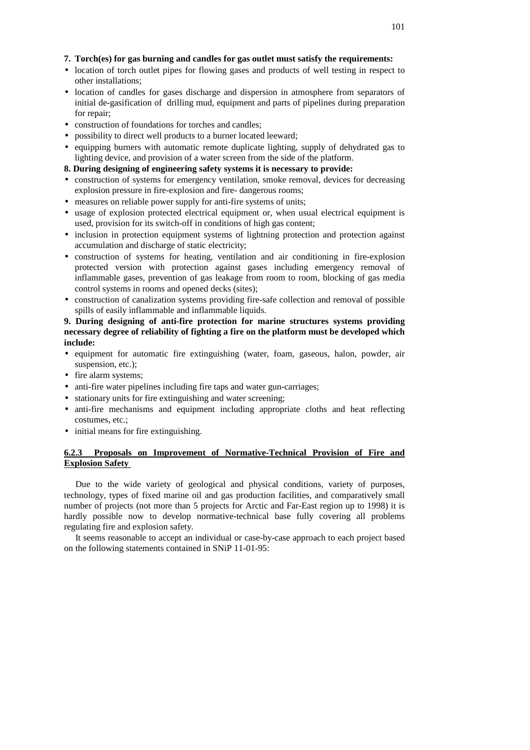#### **7. Torch(es) for gas burning and candles for gas outlet must satisfy the requirements:**

- location of torch outlet pipes for flowing gases and products of well testing in respect to other installations;
- location of candles for gases discharge and dispersion in atmosphere from separators of initial de-gasification of drilling mud, equipment and parts of pipelines during preparation for repair;
- construction of foundations for torches and candles;
- possibility to direct well products to a burner located leeward;
- equipping burners with automatic remote duplicate lighting, supply of dehydrated gas to lighting device, and provision of a water screen from the side of the platform.
- **8. During designing of engineering safety systems it is necessary to provide:**
- construction of systems for emergency ventilation, smoke removal, devices for decreasing explosion pressure in fire-explosion and fire- dangerous rooms;
- measures on reliable power supply for anti-fire systems of units;
- usage of explosion protected electrical equipment or, when usual electrical equipment is used, provision for its switch-off in conditions of high gas content;
- inclusion in protection equipment systems of lightning protection and protection against accumulation and discharge of static electricity;
- construction of systems for heating, ventilation and air conditioning in fire-explosion protected version with protection against gases including emergency removal of inflammable gases, prevention of gas leakage from room to room, blocking of gas media control systems in rooms and opened decks (sites);
- construction of canalization systems providing fire-safe collection and removal of possible spills of easily inflammable and inflammable liquids.

# **9. During designing of anti-fire protection for marine structures systems providing necessary degree of reliability of fighting a fire on the platform must be developed which include:**

- equipment for automatic fire extinguishing (water, foam, gaseous, halon, powder, air suspension, etc.);
- fire alarm systems;
- anti-fire water pipelines including fire taps and water gun-carriages;
- stationary units for fire extinguishing and water screening;
- anti-fire mechanisms and equipment including appropriate cloths and heat reflecting costumes, etc.;
- initial means for fire extinguishing.

## **6.2.3 Proposals on Improvement of Normative-Technical Provision of Fire and Explosion Safety**

Due to the wide variety of geological and physical conditions, variety of purposes, technology, types of fixed marine oil and gas production facilities, and comparatively small number of projects (not more than 5 projects for Arctic and Far-East region up to 1998) it is hardly possible now to develop normative-technical base fully covering all problems regulating fire and explosion safety.

It seems reasonable to accept an individual or case-by-case approach to each project based on the following statements contained in SNiP 11-01-95: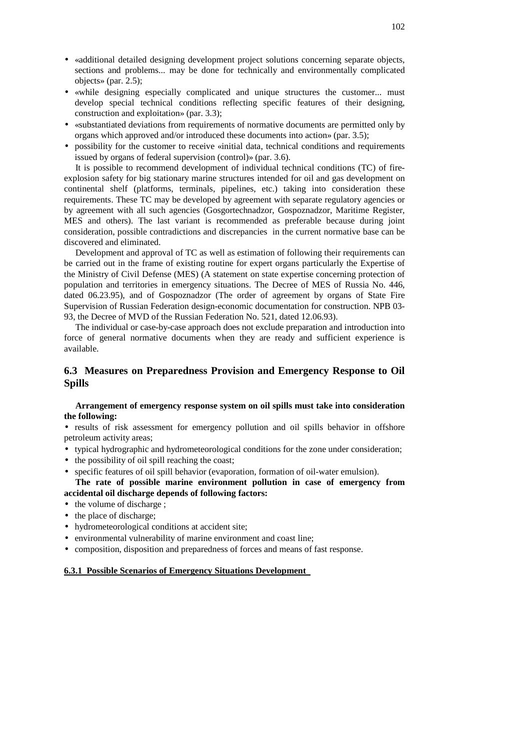- «additional detailed designing development project solutions concerning separate objects, sections and problems... may be done for technically and environmentally complicated objects» (par. 2.5);
- «while designing especially complicated and unique structures the customer... must develop special technical conditions reflecting specific features of their designing, construction and exploitation» (par. 3.3);
- «substantiated deviations from requirements of normative documents are permitted only by organs which approved and/or introduced these documents into action» (par. 3.5);
- possibility for the customer to receive «initial data, technical conditions and requirements issued by organs of federal supervision (control)» (par. 3.6).

It is possible to recommend development of individual technical conditions (TC) of fireexplosion safety for big stationary marine structures intended for oil and gas development on continental shelf (platforms, terminals, pipelines, etc.) taking into consideration these requirements. These TC may be developed by agreement with separate regulatory agencies or by agreement with all such agencies (Gosgortechnadzor, Gospoznadzor, Maritime Register, MES and others). The last variant is recommended as preferable because during joint consideration, possible contradictions and discrepancies in the current normative base can be discovered and eliminated.

Development and approval of TC as well as estimation of following their requirements can be carried out in the frame of existing routine for expert organs particularly the Expertise of the Ministry of Civil Defense (MES) (A statement on state expertise concerning protection of population and territories in emergency situations. The Decree of MES of Russia No. 446, dated 06.23.95), and of Gospoznadzor (The order of agreement by organs of State Fire Supervision of Russian Federation design-economic documentation for construction. NPB 03- 93, the Decree of MVD of the Russian Federation No. 521, dated 12.06.93).

The individual or case-by-case approach does not exclude preparation and introduction into force of general normative documents when they are ready and sufficient experience is available.

# **6.3 Measures on Preparedness Provision and Emergency Response to Oil Spills**

### **Arrangement of emergency response system on oil spills must take into consideration the following:**

• results of risk assessment for emergency pollution and oil spills behavior in offshore petroleum activity areas;

- typical hydrographic and hydrometeorological conditions for the zone under consideration;
- the possibility of oil spill reaching the coast;
- specific features of oil spill behavior (evaporation, formation of oil-water emulsion).
- **The rate of possible marine environment pollution in case of emergency from accidental oil discharge depends of following factors:**
- the volume of discharge;
- the place of discharge;
- hydrometeorological conditions at accident site;
- environmental vulnerability of marine environment and coast line;
- composition, disposition and preparedness of forces and means of fast response.

#### **6.3.1 Possible Scenarios of Emergency Situations Development**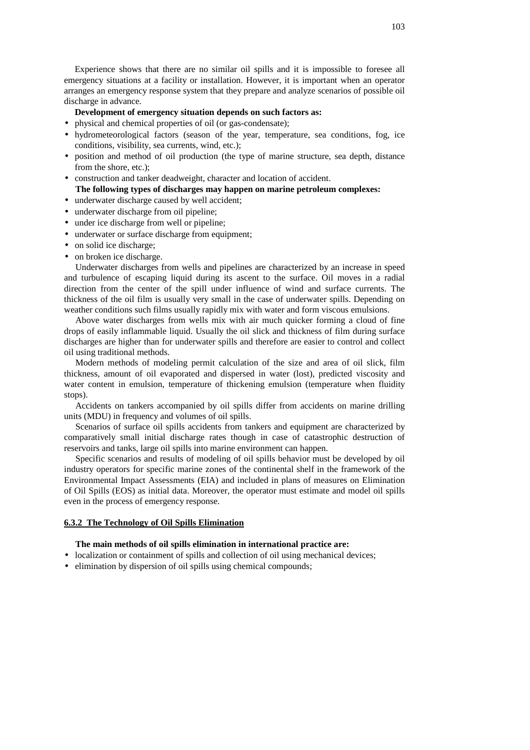Experience shows that there are no similar oil spills and it is impossible to foresee all emergency situations at a facility or installation. However, it is important when an operator arranges an emergency response system that they prepare and analyze scenarios of possible oil discharge in advance.

### **Development of emergency situation depends on such factors as:**

- physical and chemical properties of oil (or gas-condensate);
- hydrometeorological factors (season of the year, temperature, sea conditions, fog, ice conditions, visibility, sea currents, wind, etc.);
- position and method of oil production (the type of marine structure, sea depth, distance from the shore, etc.);
- construction and tanker deadweight, character and location of accident. **The following types of discharges may happen on marine petroleum complexes:**
- underwater discharge caused by well accident;
- underwater discharge from oil pipeline;
- under ice discharge from well or pipeline;
- underwater or surface discharge from equipment;
- on solid ice discharge;
- on broken ice discharge.

Underwater discharges from wells and pipelines are characterized by an increase in speed and turbulence of escaping liquid during its ascent to the surface. Oil moves in a radial direction from the center of the spill under influence of wind and surface currents. The thickness of the oil film is usually very small in the case of underwater spills. Depending on weather conditions such films usually rapidly mix with water and form viscous emulsions.

Above water discharges from wells mix with air much quicker forming a cloud of fine drops of easily inflammable liquid. Usually the oil slick and thickness of film during surface discharges are higher than for underwater spills and therefore are easier to control and collect oil using traditional methods.

Modern methods of modeling permit calculation of the size and area of oil slick, film thickness, amount of oil evaporated and dispersed in water (lost), predicted viscosity and water content in emulsion, temperature of thickening emulsion (temperature when fluidity stops).

Accidents on tankers accompanied by oil spills differ from accidents on marine drilling units (MDU) in frequency and volumes of oil spills.

Scenarios of surface oil spills accidents from tankers and equipment are characterized by comparatively small initial discharge rates though in case of catastrophic destruction of reservoirs and tanks, large oil spills into marine environment can happen.

Specific scenarios and results of modeling of oil spills behavior must be developed by oil industry operators for specific marine zones of the continental shelf in the framework of the Environmental Impact Assessments (EIA) and included in plans of measures on Elimination of Oil Spills (EOS) as initial data. Moreover, the operator must estimate and model oil spills even in the process of emergency response.

#### **6.3.2 The Technology of Oil Spills Elimination**

#### **The main methods of oil spills elimination in international practice are:**

- localization or containment of spills and collection of oil using mechanical devices;
- elimination by dispersion of oil spills using chemical compounds;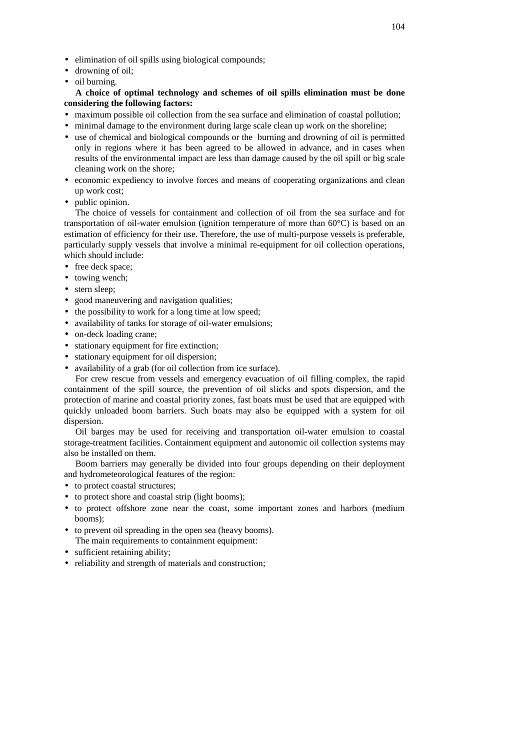- elimination of oil spills using biological compounds;
- drowning of oil:
- oil burning.

### **A choice of optimal technology and schemes of oil spills elimination must be done considering the following factors:**

- maximum possible oil collection from the sea surface and elimination of coastal pollution;
- minimal damage to the environment during large scale clean up work on the shoreline;
- use of chemical and biological compounds or the burning and drowning of oil is permitted only in regions where it has been agreed to be allowed in advance, and in cases when results of the environmental impact are less than damage caused by the oil spill or big scale cleaning work on the shore;
- economic expediency to involve forces and means of cooperating organizations and clean up work cost;
- public opinion.

The choice of vessels for containment and collection of oil from the sea surface and for transportation of oil-water emulsion (ignition temperature of more than 60°C) is based on an estimation of efficiency for their use. Therefore, the use of multi-purpose vessels is preferable, particularly supply vessels that involve a minimal re-equipment for oil collection operations, which should include:

- free deck space;
- towing wench;
- stern sleep;
- good maneuvering and navigation qualities;
- the possibility to work for a long time at low speed;
- availability of tanks for storage of oil-water emulsions;
- on-deck loading crane;
- stationary equipment for fire extinction;
- stationary equipment for oil dispersion;
- availability of a grab (for oil collection from ice surface).

For crew rescue from vessels and emergency evacuation of oil filling complex, the rapid containment of the spill source, the prevention of oil slicks and spots dispersion, and the protection of marine and coastal priority zones, fast boats must be used that are equipped with quickly unloaded boom barriers. Such boats may also be equipped with a system for oil dispersion.

Oil barges may be used for receiving and transportation oil-water emulsion to coastal storage-treatment facilities. Containment equipment and autonomic oil collection systems may also be installed on them.

Boom barriers may generally be divided into four groups depending on their deployment and hydrometeorological features of the region:

- to protect coastal structures;
- to protect shore and coastal strip (light booms);
- to protect offshore zone near the coast, some important zones and harbors (medium booms);
- to prevent oil spreading in the open sea (heavy booms). The main requirements to containment equipment:
- sufficient retaining ability;
- reliability and strength of materials and construction;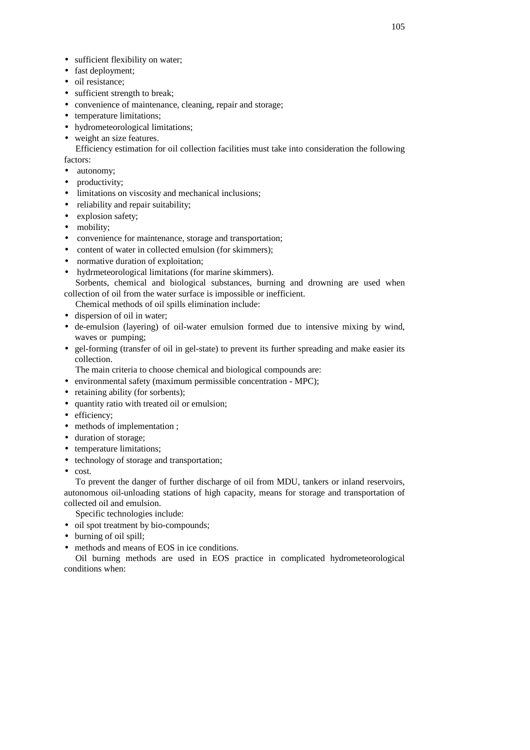- sufficient flexibility on water;
- fast deployment;
- oil resistance;
- sufficient strength to break;
- convenience of maintenance, cleaning, repair and storage;
- temperature limitations;
- hydrometeorological limitations;
- weight an size features.

Efficiency estimation for oil collection facilities must take into consideration the following factors:

- autonomy;
- productivity;
- limitations on viscosity and mechanical inclusions;
- reliability and repair suitability;
- explosion safety;
- mobility;
- convenience for maintenance, storage and transportation;
- content of water in collected emulsion (for skimmers):
- normative duration of exploitation:
- hydrmeteorological limitations (for marine skimmers).

Sorbents, chemical and biological substances, burning and drowning are used when collection of oil from the water surface is impossible or inefficient.

Chemical methods of oil spills elimination include:

- dispersion of oil in water;
- de-emulsion (layering) of oil-water emulsion formed due to intensive mixing by wind, waves or pumping;
- gel-forming (transfer of oil in gel-state) to prevent its further spreading and make easier its collection.

The main criteria to choose chemical and biological compounds are:

- environmental safety (maximum permissible concentration MPC);
- retaining ability (for sorbents);
- quantity ratio with treated oil or emulsion;
- efficiency;
- methods of implementation ;
- duration of storage;
- temperature limitations;
- technology of storage and transportation;
- cost.

To prevent the danger of further discharge of oil from MDU, tankers or inland reservoirs, autonomous oil-unloading stations of high capacity, means for storage and transportation of collected oil and emulsion.

Specific technologies include:

- oil spot treatment by bio-compounds;
- burning of oil spill;
- methods and means of EOS in ice conditions.

Oil burning methods are used in EOS practice in complicated hydrometeorological conditions when: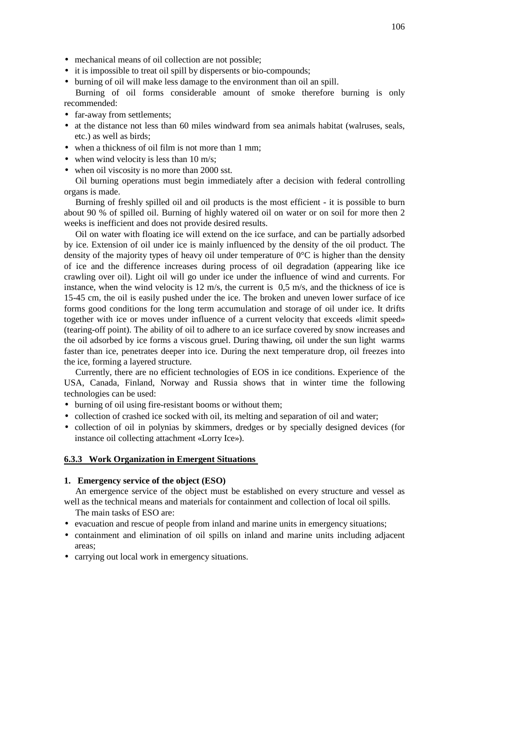- mechanical means of oil collection are not possible;
- it is impossible to treat oil spill by dispersents or bio-compounds;
- burning of oil will make less damage to the environment than oil an spill.

Burning of oil forms considerable amount of smoke therefore burning is only recommended:

- far-away from settlements;
- at the distance not less than 60 miles windward from sea animals habitat (walruses, seals, etc.) as well as birds;
- when a thickness of oil film is not more than 1 mm;
- when wind velocity is less than 10 m/s;
- when oil viscosity is no more than 2000 sst.

Oil burning operations must begin immediately after a decision with federal controlling organs is made.

Burning of freshly spilled oil and oil products is the most efficient - it is possible to burn about 90 % of spilled oil. Burning of highly watered oil on water or on soil for more then 2 weeks is inefficient and does not provide desired results.

Oil on water with floating ice will extend on the ice surface, and can be partially adsorbed by ice. Extension of oil under ice is mainly influenced by the density of the oil product. The density of the majority types of heavy oil under temperature of  $0^{\circ}C$  is higher than the density of ice and the difference increases during process of oil degradation (appearing like ice crawling over oil). Light oil will go under ice under the influence of wind and currents. For instance, when the wind velocity is  $12 \text{ m/s}$ , the current is  $0.5 \text{ m/s}$ , and the thickness of ice is 15-45 cm, the oil is easily pushed under the ice. The broken and uneven lower surface of ice forms good conditions for the long term accumulation and storage of oil under ice. It drifts together with ice or moves under influence of a current velocity that exceeds «limit speed» (tearing-off point). The ability of oil to adhere to an ice surface covered by snow increases and the oil adsorbed by ice forms a viscous gruel. During thawing, oil under the sun light warms faster than ice, penetrates deeper into ice. During the next temperature drop, oil freezes into the ice, forming a layered structure.

Currently, there are no efficient technologies of EOS in ice conditions. Experience of the USA, Canada, Finland, Norway and Russia shows that in winter time the following technologies can be used:

- burning of oil using fire-resistant booms or without them;
- collection of crashed ice socked with oil, its melting and separation of oil and water;
- collection of oil in polynias by skimmers, dredges or by specially designed devices (for instance oil collecting attachment «Lorry Ice»).

#### **6.3.3 Work Organization in Emergent Situations**

#### **1. Emergency service of the object (ESO)**

An emergence service of the object must be established on every structure and vessel as well as the technical means and materials for containment and collection of local oil spills. The main tasks of ESO are:

- evacuation and rescue of people from inland and marine units in emergency situations;
- containment and elimination of oil spills on inland and marine units including adjacent areas;
- carrying out local work in emergency situations.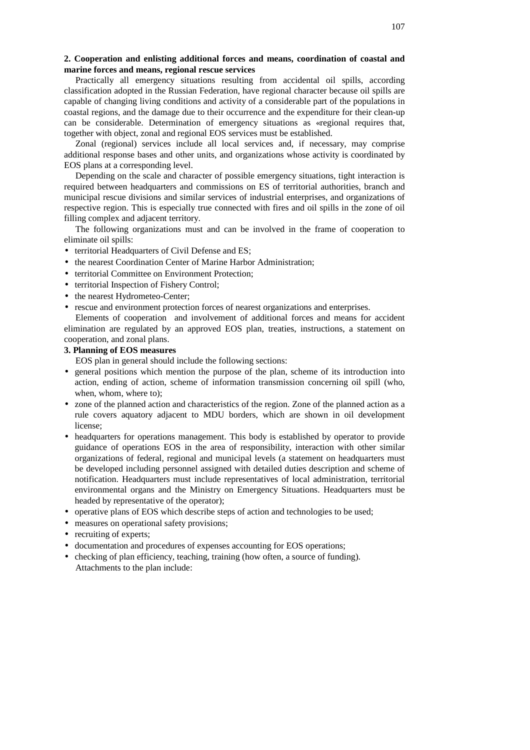### **2. Cooperation and enlisting additional forces and means, coordination of coastal and marine forces and means, regional rescue services**

Practically all emergency situations resulting from accidental oil spills, according classification adopted in the Russian Federation, have regional character because oil spills are capable of changing living conditions and activity of a considerable part of the populations in coastal regions, and the damage due to their occurrence and the expenditure for their clean-up can be considerable. Determination of emergency situations as «regional requires that, together with object, zonal and regional EOS services must be established.

Zonal (regional) services include all local services and, if necessary, may comprise additional response bases and other units, and organizations whose activity is coordinated by EOS plans at a corresponding level.

Depending on the scale and character of possible emergency situations, tight interaction is required between headquarters and commissions on ES of territorial authorities, branch and municipal rescue divisions and similar services of industrial enterprises, and organizations of respective region. This is especially true connected with fires and oil spills in the zone of oil filling complex and adjacent territory.

The following organizations must and can be involved in the frame of cooperation to eliminate oil spills:

- territorial Headquarters of Civil Defense and ES:
- the nearest Coordination Center of Marine Harbor Administration;
- territorial Committee on Environment Protection;
- territorial Inspection of Fishery Control;
- the nearest Hydrometeo-Center;
- rescue and environment protection forces of nearest organizations and enterprises.

Elements of cooperation and involvement of additional forces and means for accident elimination are regulated by an approved EOS plan, treaties, instructions, a statement on cooperation, and zonal plans.

#### **3. Planning of EOS measures**

EOS plan in general should include the following sections:

- general positions which mention the purpose of the plan, scheme of its introduction into action, ending of action, scheme of information transmission concerning oil spill (who, when, whom, where to);
- zone of the planned action and characteristics of the region. Zone of the planned action as a rule covers aquatory adjacent to MDU borders, which are shown in oil development license;
- headquarters for operations management. This body is established by operator to provide guidance of operations EOS in the area of responsibility, interaction with other similar organizations of federal, regional and municipal levels (a statement on headquarters must be developed including personnel assigned with detailed duties description and scheme of notification. Headquarters must include representatives of local administration, territorial environmental organs and the Ministry on Emergency Situations. Headquarters must be headed by representative of the operator);
- operative plans of EOS which describe steps of action and technologies to be used;
- measures on operational safety provisions;
- recruiting of experts;
- documentation and procedures of expenses accounting for EOS operations;
- checking of plan efficiency, teaching, training (how often, a source of funding). Attachments to the plan include: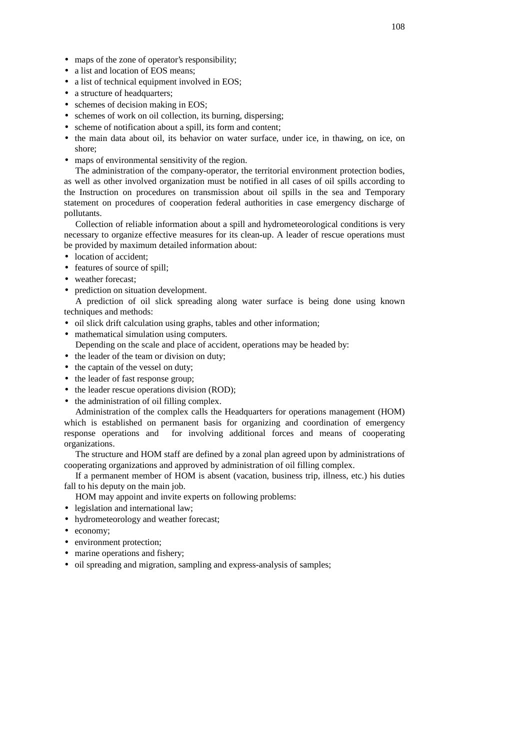- maps of the zone of operator's responsibility;
- a list and location of EOS means;
- a list of technical equipment involved in EOS;
- a structure of headquarters;
- schemes of decision making in EOS;
- schemes of work on oil collection, its burning, dispersing;
- scheme of notification about a spill, its form and content;
- the main data about oil, its behavior on water surface, under ice, in thawing, on ice, on shore;
- maps of environmental sensitivity of the region.

The administration of the company-operator, the territorial environment protection bodies, as well as other involved organization must be notified in all cases of oil spills according to the Instruction on procedures on transmission about oil spills in the sea and Temporary statement on procedures of cooperation federal authorities in case emergency discharge of pollutants.

Collection of reliable information about a spill and hydrometeorological conditions is very necessary to organize effective measures for its clean-up. A leader of rescue operations must be provided by maximum detailed information about:

- location of accident;
- features of source of spill;
- weather forecast:
- prediction on situation development.

A prediction of oil slick spreading along water surface is being done using known techniques and methods:

- oil slick drift calculation using graphs, tables and other information;
- mathematical simulation using computers.
	- Depending on the scale and place of accident, operations may be headed by:
- the leader of the team or division on duty;
- the captain of the vessel on duty;
- the leader of fast response group;
- the leader rescue operations division (ROD);
- the administration of oil filling complex.

Administration of the complex calls the Headquarters for operations management (HOM) which is established on permanent basis for organizing and coordination of emergency response operations and for involving additional forces and means of cooperating organizations.

The structure and HOM staff are defined by a zonal plan agreed upon by administrations of cooperating organizations and approved by administration of oil filling complex.

If a permanent member of HOM is absent (vacation, business trip, illness, etc.) his duties fall to his deputy on the main job.

HOM may appoint and invite experts on following problems:

- legislation and international law;
- hydrometeorology and weather forecast;
- economy;
- environment protection;
- marine operations and fishery;
- oil spreading and migration, sampling and express-analysis of samples;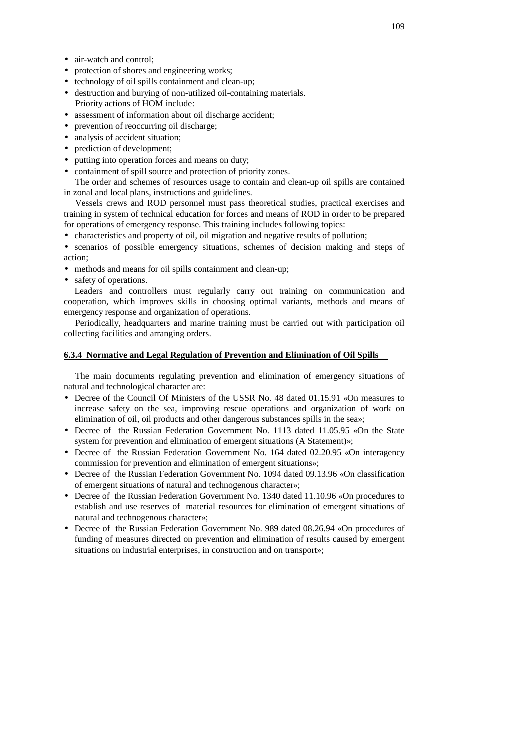- air-watch and control;
- protection of shores and engineering works;
- technology of oil spills containment and clean-up;
- destruction and burying of non-utilized oil-containing materials. Priority actions of HOM include:
- assessment of information about oil discharge accident;
- prevention of reoccurring oil discharge;
- analysis of accident situation;
- prediction of development;
- putting into operation forces and means on duty;
- containment of spill source and protection of priority zones.

The order and schemes of resources usage to contain and clean-up oil spills are contained in zonal and local plans, instructions and guidelines.

Vessels crews and ROD personnel must pass theoretical studies, practical exercises and training in system of technical education for forces and means of ROD in order to be prepared for operations of emergency response. This training includes following topics:

• characteristics and property of oil, oil migration and negative results of pollution;

• scenarios of possible emergency situations, schemes of decision making and steps of action;

- methods and means for oil spills containment and clean-up:
- safety of operations.

Leaders and controllers must regularly carry out training on communication and cooperation, which improves skills in choosing optimal variants, methods and means of emergency response and organization of operations.

Periodically, headquarters and marine training must be carried out with participation oil collecting facilities and arranging orders.

### **6.3.4 Normative and Legal Regulation of Prevention and Elimination of Oil Spills**

The main documents regulating prevention and elimination of emergency situations of natural and technological character are:

- Decree of the Council Of Ministers of the USSR No. 48 dated 01.15.91 «On measures to increase safety on the sea, improving rescue operations and organization of work on elimination of oil, oil products and other dangerous substances spills in the sea»;
- Decree of the Russian Federation Government No. 1113 dated 11.05.95 «On the State system for prevention and elimination of emergent situations (A Statement)»;
- Decree of the Russian Federation Government No. 164 dated 02.20.95 «On interagency commission for prevention and elimination of emergent situations»;
- Decree of the Russian Federation Government No. 1094 dated 09.13.96 «On classification of emergent situations of natural and technogenous character»;
- Decree of the Russian Federation Government No. 1340 dated 11.10.96 «On procedures to establish and use reserves of material resources for elimination of emergent situations of natural and technogenous character»;
- Decree of the Russian Federation Government No. 989 dated 08.26.94 «On procedures of funding of measures directed on prevention and elimination of results caused by emergent situations on industrial enterprises, in construction and on transport»;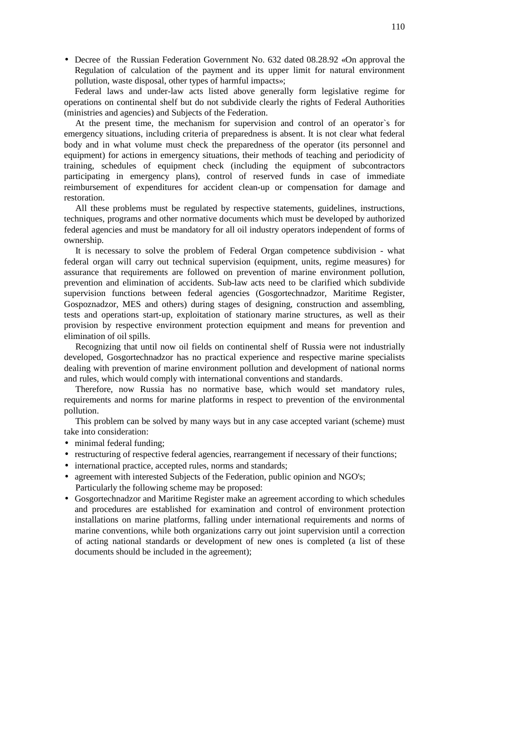• Decree of the Russian Federation Government No. 632 dated 08.28.92 «On approval the Regulation of calculation of the payment and its upper limit for natural environment pollution, waste disposal, other types of harmful impacts»;

Federal laws and under-law acts listed above generally form legislative regime for operations on continental shelf but do not subdivide clearly the rights of Federal Authorities (ministries and agencies) and Subjects of the Federation.

At the present time, the mechanism for supervision and control of an operator`s for emergency situations, including criteria of preparedness is absent. It is not clear what federal body and in what volume must check the preparedness of the operator (its personnel and equipment) for actions in emergency situations, their methods of teaching and periodicity of training, schedules of equipment check (including the equipment of subcontractors participating in emergency plans), control of reserved funds in case of immediate reimbursement of expenditures for accident clean-up or compensation for damage and restoration.

All these problems must be regulated by respective statements, guidelines, instructions, techniques, programs and other normative documents which must be developed by authorized federal agencies and must be mandatory for all oil industry operators independent of forms of ownership.

It is necessary to solve the problem of Federal Organ competence subdivision - what federal organ will carry out technical supervision (equipment, units, regime measures) for assurance that requirements are followed on prevention of marine environment pollution, prevention and elimination of accidents. Sub-law acts need to be clarified which subdivide supervision functions between federal agencies (Gosgortechnadzor, Maritime Register, Gospoznadzor, MES and others) during stages of designing, construction and assembling, tests and operations start-up, exploitation of stationary marine structures, as well as their provision by respective environment protection equipment and means for prevention and elimination of oil spills.

Recognizing that until now oil fields on continental shelf of Russia were not industrially developed, Gosgortechnadzor has no practical experience and respective marine specialists dealing with prevention of marine environment pollution and development of national norms and rules, which would comply with international conventions and standards.

Therefore, now Russia has no normative base, which would set mandatory rules, requirements and norms for marine platforms in respect to prevention of the environmental pollution.

This problem can be solved by many ways but in any case accepted variant (scheme) must take into consideration:

- minimal federal funding;
- restructuring of respective federal agencies, rearrangement if necessary of their functions;
- international practice, accepted rules, norms and standards;
- agreement with interested Subjects of the Federation, public opinion and NGO's; Particularly the following scheme may be proposed:
- Gosgortechnadzor and Maritime Register make an agreement according to which schedules and procedures are established for examination and control of environment protection installations on marine platforms, falling under international requirements and norms of marine conventions, while both organizations carry out joint supervision until a correction of acting national standards or development of new ones is completed (a list of these documents should be included in the agreement);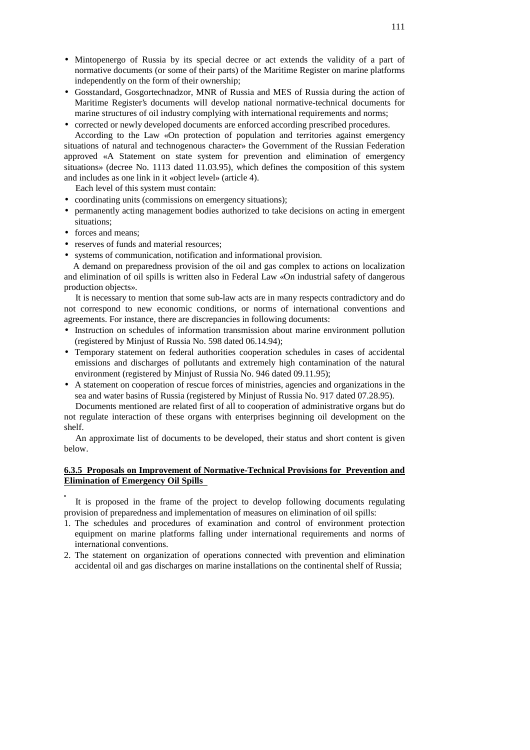- Mintopenergo of Russia by its special decree or act extends the validity of a part of normative documents (or some of their parts) of the Maritime Register on marine platforms independently on the form of their ownership;
- Gosstandard, Gosgortechnadzor, MNR of Russia and MES of Russia during the action of Maritime Register's documents will develop national normative-technical documents for marine structures of oil industry complying with international requirements and norms;
- corrected or newly developed documents are enforced according prescribed procedures.

According to the Law «On protection of population and territories against emergency situations of natural and technogenous character» the Government of the Russian Federation approved «A Statement on state system for prevention and elimination of emergency situations» (decree No. 1113 dated 11.03.95), which defines the composition of this system and includes as one link in it «object level» (article 4).

Each level of this system must contain:

- coordinating units (commissions on emergency situations);
- permanently acting management bodies authorized to take decisions on acting in emergent situations;
- forces and means:
- reserves of funds and material resources;
- systems of communication, notification and informational provision.

A demand on preparedness provision of the oil and gas complex to actions on localization and elimination of oil spills is written also in Federal Law «On industrial safety of dangerous production objects».

It is necessary to mention that some sub-law acts are in many respects contradictory and do not correspond to new economic conditions, or norms of international conventions and agreements. For instance, there are discrepancies in following documents:

- Instruction on schedules of information transmission about marine environment pollution (registered by Minjust of Russia No. 598 dated 06.14.94);
- Temporary statement on federal authorities cooperation schedules in cases of accidental emissions and discharges of pollutants and extremely high contamination of the natural environment (registered by Minjust of Russia No. 946 dated 09.11.95);
- A statement on cooperation of rescue forces of ministries, agencies and organizations in the sea and water basins of Russia (registered by Minjust of Russia No. 917 dated 07.28.95).

Documents mentioned are related first of all to cooperation of administrative organs but do not regulate interaction of these organs with enterprises beginning oil development on the shelf.

An approximate list of documents to be developed, their status and short content is given below.

### **6.3.5 Proposals on Improvement of Normative-Technical Provisions for Prevention and Elimination of Emergency Oil Spills**

It is proposed in the frame of the project to develop following documents regulating provision of preparedness and implementation of measures on elimination of oil spills:

- 1. The schedules and procedures of examination and control of environment protection equipment on marine platforms falling under international requirements and norms of international conventions.
- 2. The statement on organization of operations connected with prevention and elimination accidental oil and gas discharges on marine installations on the continental shelf of Russia;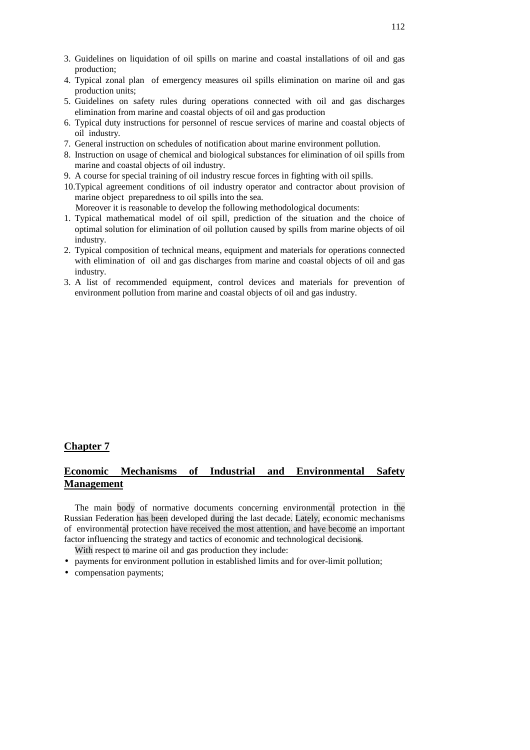- 3. Guidelines on liquidation of oil spills on marine and coastal installations of oil and gas production;
- 4. Typical zonal plan of emergency measures oil spills elimination on marine oil and gas production units;
- 5. Guidelines on safety rules during operations connected with oil and gas discharges elimination from marine and coastal objects of oil and gas production
- 6. Typical duty instructions for personnel of rescue services of marine and coastal objects of oil industry.
- 7. General instruction on schedules of notification about marine environment pollution.
- 8. Instruction on usage of chemical and biological substances for elimination of oil spills from marine and coastal objects of oil industry.
- 9. A course for special training of oil industry rescue forces in fighting with oil spills.
- 10.Typical agreement conditions of oil industry operator and contractor about provision of marine object preparedness to oil spills into the sea.

Moreover it is reasonable to develop the following methodological documents:

- 1. Typical mathematical model of oil spill, prediction of the situation and the choice of optimal solution for elimination of oil pollution caused by spills from marine objects of oil industry.
- 2. Typical composition of technical means, equipment and materials for operations connected with elimination of oil and gas discharges from marine and coastal objects of oil and gas industry.
- 3. A list of recommended equipment, control devices and materials for prevention of environment pollution from marine and coastal objects of oil and gas industry.

### **Chapter 7**

# **Economic Mechanisms of Industrial and Environmental Safety Management**

The main body of normative documents concerning environmental protection in the Russian Federation has been developed during the last decade. Lately, economic mechanisms of environmental protection have received the most attention, and have become an important factor influencing the strategy and tactics of economic and technological decisions.

With respect to marine oil and gas production they include:

- payments for environment pollution in established limits and for over-limit pollution;
- compensation payments;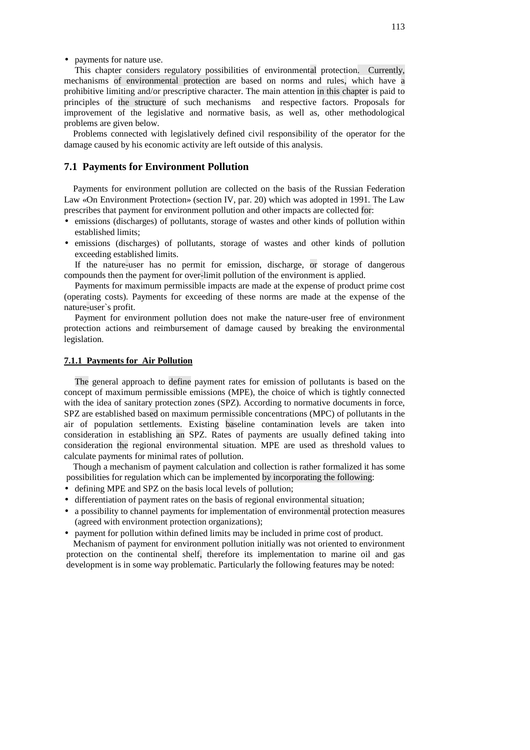• payments for nature use.

This chapter considers regulatory possibilities of environmental protection. Currently, mechanisms of environmental protection are based on norms and rules, which have a prohibitive limiting and/or prescriptive character. The main attention in this chapter is paid to principles of the structure of such mechanisms and respective factors. Proposals for improvement of the legislative and normative basis, as well as, other methodological problems are given below.

Problems connected with legislatively defined civil responsibility of the operator for the damage caused by his economic activity are left outside of this analysis.

#### **7.1 Payments for Environment Pollution**

Payments for environment pollution are collected on the basis of the Russian Federation Law «On Environment Protection» (section IV, par. 20) which was adopted in 1991. The Law prescribes that payment for environment pollution and other impacts are collected for:

- emissions (discharges) of pollutants, storage of wastes and other kinds of pollution within established limits;
- emissions (discharges) of pollutants, storage of wastes and other kinds of pollution exceeding established limits.

If the nature-user has no permit for emission, discharge, or storage of dangerous compounds then the payment for over-limit pollution of the environment is applied.

Payments for maximum permissible impacts are made at the expense of product prime cost (operating costs). Payments for exceeding of these norms are made at the expense of the nature-user`s profit.

Payment for environment pollution does not make the nature-user free of environment protection actions and reimbursement of damage caused by breaking the environmental legislation.

### **7.1.1 Payments for Air Pollution**

The general approach to define payment rates for emission of pollutants is based on the concept of maximum permissible emissions (MPE), the choice of which is tightly connected with the idea of sanitary protection zones (SPZ). According to normative documents in force, SPZ are established based on maximum permissible concentrations (MPC) of pollutants in the air of population settlements. Existing baseline contamination levels are taken into consideration in establishing an SPZ. Rates of payments are usually defined taking into consideration the regional environmental situation. MPE are used as threshold values to calculate payments for minimal rates of pollution.

Though a mechanism of payment calculation and collection is rather formalized it has some possibilities for regulation which can be implemented by incorporating the following:

- defining MPE and SPZ on the basis local levels of pollution;
- differentiation of payment rates on the basis of regional environmental situation;
- a possibility to channel payments for implementation of environmental protection measures (agreed with environment protection organizations);
- payment for pollution within defined limits may be included in prime cost of product.

Mechanism of payment for environment pollution initially was not oriented to environment protection on the continental shelf, therefore its implementation to marine oil and gas development is in some way problematic. Particularly the following features may be noted: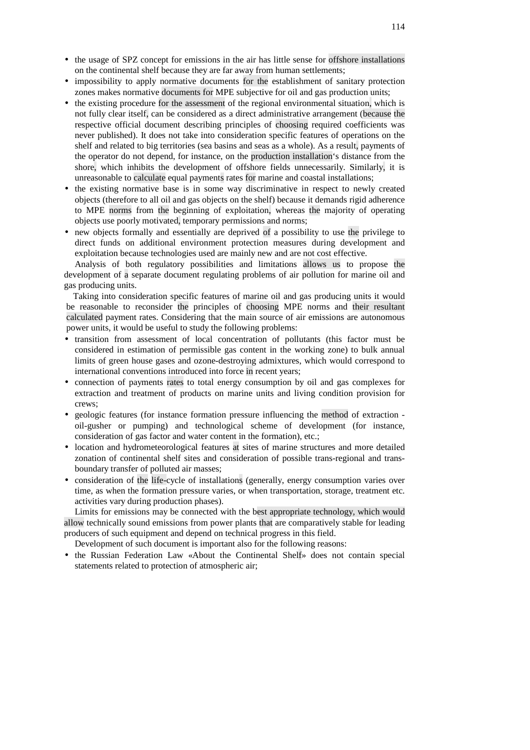- the usage of SPZ concept for emissions in the air has little sense for offshore installations on the continental shelf because they are far away from human settlements;
- impossibility to apply normative documents for the establishment of sanitary protection zones makes normative documents for MPE subjective for oil and gas production units;
- the existing procedure for the assessment of the regional environmental situation, which is not fully clear itself, can be considered as a direct administrative arrangement (because the respective official document describing principles of choosing required coefficients was never published). It does not take into consideration specific features of operations on the shelf and related to big territories (sea basins and seas as a whole). As a result, payments of the operator do not depend, for instance, on the production installation's distance from the shore, which inhibits the development of offshore fields unnecessarily. Similarly, it is unreasonable to calculate equal payments rates for marine and coastal installations;
- the existing normative base is in some way discriminative in respect to newly created objects (therefore to all oil and gas objects on the shelf) because it demands rigid adherence to MPE norms from the beginning of exploitation, whereas the majority of operating objects use poorly motivated, temporary permissions and norms;
- new objects formally and essentially are deprived of a possibility to use the privilege to direct funds on additional environment protection measures during development and exploitation because technologies used are mainly new and are not cost effective.

Analysis of both regulatory possibilities and limitations allows us to propose the development of a separate document regulating problems of air pollution for marine oil and gas producing units.

Taking into consideration specific features of marine oil and gas producing units it would be reasonable to reconsider the principles of choosing MPE norms and their resultant calculated payment rates. Considering that the main source of air emissions are autonomous power units, it would be useful to study the following problems:

- transition from assessment of local concentration of pollutants (this factor must be considered in estimation of permissible gas content in the working zone) to bulk annual limits of green house gases and ozone-destroying admixtures, which would correspond to international conventions introduced into force in recent years;
- connection of payments rates to total energy consumption by oil and gas complexes for extraction and treatment of products on marine units and living condition provision for crews;
- geologic features (for instance formation pressure influencing the method of extraction oil-gusher or pumping) and technological scheme of development (for instance, consideration of gas factor and water content in the formation), etc.;
- location and hydrometeorological features at sites of marine structures and more detailed zonation of continental shelf sites and consideration of possible trans-regional and transboundary transfer of polluted air masses;
- consideration of the life-cycle of installations (generally, energy consumption varies over time, as when the formation pressure varies, or when transportation, storage, treatment etc. activities vary during production phases).

Limits for emissions may be connected with the best appropriate technology, which would allow technically sound emissions from power plants that are comparatively stable for leading producers of such equipment and depend on technical progress in this field.

Development of such document is important also for the following reasons:

• the Russian Federation Law «About the Continental Shelf» does not contain special statements related to protection of atmospheric air;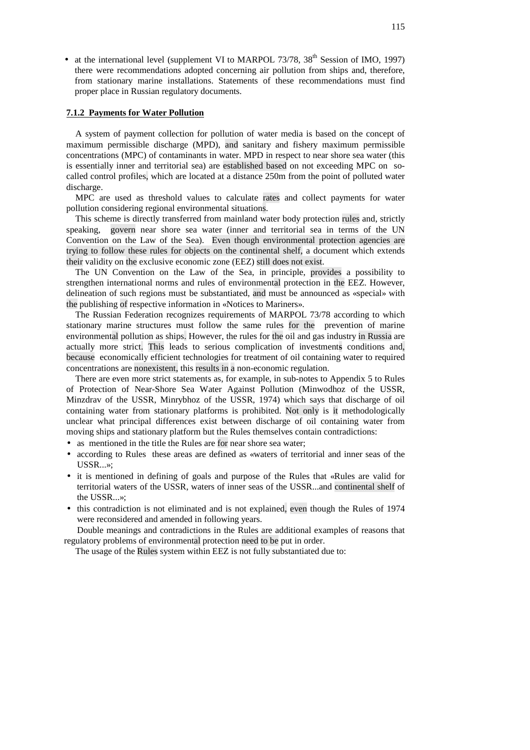• at the international level (supplement VI to MARPOL 73/78, 38<sup>th</sup> Session of IMO, 1997) there were recommendations adopted concerning air pollution from ships and, therefore, from stationary marine installations. Statements of these recommendations must find proper place in Russian regulatory documents.

# **7.1.2 Payments for Water Pollution**

A system of payment collection for pollution of water media is based on the concept of maximum permissible discharge (MPD), and sanitary and fishery maximum permissible concentrations (MPC) of contaminants in water. MPD in respect to near shore sea water (this is essentially inner and territorial sea) are established based on not exceeding MPC on socalled control profiles, which are located at a distance 250m from the point of polluted water discharge.

MPC are used as threshold values to calculate rates and collect payments for water pollution considering regional environmental situations.

This scheme is directly transferred from mainland water body protection rules and, strictly speaking, govern near shore sea water (inner and territorial sea in terms of the UN Convention on the Law of the Sea). Even though environmental protection agencies are trying to follow these rules for objects on the continental shelf, a document which extends their validity on the exclusive economic zone (EEZ) still does not exist.

The UN Convention on the Law of the Sea, in principle, provides a possibility to strengthen international norms and rules of environmental protection in the EEZ. However, delineation of such regions must be substantiated, and must be announced as «special» with the publishing of respective information in «Notices to Mariners».

The Russian Federation recognizes requirements of MARPOL 73/78 according to which stationary marine structures must follow the same rules for the prevention of marine environmental pollution as ships. However, the rules for the oil and gas industry in Russia are actually more strict. This leads to serious complication of investments conditions and, because economically efficient technologies for treatment of oil containing water to required concentrations are nonexistent, this results in a non-economic regulation.

There are even more strict statements as, for example, in sub-notes to Appendix 5 to Rules of Protection of Near-Shore Sea Water Against Pollution (Minwodhoz of the USSR, Minzdrav of the USSR, Minrybhoz of the USSR, 1974) which says that discharge of oil containing water from stationary platforms is prohibited. Not only is it methodologically unclear what principal differences exist between discharge of oil containing water from moving ships and stationary platform but the Rules themselves contain contradictions:

- as mentioned in the title the Rules are for near shore sea water;
- according to Rules these areas are defined as «waters of territorial and inner seas of the USSR...»;
- it is mentioned in defining of goals and purpose of the Rules that «Rules are valid for territorial waters of the USSR, waters of inner seas of the USSR...and continental shelf of the USSR...»;
- this contradiction is not eliminated and is not explained, even though the Rules of 1974 were reconsidered and amended in following years.

Double meanings and contradictions in the Rules are additional examples of reasons that regulatory problems of environmental protection need to be put in order.

The usage of the Rules system within EEZ is not fully substantiated due to: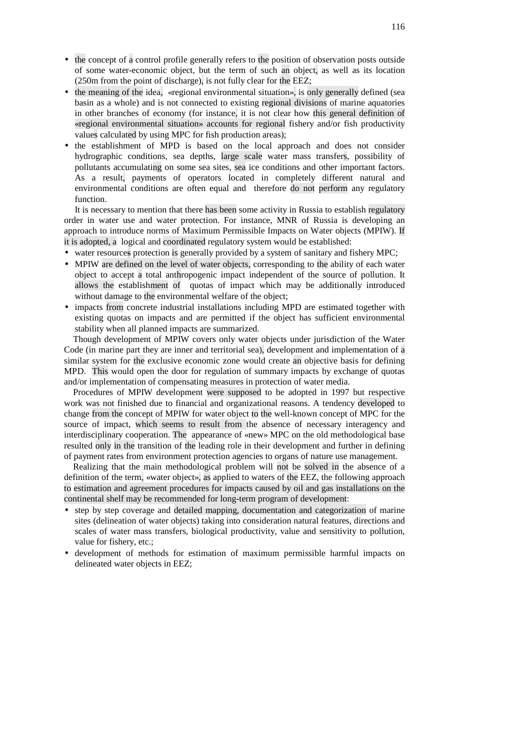- the concept of a control profile generally refers to the position of observation posts outside of some water-economic object, but the term of such an object, as well as its location (250m from the point of discharge), is not fully clear for the EEZ;
- the meaning of the idea, «regional environmental situation», is only generally defined (sea basin as a whole) and is not connected to existing regional divisions of marine aquatories in other branches of economy (for instance, it is not clear how this general definition of «regional environmental situation» accounts for regional fishery and/or fish productivity values calculated by using MPC for fish production areas);
- the establishment of MPD is based on the local approach and does not consider hydrographic conditions, sea depths, large scale water mass transfers, possibility of pollutants accumulating on some sea sites, sea ice conditions and other important factors. As a result, payments of operators located in completely different natural and environmental conditions are often equal and therefore do not perform any regulatory function.

It is necessary to mention that there has been some activity in Russia to establish regulatory order in water use and water protection. For instance, MNR of Russia is developing an approach to introduce norms of Maximum Permissible Impacts on Water objects (MPIW). If it is adopted, a logical and coordinated regulatory system would be established:

- water resources protection is generally provided by a system of sanitary and fishery MPC;
- MPIW are defined on the level of water objects, corresponding to the ability of each water object to accept a total anthropogenic impact independent of the source of pollution. It allows the establishment of quotas of impact which may be additionally introduced without damage to the environmental welfare of the object;
- impacts from concrete industrial installations including MPD are estimated together with existing quotas on impacts and are permitted if the object has sufficient environmental stability when all planned impacts are summarized.

Though development of MPIW covers only water objects under jurisdiction of the Water Code (in marine part they are inner and territorial sea), development and implementation of a similar system for the exclusive economic zone would create an objective basis for defining MPD. This would open the door for regulation of summary impacts by exchange of quotas and/or implementation of compensating measures in protection of water media.

Procedures of MPIW development were supposed to be adopted in 1997 but respective work was not finished due to financial and organizational reasons. A tendency developed to change from the concept of MPIW for water object to the well-known concept of MPC for the source of impact, which seems to result from the absence of necessary interagency and interdisciplinary cooperation. The appearance of «new» MPC on the old methodological base resulted only in the transition of the leading role in their development and further in defining of payment rates from environment protection agencies to organs of nature use management.

Realizing that the main methodological problem will not be solved in the absence of a definition of the term, «water object», as applied to waters of the EEZ, the following approach to estimation and agreement procedures for impacts caused by oil and gas installations on the continental shelf may be recommended for long-term program of development:

- step by step coverage and detailed mapping, documentation and categorization of marine sites (delineation of water objects) taking into consideration natural features, directions and scales of water mass transfers, biological productivity, value and sensitivity to pollution, value for fishery, etc.;
- development of methods for estimation of maximum permissible harmful impacts on delineated water objects in EEZ;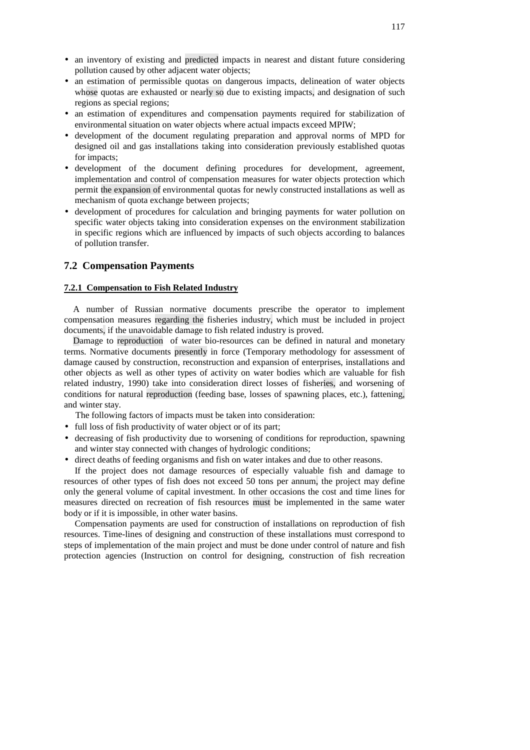- an inventory of existing and predicted impacts in nearest and distant future considering pollution caused by other adjacent water objects;
- an estimation of permissible quotas on dangerous impacts, delineation of water objects whose quotas are exhausted or nearly so due to existing impacts, and designation of such regions as special regions;
- an estimation of expenditures and compensation payments required for stabilization of environmental situation on water objects where actual impacts exceed MPIW;
- development of the document regulating preparation and approval norms of MPD for designed oil and gas installations taking into consideration previously established quotas for impacts;
- development of the document defining procedures for development, agreement, implementation and control of compensation measures for water objects protection which permit the expansion of environmental quotas for newly constructed installations as well as mechanism of quota exchange between projects;
- development of procedures for calculation and bringing payments for water pollution on specific water objects taking into consideration expenses on the environment stabilization in specific regions which are influenced by impacts of such objects according to balances of pollution transfer.

### **7.2 Compensation Payments**

#### **7.2.1 Compensation to Fish Related Industry**

A number of Russian normative documents prescribe the operator to implement compensation measures regarding the fisheries industry, which must be included in project documents, if the unavoidable damage to fish related industry is proved.

Damage to reproduction of water bio-resources can be defined in natural and monetary terms. Normative documents presently in force (Temporary methodology for assessment of damage caused by construction, reconstruction and expansion of enterprises, installations and other objects as well as other types of activity on water bodies which are valuable for fish related industry, 1990) take into consideration direct losses of fisheries, and worsening of conditions for natural reproduction (feeding base, losses of spawning places, etc.), fattening, and winter stay.

The following factors of impacts must be taken into consideration:

- full loss of fish productivity of water object or of its part;
- decreasing of fish productivity due to worsening of conditions for reproduction, spawning and winter stay connected with changes of hydrologic conditions;
- direct deaths of feeding organisms and fish on water intakes and due to other reasons.

If the project does not damage resources of especially valuable fish and damage to resources of other types of fish does not exceed 50 tons per annum, the project may define only the general volume of capital investment. In other occasions the cost and time lines for measures directed on recreation of fish resources must be implemented in the same water body or if it is impossible, in other water basins.

Compensation payments are used for construction of installations on reproduction of fish resources. Time-lines of designing and construction of these installations must correspond to steps of implementation of the main project and must be done under control of nature and fish protection agencies (Instruction on control for designing, construction of fish recreation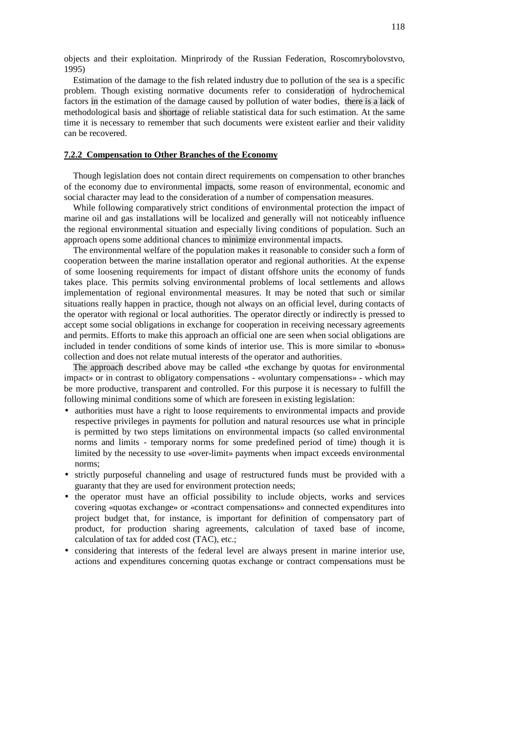objects and their exploitation. Minprirody of the Russian Federation, Roscomrybolovstvo, 1995)

Estimation of the damage to the fish related industry due to pollution of the sea is a specific problem. Though existing normative documents refer to consideration of hydrochemical factors in the estimation of the damage caused by pollution of water bodies, there is a lack of methodological basis and shortage of reliable statistical data for such estimation. At the same time it is necessary to remember that such documents were existent earlier and their validity can be recovered.

#### **7.2.2 Compensation to Other Branches of the Economy**

Though legislation does not contain direct requirements on compensation to other branches of the economy due to environmental impacts, some reason of environmental, economic and social character may lead to the consideration of a number of compensation measures.

While following comparatively strict conditions of environmental protection the impact of marine oil and gas installations will be localized and generally will not noticeably influence the regional environmental situation and especially living conditions of population. Such an approach opens some additional chances to minimize environmental impacts.

The environmental welfare of the population makes it reasonable to consider such a form of cooperation between the marine installation operator and regional authorities. At the expense of some loosening requirements for impact of distant offshore units the economy of funds takes place. This permits solving environmental problems of local settlements and allows implementation of regional environmental measures. It may be noted that such or similar situations really happen in practice, though not always on an official level, during contacts of the operator with regional or local authorities. The operator directly or indirectly is pressed to accept some social obligations in exchange for cooperation in receiving necessary agreements and permits. Efforts to make this approach an official one are seen when social obligations are included in tender conditions of some kinds of interior use. This is more similar to «bonus» collection and does not relate mutual interests of the operator and authorities.

The approach described above may be called «the exchange by quotas for environmental impact» or in contrast to obligatory compensations - «voluntary compensations» - which may be more productive, transparent and controlled. For this purpose it is necessary to fulfill the following minimal conditions some of which are foreseen in existing legislation:

- authorities must have a right to loose requirements to environmental impacts and provide respective privileges in payments for pollution and natural resources use what in principle is permitted by two steps limitations on environmental impacts (so called environmental norms and limits - temporary norms for some predefined period of time) though it is limited by the necessity to use «over-limit» payments when impact exceeds environmental norms;
- strictly purposeful channeling and usage of restructured funds must be provided with a guaranty that they are used for environment protection needs;
- the operator must have an official possibility to include objects, works and services covering «quotas exchange» or «contract compensations» and connected expenditures into project budget that, for instance, is important for definition of compensatory part of product, for production sharing agreements, calculation of taxed base of income, calculation of tax for added cost (TAC), etc.;
- considering that interests of the federal level are always present in marine interior use, actions and expenditures concerning quotas exchange or contract compensations must be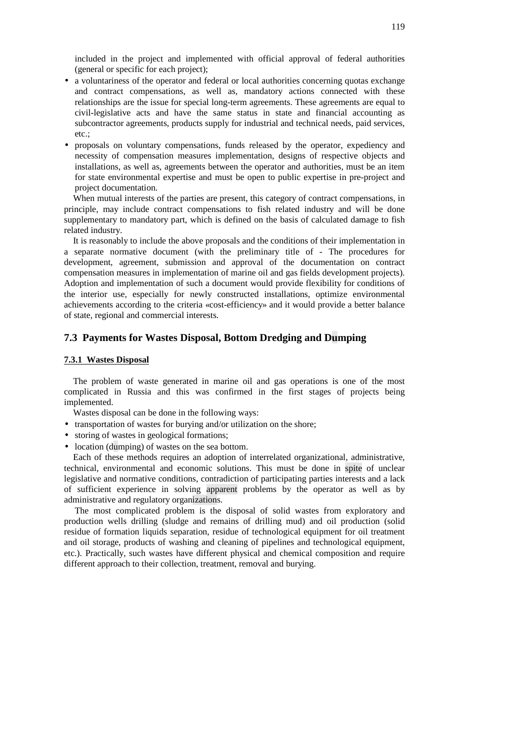included in the project and implemented with official approval of federal authorities (general or specific for each project);

- a voluntariness of the operator and federal or local authorities concerning quotas exchange and contract compensations, as well as, mandatory actions connected with these relationships are the issue for special long-term agreements. These agreements are equal to civil-legislative acts and have the same status in state and financial accounting as subcontractor agreements, products supply for industrial and technical needs, paid services, etc.  $\cdot$
- proposals on voluntary compensations, funds released by the operator, expediency and necessity of compensation measures implementation, designs of respective objects and installations, as well as, agreements between the operator and authorities, must be an item for state environmental expertise and must be open to public expertise in pre-project and project documentation.

When mutual interests of the parties are present, this category of contract compensations, in principle, may include contract compensations to fish related industry and will be done supplementary to mandatory part, which is defined on the basis of calculated damage to fish related industry.

It is reasonably to include the above proposals and the conditions of their implementation in a separate normative document (with the preliminary title of - The procedures for development, agreement, submission and approval of the documentation on contract compensation measures in implementation of marine oil and gas fields development projects). Adoption and implementation of such a document would provide flexibility for conditions of the interior use, especially for newly constructed installations, optimize environmental achievements according to the criteria «cost-efficiency» and it would provide a better balance of state, regional and commercial interests.

### **7.3 Payments for Wastes Disposal, Bottom Dredging and Dumping**

#### **7.3.1 Wastes Disposal**

The problem of waste generated in marine oil and gas operations is one of the most complicated in Russia and this was confirmed in the first stages of projects being implemented.

Wastes disposal can be done in the following ways:

- transportation of wastes for burying and/or utilization on the shore;
- storing of wastes in geological formations;
- location (dumping) of wastes on the sea bottom.

Each of these methods requires an adoption of interrelated organizational, administrative, technical, environmental and economic solutions. This must be done in spite of unclear legislative and normative conditions, contradiction of participating parties interests and a lack of sufficient experience in solving apparent problems by the operator as well as by administrative and regulatory organizations.

The most complicated problem is the disposal of solid wastes from exploratory and production wells drilling (sludge and remains of drilling mud) and oil production (solid residue of formation liquids separation, residue of technological equipment for oil treatment and oil storage, products of washing and cleaning of pipelines and technological equipment, etc.). Practically, such wastes have different physical and chemical composition and require different approach to their collection, treatment, removal and burying.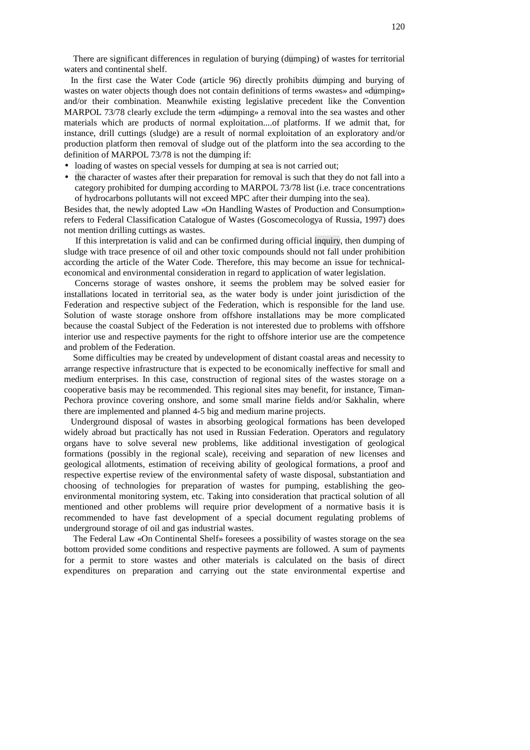There are significant differences in regulation of burying (dumping) of wastes for territorial waters and continental shelf.

In the first case the Water Code (article 96) directly prohibits dumping and burying of wastes on water objects though does not contain definitions of terms «wastes» and «dumping» and/or their combination. Meanwhile existing legislative precedent like the Convention MARPOL 73/78 clearly exclude the term «dumping» a removal into the sea wastes and other materials which are products of normal exploitation....of platforms. If we admit that, for instance, drill cuttings (sludge) are a result of normal exploitation of an exploratory and/or production platform then removal of sludge out of the platform into the sea according to the definition of MARPOL 73/78 is not the dumping if:

- loading of wastes on special vessels for dumping at sea is not carried out;
- the character of wastes after their preparation for removal is such that they do not fall into a category prohibited for dumping according to MARPOL 73/78 list (i.e. trace concentrations of hydrocarbons pollutants will not exceed MPC after their dumping into the sea).

Besides that, the newly adopted Law «On Handling Wastes of Production and Consumption» refers to Federal Classification Catalogue of Wastes (Goscomecologya of Russia, 1997) does not mention drilling cuttings as wastes.

If this interpretation is valid and can be confirmed during official inquiry, then dumping of sludge with trace presence of oil and other toxic compounds should not fall under prohibition according the article of the Water Code. Therefore, this may become an issue for technicaleconomical and environmental consideration in regard to application of water legislation.

Concerns storage of wastes onshore, it seems the problem may be solved easier for installations located in territorial sea, as the water body is under joint jurisdiction of the Federation and respective subject of the Federation, which is responsible for the land use. Solution of waste storage onshore from offshore installations may be more complicated because the coastal Subject of the Federation is not interested due to problems with offshore interior use and respective payments for the right to offshore interior use are the competence and problem of the Federation.

Some difficulties may be created by undevelopment of distant coastal areas and necessity to arrange respective infrastructure that is expected to be economically ineffective for small and medium enterprises. In this case, construction of regional sites of the wastes storage on a cooperative basis may be recommended. This regional sites may benefit, for instance, Timan-Pechora province covering onshore, and some small marine fields and/or Sakhalin, where there are implemented and planned 4-5 big and medium marine projects.

Underground disposal of wastes in absorbing geological formations has been developed widely abroad but practically has not used in Russian Federation. Operators and regulatory organs have to solve several new problems, like additional investigation of geological formations (possibly in the regional scale), receiving and separation of new licenses and geological allotments, estimation of receiving ability of geological formations, a proof and respective expertise review of the environmental safety of waste disposal, substantiation and choosing of technologies for preparation of wastes for pumping, establishing the geoenvironmental monitoring system, etc. Taking into consideration that practical solution of all mentioned and other problems will require prior development of a normative basis it is recommended to have fast development of a special document regulating problems of underground storage of oil and gas industrial wastes.

The Federal Law «On Continental Shelf» foresees a possibility of wastes storage on the sea bottom provided some conditions and respective payments are followed. A sum of payments for a permit to store wastes and other materials is calculated on the basis of direct expenditures on preparation and carrying out the state environmental expertise and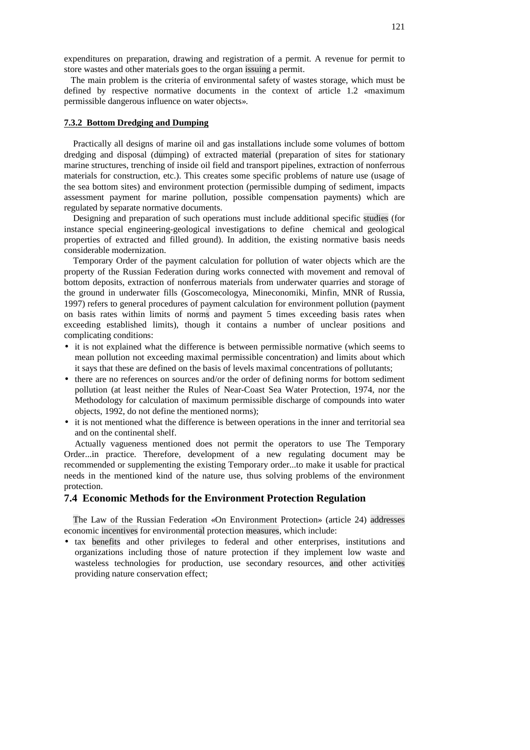expenditures on preparation, drawing and registration of a permit. A revenue for permit to store wastes and other materials goes to the organ issuing a permit.

The main problem is the criteria of environmental safety of wastes storage, which must be defined by respective normative documents in the context of article 1.2 «maximum permissible dangerous influence on water objects».

### **7.3.2 Bottom Dredging and Dumping**

Practically all designs of marine oil and gas installations include some volumes of bottom dredging and disposal (dumping) of extracted material (preparation of sites for stationary marine structures, trenching of inside oil field and transport pipelines, extraction of nonferrous materials for construction, etc.). This creates some specific problems of nature use (usage of the sea bottom sites) and environment protection (permissible dumping of sediment, impacts assessment payment for marine pollution, possible compensation payments) which are regulated by separate normative documents.

Designing and preparation of such operations must include additional specific studies (for instance special engineering-geological investigations to define chemical and geological properties of extracted and filled ground). In addition, the existing normative basis needs considerable modernization.

Temporary Order of the payment calculation for pollution of water objects which are the property of the Russian Federation during works connected with movement and removal of bottom deposits, extraction of nonferrous materials from underwater quarries and storage of the ground in underwater fills (Goscomecologya, Mineconomiki, Minfin, MNR of Russia, 1997) refers to general procedures of payment calculation for environment pollution (payment on basis rates within limits of norms and payment 5 times exceeding basis rates when exceeding established limits), though it contains a number of unclear positions and complicating conditions:

- it is not explained what the difference is between permissible normative (which seems to mean pollution not exceeding maximal permissible concentration) and limits about which it says that these are defined on the basis of levels maximal concentrations of pollutants;
- there are no references on sources and/or the order of defining norms for bottom sediment pollution (at least neither the Rules of Near-Coast Sea Water Protection, 1974, nor the Methodology for calculation of maximum permissible discharge of compounds into water objects, 1992, do not define the mentioned norms);
- it is not mentioned what the difference is between operations in the inner and territorial sea and on the continental shelf.

Actually vagueness mentioned does not permit the operators to use The Temporary Order...in practice. Therefore, development of a new regulating document may be recommended or supplementing the existing Temporary order...to make it usable for practical needs in the mentioned kind of the nature use, thus solving problems of the environment protection.

#### **7.4 Economic Methods for the Environment Protection Regulation**

The Law of the Russian Federation «On Environment Protection» (article 24) addresses economic incentives for environmental protection measures, which include:

• tax benefits and other privileges to federal and other enterprises, institutions and organizations including those of nature protection if they implement low waste and wasteless technologies for production, use secondary resources, and other activities providing nature conservation effect;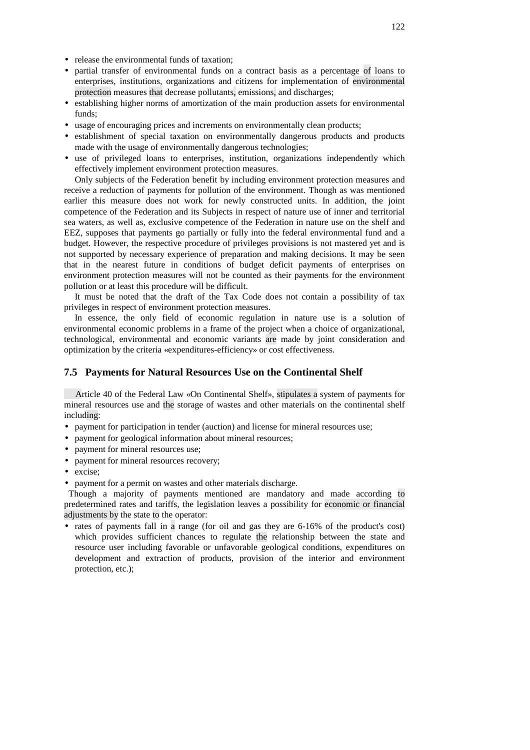- release the environmental funds of taxation;
- partial transfer of environmental funds on a contract basis as a percentage of loans to enterprises, institutions, organizations and citizens for implementation of environmental protection measures that decrease pollutants, emissions, and discharges;
- establishing higher norms of amortization of the main production assets for environmental funds;
- usage of encouraging prices and increments on environmentally clean products;
- establishment of special taxation on environmentally dangerous products and products made with the usage of environmentally dangerous technologies;
- use of privileged loans to enterprises, institution, organizations independently which effectively implement environment protection measures.

Only subjects of the Federation benefit by including environment protection measures and receive a reduction of payments for pollution of the environment. Though as was mentioned earlier this measure does not work for newly constructed units. In addition, the joint competence of the Federation and its Subjects in respect of nature use of inner and territorial sea waters, as well as, exclusive competence of the Federation in nature use on the shelf and EEZ, supposes that payments go partially or fully into the federal environmental fund and a budget. However, the respective procedure of privileges provisions is not mastered yet and is not supported by necessary experience of preparation and making decisions. It may be seen that in the nearest future in conditions of budget deficit payments of enterprises on environment protection measures will not be counted as their payments for the environment pollution or at least this procedure will be difficult.

It must be noted that the draft of the Tax Code does not contain a possibility of tax privileges in respect of environment protection measures.

In essence, the only field of economic regulation in nature use is a solution of environmental economic problems in a frame of the project when a choice of organizational, technological, environmental and economic variants are made by joint consideration and optimization by the criteria «expenditures-efficiency» or cost effectiveness.

### **7.5 Payments for Natural Resources Use on the Continental Shelf**

Article 40 of the Federal Law «On Continental Shelf», stipulates a system of payments for mineral resources use and the storage of wastes and other materials on the continental shelf including:

- payment for participation in tender (auction) and license for mineral resources use;
- payment for geological information about mineral resources:
- payment for mineral resources use;
- payment for mineral resources recovery;
- excise;
- payment for a permit on wastes and other materials discharge.

Though a majority of payments mentioned are mandatory and made according to predetermined rates and tariffs, the legislation leaves a possibility for economic or financial adjustments by the state to the operator:

• rates of payments fall in a range (for oil and gas they are 6-16% of the product's cost) which provides sufficient chances to regulate the relationship between the state and resource user including favorable or unfavorable geological conditions, expenditures on development and extraction of products, provision of the interior and environment protection, etc.);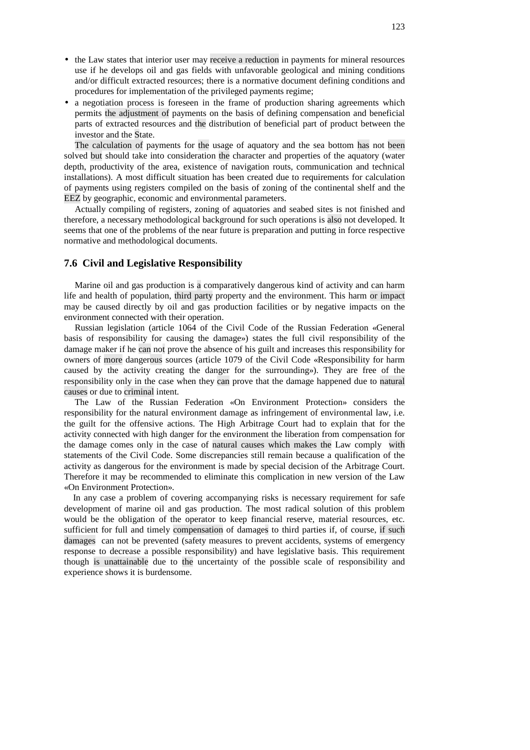- the Law states that interior user may receive a reduction in payments for mineral resources use if he develops oil and gas fields with unfavorable geological and mining conditions and/or difficult extracted resources; there is a normative document defining conditions and procedures for implementation of the privileged payments regime;
- a negotiation process is foreseen in the frame of production sharing agreements which permits the adjustment of payments on the basis of defining compensation and beneficial parts of extracted resources and the distribution of beneficial part of product between the investor and the State.

The calculation of payments for the usage of aquatory and the sea bottom has not been solved but should take into consideration the character and properties of the aquatory (water depth, productivity of the area, existence of navigation routs, communication and technical installations). A most difficult situation has been created due to requirements for calculation of payments using registers compiled on the basis of zoning of the continental shelf and the EEZ by geographic, economic and environmental parameters.

Actually compiling of registers, zoning of aquatories and seabed sites is not finished and therefore, a necessary methodological background for such operations is also not developed. It seems that one of the problems of the near future is preparation and putting in force respective normative and methodological documents.

### **7.6 Civil and Legislative Responsibility**

Marine oil and gas production is a comparatively dangerous kind of activity and can harm life and health of population, third party property and the environment. This harm or impact may be caused directly by oil and gas production facilities or by negative impacts on the environment connected with their operation.

Russian legislation (article 1064 of the Civil Code of the Russian Federation «General basis of responsibility for causing the damage») states the full civil responsibility of the damage maker if he can not prove the absence of his guilt and increases this responsibility for owners of more dangerous sources (article 1079 of the Civil Code «Responsibility for harm caused by the activity creating the danger for the surrounding»). They are free of the responsibility only in the case when they can prove that the damage happened due to natural causes or due to criminal intent.

The Law of the Russian Federation «On Environment Protection» considers the responsibility for the natural environment damage as infringement of environmental law, i.e. the guilt for the offensive actions. The High Arbitrage Court had to explain that for the activity connected with high danger for the environment the liberation from compensation for the damage comes only in the case of natural causes which makes the Law comply with statements of the Civil Code. Some discrepancies still remain because a qualification of the activity as dangerous for the environment is made by special decision of the Arbitrage Court. Therefore it may be recommended to eliminate this complication in new version of the Law «On Environment Protection».

In any case a problem of covering accompanying risks is necessary requirement for safe development of marine oil and gas production. The most radical solution of this problem would be the obligation of the operator to keep financial reserve, material resources, etc. sufficient for full and timely compensation of damages to third parties if, of course, if such damages can not be prevented (safety measures to prevent accidents, systems of emergency response to decrease a possible responsibility) and have legislative basis. This requirement though is unattainable due to the uncertainty of the possible scale of responsibility and experience shows it is burdensome.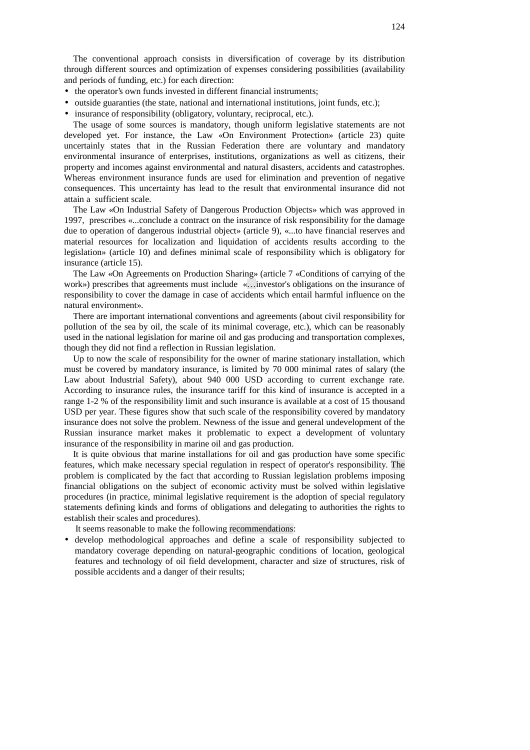The conventional approach consists in diversification of coverage by its distribution through different sources and optimization of expenses considering possibilities (availability and periods of funding, etc.) for each direction:

- the operator's own funds invested in different financial instruments;
- outside guaranties (the state, national and international institutions, joint funds, etc.);
- insurance of responsibility (obligatory, voluntary, reciprocal, etc.).

The usage of some sources is mandatory, though uniform legislative statements are not developed yet. For instance, the Law «On Environment Protection» (article 23) quite uncertainly states that in the Russian Federation there are voluntary and mandatory environmental insurance of enterprises, institutions, organizations as well as citizens, their property and incomes against environmental and natural disasters, accidents and catastrophes. Whereas environment insurance funds are used for elimination and prevention of negative consequences. This uncertainty has lead to the result that environmental insurance did not attain a sufficient scale.

The Law «On Industrial Safety of Dangerous Production Objects» which was approved in 1997, prescribes «...conclude a contract on the insurance of risk responsibility for the damage due to operation of dangerous industrial object» (article 9), «...to have financial reserves and material resources for localization and liquidation of accidents results according to the legislation» (article 10) and defines minimal scale of responsibility which is obligatory for insurance (article 15).

The Law «On Agreements on Production Sharing» (article 7 «Conditions of carrying of the work») prescribes that agreements must include «…investor's obligations on the insurance of responsibility to cover the damage in case of accidents which entail harmful influence on the natural environment».

There are important international conventions and agreements (about civil responsibility for pollution of the sea by oil, the scale of its minimal coverage, etc.), which can be reasonably used in the national legislation for marine oil and gas producing and transportation complexes, though they did not find a reflection in Russian legislation.

Up to now the scale of responsibility for the owner of marine stationary installation, which must be covered by mandatory insurance, is limited by 70 000 minimal rates of salary (the Law about Industrial Safety), about 940 000 USD according to current exchange rate. According to insurance rules, the insurance tariff for this kind of insurance is accepted in a range 1-2 % of the responsibility limit and such insurance is available at a cost of 15 thousand USD per year. These figures show that such scale of the responsibility covered by mandatory insurance does not solve the problem. Newness of the issue and general undevelopment of the Russian insurance market makes it problematic to expect a development of voluntary insurance of the responsibility in marine oil and gas production.

It is quite obvious that marine installations for oil and gas production have some specific features, which make necessary special regulation in respect of operator's responsibility. The problem is complicated by the fact that according to Russian legislation problems imposing financial obligations on the subject of economic activity must be solved within legislative procedures (in practice, minimal legislative requirement is the adoption of special regulatory statements defining kinds and forms of obligations and delegating to authorities the rights to establish their scales and procedures).

It seems reasonable to make the following recommendations:

• develop methodological approaches and define a scale of responsibility subjected to mandatory coverage depending on natural-geographic conditions of location, geological features and technology of oil field development, character and size of structures, risk of possible accidents and a danger of their results;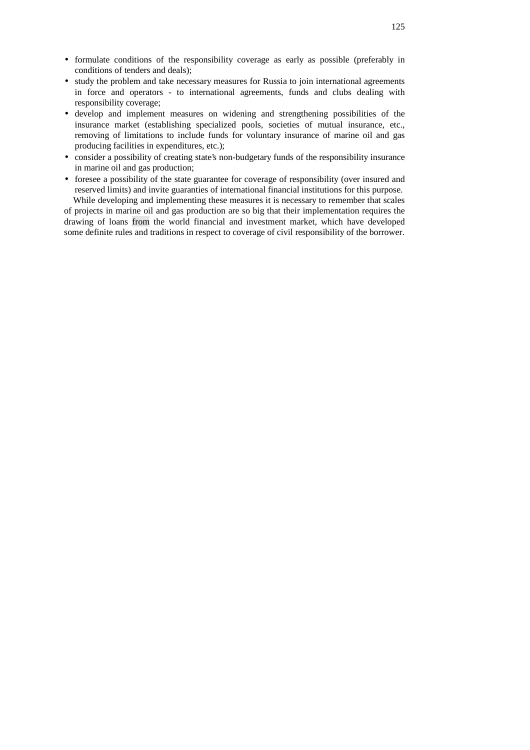- formulate conditions of the responsibility coverage as early as possible (preferably in conditions of tenders and deals);
- study the problem and take necessary measures for Russia to join international agreements in force and operators - to international agreements, funds and clubs dealing with responsibility coverage;
- develop and implement measures on widening and strengthening possibilities of the insurance market (establishing specialized pools, societies of mutual insurance, etc., removing of limitations to include funds for voluntary insurance of marine oil and gas producing facilities in expenditures, etc.);
- consider a possibility of creating state's non-budgetary funds of the responsibility insurance in marine oil and gas production;
- foresee a possibility of the state guarantee for coverage of responsibility (over insured and reserved limits) and invite guaranties of international financial institutions for this purpose. While developing and implementing these measures it is necessary to remember that scales

of projects in marine oil and gas production are so big that their implementation requires the drawing of loans from the world financial and investment market, which have developed some definite rules and traditions in respect to coverage of civil responsibility of the borrower.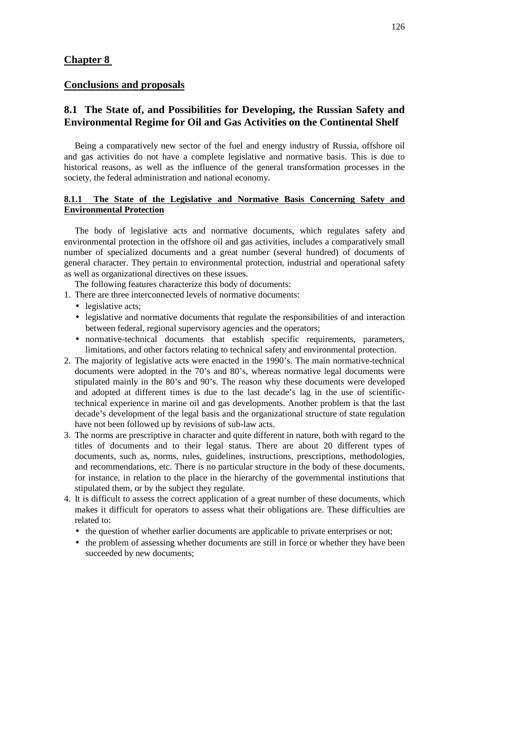### **Chapter 8**

# **Conclusions and proposals**

# **8.1 The State of, and Possibilities for Developing, the Russian Safety and Environmental Regime for Oil and Gas Activities on the Continental Shelf**

Being a comparatively new sector of the fuel and energy industry of Russia, offshore oil and gas activities do not have a complete legislative and normative basis. This is due to historical reasons, as well as the influence of the general transformation processes in the society, the federal administration and national economy.

### **8.1.1 The State of the Legislative and Normative Basis Concerning Safety and Environmental Protection**

The body of legislative acts and normative documents, which regulates safety and environmental protection in the offshore oil and gas activities, includes a comparatively small number of specialized documents and a great number (several hundred) of documents of general character. They pertain to environmental protection, industrial and operational safety as well as organizational directives on these issues.

The following features characterize this body of documents:

1. There are three interconnected levels of normative documents:

- legislative acts;
- legislative and normative documents that regulate the responsibilities of and interaction between federal, regional supervisory agencies and the operators;
- normative-technical documents that establish specific requirements, parameters, limitations, and other factors relating to technical safety and environmental protection.
- 2. The majority of legislative acts were enacted in the 1990's. The main normative-technical documents were adopted in the 70's and 80's, whereas normative legal documents were stipulated mainly in the 80's and 90's. The reason why these documents were developed and adopted at different times is due to the last decade's lag in the use of scientifictechnical experience in marine oil and gas developments. Another problem is that the last decade's development of the legal basis and the organizational structure of state regulation have not been followed up by revisions of sub-law acts.
- 3. The norms are prescriptive in character and quite different in nature, both with regard to the titles of documents and to their legal status. There are about 20 different types of documents, such as, norms, rules, guidelines, instructions, prescriptions, methodologies, and recommendations, etc. There is no particular structure in the body of these documents, for instance, in relation to the place in the hierarchy of the governmental institutions that stipulated them, or by the subject they regulate.
- 4. It is difficult to assess the correct application of a great number of these documents, which makes it difficult for operators to assess what their obligations are. These difficulties are related to:
	- the question of whether earlier documents are applicable to private enterprises or not;
	- the problem of assessing whether documents are still in force or whether they have been succeeded by new documents;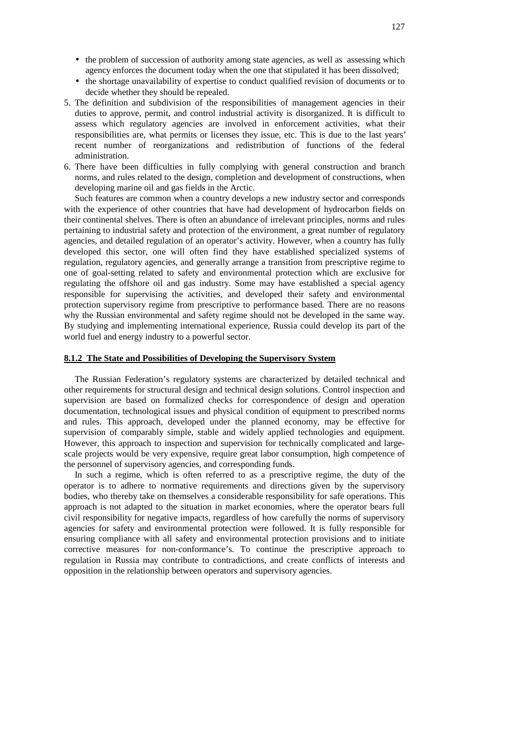- the problem of succession of authority among state agencies, as well as assessing which agency enforces the document today when the one that stipulated it has been dissolved;
- the shortage unavailability of expertise to conduct qualified revision of documents or to decide whether they should be repealed.
- 5. The definition and subdivision of the responsibilities of management agencies in their duties to approve, permit, and control industrial activity is disorganized. It is difficult to assess which regulatory agencies are involved in enforcement activities, what their responsibilities are, what permits or licenses they issue, etc. This is due to the last years' recent number of reorganizations and redistribution of functions of the federal administration.
- 6. There have been difficulties in fully complying with general construction and branch norms, and rules related to the design, completion and development of constructions, when developing marine oil and gas fields in the Arctic.

Such features are common when a country develops a new industry sector and corresponds with the experience of other countries that have had development of hydrocarbon fields on their continental shelves. There is often an abundance of irrelevant principles, norms and rules pertaining to industrial safety and protection of the environment, a great number of regulatory agencies, and detailed regulation of an operator's activity. However, when a country has fully developed this sector, one will often find they have established specialized systems of regulation, regulatory agencies, and generally arrange a transition from prescriptive regime to one of goal-setting related to safety and environmental protection which are exclusive for regulating the offshore oil and gas industry. Some may have established a special agency responsible for supervising the activities, and developed their safety and environmental protection supervisory regime from prescriptive to performance based. There are no reasons why the Russian environmental and safety regime should not be developed in the same way. By studying and implementing international experience, Russia could develop its part of the world fuel and energy industry to a powerful sector.

### **8.1.2 The State and Possibilities of Developing the Supervisory System**

The Russian Federation's regulatory systems are characterized by detailed technical and other requirements for structural design and technical design solutions. Control inspection and supervision are based on formalized checks for correspondence of design and operation documentation, technological issues and physical condition of equipment to prescribed norms and rules. This approach, developed under the planned economy, may be effective for supervision of comparably simple, stable and widely applied technologies and equipment. However, this approach to inspection and supervision for technically complicated and largescale projects would be very expensive, require great labor consumption, high competence of the personnel of supervisory agencies, and corresponding funds.

In such a regime, which is often referred to as a prescriptive regime, the duty of the operator is to adhere to normative requirements and directions given by the supervisory bodies, who thereby take on themselves a considerable responsibility for safe operations. This approach is not adapted to the situation in market economies, where the operator bears full civil responsibility for negative impacts, regardless of how carefully the norms of supervisory agencies for safety and environmental protection were followed. It is fully responsible for ensuring compliance with all safety and environmental protection provisions and to initiate corrective measures for non-conformance's. To continue the prescriptive approach to regulation in Russia may contribute to contradictions, and create conflicts of interests and opposition in the relationship between operators and supervisory agencies.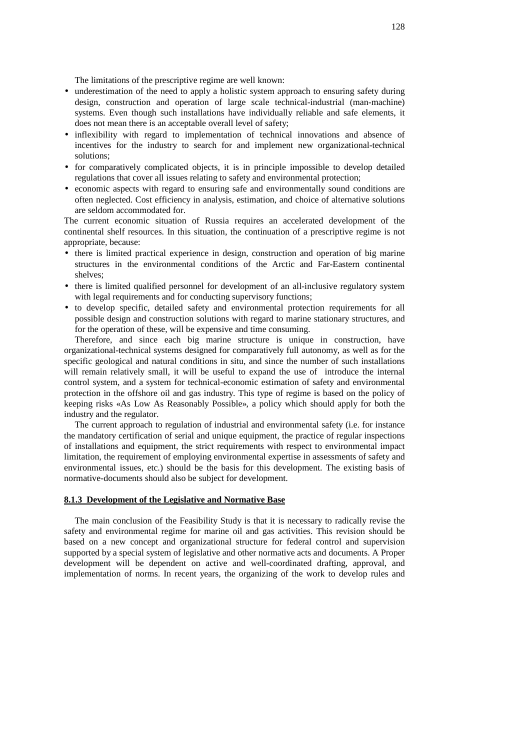The limitations of the prescriptive regime are well known:

- underestimation of the need to apply a holistic system approach to ensuring safety during design, construction and operation of large scale technical-industrial (man-machine) systems. Even though such installations have individually reliable and safe elements, it does not mean there is an acceptable overall level of safety;
- inflexibility with regard to implementation of technical innovations and absence of incentives for the industry to search for and implement new organizational-technical solutions;
- for comparatively complicated objects, it is in principle impossible to develop detailed regulations that cover all issues relating to safety and environmental protection;
- economic aspects with regard to ensuring safe and environmentally sound conditions are often neglected. Cost efficiency in analysis, estimation, and choice of alternative solutions are seldom accommodated for.

The current economic situation of Russia requires an accelerated development of the continental shelf resources. In this situation, the continuation of a prescriptive regime is not appropriate, because:

- there is limited practical experience in design, construction and operation of big marine structures in the environmental conditions of the Arctic and Far-Eastern continental shelves;
- there is limited qualified personnel for development of an all-inclusive regulatory system with legal requirements and for conducting supervisory functions;
- to develop specific, detailed safety and environmental protection requirements for all possible design and construction solutions with regard to marine stationary structures, and for the operation of these, will be expensive and time consuming.

Therefore, and since each big marine structure is unique in construction, have organizational-technical systems designed for comparatively full autonomy, as well as for the specific geological and natural conditions in situ, and since the number of such installations will remain relatively small, it will be useful to expand the use of introduce the internal control system, and a system for technical-economic estimation of safety and environmental protection in the offshore oil and gas industry. This type of regime is based on the policy of keeping risks «As Low As Reasonably Possible», a policy which should apply for both the industry and the regulator.

The current approach to regulation of industrial and environmental safety (i.e. for instance the mandatory certification of serial and unique equipment, the practice of regular inspections of installations and equipment, the strict requirements with respect to environmental impact limitation, the requirement of employing environmental expertise in assessments of safety and environmental issues, etc.) should be the basis for this development. The existing basis of normative-documents should also be subject for development.

#### **8.1.3 Development of the Legislative and Normative Base**

The main conclusion of the Feasibility Study is that it is necessary to radically revise the safety and environmental regime for marine oil and gas activities. This revision should be based on a new concept and organizational structure for federal control and supervision supported by a special system of legislative and other normative acts and documents. A Proper development will be dependent on active and well-coordinated drafting, approval, and implementation of norms. In recent years, the organizing of the work to develop rules and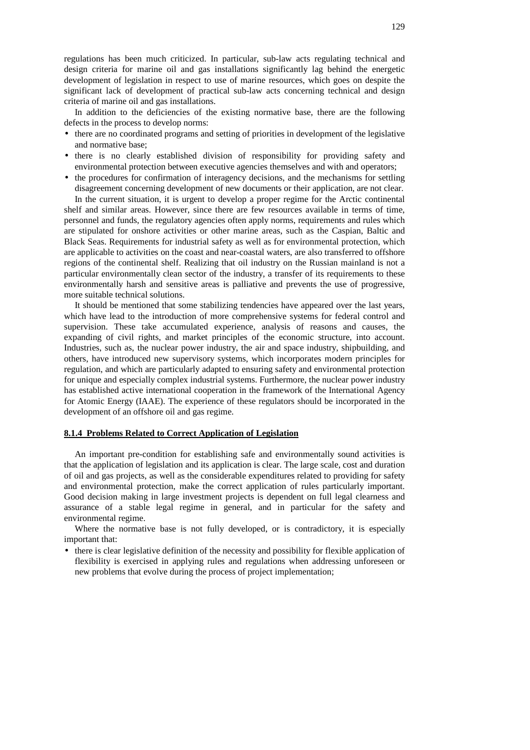regulations has been much criticized. In particular, sub-law acts regulating technical and design criteria for marine oil and gas installations significantly lag behind the energetic development of legislation in respect to use of marine resources, which goes on despite the significant lack of development of practical sub-law acts concerning technical and design criteria of marine oil and gas installations.

In addition to the deficiencies of the existing normative base, there are the following defects in the process to develop norms:

- there are no coordinated programs and setting of priorities in development of the legislative and normative base;
- there is no clearly established division of responsibility for providing safety and environmental protection between executive agencies themselves and with and operators;
- the procedures for confirmation of interagency decisions, and the mechanisms for settling disagreement concerning development of new documents or their application, are not clear.

In the current situation, it is urgent to develop a proper regime for the Arctic continental shelf and similar areas. However, since there are few resources available in terms of time, personnel and funds, the regulatory agencies often apply norms, requirements and rules which are stipulated for onshore activities or other marine areas, such as the Caspian, Baltic and Black Seas. Requirements for industrial safety as well as for environmental protection, which are applicable to activities on the coast and near-coastal waters, are also transferred to offshore regions of the continental shelf. Realizing that oil industry on the Russian mainland is not a particular environmentally clean sector of the industry, a transfer of its requirements to these environmentally harsh and sensitive areas is palliative and prevents the use of progressive, more suitable technical solutions.

It should be mentioned that some stabilizing tendencies have appeared over the last years, which have lead to the introduction of more comprehensive systems for federal control and supervision. These take accumulated experience, analysis of reasons and causes, the expanding of civil rights, and market principles of the economic structure, into account. Industries, such as, the nuclear power industry, the air and space industry, shipbuilding, and others, have introduced new supervisory systems, which incorporates modern principles for regulation, and which are particularly adapted to ensuring safety and environmental protection for unique and especially complex industrial systems. Furthermore, the nuclear power industry has established active international cooperation in the framework of the International Agency for Atomic Energy (IAAE). The experience of these regulators should be incorporated in the development of an offshore oil and gas regime.

### **8.1.4 Problems Related to Correct Application of Legislation**

An important pre-condition for establishing safe and environmentally sound activities is that the application of legislation and its application is clear. The large scale, cost and duration of oil and gas projects, as well as the considerable expenditures related to providing for safety and environmental protection, make the correct application of rules particularly important. Good decision making in large investment projects is dependent on full legal clearness and assurance of a stable legal regime in general, and in particular for the safety and environmental regime.

Where the normative base is not fully developed, or is contradictory, it is especially important that:

• there is clear legislative definition of the necessity and possibility for flexible application of flexibility is exercised in applying rules and regulations when addressing unforeseen or new problems that evolve during the process of project implementation;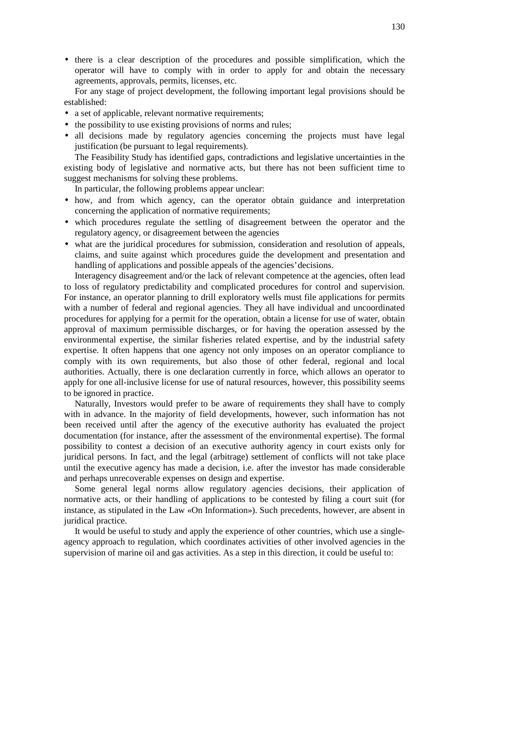• there is a clear description of the procedures and possible simplification, which the operator will have to comply with in order to apply for and obtain the necessary agreements, approvals, permits, licenses, etc.

For any stage of project development, the following important legal provisions should be established:

- a set of applicable, relevant normative requirements;
- the possibility to use existing provisions of norms and rules;
- all decisions made by regulatory agencies concerning the projects must have legal justification (be pursuant to legal requirements).

The Feasibility Study has identified gaps, contradictions and legislative uncertainties in the existing body of legislative and normative acts, but there has not been sufficient time to suggest mechanisms for solving these problems.

In particular, the following problems appear unclear:

- how, and from which agency, can the operator obtain guidance and interpretation concerning the application of normative requirements;
- which procedures regulate the settling of disagreement between the operator and the regulatory agency, or disagreement between the agencies
- what are the juridical procedures for submission, consideration and resolution of appeals, claims, and suite against which procedures guide the development and presentation and handling of applications and possible appeals of the agencies'decisions.

Interagency disagreement and/or the lack of relevant competence at the agencies, often lead to loss of regulatory predictability and complicated procedures for control and supervision. For instance, an operator planning to drill exploratory wells must file applications for permits with a number of federal and regional agencies. They all have individual and uncoordinated procedures for applying for a permit for the operation, obtain a license for use of water, obtain approval of maximum permissible discharges, or for having the operation assessed by the environmental expertise, the similar fisheries related expertise, and by the industrial safety expertise. It often happens that one agency not only imposes on an operator compliance to comply with its own requirements, but also those of other federal, regional and local authorities. Actually, there is one declaration currently in force, which allows an operator to apply for one all-inclusive license for use of natural resources, however, this possibility seems to be ignored in practice.

Naturally, Investors would prefer to be aware of requirements they shall have to comply with in advance. In the majority of field developments, however, such information has not been received until after the agency of the executive authority has evaluated the project documentation (for instance, after the assessment of the environmental expertise). The formal possibility to contest a decision of an executive authority agency in court exists only for juridical persons. In fact, and the legal (arbitrage) settlement of conflicts will not take place until the executive agency has made a decision, i.e. after the investor has made considerable and perhaps unrecoverable expenses on design and expertise.

Some general legal norms allow regulatory agencies decisions, their application of normative acts, or their handling of applications to be contested by filing a court suit (for instance, as stipulated in the Law «On Information»). Such precedents, however, are absent in juridical practice.

It would be useful to study and apply the experience of other countries, which use a singleagency approach to regulation, which coordinates activities of other involved agencies in the supervision of marine oil and gas activities. As a step in this direction, it could be useful to: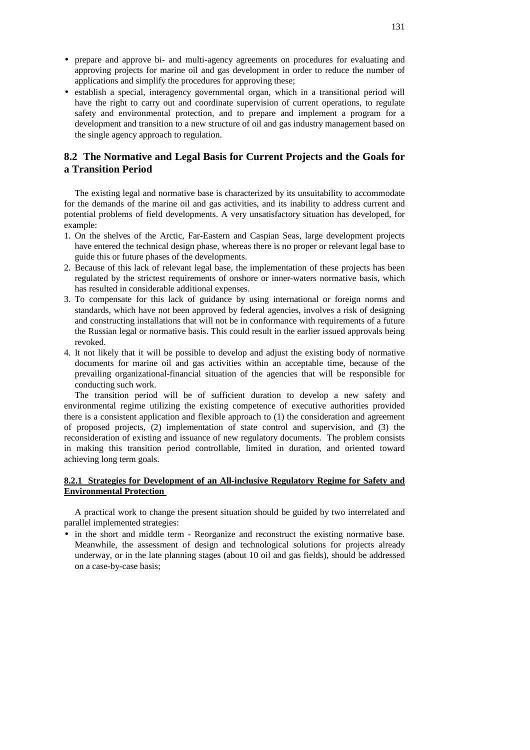- prepare and approve bi- and multi-agency agreements on procedures for evaluating and approving projects for marine oil and gas development in order to reduce the number of applications and simplify the procedures for approving these;
- establish a special, interagency governmental organ, which in a transitional period will have the right to carry out and coordinate supervision of current operations, to regulate safety and environmental protection, and to prepare and implement a program for a development and transition to a new structure of oil and gas industry management based on the single agency approach to regulation.

# **8.2 The Normative and Legal Basis for Current Projects and the Goals for a Transition Period**

The existing legal and normative base is characterized by its unsuitability to accommodate for the demands of the marine oil and gas activities, and its inability to address current and potential problems of field developments. A very unsatisfactory situation has developed, for example:

- 1. On the shelves of the Arctic, Far-Eastern and Caspian Seas, large development projects have entered the technical design phase, whereas there is no proper or relevant legal base to guide this or future phases of the developments.
- 2. Because of this lack of relevant legal base, the implementation of these projects has been regulated by the strictest requirements of onshore or inner-waters normative basis, which has resulted in considerable additional expenses.
- 3. To compensate for this lack of guidance by using international or foreign norms and standards, which have not been approved by federal agencies, involves a risk of designing and constructing installations that will not be in conformance with requirements of a future the Russian legal or normative basis. This could result in the earlier issued approvals being revoked.
- 4. It not likely that it will be possible to develop and adjust the existing body of normative documents for marine oil and gas activities within an acceptable time, because of the prevailing organizational-financial situation of the agencies that will be responsible for conducting such work.

The transition period will be of sufficient duration to develop a new safety and environmental regime utilizing the existing competence of executive authorities provided there is a consistent application and flexible approach to (1) the consideration and agreement of proposed projects, (2) implementation of state control and supervision, and (3) the reconsideration of existing and issuance of new regulatory documents. The problem consists in making this transition period controllable, limited in duration, and oriented toward achieving long term goals.

### **8.2.1 Strategies for Development of an All-inclusive Regulatory Regime for Safety and Environmental Protection**

A practical work to change the present situation should be guided by two interrelated and parallel implemented strategies:

• in the short and middle term - Reorganize and reconstruct the existing normative base. Meanwhile, the assessment of design and technological solutions for projects already underway, or in the late planning stages (about 10 oil and gas fields), should be addressed on a case-by-case basis;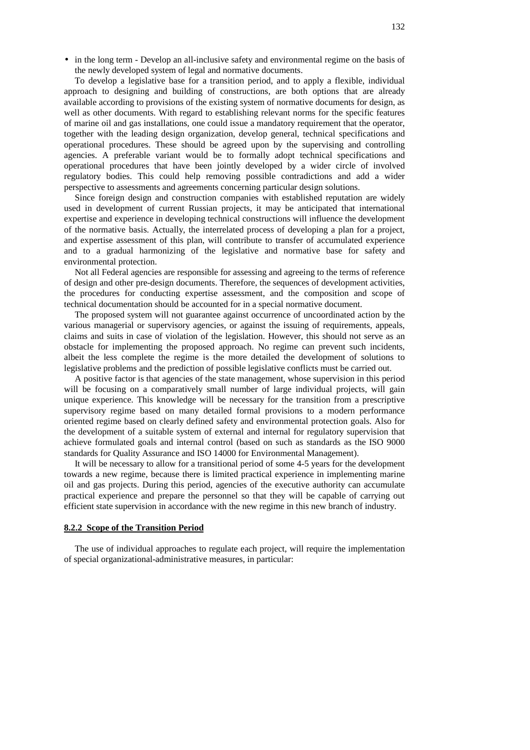• in the long term - Develop an all-inclusive safety and environmental regime on the basis of the newly developed system of legal and normative documents.

To develop a legislative base for a transition period, and to apply a flexible, individual approach to designing and building of constructions, are both options that are already available according to provisions of the existing system of normative documents for design, as well as other documents. With regard to establishing relevant norms for the specific features of marine oil and gas installations, one could issue a mandatory requirement that the operator, together with the leading design organization, develop general, technical specifications and operational procedures. These should be agreed upon by the supervising and controlling agencies. A preferable variant would be to formally adopt technical specifications and operational procedures that have been jointly developed by a wider circle of involved regulatory bodies. This could help removing possible contradictions and add a wider perspective to assessments and agreements concerning particular design solutions.

Since foreign design and construction companies with established reputation are widely used in development of current Russian projects, it may be anticipated that international expertise and experience in developing technical constructions will influence the development of the normative basis. Actually, the interrelated process of developing a plan for a project, and expertise assessment of this plan, will contribute to transfer of accumulated experience and to a gradual harmonizing of the legislative and normative base for safety and environmental protection.

Not all Federal agencies are responsible for assessing and agreeing to the terms of reference of design and other pre-design documents. Therefore, the sequences of development activities, the procedures for conducting expertise assessment, and the composition and scope of technical documentation should be accounted for in a special normative document.

The proposed system will not guarantee against occurrence of uncoordinated action by the various managerial or supervisory agencies, or against the issuing of requirements, appeals, claims and suits in case of violation of the legislation. However, this should not serve as an obstacle for implementing the proposed approach. No regime can prevent such incidents, albeit the less complete the regime is the more detailed the development of solutions to legislative problems and the prediction of possible legislative conflicts must be carried out.

A positive factor is that agencies of the state management, whose supervision in this period will be focusing on a comparatively small number of large individual projects, will gain unique experience. This knowledge will be necessary for the transition from a prescriptive supervisory regime based on many detailed formal provisions to a modern performance oriented regime based on clearly defined safety and environmental protection goals. Also for the development of a suitable system of external and internal for regulatory supervision that achieve formulated goals and internal control (based on such as standards as the ISO 9000 standards for Quality Assurance and ISO 14000 for Environmental Management).

It will be necessary to allow for a transitional period of some 4-5 years for the development towards a new regime, because there is limited practical experience in implementing marine oil and gas projects. During this period, agencies of the executive authority can accumulate practical experience and prepare the personnel so that they will be capable of carrying out efficient state supervision in accordance with the new regime in this new branch of industry.

#### **8.2.2 Scope of the Transition Period**

The use of individual approaches to regulate each project, will require the implementation of special organizational-administrative measures, in particular: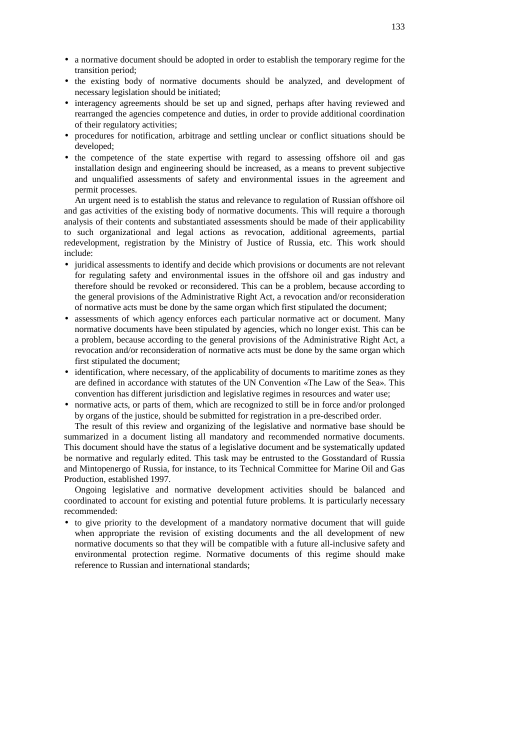- a normative document should be adopted in order to establish the temporary regime for the transition period;
- the existing body of normative documents should be analyzed, and development of necessary legislation should be initiated;
- interagency agreements should be set up and signed, perhaps after having reviewed and rearranged the agencies competence and duties, in order to provide additional coordination of their regulatory activities;
- procedures for notification, arbitrage and settling unclear or conflict situations should be developed;
- the competence of the state expertise with regard to assessing offshore oil and gas installation design and engineering should be increased, as a means to prevent subjective and unqualified assessments of safety and environmental issues in the agreement and permit processes.

An urgent need is to establish the status and relevance to regulation of Russian offshore oil and gas activities of the existing body of normative documents. This will require a thorough analysis of their contents and substantiated assessments should be made of their applicability to such organizational and legal actions as revocation, additional agreements, partial redevelopment, registration by the Ministry of Justice of Russia, etc. This work should include:

- juridical assessments to identify and decide which provisions or documents are not relevant for regulating safety and environmental issues in the offshore oil and gas industry and therefore should be revoked or reconsidered. This can be a problem, because according to the general provisions of the Administrative Right Act, a revocation and/or reconsideration of normative acts must be done by the same organ which first stipulated the document;
- assessments of which agency enforces each particular normative act or document. Many normative documents have been stipulated by agencies, which no longer exist. This can be a problem, because according to the general provisions of the Administrative Right Act, a revocation and/or reconsideration of normative acts must be done by the same organ which first stipulated the document;
- identification, where necessary, of the applicability of documents to maritime zones as they are defined in accordance with statutes of the UN Convention «The Law of the Sea». This convention has different jurisdiction and legislative regimes in resources and water use;
- normative acts, or parts of them, which are recognized to still be in force and/or prolonged by organs of the justice, should be submitted for registration in a pre-described order.

The result of this review and organizing of the legislative and normative base should be summarized in a document listing all mandatory and recommended normative documents. This document should have the status of a legislative document and be systematically updated be normative and regularly edited. This task may be entrusted to the Gosstandard of Russia and Mintopenergo of Russia, for instance, to its Technical Committee for Marine Oil and Gas Production, established 1997.

Ongoing legislative and normative development activities should be balanced and coordinated to account for existing and potential future problems. It is particularly necessary recommended:

• to give priority to the development of a mandatory normative document that will guide when appropriate the revision of existing documents and the all development of new normative documents so that they will be compatible with a future all-inclusive safety and environmental protection regime. Normative documents of this regime should make reference to Russian and international standards;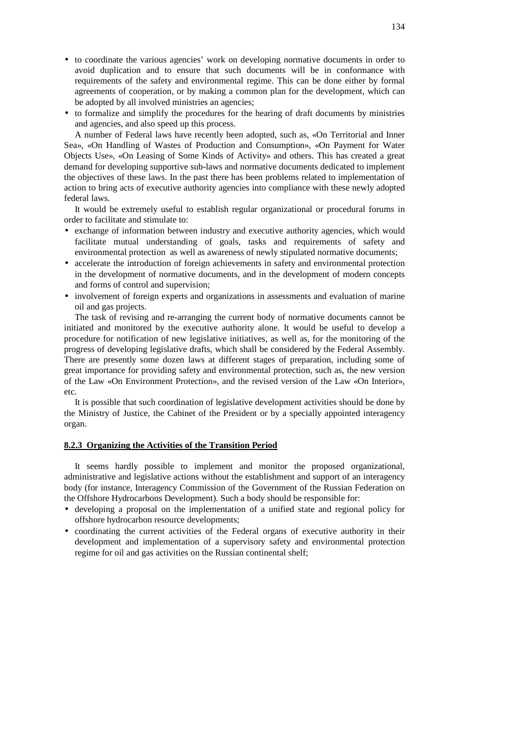- to coordinate the various agencies' work on developing normative documents in order to avoid duplication and to ensure that such documents will be in conformance with requirements of the safety and environmental regime. This can be done either by formal agreements of cooperation, or by making a common plan for the development, which can be adopted by all involved ministries an agencies;
- to formalize and simplify the procedures for the hearing of draft documents by ministries and agencies, and also speed up this process.

A number of Federal laws have recently been adopted, such as, «On Territorial and Inner Sea», «On Handling of Wastes of Production and Consumption», «On Payment for Water Objects Use», «On Leasing of Some Kinds of Activity» and others. This has created a great demand for developing supportive sub-laws and normative documents dedicated to implement the objectives of these laws. In the past there has been problems related to implementation of action to bring acts of executive authority agencies into compliance with these newly adopted federal laws.

It would be extremely useful to establish regular organizational or procedural forums in order to facilitate and stimulate to:

- exchange of information between industry and executive authority agencies, which would facilitate mutual understanding of goals, tasks and requirements of safety and environmental protection as well as awareness of newly stipulated normative documents;
- accelerate the introduction of foreign achievements in safety and environmental protection in the development of normative documents, and in the development of modern concepts and forms of control and supervision;
- involvement of foreign experts and organizations in assessments and evaluation of marine oil and gas projects.

The task of revising and re-arranging the current body of normative documents cannot be initiated and monitored by the executive authority alone. It would be useful to develop a procedure for notification of new legislative initiatives, as well as, for the monitoring of the progress of developing legislative drafts, which shall be considered by the Federal Assembly. There are presently some dozen laws at different stages of preparation, including some of great importance for providing safety and environmental protection, such as, the new version of the Law «On Environment Protection», and the revised version of the Law «On Interior», etc.

It is possible that such coordination of legislative development activities should be done by the Ministry of Justice, the Cabinet of the President or by a specially appointed interagency organ.

### **8.2.3 Organizing the Activities of the Transition Period**

It seems hardly possible to implement and monitor the proposed organizational, administrative and legislative actions without the establishment and support of an interagency body (for instance, Interagency Commission of the Government of the Russian Federation on the Offshore Hydrocarbons Development). Such a body should be responsible for:

- developing a proposal on the implementation of a unified state and regional policy for offshore hydrocarbon resource developments;
- coordinating the current activities of the Federal organs of executive authority in their development and implementation of a supervisory safety and environmental protection regime for oil and gas activities on the Russian continental shelf;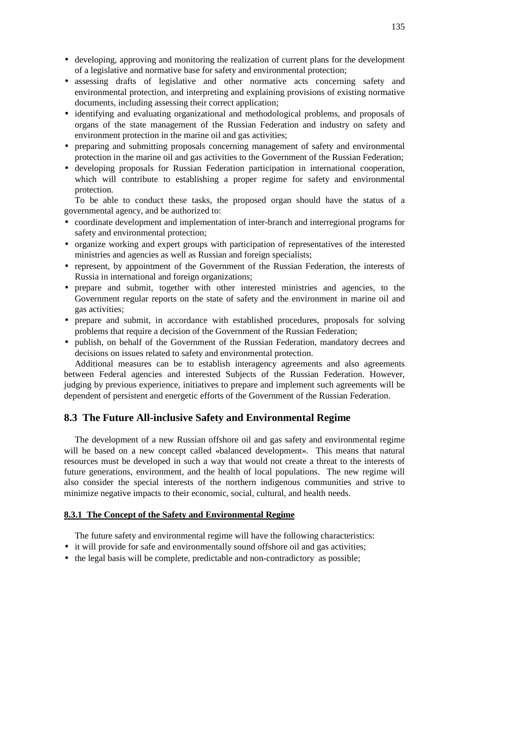- developing, approving and monitoring the realization of current plans for the development of a legislative and normative base for safety and environmental protection;
- assessing drafts of legislative and other normative acts concerning safety and environmental protection, and interpreting and explaining provisions of existing normative documents, including assessing their correct application;
- identifying and evaluating organizational and methodological problems, and proposals of organs of the state management of the Russian Federation and industry on safety and environment protection in the marine oil and gas activities;
- preparing and submitting proposals concerning management of safety and environmental protection in the marine oil and gas activities to the Government of the Russian Federation;
- developing proposals for Russian Federation participation in international cooperation, which will contribute to establishing a proper regime for safety and environmental protection.

To be able to conduct these tasks, the proposed organ should have the status of a governmental agency, and be authorized to:

- coordinate development and implementation of inter-branch and interregional programs for safety and environmental protection;
- organize working and expert groups with participation of representatives of the interested ministries and agencies as well as Russian and foreign specialists;
- represent, by appointment of the Government of the Russian Federation, the interests of Russia in international and foreign organizations;
- prepare and submit, together with other interested ministries and agencies, to the Government regular reports on the state of safety and the environment in marine oil and gas activities;
- prepare and submit, in accordance with established procedures, proposals for solving problems that require a decision of the Government of the Russian Federation;
- publish, on behalf of the Government of the Russian Federation, mandatory decrees and decisions on issues related to safety and environmental protection.

Additional measures can be to establish interagency agreements and also agreements between Federal agencies and interested Subjects of the Russian Federation. However, judging by previous experience, initiatives to prepare and implement such agreements will be dependent of persistent and energetic efforts of the Government of the Russian Federation.

### **8.3 The Future All-inclusive Safety and Environmental Regime**

The development of a new Russian offshore oil and gas safety and environmental regime will be based on a new concept called «balanced development». This means that natural resources must be developed in such a way that would not create a threat to the interests of future generations, environment, and the health of local populations. The new regime will also consider the special interests of the northern indigenous communities and strive to minimize negative impacts to their economic, social, cultural, and health needs.

#### **8.3.1 The Concept of the Safety and Environmental Regime**

The future safety and environmental regime will have the following characteristics:

- it will provide for safe and environmentally sound offshore oil and gas activities;
- the legal basis will be complete, predictable and non-contradictory as possible;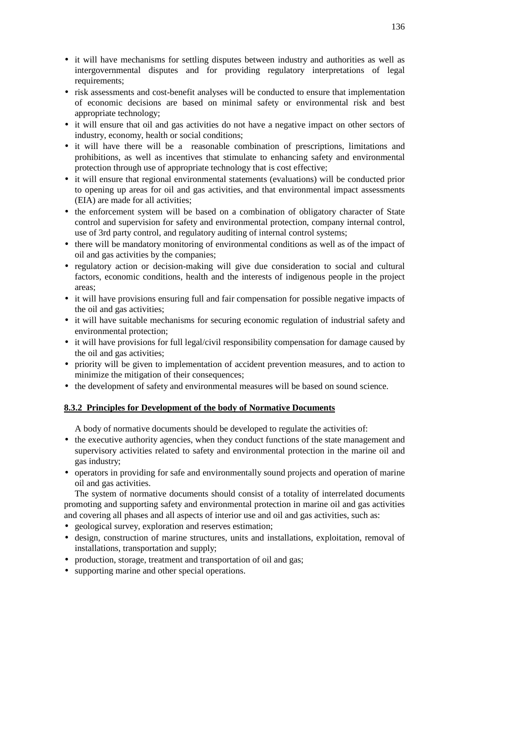- it will have mechanisms for settling disputes between industry and authorities as well as intergovernmental disputes and for providing regulatory interpretations of legal requirements;
- risk assessments and cost-benefit analyses will be conducted to ensure that implementation of economic decisions are based on minimal safety or environmental risk and best appropriate technology;
- it will ensure that oil and gas activities do not have a negative impact on other sectors of industry, economy, health or social conditions;
- it will have there will be a reasonable combination of prescriptions, limitations and prohibitions, as well as incentives that stimulate to enhancing safety and environmental protection through use of appropriate technology that is cost effective;
- it will ensure that regional environmental statements (evaluations) will be conducted prior to opening up areas for oil and gas activities, and that environmental impact assessments (EIA) are made for all activities;
- the enforcement system will be based on a combination of obligatory character of State control and supervision for safety and environmental protection, company internal control, use of 3rd party control, and regulatory auditing of internal control systems;
- there will be mandatory monitoring of environmental conditions as well as of the impact of oil and gas activities by the companies;
- regulatory action or decision-making will give due consideration to social and cultural factors, economic conditions, health and the interests of indigenous people in the project areas;
- it will have provisions ensuring full and fair compensation for possible negative impacts of the oil and gas activities;
- it will have suitable mechanisms for securing economic regulation of industrial safety and environmental protection;
- it will have provisions for full legal/civil responsibility compensation for damage caused by the oil and gas activities;
- priority will be given to implementation of accident prevention measures, and to action to minimize the mitigation of their consequences;
- the development of safety and environmental measures will be based on sound science.

### **8.3.2 Principles for Development of the body of Normative Documents**

A body of normative documents should be developed to regulate the activities of:

- the executive authority agencies, when they conduct functions of the state management and supervisory activities related to safety and environmental protection in the marine oil and gas industry;
- operators in providing for safe and environmentally sound projects and operation of marine oil and gas activities.

The system of normative documents should consist of a totality of interrelated documents promoting and supporting safety and environmental protection in marine oil and gas activities and covering all phases and all aspects of interior use and oil and gas activities, such as:

- geological survey, exploration and reserves estimation;
- design, construction of marine structures, units and installations, exploitation, removal of installations, transportation and supply;
- production, storage, treatment and transportation of oil and gas;
- supporting marine and other special operations.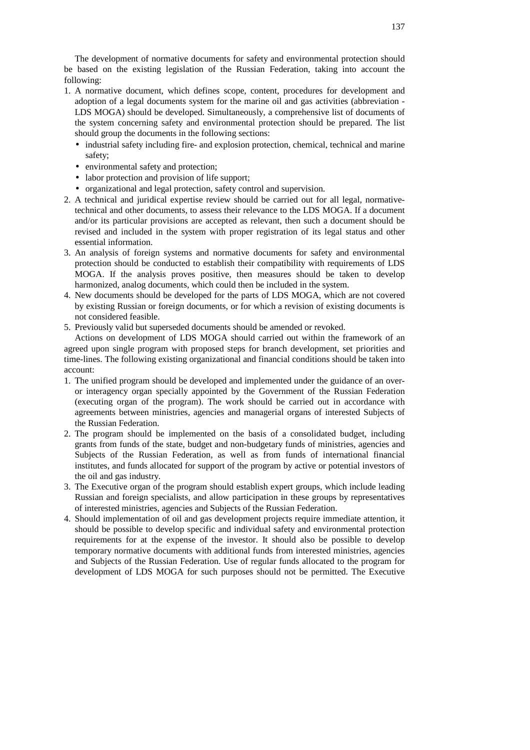The development of normative documents for safety and environmental protection should be based on the existing legislation of the Russian Federation, taking into account the following:

- 1. A normative document, which defines scope, content, procedures for development and adoption of a legal documents system for the marine oil and gas activities (abbreviation - LDS MOGA) should be developed. Simultaneously, a comprehensive list of documents of the system concerning safety and environmental protection should be prepared. The list should group the documents in the following sections:
	- industrial safety including fire- and explosion protection, chemical, technical and marine safety;
	- environmental safety and protection;
	- labor protection and provision of life support;
	- organizational and legal protection, safety control and supervision.
- 2. A technical and juridical expertise review should be carried out for all legal, normativetechnical and other documents, to assess their relevance to the LDS MOGA. If a document and/or its particular provisions are accepted as relevant, then such a document should be revised and included in the system with proper registration of its legal status and other essential information.
- 3. An analysis of foreign systems and normative documents for safety and environmental protection should be conducted to establish their compatibility with requirements of LDS MOGA. If the analysis proves positive, then measures should be taken to develop harmonized, analog documents, which could then be included in the system.
- 4. New documents should be developed for the parts of LDS MOGA, which are not covered by existing Russian or foreign documents, or for which a revision of existing documents is not considered feasible.
- 5. Previously valid but superseded documents should be amended or revoked.

Actions on development of LDS MOGA should carried out within the framework of an agreed upon single program with proposed steps for branch development, set priorities and time-lines. The following existing organizational and financial conditions should be taken into account:

- 1. The unified program should be developed and implemented under the guidance of an overor interagency organ specially appointed by the Government of the Russian Federation (executing organ of the program). The work should be carried out in accordance with agreements between ministries, agencies and managerial organs of interested Subjects of the Russian Federation.
- 2. The program should be implemented on the basis of a consolidated budget, including grants from funds of the state, budget and non-budgetary funds of ministries, agencies and Subjects of the Russian Federation, as well as from funds of international financial institutes, and funds allocated for support of the program by active or potential investors of the oil and gas industry.
- 3. The Executive organ of the program should establish expert groups, which include leading Russian and foreign specialists, and allow participation in these groups by representatives of interested ministries, agencies and Subjects of the Russian Federation.
- 4. Should implementation of oil and gas development projects require immediate attention, it should be possible to develop specific and individual safety and environmental protection requirements for at the expense of the investor. It should also be possible to develop temporary normative documents with additional funds from interested ministries, agencies and Subjects of the Russian Federation. Use of regular funds allocated to the program for development of LDS MOGA for such purposes should not be permitted. The Executive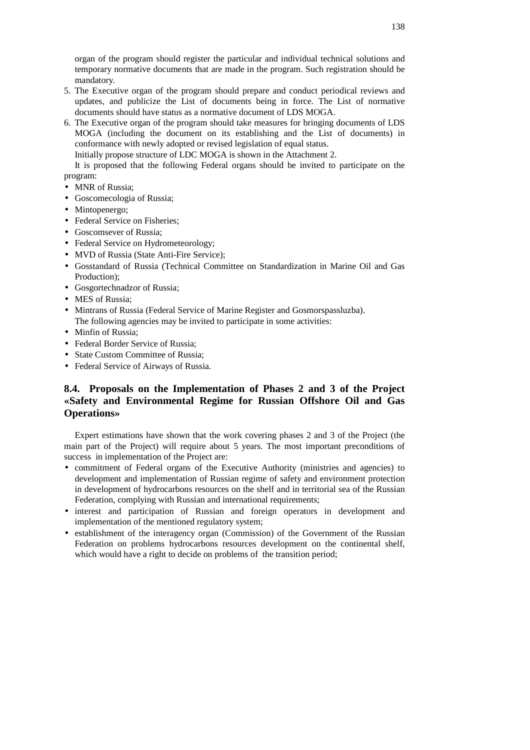organ of the program should register the particular and individual technical solutions and temporary normative documents that are made in the program. Such registration should be mandatory.

- 5. The Executive organ of the program should prepare and conduct periodical reviews and updates, and publicize the List of documents being in force. The List of normative documents should have status as a normative document of LDS MOGA.
- 6. The Executive organ of the program should take measures for bringing documents of LDS MOGA (including the document on its establishing and the List of documents) in conformance with newly adopted or revised legislation of equal status.

Initially propose structure of LDC MOGA is shown in the Attachment 2.

It is proposed that the following Federal organs should be invited to participate on the program:

- MNR of Russia;
- Goscomecologia of Russia;
- Mintopenergo;
- Federal Service on Fisheries:
- Goscomsever of Russia;
- Federal Service on Hydrometeorology;
- MVD of Russia (State Anti-Fire Service);
- Gosstandard of Russia (Technical Committee on Standardization in Marine Oil and Gas Production);
- Gosgortechnadzor of Russia;
- MES of Russia;
- Mintrans of Russia (Federal Service of Marine Register and Gosmorspassluzba). The following agencies may be invited to participate in some activities:
- Minfin of Russia:
- Federal Border Service of Russia:
- State Custom Committee of Russia;
- Federal Service of Airways of Russia.

# **8.4. Proposals on the Implementation of Phases 2 and 3 of the Project «Safety and Environmental Regime for Russian Offshore Oil and Gas Operations»**

Expert estimations have shown that the work covering phases 2 and 3 of the Project (the main part of the Project) will require about 5 years. The most important preconditions of success in implementation of the Project are:

- commitment of Federal organs of the Executive Authority (ministries and agencies) to development and implementation of Russian regime of safety and environment protection in development of hydrocarbons resources on the shelf and in territorial sea of the Russian Federation, complying with Russian and international requirements;
- interest and participation of Russian and foreign operators in development and implementation of the mentioned regulatory system;
- establishment of the interagency organ (Commission) of the Government of the Russian Federation on problems hydrocarbons resources development on the continental shelf, which would have a right to decide on problems of the transition period;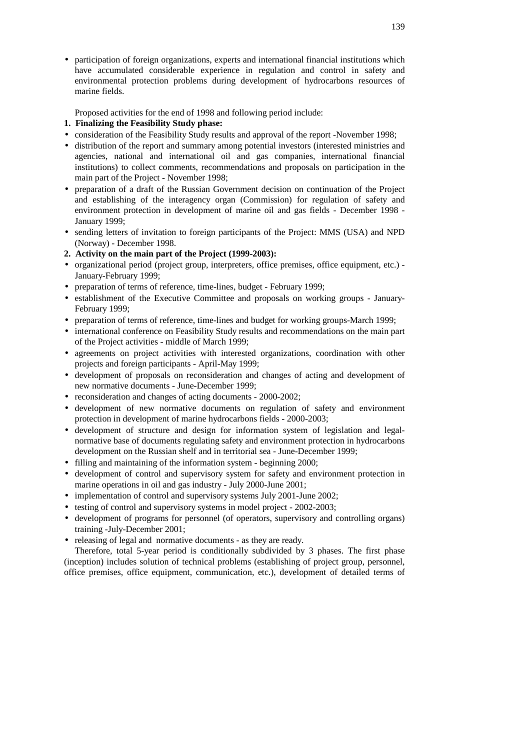• participation of foreign organizations, experts and international financial institutions which have accumulated considerable experience in regulation and control in safety and environmental protection problems during development of hydrocarbons resources of marine fields.

Proposed activities for the end of 1998 and following period include:

- **1. Finalizing the Feasibility Study phase:**
- consideration of the Feasibility Study results and approval of the report -November 1998;
- distribution of the report and summary among potential investors (interested ministries and agencies, national and international oil and gas companies, international financial institutions) to collect comments, recommendations and proposals on participation in the main part of the Project **-** November 1998;
- preparation of a draft of the Russian Government decision on continuation of the Project and establishing of the interagency organ (Commission) for regulation of safety and environment protection in development of marine oil and gas fields - December 1998 - January 1999;
- sending letters of invitation to foreign participants of the Project: MMS (USA) and NPD (Norway) - December 1998.
- **2. Activity on the main part of the Project (1999-2003):**
- organizational period (project group, interpreters, office premises, office equipment, etc.) January-February 1999;
- preparation of terms of reference, time-lines, budget February 1999;
- establishment of the Executive Committee and proposals on working groups January-February 1999;
- preparation of terms of reference, time-lines and budget for working groups-March 1999;
- international conference on Feasibility Study results and recommendations on the main part of the Project activities - middle of March 1999;
- agreements on project activities with interested organizations, coordination with other projects and foreign participants - April-May 1999;
- development of proposals on reconsideration and changes of acting and development of new normative documents - June-December 1999;
- reconsideration and changes of acting documents 2000-2002;
- development of new normative documents on regulation of safety and environment protection in development of marine hydrocarbons fields - 2000-2003;
- development of structure and design for information system of legislation and legalnormative base of documents regulating safety and environment protection in hydrocarbons development on the Russian shelf and in territorial sea - June-December 1999;
- filling and maintaining of the information system beginning 2000;
- development of control and supervisory system for safety and environment protection in marine operations in oil and gas industry - July 2000-June 2001;
- implementation of control and supervisory systems July 2001-June 2002;
- testing of control and supervisory systems in model project 2002-2003;
- development of programs for personnel (of operators, supervisory and controlling organs) training -July-December 2001;
- releasing of legal and normative documents as they are ready.

Therefore, total 5-year period is conditionally subdivided by 3 phases. The first phase (inception) includes solution of technical problems (establishing of project group, personnel, office premises, office equipment, communication, etc.), development of detailed terms of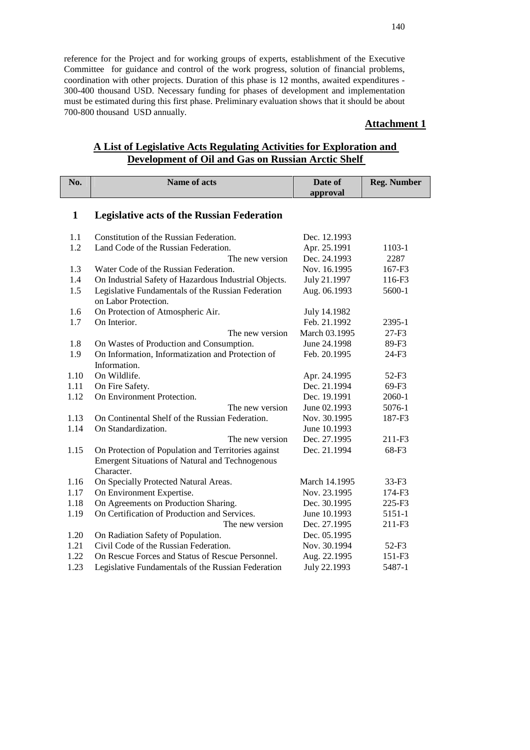reference for the Project and for working groups of experts, establishment of the Executive Committee for guidance and control of the work progress, solution of financial problems, coordination with other projects. Duration of this phase is 12 months, awaited expenditures - 300-400 thousand USD. Necessary funding for phases of development and implementation must be estimated during this first phase. Preliminary evaluation shows that it should be about 700-800 thousand USD annually.

# **Attachment 1**

# **A List of Legislative Acts Regulating Activities for Exploration and Development of Oil and Gas on Russian Arctic Shelf**

| No.  | Name of acts                                           | Date of       | <b>Reg. Number</b> |
|------|--------------------------------------------------------|---------------|--------------------|
|      |                                                        | approval      |                    |
|      |                                                        |               |                    |
| 1    | <b>Legislative acts of the Russian Federation</b>      |               |                    |
|      |                                                        |               |                    |
| 1.1  | Constitution of the Russian Federation.                | Dec. 12.1993  |                    |
| 1.2  | Land Code of the Russian Federation.                   | Apr. 25.1991  | 1103-1             |
|      | The new version                                        | Dec. 24.1993  | 2287               |
| 1.3  | Water Code of the Russian Federation.                  | Nov. 16.1995  | 167-F3             |
| 1.4  | On Industrial Safety of Hazardous Industrial Objects.  | July 21.1997  | 116-F3             |
| 1.5  | Legislative Fundamentals of the Russian Federation     | Aug. 06.1993  | 5600-1             |
|      | on Labor Protection.                                   |               |                    |
| 1.6  | On Protection of Atmospheric Air.                      | July 14.1982  |                    |
| 1.7  | On Interior.                                           | Feb. 21.1992  | 2395-1             |
|      | The new version                                        | March 03.1995 | $27-F3$            |
| 1.8  | On Wastes of Production and Consumption.               | June 24.1998  | 89-F3              |
| 1.9  | On Information, Informatization and Protection of      | Feb. 20.1995  | 24-F3              |
|      | Information.                                           |               |                    |
| 1.10 | On Wildlife.                                           | Apr. 24.1995  | $52-F3$            |
| 1.11 | On Fire Safety.                                        | Dec. 21.1994  | 69-F3              |
| 1.12 | On Environment Protection.                             | Dec. 19.1991  | 2060-1             |
|      | The new version                                        | June 02.1993  | 5076-1             |
| 1.13 | On Continental Shelf of the Russian Federation.        | Nov. 30.1995  | 187-F3             |
| 1.14 | On Standardization.                                    | June 10.1993  |                    |
|      | The new version                                        | Dec. 27.1995  | 211-F3             |
| 1.15 | On Protection of Population and Territories against    | Dec. 21.1994  | 68-F3              |
|      | <b>Emergent Situations of Natural and Technogenous</b> |               |                    |
|      | Character.                                             |               |                    |
| 1.16 | On Specially Protected Natural Areas.                  | March 14.1995 | $33-F3$            |
| 1.17 | On Environment Expertise.                              | Nov. 23.1995  | $174 - F3$         |
| 1.18 | On Agreements on Production Sharing.                   | Dec. 30.1995  | 225-F3             |
| 1.19 | On Certification of Production and Services.           | June 10.1993  | 5151-1             |
|      | The new version                                        | Dec. 27.1995  | 211-F3             |
| 1.20 | On Radiation Safety of Population.                     | Dec. 05.1995  |                    |
| 1.21 | Civil Code of the Russian Federation.                  | Nov. 30.1994  | $52-F3$            |
| 1.22 | On Rescue Forces and Status of Rescue Personnel.       | Aug. 22.1995  | 151-F3             |
| 1.23 | Legislative Fundamentals of the Russian Federation     | July 22.1993  | 5487-1             |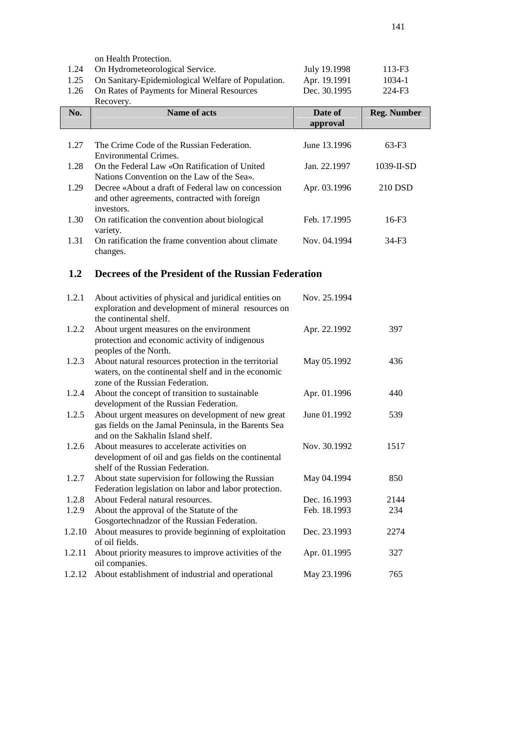|        | on Health Protection.                                                                                         |              |                    |
|--------|---------------------------------------------------------------------------------------------------------------|--------------|--------------------|
| 1.24   | On Hydrometeorological Service.                                                                               | July 19.1998 | 113-F3             |
| 1.25   | On Sanitary-Epidemiological Welfare of Population.                                                            | Apr. 19.1991 | 1034-1             |
| 1.26   | On Rates of Payments for Mineral Resources                                                                    | Dec. 30.1995 | 224-F3             |
|        | Recovery.                                                                                                     |              |                    |
| No.    | <b>Name of acts</b>                                                                                           | Date of      | <b>Reg. Number</b> |
|        |                                                                                                               | approval     |                    |
|        |                                                                                                               |              |                    |
| 1.27   | The Crime Code of the Russian Federation.                                                                     | June 13.1996 | $63-F3$            |
|        | <b>Environmental Crimes.</b>                                                                                  |              |                    |
| 1.28   | On the Federal Law «On Ratification of United                                                                 | Jan. 22.1997 | 1039-II-SD         |
|        | Nations Convention on the Law of the Sea».                                                                    |              |                    |
| 1.29   | Decree «About a draft of Federal law on concession                                                            | Apr. 03.1996 | 210 DSD            |
|        | and other agreements, contracted with foreign                                                                 |              |                    |
|        | investors.                                                                                                    |              |                    |
| 1.30   | On ratification the convention about biological                                                               | Feb. 17.1995 | 16-F3              |
|        | variety.                                                                                                      |              |                    |
| 1.31   | On ratification the frame convention about climate                                                            | Nov. 04.1994 | $34-F3$            |
|        | changes.                                                                                                      |              |                    |
|        |                                                                                                               |              |                    |
| 1.2    | Decrees of the President of the Russian Federation                                                            |              |                    |
|        |                                                                                                               |              |                    |
| 1.2.1  | About activities of physical and juridical entities on                                                        | Nov. 25.1994 |                    |
|        | exploration and development of mineral resources on                                                           |              |                    |
|        | the continental shelf.                                                                                        |              |                    |
| 1.2.2  | About urgent measures on the environment                                                                      | Apr. 22.1992 | 397                |
|        | protection and economic activity of indigenous                                                                |              |                    |
|        | peoples of the North.                                                                                         |              | 436                |
| 1.2.3  | About natural resources protection in the territorial<br>waters, on the continental shelf and in the economic | May 05.1992  |                    |
|        | zone of the Russian Federation.                                                                               |              |                    |
| 1.2.4  | About the concept of transition to sustainable                                                                | Apr. 01.1996 | 440                |
|        | development of the Russian Federation.                                                                        |              |                    |
| 1.2.5  | About urgent measures on development of new great                                                             | June 01.1992 | 539                |
|        | gas fields on the Jamal Peninsula, in the Barents Sea                                                         |              |                    |
|        | and on the Sakhalin Island shelf.                                                                             |              |                    |
| 1.2.6  | About measures to accelerate activities on                                                                    | Nov. 30.1992 | 1517               |
|        | development of oil and gas fields on the continental                                                          |              |                    |
|        | shelf of the Russian Federation.                                                                              |              |                    |
| 1.2.7  | About state supervision for following the Russian                                                             | May 04.1994  | 850                |
|        | Federation legislation on labor and labor protection.                                                         |              |                    |
| 1.2.8  | About Federal natural resources.                                                                              | Dec. 16.1993 | 2144               |
| 1.2.9  | About the approval of the Statute of the                                                                      | Feb. 18.1993 | 234                |
|        | Gosgortechnadzor of the Russian Federation.                                                                   |              |                    |
| 1.2.10 | About measures to provide beginning of exploitation                                                           | Dec. 23.1993 | 2274               |
|        | of oil fields.                                                                                                |              |                    |
| 1.2.11 | About priority measures to improve activities of the                                                          | Apr. 01.1995 | 327                |
|        | oil companies.                                                                                                |              |                    |
| 1.2.12 | About establishment of industrial and operational                                                             | May 23.1996  | 765                |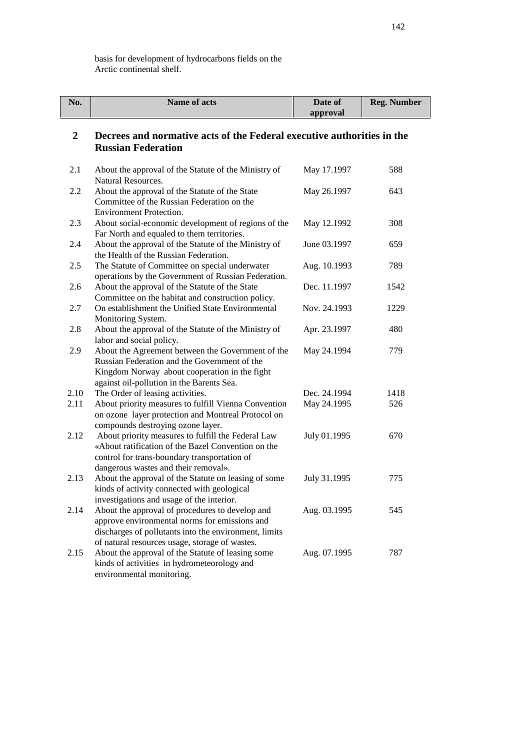basis for development of hydrocarbons fields on the Arctic continental shelf.

| No.            | Name of acts                                                                                                                                                                                                | Date of<br>approval | <b>Reg. Number</b> |
|----------------|-------------------------------------------------------------------------------------------------------------------------------------------------------------------------------------------------------------|---------------------|--------------------|
| $\overline{2}$ | Decrees and normative acts of the Federal executive authorities in the<br><b>Russian Federation</b>                                                                                                         |                     |                    |
| 2.1            | About the approval of the Statute of the Ministry of<br>Natural Resources.                                                                                                                                  | May 17.1997         | 588                |
| 2.2            | About the approval of the Statute of the State<br>Committee of the Russian Federation on the<br><b>Environment Protection.</b>                                                                              | May 26.1997         | 643                |
| 2.3            | About social-economic development of regions of the<br>Far North and equaled to them territories.                                                                                                           | May 12.1992         | 308                |
| 2.4            | About the approval of the Statute of the Ministry of<br>the Health of the Russian Federation.                                                                                                               | June 03.1997        | 659                |
| 2.5            | The Statute of Committee on special underwater<br>operations by the Government of Russian Federation.                                                                                                       | Aug. 10.1993        | 789                |
| 2.6            | About the approval of the Statute of the State<br>Committee on the habitat and construction policy.                                                                                                         | Dec. 11.1997        | 1542               |
| 2.7            | On establishment the Unified State Environmental<br>Monitoring System.                                                                                                                                      | Nov. 24.1993        | 1229               |
| 2.8            | About the approval of the Statute of the Ministry of<br>labor and social policy.                                                                                                                            | Apr. 23.1997        | 480                |
| 2.9            | About the Agreement between the Government of the<br>Russian Federation and the Government of the<br>Kingdom Norway about cooperation in the fight<br>against oil-pollution in the Barents Sea.             | May 24.1994         | 779                |
| 2.10           | The Order of leasing activities.                                                                                                                                                                            | Dec. 24.1994        | 1418               |
| 2.11           | About priority measures to fulfill Vienna Convention<br>on ozone layer protection and Montreal Protocol on<br>compounds destroying ozone layer.                                                             | May 24.1995         | 526                |
| 2.12           | About priority measures to fulfill the Federal Law<br>«About ratification of the Bazel Convention on the<br>control for trans-boundary transportation of<br>dangerous wastes and their removal».            | July 01.1995        | 670                |
| 2.13           | About the approval of the Statute on leasing of some<br>kinds of activity connected with geological<br>investigations and usage of the interior.                                                            | July 31.1995        | 775                |
| 2.14           | About the approval of procedures to develop and<br>approve environmental norms for emissions and<br>discharges of pollutants into the environment, limits<br>of natural resources usage, storage of wastes. | Aug. 03.1995        | 545                |
| 2.15           | About the approval of the Statute of leasing some<br>kinds of activities in hydrometeorology and<br>environmental monitoring.                                                                               | Aug. 07.1995        | 787                |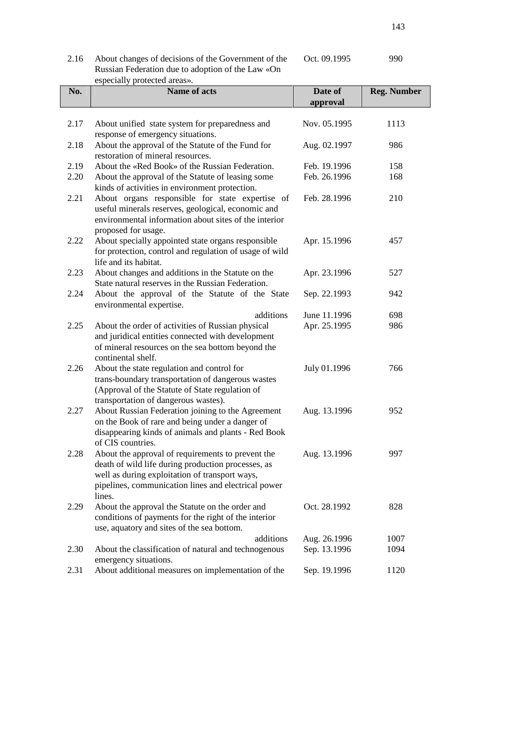| 2.16 | About changes of decisions of the Government of the |  |  |
|------|-----------------------------------------------------|--|--|
|      | Russian Federation due to adoption of the Law «On   |  |  |
|      | especially protected areas».                        |  |  |

| No.  | Name of acts                                                                                                                                                                                                               | Date of<br>approval          | <b>Reg. Number</b> |
|------|----------------------------------------------------------------------------------------------------------------------------------------------------------------------------------------------------------------------------|------------------------------|--------------------|
| 2.17 | About unified state system for preparedness and<br>response of emergency situations.                                                                                                                                       | Nov. 05.1995                 | 1113               |
| 2.18 | About the approval of the Statute of the Fund for<br>restoration of mineral resources.                                                                                                                                     | Aug. 02.1997                 | 986                |
| 2.19 | About the «Red Book» of the Russian Federation.                                                                                                                                                                            | Feb. 19.1996                 | 158                |
| 2.20 | About the approval of the Statute of leasing some<br>kinds of activities in environment protection.                                                                                                                        | Feb. 26.1996                 | 168                |
| 2.21 | About organs responsible for state expertise of<br>useful minerals reserves, geological, economic and<br>environmental information about sites of the interior<br>proposed for usage.                                      | Feb. 28.1996                 | 210                |
| 2.22 | About specially appointed state organs responsible<br>for protection, control and regulation of usage of wild<br>life and its habitat.                                                                                     | Apr. 15.1996                 | 457                |
| 2.23 | About changes and additions in the Statute on the<br>State natural reserves in the Russian Federation.                                                                                                                     | Apr. 23.1996                 | 527                |
| 2.24 | About the approval of the Statute of the State<br>environmental expertise.                                                                                                                                                 | Sep. 22.1993                 | 942                |
|      | additions                                                                                                                                                                                                                  | June 11.1996                 | 698                |
| 2.25 | About the order of activities of Russian physical<br>and juridical entities connected with development<br>of mineral resources on the sea bottom beyond the<br>continental shelf.                                          | Apr. 25.1995                 | 986                |
| 2.26 | About the state regulation and control for<br>trans-boundary transportation of dangerous wastes<br>(Approval of the Statute of State regulation of<br>transportation of dangerous wastes).                                 | July 01.1996                 | 766                |
| 2.27 | About Russian Federation joining to the Agreement<br>on the Book of rare and being under a danger of<br>disappearing kinds of animals and plants - Red Book<br>of CIS countries.                                           | Aug. 13.1996                 | 952                |
| 2.28 | About the approval of requirements to prevent the<br>death of wild life during production processes, as<br>well as during exploitation of transport ways,<br>pipelines, communication lines and electrical power<br>lines. | Aug. 13.1996                 | 997                |
| 2.29 | About the approval the Statute on the order and<br>conditions of payments for the right of the interior<br>use, aquatory and sites of the sea bottom.                                                                      | Oct. 28.1992                 | 828                |
| 2.30 | additions<br>About the classification of natural and technogenous                                                                                                                                                          | Aug. 26.1996<br>Sep. 13.1996 | 1007<br>1094       |
| 2.31 | emergency situations.<br>About additional measures on implementation of the                                                                                                                                                | Sep. 19.1996                 | 1120               |

Oct. 09.1995 990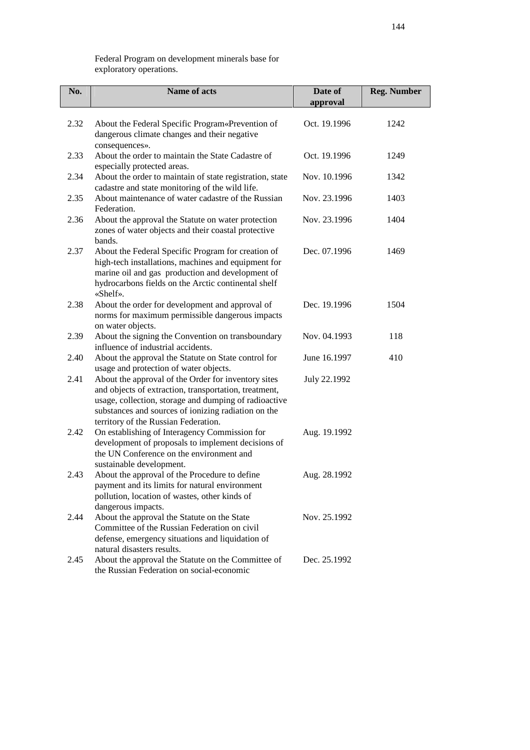Federal Program on development minerals base for exploratory operations.

| No.  | Name of acts                                                                                                                                                                                                                                                         | Date of<br>approval | <b>Reg. Number</b> |
|------|----------------------------------------------------------------------------------------------------------------------------------------------------------------------------------------------------------------------------------------------------------------------|---------------------|--------------------|
| 2.32 | About the Federal Specific Program«Prevention of<br>dangerous climate changes and their negative<br>consequences».                                                                                                                                                   | Oct. 19.1996        | 1242               |
| 2.33 | About the order to maintain the State Cadastre of<br>especially protected areas.                                                                                                                                                                                     | Oct. 19.1996        | 1249               |
| 2.34 | About the order to maintain of state registration, state<br>cadastre and state monitoring of the wild life.                                                                                                                                                          | Nov. 10.1996        | 1342               |
| 2.35 | About maintenance of water cadastre of the Russian<br>Federation.                                                                                                                                                                                                    | Nov. 23.1996        | 1403               |
| 2.36 | About the approval the Statute on water protection<br>zones of water objects and their coastal protective<br>bands.                                                                                                                                                  | Nov. 23.1996        | 1404               |
| 2.37 | About the Federal Specific Program for creation of<br>high-tech installations, machines and equipment for<br>marine oil and gas production and development of<br>hydrocarbons fields on the Arctic continental shelf<br>«Shelf».                                     | Dec. 07.1996        | 1469               |
| 2.38 | About the order for development and approval of<br>norms for maximum permissible dangerous impacts<br>on water objects.                                                                                                                                              | Dec. 19.1996        | 1504               |
| 2.39 | About the signing the Convention on transboundary<br>influence of industrial accidents.                                                                                                                                                                              | Nov. 04.1993        | 118                |
| 2.40 | About the approval the Statute on State control for<br>usage and protection of water objects.                                                                                                                                                                        | June 16.1997        | 410                |
| 2.41 | About the approval of the Order for inventory sites<br>and objects of extraction, transportation, treatment,<br>usage, collection, storage and dumping of radioactive<br>substances and sources of ionizing radiation on the<br>territory of the Russian Federation. | July 22.1992        |                    |
| 2.42 | On establishing of Interagency Commission for<br>development of proposals to implement decisions of<br>the UN Conference on the environment and<br>sustainable development.                                                                                          | Aug. 19.1992        |                    |
| 2.43 | About the approval of the Procedure to define<br>payment and its limits for natural environment<br>pollution, location of wastes, other kinds of<br>dangerous impacts.                                                                                               | Aug. 28.1992        |                    |
| 2.44 | About the approval the Statute on the State<br>Committee of the Russian Federation on civil<br>defense, emergency situations and liquidation of<br>natural disasters results.                                                                                        | Nov. 25.1992        |                    |
| 2.45 | About the approval the Statute on the Committee of<br>the Russian Federation on social-economic                                                                                                                                                                      | Dec. 25.1992        |                    |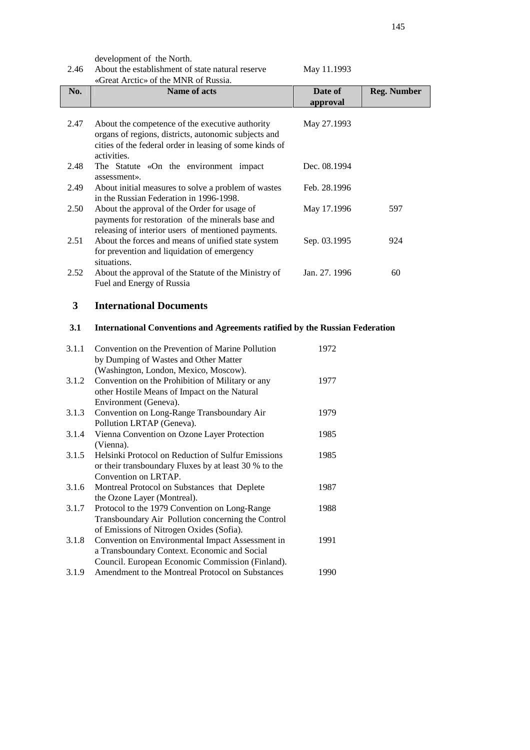development of the North.

| May 11.1993 |
|-------------|
|-------------|

| No.  | Name of acts                                                                                                                                                                      | Date of<br>approval | <b>Reg. Number</b> |
|------|-----------------------------------------------------------------------------------------------------------------------------------------------------------------------------------|---------------------|--------------------|
| 2.47 | About the competence of the executive authority<br>organs of regions, districts, autonomic subjects and<br>cities of the federal order in leasing of some kinds of<br>activities. | May 27.1993         |                    |
| 2.48 | The Statute «On the environment impact<br>assessment».                                                                                                                            | Dec. 08.1994        |                    |
| 2.49 | About initial measures to solve a problem of wastes<br>in the Russian Federation in 1996-1998.                                                                                    | Feb. 28.1996        |                    |
| 2.50 | About the approval of the Order for usage of<br>payments for restoration of the minerals base and<br>releasing of interior users of mentioned payments.                           | May 17.1996         | 597                |
| 2.51 | About the forces and means of unified state system<br>for prevention and liquidation of emergency<br>situations.                                                                  | Sep. 03.1995        | 924                |
| 2.52 | About the approval of the Statute of the Ministry of<br>Fuel and Energy of Russia                                                                                                 | Jan. 27. 1996       | 60                 |

## **3 International Documents**

## **3.1 International Conventions and Agreements ratified by the Russian Federation**

| 3.1.1 | Convention on the Prevention of Marine Pollution<br>by Dumping of Wastes and Other Matter        | 1972 |
|-------|--------------------------------------------------------------------------------------------------|------|
|       | (Washington, London, Mexico, Moscow).                                                            |      |
| 3.1.2 | Convention on the Prohibition of Military or any<br>other Hostile Means of Impact on the Natural | 1977 |
|       | Environment (Geneva).                                                                            |      |
| 3.1.3 | Convention on Long-Range Transboundary Air                                                       | 1979 |
|       | Pollution LRTAP (Geneva).                                                                        |      |
| 3.1.4 | Vienna Convention on Ozone Layer Protection                                                      | 1985 |
|       | (Vienna).                                                                                        |      |
| 3.1.5 | Helsinki Protocol on Reduction of Sulfur Emissions                                               | 1985 |
|       | or their transboundary Fluxes by at least 30 % to the                                            |      |
|       | Convention on LRTAP.                                                                             |      |
| 3.1.6 | Montreal Protocol on Substances that Deplete                                                     | 1987 |
|       | the Ozone Layer (Montreal).                                                                      |      |
| 3.1.7 | Protocol to the 1979 Convention on Long-Range                                                    | 1988 |
|       | Transboundary Air Pollution concerning the Control                                               |      |
|       | of Emissions of Nitrogen Oxides (Sofia).                                                         |      |
| 3.1.8 | Convention on Environmental Impact Assessment in                                                 | 1991 |
|       | a Transboundary Context. Economic and Social                                                     |      |
|       | Council. European Economic Commission (Finland).                                                 |      |
| 3.1.9 | Amendment to the Montreal Protocol on Substances                                                 | 1990 |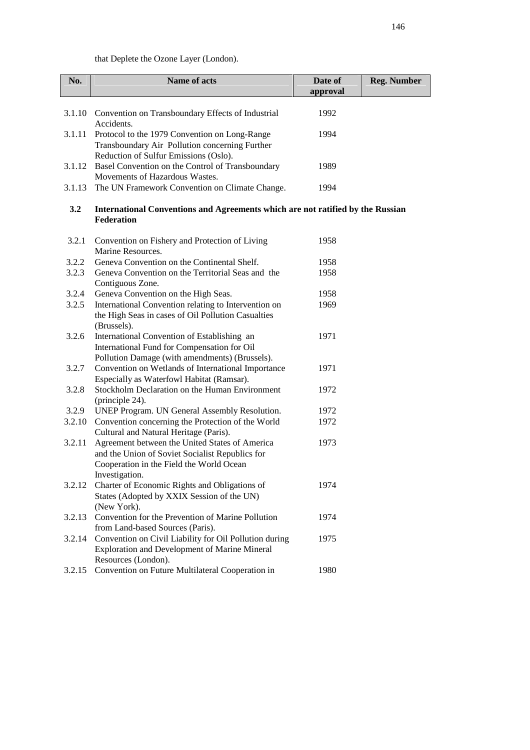that Deplete the Ozone Layer (London).

| No.    | Name of acts                                                                                                                                                    | Date of<br>approval | <b>Reg. Number</b> |
|--------|-----------------------------------------------------------------------------------------------------------------------------------------------------------------|---------------------|--------------------|
|        |                                                                                                                                                                 |                     |                    |
| 3.1.10 | Convention on Transboundary Effects of Industrial<br>Accidents.                                                                                                 | 1992                |                    |
| 3.1.11 | Protocol to the 1979 Convention on Long-Range<br>Transboundary Air Pollution concerning Further<br>Reduction of Sulfur Emissions (Oslo).                        | 1994                |                    |
| 3.1.12 | Basel Convention on the Control of Transboundary<br>Movements of Hazardous Wastes.                                                                              | 1989                |                    |
| 3.1.13 | The UN Framework Convention on Climate Change.                                                                                                                  | 1994                |                    |
| 3.2    | International Conventions and Agreements which are not ratified by the Russian<br><b>Federation</b>                                                             |                     |                    |
| 3.2.1  | Convention on Fishery and Protection of Living<br>Marine Resources.                                                                                             | 1958                |                    |
| 3.2.2  | Geneva Convention on the Continental Shelf.                                                                                                                     | 1958                |                    |
| 3.2.3  | Geneva Convention on the Territorial Seas and the                                                                                                               | 1958                |                    |
|        | Contiguous Zone.                                                                                                                                                |                     |                    |
| 3.2.4  | Geneva Convention on the High Seas.                                                                                                                             | 1958                |                    |
| 3.2.5  | International Convention relating to Intervention on<br>the High Seas in cases of Oil Pollution Casualties<br>(Brussels).                                       | 1969                |                    |
| 3.2.6  | International Convention of Establishing an<br>International Fund for Compensation for Oil<br>Pollution Damage (with amendments) (Brussels).                    | 1971                |                    |
| 3.2.7  | Convention on Wetlands of International Importance<br>Especially as Waterfowl Habitat (Ramsar).                                                                 | 1971                |                    |
| 3.2.8  | Stockholm Declaration on the Human Environment<br>(principle 24).                                                                                               | 1972                |                    |
| 3.2.9  | UNEP Program. UN General Assembly Resolution.                                                                                                                   | 1972                |                    |
| 3.2.10 | Convention concerning the Protection of the World<br>Cultural and Natural Heritage (Paris).                                                                     | 1972                |                    |
| 3.2.11 | Agreement between the United States of America<br>and the Union of Soviet Socialist Republics for<br>Cooperation in the Field the World Ocean<br>Investigation. | 1973                |                    |
| 3.2.12 | Charter of Economic Rights and Obligations of<br>States (Adopted by XXIX Session of the UN)<br>(New York).                                                      | 1974                |                    |
| 3.2.13 | Convention for the Prevention of Marine Pollution<br>from Land-based Sources (Paris).                                                                           | 1974                |                    |
| 3.2.14 | Convention on Civil Liability for Oil Pollution during<br>Exploration and Development of Marine Mineral<br>Resources (London).                                  | 1975                |                    |
| 3.2.15 | Convention on Future Multilateral Cooperation in                                                                                                                | 1980                |                    |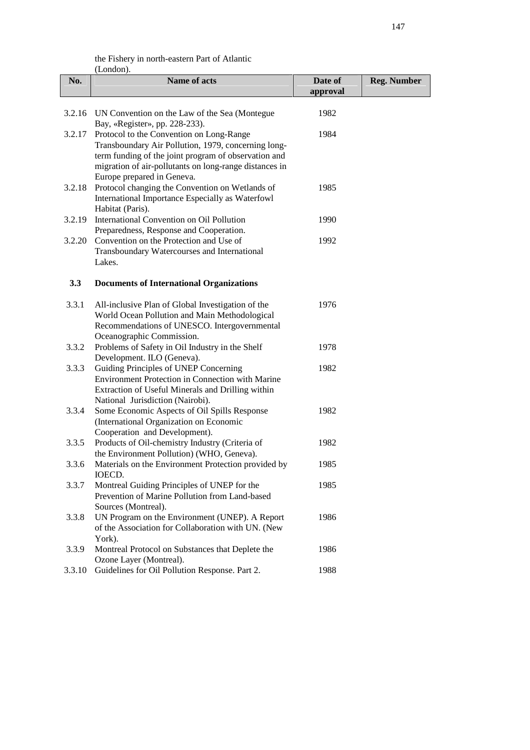| No.    | Name of acts                                                                                                                                                                                                                                           | Date of<br>approval | <b>Reg. Number</b> |
|--------|--------------------------------------------------------------------------------------------------------------------------------------------------------------------------------------------------------------------------------------------------------|---------------------|--------------------|
|        | 3.2.16 UN Convention on the Law of the Sea (Montegue<br>Bay, «Register», pp. 228-233).                                                                                                                                                                 | 1982                |                    |
|        | 3.2.17 Protocol to the Convention on Long-Range<br>Transboundary Air Pollution, 1979, concerning long-<br>term funding of the joint program of observation and<br>migration of air-pollutants on long-range distances in<br>Europe prepared in Geneva. | 1984                |                    |
| 3.2.18 | Protocol changing the Convention on Wetlands of<br>International Importance Especially as Waterfowl<br>Habitat (Paris).                                                                                                                                | 1985                |                    |
| 3.2.19 | International Convention on Oil Pollution<br>Preparedness, Response and Cooperation.                                                                                                                                                                   | 1990                |                    |
| 3.2.20 | Convention on the Protection and Use of<br>Transboundary Watercourses and International<br>Lakes.                                                                                                                                                      | 1992                |                    |
| 3.3    | <b>Documents of International Organizations</b>                                                                                                                                                                                                        |                     |                    |
| 3.3.1  | All-inclusive Plan of Global Investigation of the<br>World Ocean Pollution and Main Methodological<br>Recommendations of UNESCO. Intergovernmental<br>Oceanographic Commission.                                                                        | 1976                |                    |
| 3.3.2  | Problems of Safety in Oil Industry in the Shelf<br>Development. ILO (Geneva).                                                                                                                                                                          | 1978                |                    |
| 3.3.3  | Guiding Principles of UNEP Concerning<br>Environment Protection in Connection with Marine<br>Extraction of Useful Minerals and Drilling within<br>National Jurisdiction (Nairobi).                                                                     | 1982                |                    |
| 3.3.4  | Some Economic Aspects of Oil Spills Response<br>(International Organization on Economic<br>Cooperation and Development).                                                                                                                               | 1982                |                    |
| 3.3.5  | Products of Oil-chemistry Industry (Criteria of<br>the Environment Pollution) (WHO, Geneva).                                                                                                                                                           | 1982                |                    |
| 3.3.6  | Materials on the Environment Protection provided by<br><b>IOECD</b>                                                                                                                                                                                    | 1985                |                    |
| 3.3.7  | Montreal Guiding Principles of UNEP for the<br>Prevention of Marine Pollution from Land-based<br>Sources (Montreal).                                                                                                                                   | 1985                |                    |
| 3.3.8  | UN Program on the Environment (UNEP). A Report<br>of the Association for Collaboration with UN. (New<br>York).                                                                                                                                         | 1986                |                    |
| 3.3.9  | Montreal Protocol on Substances that Deplete the<br>Ozone Layer (Montreal).                                                                                                                                                                            | 1986                |                    |
| 3.3.10 | Guidelines for Oil Pollution Response. Part 2.                                                                                                                                                                                                         | 1988                |                    |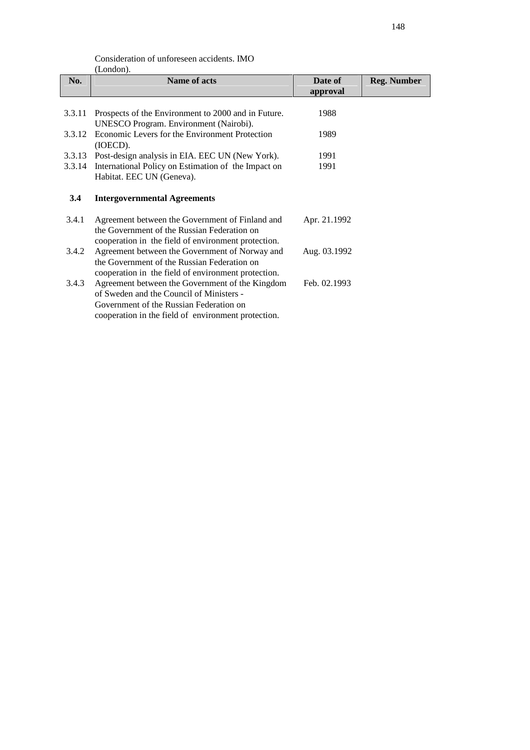| Consideration of unforeseen accidents. IMO |
|--------------------------------------------|
| (London).                                  |

| No.    | <b>Name of acts</b>                                                                                                                                  | Date of<br>approval                                                                                                                                                                                                     | <b>Reg. Number</b> |
|--------|------------------------------------------------------------------------------------------------------------------------------------------------------|-------------------------------------------------------------------------------------------------------------------------------------------------------------------------------------------------------------------------|--------------------|
| 3.3.11 | Prospects of the Environment to 2000 and in Future.                                                                                                  | 1988                                                                                                                                                                                                                    |                    |
| 3.3.12 | (IOECD).                                                                                                                                             | 1989                                                                                                                                                                                                                    |                    |
|        | Post-design analysis in EIA. EEC UN (New York).                                                                                                      | 1991                                                                                                                                                                                                                    |                    |
|        | Habitat. EEC UN (Geneva).                                                                                                                            | 1991                                                                                                                                                                                                                    |                    |
| 3.4    | <b>Intergovernmental Agreements</b>                                                                                                                  |                                                                                                                                                                                                                         |                    |
| 3.4.1  | Agreement between the Government of Finland and<br>the Government of the Russian Federation on                                                       | Apr. 21.1992                                                                                                                                                                                                            |                    |
| 3.4.2  | Agreement between the Government of Norway and<br>the Government of the Russian Federation on<br>cooperation in the field of environment protection. | Aug. 03.1992                                                                                                                                                                                                            |                    |
| 3.4.3  | Agreement between the Government of the Kingdom<br>of Sweden and the Council of Ministers -<br>Government of the Russian Federation on               | Feb. 02.1993                                                                                                                                                                                                            |                    |
|        |                                                                                                                                                      | UNESCO Program. Environment (Nairobi).<br>Economic Levers for the Environment Protection<br>3.3.13<br>3.3.14 International Policy on Estimation of the Impact on<br>cooperation in the field of environment protection. |                    |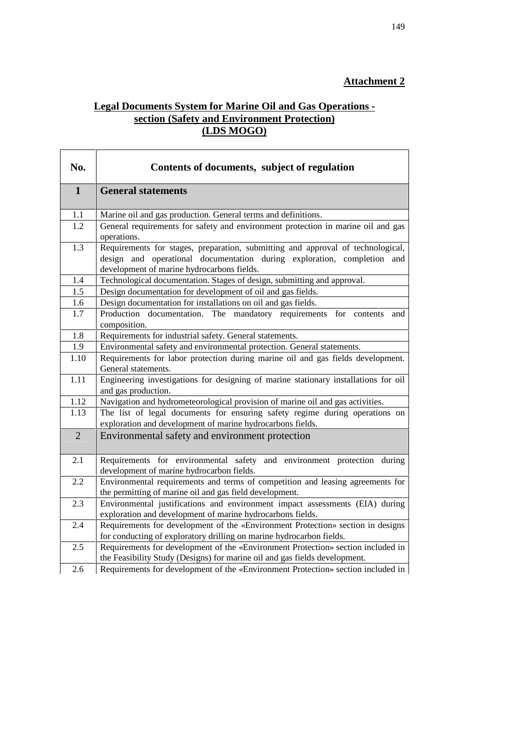## **Attachment 2**

## **Legal Documents System for Marine Oil and Gas Operations section (Safety and Environment Protection) (LDS MOGO)**

| No.              | Contents of documents, subject of regulation                                                                                                                                                             |  |
|------------------|----------------------------------------------------------------------------------------------------------------------------------------------------------------------------------------------------------|--|
| $\mathbf{1}$     | <b>General statements</b>                                                                                                                                                                                |  |
| 1.1              | Marine oil and gas production. General terms and definitions.                                                                                                                                            |  |
| $\overline{1.2}$ | General requirements for safety and environment protection in marine oil and gas<br>operations.                                                                                                          |  |
| 1.3              | Requirements for stages, preparation, submitting and approval of technological,<br>design and operational documentation during exploration, completion and<br>development of marine hydrocarbons fields. |  |
| 1.4              | Technological documentation. Stages of design, submitting and approval.                                                                                                                                  |  |
| 1.5              | Design documentation for development of oil and gas fields.                                                                                                                                              |  |
| 1.6              | Design documentation for installations on oil and gas fields.                                                                                                                                            |  |
| 1.7              | Production documentation. The mandatory requirements<br>for<br>contents<br>and<br>composition.                                                                                                           |  |
| 1.8              | Requirements for industrial safety. General statements.                                                                                                                                                  |  |
| 1.9              | Environmental safety and environmental protection. General statements.                                                                                                                                   |  |
| 1.10             | Requirements for labor protection during marine oil and gas fields development.<br>General statements.                                                                                                   |  |
| 1.11             | Engineering investigations for designing of marine stationary installations for oil<br>and gas production.                                                                                               |  |
| 1.12             | Navigation and hydrometeorological provision of marine oil and gas activities.                                                                                                                           |  |
| 1.13             | The list of legal documents for ensuring safety regime during operations on<br>exploration and development of marine hydrocarbons fields.                                                                |  |
| $\overline{2}$   | Environmental safety and environment protection                                                                                                                                                          |  |
| 2.1              | Requirements for environmental safety and environment protection during<br>development of marine hydrocarbon fields.                                                                                     |  |
| 2.2              | Environmental requirements and terms of competition and leasing agreements for<br>the permitting of marine oil and gas field development.                                                                |  |
| 2.3              | Environmental justifications and environment impact assessments (EIA) during<br>exploration and development of marine hydrocarbons fields.                                                               |  |
| 2.4              | Requirements for development of the «Environment Protection» section in designs<br>for conducting of exploratory drilling on marine hydrocarbon fields.                                                  |  |
| 2.5              | Requirements for development of the «Environment Protection» section included in<br>the Feasibility Study (Designs) for marine oil and gas fields development.                                           |  |
| 2.6              | Requirements for development of the «Environment Protection» section included in                                                                                                                         |  |

 $\overline{\mathsf{I}}$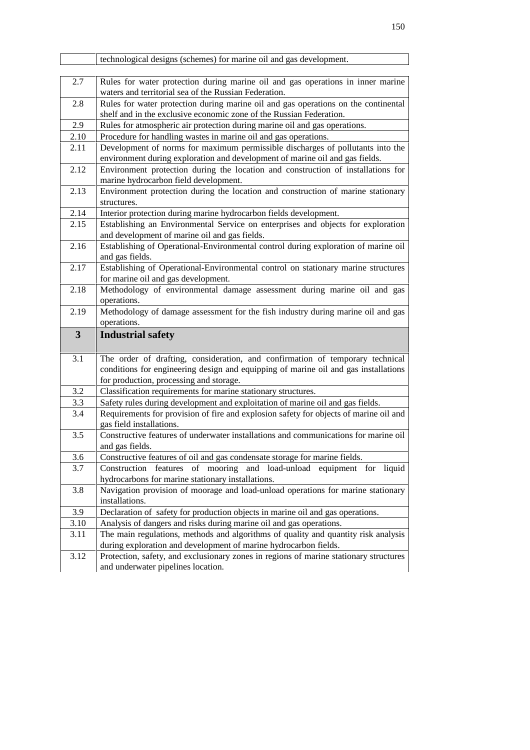|                         | technological designs (schemes) for marine oil and gas development.                                                                                                                                                                                                                                                 |
|-------------------------|---------------------------------------------------------------------------------------------------------------------------------------------------------------------------------------------------------------------------------------------------------------------------------------------------------------------|
| 2.7                     | Rules for water protection during marine oil and gas operations in inner marine<br>waters and territorial sea of the Russian Federation.                                                                                                                                                                            |
| 2.8                     | Rules for water protection during marine oil and gas operations on the continental<br>shelf and in the exclusive economic zone of the Russian Federation.                                                                                                                                                           |
| 2.9                     | Rules for atmospheric air protection during marine oil and gas operations.                                                                                                                                                                                                                                          |
| 2.10                    | Procedure for handling wastes in marine oil and gas operations.                                                                                                                                                                                                                                                     |
| 2.11                    | Development of norms for maximum permissible discharges of pollutants into the<br>environment during exploration and development of marine oil and gas fields.                                                                                                                                                      |
| 2.12                    | Environment protection during the location and construction of installations for<br>marine hydrocarbon field development.                                                                                                                                                                                           |
| 2.13                    | Environment protection during the location and construction of marine stationary<br>structures.                                                                                                                                                                                                                     |
| 2.14                    | Interior protection during marine hydrocarbon fields development.                                                                                                                                                                                                                                                   |
| 2.15                    | Establishing an Environmental Service on enterprises and objects for exploration<br>and development of marine oil and gas fields.                                                                                                                                                                                   |
| 2.16                    | Establishing of Operational-Environmental control during exploration of marine oil<br>and gas fields.                                                                                                                                                                                                               |
| 2.17                    | Establishing of Operational-Environmental control on stationary marine structures<br>for marine oil and gas development.                                                                                                                                                                                            |
| 2.18                    | Methodology of environmental damage assessment during marine oil and gas<br>operations.                                                                                                                                                                                                                             |
| 2.19                    | Methodology of damage assessment for the fish industry during marine oil and gas<br>operations.                                                                                                                                                                                                                     |
| $\overline{\mathbf{3}}$ | <b>Industrial safety</b>                                                                                                                                                                                                                                                                                            |
| 3.1                     | The order of drafting, consideration, and confirmation of temporary technical                                                                                                                                                                                                                                       |
|                         | conditions for engineering design and equipping of marine oil and gas installations<br>for production, processing and storage.                                                                                                                                                                                      |
| 3.2                     | Classification requirements for marine stationary structures.                                                                                                                                                                                                                                                       |
| 3.3                     | Safety rules during development and exploitation of marine oil and gas fields.                                                                                                                                                                                                                                      |
| 3.4                     | Requirements for provision of fire and explosion safety for objects of marine oil and<br>gas field installations.                                                                                                                                                                                                   |
| 3.5                     | Constructive features of underwater installations and communications for marine oil<br>and gas fields.                                                                                                                                                                                                              |
|                         |                                                                                                                                                                                                                                                                                                                     |
| 3.6                     | Constructive features of oil and gas condensate storage for marine fields.                                                                                                                                                                                                                                          |
| 3.7                     | hydrocarbons for marine stationary installations.                                                                                                                                                                                                                                                                   |
| 3.8                     | installations.                                                                                                                                                                                                                                                                                                      |
| 3.9                     |                                                                                                                                                                                                                                                                                                                     |
| 3.10                    | Declaration of safety for production objects in marine oil and gas operations.<br>Analysis of dangers and risks during marine oil and gas operations.                                                                                                                                                               |
| 3.11                    | Construction features of mooring and load-unload equipment for liquid<br>Navigation provision of moorage and load-unload operations for marine stationary<br>The main regulations, methods and algorithms of quality and quantity risk analysis<br>during exploration and development of marine hydrocarbon fields. |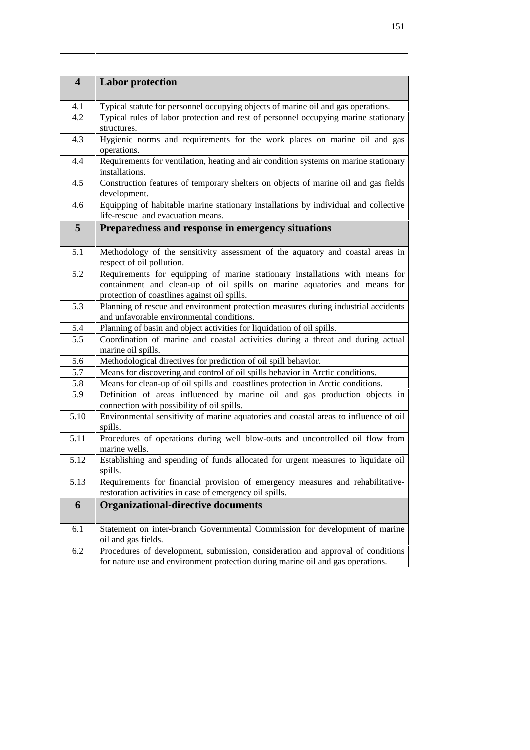| $\overline{\mathbf{4}}$ | <b>Labor protection</b>                                                                                                                                                                                   |  |
|-------------------------|-----------------------------------------------------------------------------------------------------------------------------------------------------------------------------------------------------------|--|
|                         |                                                                                                                                                                                                           |  |
| 4.1                     | Typical statute for personnel occupying objects of marine oil and gas operations.                                                                                                                         |  |
| 4.2                     | Typical rules of labor protection and rest of personnel occupying marine stationary<br>structures.                                                                                                        |  |
| 4.3                     | Hygienic norms and requirements for the work places on marine oil and gas<br>operations.                                                                                                                  |  |
| 4.4                     | Requirements for ventilation, heating and air condition systems on marine stationary<br>installations.                                                                                                    |  |
| 4.5                     | Construction features of temporary shelters on objects of marine oil and gas fields<br>development.                                                                                                       |  |
| 4.6                     | Equipping of habitable marine stationary installations by individual and collective<br>life-rescue and evacuation means.                                                                                  |  |
| $5\overline{)}$         | Preparedness and response in emergency situations                                                                                                                                                         |  |
|                         |                                                                                                                                                                                                           |  |
| 5.1                     | Methodology of the sensitivity assessment of the aquatory and coastal areas in<br>respect of oil pollution.                                                                                               |  |
| 5.2                     | Requirements for equipping of marine stationary installations with means for<br>containment and clean-up of oil spills on marine aquatories and means for<br>protection of coastlines against oil spills. |  |
| 5.3                     | Planning of rescue and environment protection measures during industrial accidents<br>and unfavorable environmental conditions.                                                                           |  |
| 5.4                     | Planning of basin and object activities for liquidation of oil spills.                                                                                                                                    |  |
| 5.5                     | Coordination of marine and coastal activities during a threat and during actual<br>marine oil spills.                                                                                                     |  |
| 5.6                     | Methodological directives for prediction of oil spill behavior.                                                                                                                                           |  |
| 5.7                     | Means for discovering and control of oil spills behavior in Arctic conditions.                                                                                                                            |  |
| 5.8                     | Means for clean-up of oil spills and coastlines protection in Arctic conditions.                                                                                                                          |  |
| 5.9                     | Definition of areas influenced by marine oil and gas production objects in<br>connection with possibility of oil spills.                                                                                  |  |
| 5.10                    | Environmental sensitivity of marine aquatories and coastal areas to influence of oil<br>spills.                                                                                                           |  |
| 5.11                    | Procedures of operations during well blow-outs and uncontrolled oil flow from<br>marine wells.                                                                                                            |  |
| 5.12                    | Establishing and spending of funds allocated for urgent measures to liquidate oil<br>spills.                                                                                                              |  |
| 5.13                    | Requirements for financial provision of emergency measures and rehabilitative-<br>restoration activities in case of emergency oil spills.                                                                 |  |
| 6                       | <b>Organizational-directive documents</b>                                                                                                                                                                 |  |
|                         |                                                                                                                                                                                                           |  |
| 6.1                     | Statement on inter-branch Governmental Commission for development of marine<br>oil and gas fields.                                                                                                        |  |
| 6.2                     | Procedures of development, submission, consideration and approval of conditions<br>for nature use and environment protection during marine oil and gas operations.                                        |  |